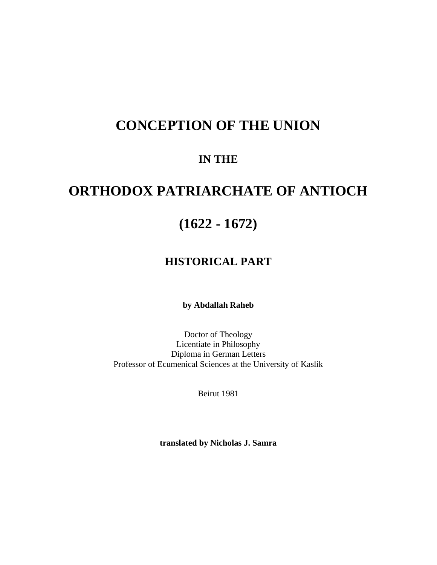# **CONCEPTION OF THE UNION**

## **IN THE**

# **ORTHODOX PATRIARCHATE OF ANTIOCH**

## **(1622 - 1672)**

## **HISTORICAL PART**

**by Abdallah Raheb** 

Doctor of Theology Licentiate in Philosophy Diploma in German Letters Professor of Ecumenical Sciences at the University of Kaslik

Beirut 1981

**translated by Nicholas J. Samra**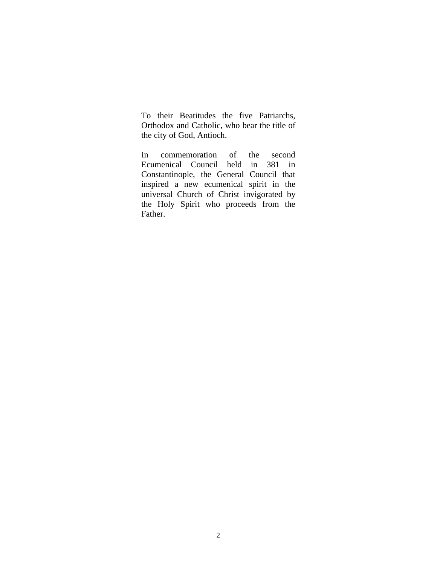To their Beatitudes the five Patriarchs, Orthodox and Catholic, who bear the title of the city of God, Antioch.

In commemoration of the second Ecumenical Council held in 381 in Constantinople, the General Council that inspired a new ecumenical spirit in the universal Church of Christ invigorated by the Holy Spirit who proceeds from the Father.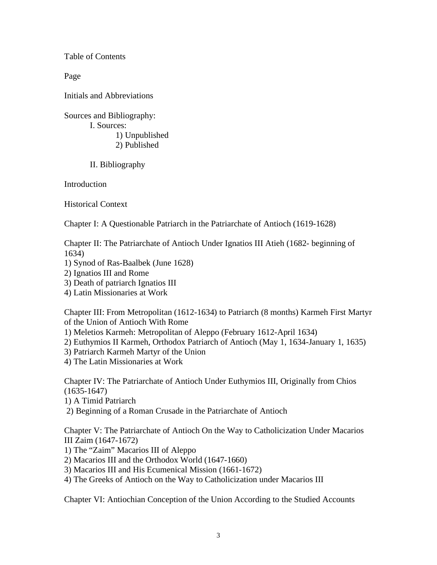Table of Contents

Page

Initials and Abbreviations

Sources and Bibliography: I. Sources:

> 1) Unpublished 2) Published

II. Bibliography

Introduction

Historical Context

Chapter I: A Questionable Patriarch in the Patriarchate of Antioch (1619-1628)

Chapter II: The Patriarchate of Antioch Under Ignatios III Atieh (1682- beginning of 1634)

- 1) Synod of Ras-Baalbek (June 1628)
- 2) Ignatios III and Rome
- 3) Death of patriarch Ignatios III
- 4) Latin Missionaries at Work

Chapter III: From Metropolitan (1612-1634) to Patriarch (8 months) Karmeh First Martyr of the Union of Antioch With Rome

1) Meletios Karmeh: Metropolitan of Aleppo (February 1612-April 1634)

- 2) Euthymios II Karmeh, Orthodox Patriarch of Antioch (May 1, 1634-January 1, 1635)
- 3) Patriarch Karmeh Martyr of the Union
- 4) The Latin Missionaries at Work

Chapter IV: The Patriarchate of Antioch Under Euthymios III, Originally from Chios (1635-1647)

- 1) A Timid Patriarch
- 2) Beginning of a Roman Crusade in the Patriarchate of Antioch

Chapter V: The Patriarchate of Antioch On the Way to Catholicization Under Macarios III Zaim (1647-1672)

- 1) The "Zaim" Macarios III of Aleppo
- 2) Macarios III and the Orthodox World (1647-1660)
- 3) Macarios III and His Ecumenical Mission (1661-1672)
- 4) The Greeks of Antioch on the Way to Catholicization under Macarios III

Chapter VI: Antiochian Conception of the Union According to the Studied Accounts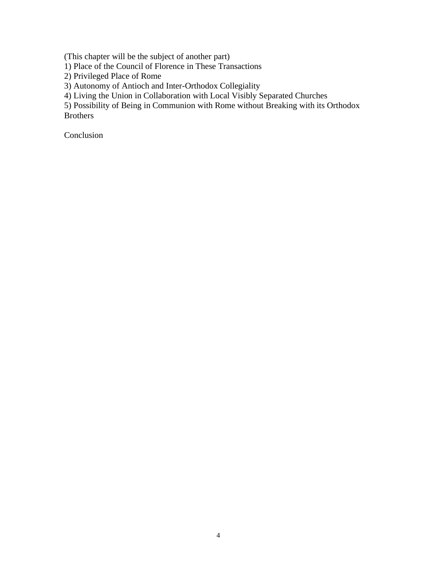(This chapter will be the subject of another part)

1) Place of the Council of Florence in These Transactions

2) Privileged Place of Rome

3) Autonomy of Antioch and Inter-Orthodox Collegiality

4) Living the Union in Collaboration with Local Visibly Separated Churches

5) Possibility of Being in Communion with Rome without Breaking with its Orthodox Brothers

Conclusion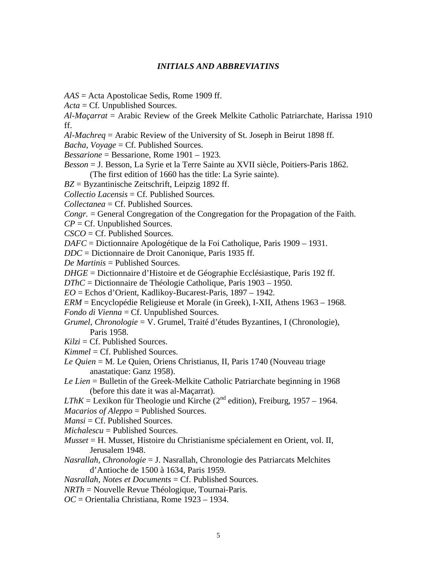#### *INITIALS AND ABBREVIATINS*

- *AAS* = Acta Apostolicae Sedis, Rome 1909 ff.
- *Acta* = Cf. Unpublished Sources.

*Al-Maçarrat* = Arabic Review of the Greek Melkite Catholic Patriarchate, Harissa 1910 ff.

*Al-Machreq* = Arabic Review of the University of St. Joseph in Beirut 1898 ff.

*Bacha, Voyage* = Cf. Published Sources.

*Bessarione* = Bessarione, Rome 1901 – 1923.

- *Besson* = J. Besson, La Syrie et la Terre Sainte au XVII siècle, Poitiers-Paris 1862. (The first edition of 1660 has the title: La Syrie sainte).
- *BZ* = Byzantinische Zeitschrift, Leipzig 1892 ff.

*Collectio Lacensis* = Cf. Published Sources.

*Collectanea* = Cf. Published Sources.

*Congr.* = General Congregation of the Congregation for the Propagation of the Faith.

*CP* = Cf. Unpublished Sources.

*CSCO* = Cf. Published Sources.

*DAFC* = Dictionnaire Apologétique de la Foi Catholique, Paris 1909 – 1931.

*DDC* = Dictionnaire de Droit Canonique, Paris 1935 ff.

*De Martinis* = Published Sources.

*DHGE* = Dictionnaire d'Histoire et de Géographie Ecclésiastique, Paris 192 ff.

*DThC* = Dictionnaire de Théologie Catholique, Paris 1903 – 1950.

*EO* = Echos d'Orient, Kadlikoy-Bucarest-Paris, 1897 – 1942.

*ERM* = Encyclopédie Religieuse et Morale (in Greek), I-XII, Athens 1963 – 1968. *Fondo di Vienna* = Cf. Unpublished Sources.

- *Grumel, Chronologie* = V. Grumel, Traité d'études Byzantines, I (Chronologie), Paris 1958.
- $Kilzi = Cf.$  Published Sources.
- *Kimmel* = Cf. Published Sources.
- *Le Quien* = M. Le Quien, Oriens Christianus, II, Paris 1740 (Nouveau triage anastatique: Ganz 1958).
- *Le Lien* = Bulletin of the Greek-Melkite Catholic Patriarchate beginning in 1968 (before this date it was al-Maçarrat).

*LThK* = Lexikon für Theologie und Kirche ( $2<sup>nd</sup>$  edition), Freiburg, 1957 – 1964.

*Macarios of Aleppo* = Published Sources.

 $Mansi = Cf$ . Published Sources.

*Michalescu* = Published Sources.

- *Musset* = H. Musset, Histoire du Christianisme spécialement en Orient, vol. II, Jerusalem 1948.
- *Nasrallah, Chronologie* = J. Nasrallah, Chronologie des Patriarcats Melchites d'Antioche de 1500 à 1634, Paris 1959.

*Nasrallah, Notes et Documents* = Cf. Published Sources.

- *NRTh* = Nouvelle Revue Théologique, Tournai-Paris.
- *OC* = Orientalia Christiana, Rome 1923 1934.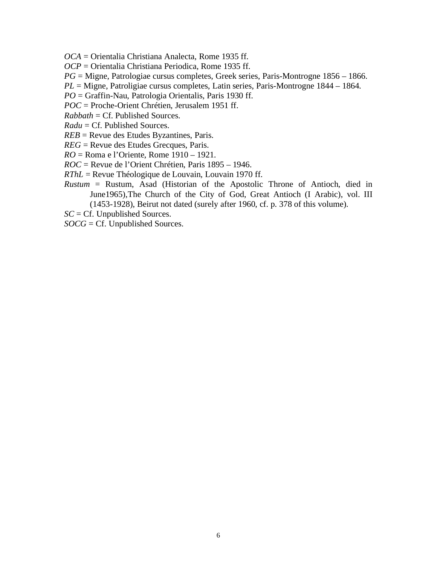*OCA* = Orientalia Christiana Analecta, Rome 1935 ff.

*OCP* = Orientalia Christiana Periodica, Rome 1935 ff.

*PG* = Migne, Patrologiae cursus completes, Greek series, Paris-Montrogne 1856 – 1866.

*PL* = Migne, Patroligiae cursus completes, Latin series, Paris-Montrogne 1844 – 1864.

*PO* = Graffin-Nau, Patrologia Orientalis, Paris 1930 ff.

*POC* = Proche-Orient Chrétien, Jerusalem 1951 ff.

*Rabbath* = Cf. Published Sources.

*Radu* = Cf. Published Sources.

*REB* = Revue des Etudes Byzantines, Paris.

*REG* = Revue des Etudes Grecques, Paris.

*RO* = Roma e l'Oriente, Rome 1910 – 1921.

*ROC* = Revue de l'Orient Chrétien, Paris 1895 – 1946.

*RThL* = Revue Théologique de Louvain, Louvain 1970 ff.

*Rustum* = Rustum, Asad (Historian of the Apostolic Throne of Antioch, died in June1965),The Church of the City of God, Great Antioch (I Arabic), vol. III (1453-1928), Beirut not dated (surely after 1960, cf. p. 378 of this volume).

*SC* = Cf. Unpublished Sources.

*SOCG* = Cf. Unpublished Sources.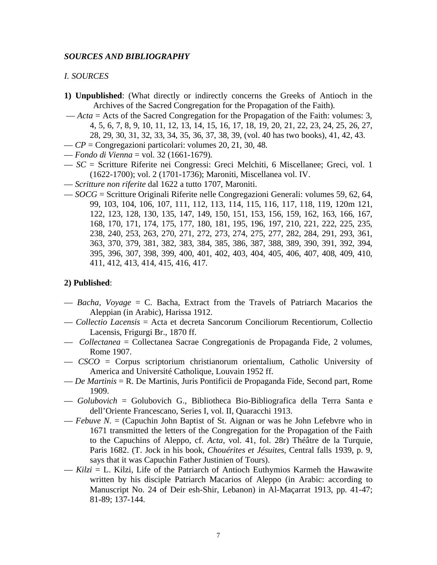#### *SOURCES AND BIBLIOGRAPHY*

#### *I. SOURCES*

- **1) Unpublished**: (What directly or indirectly concerns the Greeks of Antioch in the Archives of the Sacred Congregation for the Propagation of the Faith).
- *Acta* = Acts of the Sacred Congregation for the Propagation of the Faith: volumes: 3, 4, 5, 6, 7, 8, 9, 10, 11, 12, 13, 14, 15, 16, 17, 18, 19, 20, 21, 22, 23, 24, 25, 26, 27, 28, 29, 30, 31, 32, 33, 34, 35, 36, 37, 38, 39, (vol. 40 has two books), 41, 42, 43.
- *CP* = Congregazioni particolari: volumes 20, 21, 30, 48.
- *Fondo di Vienna* = vol. 32 (1661-1679).
- *SC* = Scritture Riferite nei Congressi: Greci Melchiti, 6 Miscellanee; Greci, vol. 1 (1622-1700); vol. 2 (1701-1736); Maroniti, Miscellanea vol. IV.
- *Scritture non riferite* dal 1622 a tutto 1707, Maroniti.
- *SOCG* = Scritture Originali Riferite nelle Congregazioni Generali: volumes 59, 62, 64, 99, 103, 104, 106, 107, 111, 112, 113, 114, 115, 116, 117, 118, 119, 120m 121, 122, 123, 128, 130, 135, 147, 149, 150, 151, 153, 156, 159, 162, 163, 166, 167, 168, 170, 171, 174, 175, 177, 180, 181, 195, 196, 197, 210, 221, 222, 225, 235, 238, 240, 253, 263, 270, 271, 272, 273, 274, 275, 277, 282, 284, 291, 293, 361, 363, 370, 379, 381, 382, 383, 384, 385, 386, 387, 388, 389, 390, 391, 392, 394, 395, 396, 307, 398, 399, 400, 401, 402, 403, 404, 405, 406, 407, 408, 409, 410, 411, 412, 413, 414, 415, 416, 417.

#### **2) Published**:

- *Bacha, Voyage* = C. Bacha, Extract from the Travels of Patriarch Macarios the Aleppian (in Arabic), Harissa 1912.
- *Collectio Lacensis* = Acta et decreta Sancorum Conciliorum Recentiorum, Collectio Lacensis, Frigurgi Br., 1870 ff.
- *Collectanea* = Collectanea Sacrae Congregationis de Propaganda Fide, 2 volumes, Rome 1907.
- *CSCO* = Corpus scriptorium christianorum orientalium, Catholic University of America and Université Catholique, Louvain 1952 ff.
- *De Martinis* = R. De Martinis, Juris Pontificii de Propaganda Fide, Second part, Rome 1909.
- *Golubovich* = Golubovich G., Bibliotheca Bio-Bibliografica della Terra Santa e dell'Oriente Francescano, Series I, vol. II, Quaracchi 1913.
- *Febuve N*. = (Capuchin John Baptist of St. Aignan or was he John Lefebvre who in 1671 transmitted the letters of the Congregation for the Propagation of the Faith to the Capuchins of Aleppo, cf. *Acta*, vol. 41, fol. 28r) Théâtre de la Turquie, Paris 1682. (T. Jock in his book, *Chouérites et Jésuites*, Central falls 1939, p. 9, says that it was Capuchin Father Justinien of Tours).
- *Kilzi* = L. Kilzi, Life of the Patriarch of Antioch Euthymios Karmeh the Hawawite written by his disciple Patriarch Macarios of Aleppo (in Arabic: according to Manuscript No. 24 of Deir esh-Shir, Lebanon) in Al-Maçarrat 1913, pp. 41-47; 81-89; 137-144.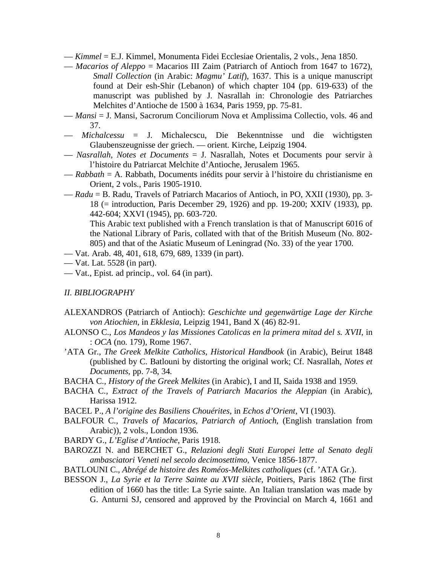— *Kimmel* = E.J. Kimmel, Monumenta Fidei Ecclesiae Orientalis, 2 vols., Jena 1850.

- *Macarios of Aleppo* = Macarios III Zaim (Patriarch of Antioch from 1647 to 1672), *Small Collection* (in Arabic: *Magmu' Latif*), 1637. This is a unique manuscript found at Deir esh-Shir (Lebanon) of which chapter 104 (pp. 619-633) of the manuscript was published by J. Nasrallah in: Chronologie des Patriarches Melchites d'Antioche de 1500 à 1634, Paris 1959, pp. 75-81.
- *Mansi* = J. Mansi, Sacrorum Conciliorum Nova et Amplissima Collectio, vols. 46 and 37.
- *Michalcessu* = J. Michalecscu, Die Bekenntnisse und die wichtigsten Glaubenszeugnisse der griech. — orient. Kirche, Leipzig 1904.
- *Nasrallah, Notes et Documents* = J. Nasrallah, Notes et Documents pour servir à l'histoire du Patriarcat Melchite d'Antioche, Jerusalem 1965.
- *Rabbath* = A. Rabbath, Documents inédits pour servir à l'histoire du christianisme en Orient, 2 vols., Paris 1905-1910.
- *Radu* = B. Radu, Travels of Patriarch Macarios of Antioch, in PO, XXII (1930), pp. 3- 18 (= introduction, Paris December 29, 1926) and pp. 19-200; XXIV (1933), pp. 442-604; XXVI (1945), pp. 603-720.

This Arabic text published with a French translation is that of Manuscript 6016 of the National Library of Paris, collated with that of the British Museum (No. 802- 805) and that of the Asiatic Museum of Leningrad (No. 33) of the year 1700.

- Vat. Arab. 48, 401, 618, 679, 689, 1339 (in part).
- Vat. Lat. 5528 (in part).
- Vat., Epist. ad princip., vol. 64 (in part).

#### *II. BIBLIOGRAPHY*

- ALEXANDROS (Patriarch of Antioch): *Geschichte und gegenwärtige Lage der Kirche von Atiochien*, in *Ekklesia*, Leipzig 1941, Band X (46) 82-91.
- ALONSO C., *Los Mandeos y las Missiones Catolicas en la primera mitad del s. XVII*, in : *OCA* (no. 179), Rome 1967.
- 'ATA Gr., *The Greek Melkite Catholics, Historical Handbook* (in Arabic), Beirut 1848 (published by C. Batlouni by distorting the original work; Cf. Nasrallah, *Notes et Documents*, pp. 7-8, 34.
- BACHA C., *History of the Greek Melkites* (in Arabic), I and II, Saida 1938 and 1959.
- BACHA C., *Extract of the Travels of Patriarch Macarios the Aleppian* (in Arabic), Harissa 1912.
- BACEL P., *A l'origine des Basiliens Chouérites*, in *Echos d'Orient*, VI (1903).
- BALFOUR C., *Travels of Macarios, Patriarch of Antioch*, (English translation from Arabic)), 2 vols., London 1936.
- BARDY G., *L'Eglise d'Antioche*, Paris 1918.
- BAROZZI N. and BERCHET G., *Relazioni degli Stati Europei lette al Senato degli ambasciatori Veneti nel secolo decimosettimo*, Venice 1856-1877.
- BATLOUNI C., *Abrégé de histoire des Roméos-Melkites catholiques* (cf. 'ATA Gr.).
- BESSON J., *La Syrie et la Terre Sainte au XVII siècle*, Poitiers, Paris 1862 (The first edition of 1660 has the title: La Syrie sainte. An Italian translation was made by G. Anturni SJ, censored and approved by the Provincial on March 4, 1661 and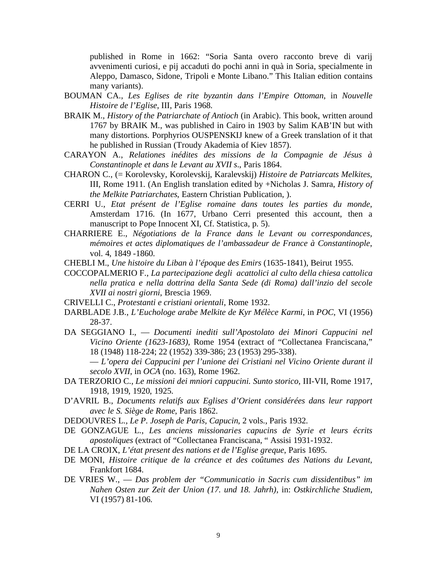published in Rome in 1662: "Soria Santa overo racconto breve di varij avvenimenti curiosi, e pij accaduti do pochi anni in quà in Soria, specialmente in Aleppo, Damasco, Sidone, Tripoli e Monte Libano." This Italian edition contains many variants).

- BOUMAN CA., *Les Eglises de rite byzantin dans l'Empire Ottoman*, in *Nouvelle Histoire de l'Eglise*, III, Paris 1968.
- BRAIK M., *History of the Patriarchate of Antioch* (in Arabic). This book, written around 1767 by BRAIK M., was published in Cairo in 1903 by Salim KAB'IN but with many distortions. Porphyrios OUSPENSKIJ knew of a Greek translation of it that he published in Russian (Troudy Akademia of Kiev 1857).
- CARAYON A., *Relationes inédites des missions de la Compagnie de Jésus à Constantinople et dans le Levant au XVII s*., Paris 1864.
- CHARON C., (= Korolevsky, Korolevskij, Karalevskij) *Histoire de Patriarcats Melkites*, III, Rome 1911. (An English translation edited by +Nicholas J. Samra, *History of the Melkite Patriarchates*, Eastern Christian Publication, ).
- CERRI U., *Etat présent de l'Eglise romaine dans toutes les parties du monde*, Amsterdam 1716. (In 1677, Urbano Cerri presented this account, then a manuscript to Pope Innocent XI, Cf. Statistica, p. 5).
- CHARRIERE E., *Négotiations de la France dans le Levant ou correspondances, mémoires et actes diplomatiques de l'ambassadeur de France à Constantinople*, vol. 4, 1849 -1860.

CHEBLI M., *Une histoire du Liban à l'époque des Emirs* (1635-1841), Beirut 1955.

- COCCOPALMERIO F., *La partecipazione degli acattolici al culto della chiesa cattolica nella pratica e nella dottrina della Santa Sede (di Roma) dall'inzio del secole XVII ai nostri giorni*, Brescia 1969.
- CRIVELLI C., *Protestanti e cristiani orientali*, Rome 1932.
- DARBLADE J.B., *L'Euchologe arabe Melkite de Kyr Mélèce Karmi*, in *POC*, VI (1956) 28-37.
- DA SEGGIANO I., *Documenti inediti sull'Apostolato dei Minori Cappucini nel Vicino Oriente (1623-1683)*, Rome 1954 (extract of "Collectanea Franciscana," 18 (1948) 118-224; 22 (1952) 339-386; 23 (1953) 295-338).

— *L'opera dei Cappucini per l'unione dei Cristiani nel Vicino Oriente durant il secolo XVII*, in *OCA* (no. 163), Rome 1962.

- DA TERZORIO C., *Le missioni dei mniori cappucini. Sunto storico*, III-VII, Rome 1917, 1918, 1919, 1920, 1925.
- D'AVRIL B., *Documents relatifs aux Eglises d'Orient considérées dans leur rapport avec le S. Siège de Rome*, Paris 1862.
- DEDOUVRES L., *Le P. Joseph de Paris, Capucin*, 2 vols., Paris 1932.
- DE GONZAGUE L., *Les anciens missionaries capucins de Syrie et leurs écrits apostoliques* (extract of "Collectanea Franciscana, " Assisi 1931-1932.
- DE LA CROIX, *L'état present des nations et de l'Eglise greque*, Paris 1695.
- DE MONI, *Histoire critique de la créance et des coûtumes des Nations du Levant*, Frankfort 1684.
- DE VRIES W., *Das problem der "Communicatio in Sacris cum dissidentibus" im Nahen Osten zur Zeit der Union (17. und 18. Jahrh)*, in: *Ostkirchliche Studiem*, VI (1957) 81-106.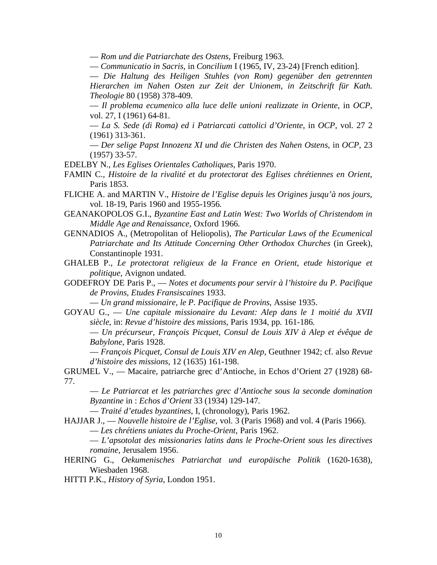— *Rom und die Patriarchate des Ostens*, Freiburg 1963.

— *Communicatio in Sacris*, in *Concilium* I (1965, IV, 23-24) [French edition].

— *Die Haltung des Heiligen Stuhles (von Rom) gegenüber den getrennten Hierarchen im Nahen Osten zur Zeit der Unionem, in Zeitschrift für Kath. Theologie* 80 (1958) 378-409.

— *Il problema ecumenico alla luce delle unioni realizzate in Oriente*, in *OCP*, vol. 27, I (1961) 64-81.

— *La S. Sede (di Roma) ed i Patriarcati cattolici d'Oriente*, in *OCP*, vol. 27 2 (1961) 313-361.

— *Der selige Papst Innozenz XI und die Christen des Nahen Ostens*, in *OCP*, 23 (1957) 33-57.

- EDELBY N., *Les Eglises Orientales Catholiques*, Paris 1970.
- FAMIN C., *Histoire de la rivalité et du protectorat des Eglises chrétiennes en Orient*, Paris 1853.
- FLICHE A. and MARTIN V., *Histoire de l'Eglise depuis les Origines jusqu'à nos jours*, vol. 18-19, Paris 1960 and 1955-1956.
- GEANAKOPOLOS G.I., *Byzantine East and Latin West: Two Worlds of Christendom in Middle Age and Renaissance,* Oxford 1966.
- GENNADIOS A., (Metropolitan of Heliopolis), *The Particular Laws of the Ecumenical Patriarchate and Its Attitude Concerning Other Orthodox Churches* (in Greek), Constantinople 1931.
- GHALEB P., *Le protectorat religieux de la France en Orient, etude historique et politique*, Avignon undated.
- GODEFROY DE Paris P., *Notes et documents pour servir à l'histoire du P. Pacifique de Provins*, *Etudes Fransiscaines* 1933.

— *Un grand missionaire, le P. Pacifique de Provins*, Assise 1935.

GOYAU G., — *Une capitale missionaire du Levant: Alep dans le 1 moitié du XVII siècle*, in: *Revue d'histoire des missions*, Paris 1934, pp. 161-186.

— *Un précurseur, François Picquet, Consul de Louis XIV à Alep et évêque de Babylone*, Paris 1928.

— *François Picquet, Consul de Louis XIV en Alep*, Geuthner 1942; cf. also *Revue d'histoire des missions,* 12 (1635) 161-198.

GRUMEL V., — Macaire, patriarche grec d'Antioche, in Echos d'Orient 27 (1928) 68- 77.

— *Le Patriarcat et les patriarches grec d'Antioche sous la seconde domination Byzantine* in : *Echos d'Orient* 33 (1934) 129-147.

— *Traité d'etudes byzantines*, I, (chronology), Paris 1962.

HAJJAR J., — *Nouvelle histoire de l'Eglise*, vol. 3 (Paris 1968) and vol. 4 (Paris 1966).

— *Les chrétiens uniates du Proche-Orient*, Paris 1962.

— *L'apsotolat des missionaries latins dans le Proche-Orient sous les directives romaine*, Jerusalem 1956.

HERING G., *Oekumenisches Patriarchat und europäische Politik* (1620-1638), Wiesbaden 1968.

HITTI P.K., *History of Syria*, London 1951.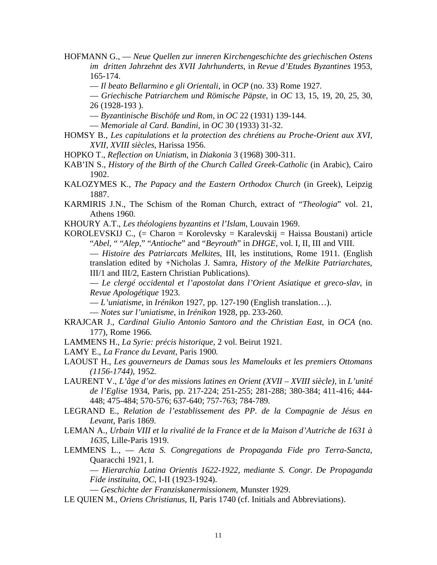HOFMANN G., — *Neue Quellen zur inneren Kirchengeschichte des griechischen Ostens im dritten Jahrzehnt des XVII Jahrhunderts*, in *Revue d'Etudes Byzantines* 1953, 165-174.

- *Il beato Bellarmino e gli Orientali*, in *OCP* (no. 33) Rome 1927.
- *Griechische Patriarchem und Römische Päpste*, in *OC* 13, 15, 19, 20, 25, 30, 26 (1928-193 ).
- *Byzantinische Bischöfe und Rom*, in *OC* 22 (1931) 139-144.
- *Memoriale al Card. Bandini,* in *OC* 30 (1933) 31-32.
- HOMSY B., *Les capitulations et la protection des chrétiens au Proche-Orient aux XVI, XVII, XVIII siècles*, Harissa 1956.
- HOPKO T., *Reflection on Uniatism*, in *Diakonia* 3 (1968) 300-311.
- KAB'IN S., *History of the Birth of the Church Called Greek-Catholic* (in Arabic), Cairo 1902.
- KALOZYMES K., *The Papacy and the Eastern Orthodox Church* (in Greek), Leipzig 1887.
- KARMIRIS J.N., The Schism of the Roman Church, extract of "*Theologia*" vol. 21, Athens 1960.
- KHOURY A.T., *Les théologiens byzantins et l'Islam*, Louvain 1969.
- KOROLEVSKIJ C.,  $(= Charon = Korolevsky = Karalevskij = Haissa Boustani)$  article "*Abel*, " "*Alep*," "*Antioche*" and "*Beyrouth*" in *DHGE*, vol. I, II, III and VIII.

— *Histoire des Patriarcats Melkites*, III, les institutions, Rome 1911. (English translation edited by +Nicholas J. Samra, *History of the Melkite Patriarchates*, III/1 and III/2, Eastern Christian Publications).

— *Le clergé occidental et l'apostolat dans l'Orient Asiatique et greco-slav*, in *Revue Apologétique* 1923.

— *L'uniatisme*, in *Irénikon* 1927, pp. 127-190 (English translation…).

— *Notes sur l'uniatisme*, in *Irénikon* 1928, pp. 233-260.

- KRAJCAR J., *Cardinal Giulio Antonio Santoro and the Christian East*, in *OCA* (no. 177), Rome 1966.
- LAMMENS H., *La Syrie: précis historique*, 2 vol. Beirut 1921.
- LAMY E., *La France du Levant*, Paris 1900.
- LAOUST H., *Les gouverneurs de Damas sous les Mamelouks et les premiers Ottomans (1156-1744)*, 1952.
- LAURENT V., *L'âge d'or des missions latines en Orient (XVII XVIII siècle)*, in *L'unité de l'Eglise* 1934, Paris, pp. 217-224; 251-255; 281-288; 380-384; 411-416; 444- 448; 475-484; 570-576; 637-640; 757-763; 784-789.
- LEGRAND E., *Relation de l'establissement des PP. de la Compagnie de Jésus en Levant*, Paris 1869.

LEMAN A., *Urbain VIII et la rivalité de la France et de la Maison d'Autriche de 1631 à 1635*, Lille-Paris 1919.

LEMMENS L., — *Acta S. Congregations de Propaganda Fide pro Terra-Sancta*, Quaracchi 1921, I.

— *Hierarchia Latina Orientis 1622-1922, mediante S. Congr. De Propaganda Fide instituita, OC*, I-II (1923-1924).

— *Geschichte der Franziskanermissionem*, Munster 1929.

LE QUIEN M., *Oriens Christianus*, II, Paris 1740 (cf. Initials and Abbreviations).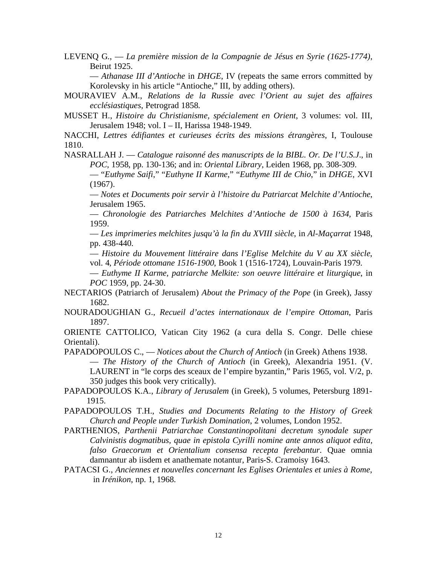LEVENQ G., — *La première mission de la Compagnie de Jésus en Syrie (1625-1774)*, Beirut 1925.

— *Athanase III d'Antioche* in *DHGE*, IV (repeats the same errors committed by Korolevsky in his article "Antioche," III, by adding others).

MOURAVIEV A.M., *Relations de la Russie avec l'Orient au sujet des affaires ecclésiastiques*, Petrograd 1858.

MUSSET H., *Histoire du Christianisme, spécialement en Orient*, 3 volumes: vol. III, Jerusalem 1948; vol. I – II, Harissa 1948-1949.

NACCHI, *Lettres édifiantes et curieuses écrits des missions étrangères*, I, Toulouse 1810.

NASRALLAH J. — *Catalogue raisonné des manuscripts de la BIBL. Or. De l'U.S.J*., in *POC*, 1958, pp. 130-136; and in: *Oriental Library*, Leiden 1968, pp. 308-309.

— "*Euthyme Saifi*," "*Euthyne II Karme*," "*Euthyme III de Chio*," in *DHGE,* XVI (1967).

— *Notes et Documents poir servir à l'histoire du Patriarcat Melchite d'Antioche*, Jerusalem 1965.

— *Chronologie des Patriarches Melchites d'Antioche de 1500 à 1634*, Paris 1959.

— *Les imprimeries melchites jusqu'à la fin du XVIII siècle*, in *Al-Maçarrat* 1948, pp. 438-440.

— *Histoire du Mouvement littéraire dans l'Eglise Melchite du V au XX siècle*, vol. 4, *Période ottomane 1516-1900*, Book 1 (1516-1724), Louvain-Paris 1979.

— *Euthyme II Karme, patriarche Melkite: son oeuvre littéraire et liturgique*, in *POC* 1959, pp. 24-30.

- NECTARIOS (Patriarch of Jerusalem) *About the Primacy of the Pope* (in Greek), Jassy 1682.
- NOURADOUGHIAN G., *Recueil d'actes internationaux de l'empire Ottoman*, Paris 1897.

ORIENTE CATTOLICO, Vatican City 1962 (a cura della S. Congr. Delle chiese Orientali).

PAPADOPOULOS C., — *Notices about the Church of Antioch* (in Greek) Athens 1938. — *The History of the Church of Antioch* (in Greek), Alexandria 1951. (V. LAURENT in "le corps des sceaux de l'empire byzantin," Paris 1965, vol. V/2, p. 350 judges this book very critically).

PAPADOPOULOS K.A., *Library of Jerusalem* (in Greek), 5 volumes, Petersburg 1891- 1915.

PAPADOPOULOS T.H., *Studies and Documents Relating to the History of Greek Church and People under Turkish Domination*, 2 volumes, London 1952.

PARTHENIOS, *Parthenii Patriarchae Constantinopolitani decretum synodale super Calvinistis dogmatibus, quae in epistola Cyrilli nomine ante annos aliquot edita, falso Graecorum et Orientalium consensa recepta ferebantur*. Quae omnia damnantur ab iisdem et anathemate notantur, Paris-S. Cramoisy 1643.

PATACSI G., *Anciennes et nouvelles concernant les Eglises Orientales et unies à Rome*, in *Irénikon*, np. 1, 1968.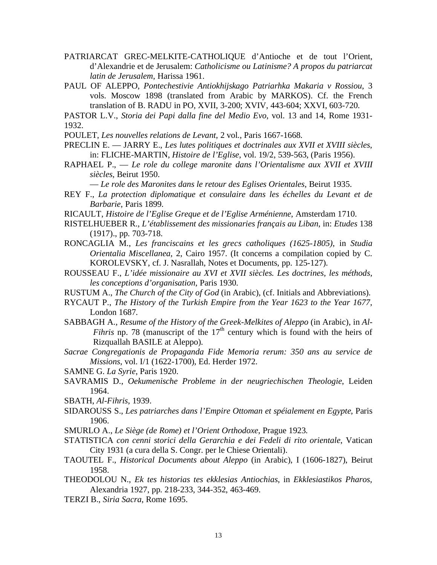- PATRIARCAT GREC-MELKITE-CATHOLIQUE d'Antioche et de tout l'Orient, d'Alexandrie et de Jerusalem: *Catholicisme ou Latinisme? A propos du patriarcat latin de Jerusalem*, Harissa 1961.
- PAUL OF ALEPPO, *Pontechestivie Antiokhijskago Patriarhka Makaria v Rossiou*, 3 vols. Moscow 1898 (translated from Arabic by MARKOS). Cf. the French translation of B. RADU in PO, XVII, 3-200; XVIV, 443-604; XXVI, 603-720.
- PASTOR L.V., *Storia dei Papi dalla fine del Medio Evo*, vol. 13 and 14, Rome 1931- 1932.

POULET, *Les nouvelles relations de Levant*, 2 vol., Paris 1667-1668.

- PRECLIN E. JARRY E., *Les lutes politiques et doctrinales aux XVII et XVIII siècles*, in: FLICHE-MARTIN, *Histoire de l'Eglise*, vol. 19/2, 539-563, (Paris 1956).
- RAPHAEL P., *Le role du college maronite dans l'Orientalisme aux XVII et XVIII siècles*, Beirut 1950.

— *Le role des Maronites dans le retour des Eglises Orientales*, Beirut 1935.

- REY F., *La protection diplomatique et consulaire dans les échelles du Levant et de Barbarie*, Paris 1899.
- RICAULT, *Histoire de l'Eglise Greque et de l'Eglise Arménienne*, Amsterdam 1710.
- RISTELHUEBER R., *L'établissement des missionaries français au Liban*, in: *Etudes* 138 (1917)., pp. 703-718.
- RONCAGLIA M., *Les franciscains et les grecs catholiques (1625-1805)*, in *Studia Orientalia Miscellanea*, 2, Cairo 1957. (It concerns a compilation copied by C. KOROLEVSKY, cf. J. Nasrallah, Notes et Documents, pp. 125-127).
- ROUSSEAU F., *L'idée missionaire au XVI et XVII siècles. Les doctrines, les méthods, les conceptions d'organisation*, Paris 1930.
- RUSTUM A., *The Church of the City of God* (in Arabic), (cf. Initials and Abbreviations).
- RYCAUT P., *The History of the Turkish Empire from the Year 1623 to the Year 1677*, London 1687.
- SABBAGH A., *Resume of the History of the Greek-Melkites of Aleppo* (in Arabic), in *Al-Fihris* np. 78 (manuscript of the  $17<sup>th</sup>$  century which is found with the heirs of Rizquallah BASILE at Aleppo).
- *Sacrae Congregationis de Propaganda Fide Memoria rerum: 350 ans au service de Missions*, vol. I/1 (1622-1700), Ed. Herder 1972.

SAMNE G. *La Syrie*, Paris 1920.

- SAVRAMIS D., *Oekumenische Probleme in der neugriechischen Theologie*, Leiden 1964.
- SBATH, *Al-Fihris*, 1939.
- SIDAROUSS S., *Les patriarches dans l'Empire Ottoman et spéialement en Egypte*, Paris 1906.

SMURLO A., *Le Siège (de Rome) et l'Orient Orthodoxe*, Prague 1923.

- STATISTICA *con cenni storici della Gerarchia e dei Fedeli di rito orientale*, Vatican City 1931 (a cura della S. Congr. per le Chiese Orientali).
- TAOUTEL F., *Historical Documents about Aleppo* (in Arabic), I (1606-1827), Beirut 1958.
- THEODOLOU N., *Ek tes historias tes ekklesias Antiochias*, in *Ekklesiastikos Pharos*, Alexandria 1927, pp. 218-233, 344-352, 463-469.
- TERZI B., *Siria Sacra*, Rome 1695.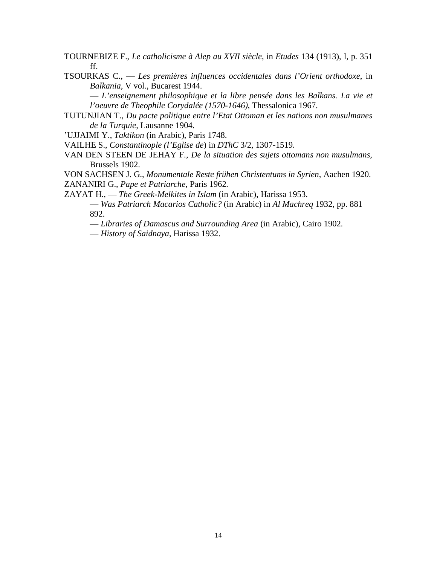TOURNEBIZE F., *Le catholicisme à Alep au XVII siècle*, in *Etudes* 134 (1913), I, p. 351 ff.

TSOURKAS C., — *Les premières influences occidentales dans l'Orient orthodoxe*, in *Balkania*, V vol., Bucarest 1944.

— *L'enseignement philosophique et la libre pensée dans les Balkans. La vie et l'oeuvre de Theophile Corydalée (1570-1646)*, Thessalonica 1967.

TUTUNJIAN T., *Du pacte politique entre l'Etat Ottoman et les nations non musulmanes de la Turquie,* Lausanne 1904.

'UJJAIMI Y., *Taktikon* (in Arabic), Paris 1748.

VAILHE S., *Constantinople (l'Eglise de*) in *DThC* 3/2, 1307-1519.

VAN DEN STEEN DE JEHAY F., *De la situation des sujets ottomans non musulmans*, Brussels 1902.

VON SACHSEN J. G., *Monumentale Reste frühen Christentums in Syrien*, Aachen 1920. ZANANIRI G., *Pape et Patriarche*, Paris 1962.

ZAYAT H., — *The Greek-Melkites in Islam* (in Arabic), Harissa 1953.

— *Was Patriarch Macarios Catholic?* (in Arabic) in *Al Machreq* 1932, pp. 881 892.

— *Libraries of Damascus and Surrounding Area* (in Arabic), Cairo 1902.

— *History of Saidnaya*, Harissa 1932.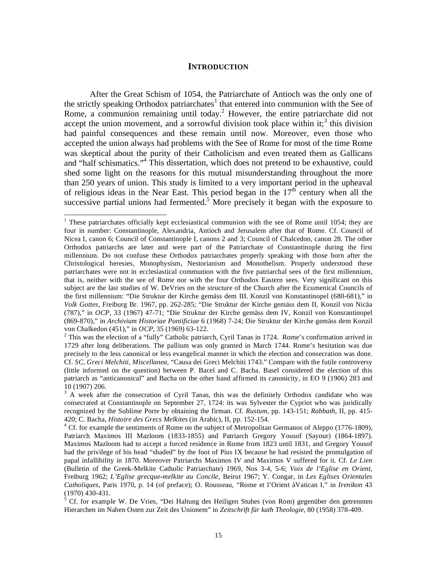#### **INTRODUCTION**

 After the Great Schism of 1054, the Patriarchate of Antioch was the only one of the strictly speaking Orthodox patriarchates<sup>1</sup> that entered into communion with the See of Rome, a communion remaining until today.<sup>2</sup> However, the entire patriarchate did not accept the union movement, and a sorrowful division took place within it;<sup>3</sup> this division had painful consequences and these remain until now. Moreover, even those who accepted the union always had problems with the See of Rome for most of the time Rome was skeptical about the purity of their Catholicism and even treated them as Gallicans and "half schismatics."4 This dissertation, which does not pretend to be exhaustive, could shed some light on the reasons for this mutual misunderstanding throughout the more than 250 years of union. This study is limited to a very important period in the upheaval of religious ideas in the Near East. This period began in the  $17<sup>th</sup>$  century when all the successive partial unions had fermented.<sup>5</sup> More precisely it began with the exposure to

<sup>&</sup>lt;sup>1</sup> These patriarchates officially kept ecclesiastical communion with the see of Rome until 1054; they are four in number: Constantinople, Alexandria, Antioch and Jerusalem after that of Rome. Cf. Council of Nicea I, canon 6; Council of Constantinople I, canons 2 and 3; Council of Chalcedon, canon 28. The other Orthodox patriarchs are later and were part of the Patriarchate of Constantinople during the first millennium. Do not confuse these Orthodox patriarchates properly speaking with those born after the Christological heresies, Monophysism, Nestorianism and Monothelism. Properly understood these patriarchates were not in ecclesiastical communion with the five patriarchal sees of the first millennium, that is, neither with the see of Rome nor with the four Orthodox Eastern sees. Very significant on this subject are the last studies of W. DeVries on the structure of the Church after the Ecumenical Councils of the first millennium: "Die Struktur der Kirche gemäss dem III. Konzil von Konstantinopel (680-681)," in *Volk Gottes*, Freiburg Br. 1967, pp. 262-285; "Die Struktur der Kirche gemäss dem II, Konzil von Nicäa (787)," in *OCP*, 33 (1967) 47-71; "Die Struktur der Kirche gemäss dem IV, Konzil von Konsrantinopel (869-870)," in *Archivium Historiae Pontificiae* 6 (1968) 7-24; Die Struktur der Kirche gemäss dem Konzil von Chalkedon (451)," in *OCP*, 35 (1969) 63-122.

 $2$  This was the election of a "fully" Catholic patriarch, Cyril Tanas in 1724. Rome's confirmation arrived in 1729 after long deliberations. The pallium was only granted in March 1744. Rome's hesitation was due precisely to the less canonical or less evangelical manner in which the election and consecration was done. Cf. *SC, Greci Melchiti, Miscellanea*, "Causa dei Greci Melchiti 1743." Compare with the futile controversy (little informed on the question) between P. Bacel and C. Bacha. Basel considered the election of this patriarch as "anticanonical" and Bacha on the other hand affirmed its canonicity, in EO 9 (1906) 283 and 10 (1907) 206.

<sup>&</sup>lt;sup>3</sup> A week after the consecration of Cyril Tanas, this was the definitely Orthodox candidate who was consecrated at Constantinople on September 27, 1724: its was Sylvester the Cypriot who was juridically recognized by the Sublime Porte by obtaining the firman. Cf. *Rustum*, pp. 143-151; *Rabbath*, II, pp. 415- 420; C. Bacha, *Histoire des Grecs Melkites* (in Arabic), II, pp. 152-154. 4

<sup>&</sup>lt;sup>4</sup> Cf. for example the sentiments of Rome on the subject of Metropolitan Germanos of Aleppo (1776-1809), Patriarch Maximos III Mazloom (1833-1855) and Patriarch Gregory Yousof (Sayour) (1864-1897). Maximos Mazloom had to accept a forced residence in Rome from 1823 until 1831, and Gregory Yousof had the privilege of his head "shaded" by the foot of Pius IX because he had resisted the promulgation of papal infallibility in 1870. Moreover Patriarchs Maximos IV and Maximos V suffered for it. Cf. *Le Lien* (Bulletin of the Greek-Melkite Catholic Patriarchate) 1969, Nos 3-4, 5-6; *Voix de l'Eglise en Orient*, Freiburg 1962; *L'Eglise grecque-melkite au Concile*, Beirut 1967; Y. Congar, in *Les Eglises Orientales Catholiques*, Paris 1970, p. 14 (of preface); O. Rousseau, "Rome et l'Orient àVatican I," in *Irenikon* 43

<sup>(1970) 430-431.&</sup>lt;br><sup>5</sup> Cf. for example W. De Vries, "Dei Haltung des Heiligen Stuhes (von Rom) gegenüber den getrennten Hierarchen im Nahen Osten zur Zeit des Unionem" in *Zeitschrift für kath Theologie*, 80 (1958) 378-409.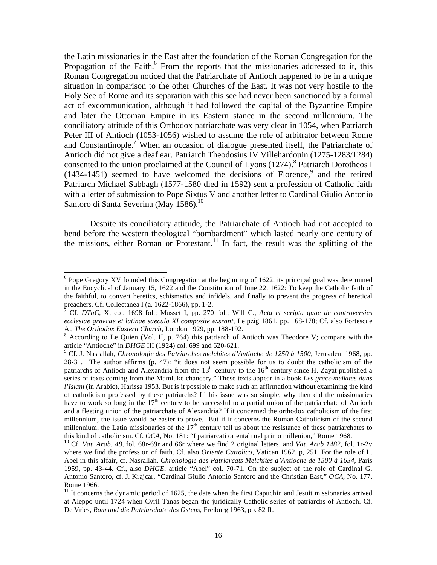the Latin missionaries in the East after the foundation of the Roman Congregation for the Propagation of the Faith.<sup>6</sup> From the reports that the missionaries addressed to it, this Roman Congregation noticed that the Patriarchate of Antioch happened to be in a unique situation in comparison to the other Churches of the East. It was not very hostile to the Holy See of Rome and its separation with this see had never been sanctioned by a formal act of excommunication, although it had followed the capital of the Byzantine Empire and later the Ottoman Empire in its Eastern stance in the second millennium. The conciliatory attitude of this Orthodox patriarchate was very clear in 1054, when Patriarch Peter III of Antioch (1053-1056) wished to assume the role of arbitrator between Rome and Constantinople.<sup>7</sup> When an occasion of dialogue presented itself, the Patriarchate of Antioch did not give a deaf ear. Patriarch Theodosius IV Villehardouin (1275-1283/1284) consented to the union proclaimed at the Council of Lyons (1274).<sup>8</sup> Patriarch Dorotheos I  $(1434-1451)$  seemed to have welcomed the decisions of Florence,<sup>9</sup> and the retired Patriarch Michael Sabbagh (1577-1580 died in 1592) sent a profession of Catholic faith with a letter of submission to Pope Sixtus V and another letter to Cardinal Giulio Antonio Santoro di Santa Severina (May 1586).<sup>10</sup>

 Despite its conciliatory attitude, the Patriarchate of Antioch had not accepted to bend before the western theological "bombardment" which lasted nearly one century of the missions, either Roman or Protestant.<sup>11</sup> In fact, the result was the splitting of the

<sup>&</sup>lt;sup>6</sup> Pope Gregory XV founded this Congregation at the beginning of 1622; its principal goal was determined in the Encyclical of January 15, 1622 and the Constitution of June 22, 1622: To keep the Catholic faith of the faithful, to convert heretics, schismatics and infidels, and finally to prevent the progress of heretical preachers. Cf. Collectanea I (a. 1622-1866), pp. 1-2. 7

Cf. *DThC*, X, col. 1698 fol.; Musset I, pp. 270 fol.; Will C., *Acta et scripta quae de controversies ecclesiae graecae et latinae saeculo XI composite exsrant*, Leipzig 1861, pp. 168-178; Cf. also Fortescue A., *The Orthodox Eastern Church*, London 1929, pp. 188-192. 8

 $8$  According to Le Quien (Vol. II, p. 764) this patriarch of Antioch was Theodore V; compare with the article "Antioche" in *DHGE* III (1924) col. 699 and 620-621.

Cf. J. Nasrallah, *Chronologie des Patriarches melchites d'Antioche de 1250 à 1500*, Jerusalem 1968, pp. 28-31. The author affirms (p. 47): "it does not seem possible for us to doubt the catholicism of the patriarchs of Antioch and Alexandria from the  $13<sup>th</sup>$  century to the  $16<sup>th</sup>$  century since H. Zayat published a series of texts coming from the Mamluke chancery." These texts appear in a book *Les grecs-melkites dans l'Islam* (in Arabic), Harissa 1953. But is it possible to make such an affirmation without examining the kind of catholicism professed by these patriarchs? If this issue was so simple, why then did the missionaries have to work so long in the  $17<sup>th</sup>$  century to be successful to a partial union of the patriarchate of Antioch and a fleeting union of the patriarchate of Alexandria? If it concerned the orthodox catholicism of the first millennium, the issue would be easier to prove. But if it concerns the Roman Catholicism of the second millennium, the Latin missionaries of the  $17<sup>th</sup>$  century tell us about the resistance of these patriarchates to this kind of catholicism. Cf. *OCA*, No. 181: "I patriarcati orientali nel primo millenion," Rome 1968.

<sup>&</sup>lt;sup>10</sup> Cf. Vat. Arab. 48, fol. 68r-69r and 66r where we find 2 original letters, and Vat. Arab 1482, fol. 1r-2v where we find the profession of faith. Cf. also *Oriente Cattolico*, Vatican 1962, p, 251. For the role of L. Abel in this affair, cf. Nasrallah, *Chronologie des Patriarcats Melchites d'Antioche de 1500 à 1634*, Paris 1959, pp. 43-44. Cf., also *DHGE*, article "Abel" col. 70-71. On the subject of the role of Cardinal G. Antonio Santoro, cf. J. Krajcar, "Cardinal Giulio Antonio Santoro and the Christian East," *OCA*, No. 177, Rome 1966.

 $11$  It concerns the dynamic period of 1625, the date when the first Capuchin and Jesuit missionaries arrived at Aleppo until 1724 when Cyril Tanas began the juridically Catholic series of patriarchs of Antioch. Cf. De Vries, *Rom und die Patriarchate des Ostens*, Freiburg 1963, pp. 82 ff.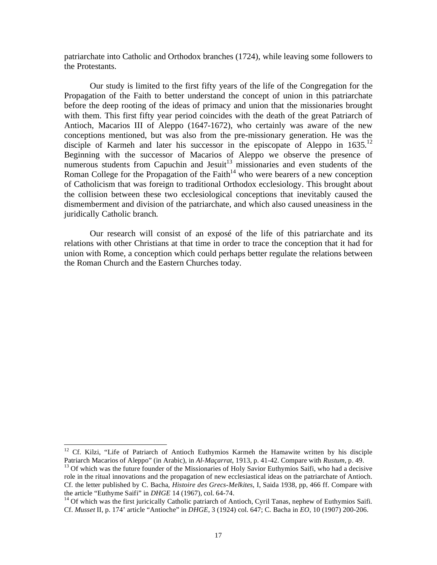patriarchate into Catholic and Orthodox branches (1724), while leaving some followers to the Protestants.

 Our study is limited to the first fifty years of the life of the Congregation for the Propagation of the Faith to better understand the concept of union in this patriarchate before the deep rooting of the ideas of primacy and union that the missionaries brought with them. This first fifty year period coincides with the death of the great Patriarch of Antioch, Macarios III of Aleppo (1647-1672), who certainly was aware of the new conceptions mentioned, but was also from the pre-missionary generation. He was the disciple of Karmeh and later his successor in the episcopate of Aleppo in  $1635$ .<sup>12</sup> Beginning with the successor of Macarios of Aleppo we observe the presence of numerous students from Capuchin and Jesuit<sup>13</sup> missionaries and even students of the Roman College for the Propagation of the Faith<sup> $14$ </sup> who were bearers of a new conception of Catholicism that was foreign to traditional Orthodox ecclesiology. This brought about the collision between these two ecclesiological conceptions that inevitably caused the dismemberment and division of the patriarchate, and which also caused uneasiness in the juridically Catholic branch.

 Our research will consist of an exposé of the life of this patriarchate and its relations with other Christians at that time in order to trace the conception that it had for union with Rome, a conception which could perhaps better regulate the relations between the Roman Church and the Eastern Churches today.

 $12$  Cf. Kilzi, "Life of Patriarch of Antioch Euthymios Karmeh the Hamawite written by his disciple Patriarch Macarios of Aleppo" (in Arabic), in *Al-Maçarrat*, 1913, p. 41-42. Compare with *Rustum*, p. 49. <sup>13</sup> Of which was the future founder of the Missionaries of Holy Savior Euthymios Saifi, who had a decisive role in the ritual innovations and the propagation of new ecclesiastical ideas on the patriarchate of Antioch. Cf. the letter published by C. Bacha, *Histoire des Grecs-Melkites*, I, Saida 1938, pp, 466 ff. Compare with

<sup>&</sup>lt;sup>14</sup> Of which was the first juricically Catholic patriarch of Antioch, Cyril Tanas, nephew of Euthymios Saifi. Cf. *Musset* II, p. 174' article "Antioche" in *DHGE*, 3 (1924) col. 647; C. Bacha in *EO*, 10 (1907) 200-206.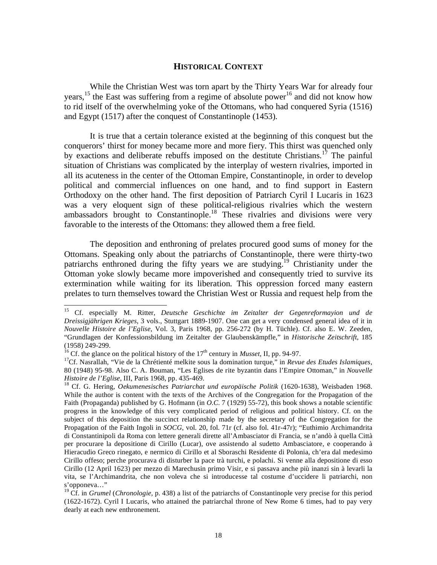#### **HISTORICAL CONTEXT**

 While the Christian West was torn apart by the Thirty Years War for already four years,<sup>15</sup> the East was suffering from a regime of absolute power<sup>16</sup> and did not know how to rid itself of the overwhelming yoke of the Ottomans, who had conquered Syria (1516) and Egypt (1517) after the conquest of Constantinople (1453).

 It is true that a certain tolerance existed at the beginning of this conquest but the conquerors' thirst for money became more and more fiery. This thirst was quenched only by exactions and deliberate rebuffs imposed on the destitute Christians.<sup>17</sup> The painful situation of Christians was complicated by the interplay of western rivalries, imported in all its acuteness in the center of the Ottoman Empire, Constantinople, in order to develop political and commercial influences on one hand, and to find support in Eastern Orthodoxy on the other hand. The first deposition of Patriarch Cyril I Lucaris in 1623 was a very eloquent sign of these political-religious rivalries which the western ambassadors brought to Constantinople.<sup>18</sup> These rivalries and divisions were very favorable to the interests of the Ottomans: they allowed them a free field.

 The deposition and enthroning of prelates procured good sums of money for the Ottomans. Speaking only about the patriarchs of Constantinople, there were thirty-two patriarchs enthroned during the fifty years we are studying.<sup>19</sup> Christianity under the Ottoman yoke slowly became more impoverished and consequently tried to survive its extermination while waiting for its liberation. This oppression forced many eastern prelates to turn themselves toward the Christian West or Russia and request help from the

<sup>15</sup> Cf. especially M. Ritter, *Deutsche Geschichte im Zeitalter der Gegenreformayion und de Dreissigjährigen Krieges*, 3 vols., Stuttgart 1889-1907. One can get a very condensed general idea of it in *Nouvelle Histoire de l'Eglise*, Vol. 3, Paris 1968, pp. 256-272 (by H. Tüchle). Cf. also E. W. Zeeden, "Grundlagen der Konfessionsbildung im Zeitalter der Glaubenskämpfle," in *Historische Zeitschrift*, 185 (1958) 249-299.<br><sup>16</sup> Cf. the glance on the political history of the 17<sup>th</sup> century in *Musset*, II, pp. 94-97.

<sup>&</sup>lt;sup>17</sup>Cf. Nasrallah, "Vie de la Chrétienté melkite sous la domination turque," in *Revue des Etudes Islamiques*, 80 (1948) 95-98. Also C. A. Bouman, "Les Eglises de rite byzantin dans l'Empire Ottoman," in *Nouvelle* 

<sup>&</sup>lt;sup>18</sup> Cf. G. Hering, *Oekumenesisches Patriarchat und europäische Politik* (1620-1638), Weisbaden 1968. While the author is content with the texts of the Archives of the Congregation for the Propagation of the Faith (Propaganda) published by G. Hofmann (in *O.C*. 7 (1929) 55-72), this book shows a notable scientific progress in the knowledge of this very complicated period of religious and political history. Cf. on the subject of this deposition the succinct relationship made by the secretary of the Congregation for the Propagation of the Faith Ingoli in *SOCG*, vol. 20, fol. 71r (cf. also fol. 41r-47r); "Euthimio Archimandrita di Constantinipoli da Roma con lettere generali dirette all'Ambasciator di Francia, se n'andò à quella Città per procurare la depositione di Cirillo (Lucar), ove assistendo al sudetto Ambasciatore, e cooperando à Hieracudio Greco rinegato, e nermico di Cirillo et al Sboraschi Residente di Polonia, ch'era dal medesimo Cirillo offeso; perche procurava di disturber la pace trà turchi, e polachi. Si venne alla depositione di esso Cirillo (12 April 1623) per mezzo di Marechusin primo Visir, e si passava anche più inanzi sin à levarli la vita, se l'Archimandrita, che non voleva che si introducesse tal costume d'uccidere li patriarchi, non s'opponeva…"

<sup>&</sup>lt;sup>19</sup> Cf. in *Grumel* (*Chronologie*, p. 438) a list of the patriarchs of Constantinople very precise for this period (1622-1672). Cyril I Lucaris, who attained the patriarchal throne of New Rome 6 times, had to pay very dearly at each new enthronement.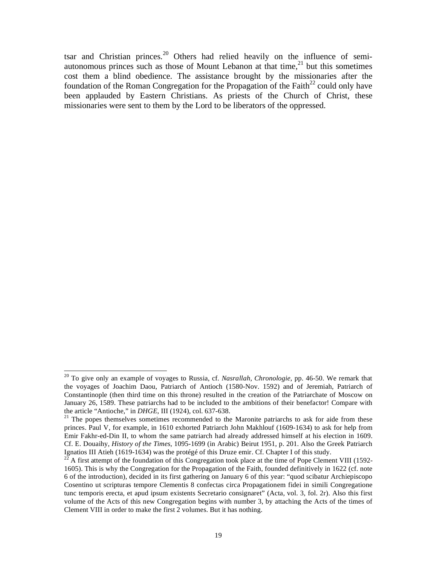tsar and Christian princes.<sup>20</sup> Others had relied heavily on the influence of semiautonomous princes such as those of Mount Lebanon at that time, $21$  but this sometimes cost them a blind obedience. The assistance brought by the missionaries after the foundation of the Roman Congregation for the Propagation of the Faith<sup>22</sup> could only have been applauded by Eastern Christians. As priests of the Church of Christ, these missionaries were sent to them by the Lord to be liberators of the oppressed.

<sup>20</sup> To give only an example of voyages to Russia, cf. *Nasrallah, Chronologie*, pp. 46-50. We remark that the voyages of Joachim Daou, Patriarch of Antioch (1580-Nov. 1592) and of Jeremiah, Patriarch of Constantinople (then third time on this throne) resulted in the creation of the Patriarchate of Moscow on January 26, 1589. These patriarchs had to be included to the ambitions of their benefactor! Compare with the article "Antioche," in *DHGE*, III (1924), col. 637-638.

<sup>&</sup>lt;sup>21</sup> The popes themselves sometimes recommended to the Maronite patriarchs to ask for aide from these princes. Paul V, for example, in 1610 exhorted Patriarch John Makhlouf (1609-1634) to ask for help from Emir Fakhr-ed-Din II, to whom the same patriarch had already addressed himself at his election in 1609. Cf. E. Douaihy, *History of the Times*, 1095-1699 (in Arabic) Beirut 1951, p. 201. Also the Greek Patriarch Ignatios III Atieh (1619-1634) was the protégé of this Druze emir. Cf. Chapter I of this study.

<sup>22</sup> A first attempt of the foundation of this Congregation took place at the time of Pope Clement VIII (1592- 1605). This is why the Congregation for the Propagation of the Faith, founded definitively in 1622 (cf. note 6 of the introduction), decided in its first gathering on January 6 of this year: "quod scibatur Archiepiscopo Cosentino ut scripturas tempore Clementis 8 confectas circa Propagationem fidei in simili Congregatione tunc temporis erecta, et apud ipsum existents Secretario consignaret" (Acta, vol. 3, fol. 2r). Also this first volume of the Acts of this new Congregation begins with number 3, by attaching the Acts of the times of Clement VIII in order to make the first 2 volumes. But it has nothing.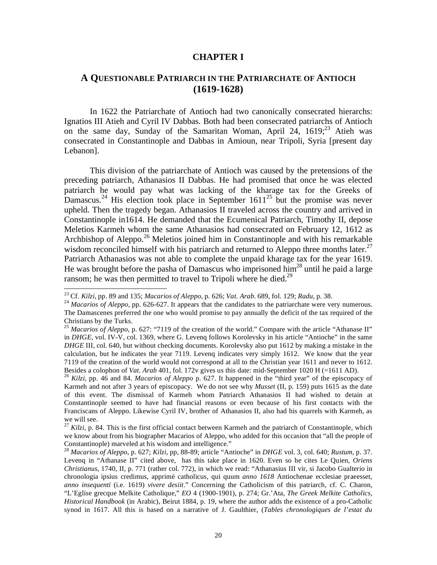#### **CHAPTER I**

### **A QUESTIONABLE PATRIARCH IN THE PATRIARCHATE OF ANTIOCH (1619-1628)**

 In 1622 the Patriarchate of Antioch had two canonically consecrated hierarchs: Ignatios III Atieh and Cyril IV Dabbas. Both had been consecrated patriarchs of Antioch on the same day, Sunday of the Samaritan Woman, April 24,  $1619<sup>23</sup>$  Atieh was consecrated in Constantinople and Dabbas in Amioun, near Tripoli, Syria [present day Lebanon].

 This division of the patriarchate of Antioch was caused by the pretensions of the preceding patriarch, Athanasios II Dabbas. He had promised that once he was elected patriarch he would pay what was lacking of the kharage tax for the Greeks of Damascus.<sup>24</sup> His election took place in September  $1611^{25}$  but the promise was never upheld. Then the tragedy began. Athanasios II traveled across the country and arrived in Constantinople in1614. He demanded that the Ecumenical Patriarch, Timothy II, depose Meletios Karmeh whom the same Athanasios had consecrated on February 12, 1612 as Archbishop of Aleppo.26 Meletios joined him in Constantinople and with his remarkable wisdom reconciled himself with his patriarch and returned to Aleppo three months later.<sup>27</sup> Patriarch Athanasios was not able to complete the unpaid kharage tax for the year 1619. He was brought before the pasha of Damascus who imprisoned him<sup>28</sup> until he paid a large ransom; he was then permitted to travel to Tripoli where he died.<sup>29</sup>

<sup>&</sup>lt;sup>23</sup> Cf. Kilzi, pp. 89 and 135; Macarios of Aleppo, p. 626; Vat. Arab. 689, fol. 129; Radu, p. 38.

 $^{24}$  Macarios of Aleppo, pp. 626-627. It appears that the candidates to the patriarchate were very numerous. The Damascenes preferred the one who would promise to pay annually the deficit of the tax required of the Christians by the Turks.

<sup>&</sup>lt;sup>25</sup> *Macarios of Aleppo*, p. 627: "7119 of the creation of the world." Compare with the article "Athanase II" in *DHGE*, vol. IV-V, col. 1369, where G. Levenq follows Korolevsky in his article "Antioche" in the same *DHGE* III, col. 640, but without checking documents. Korolevsky also put 1612 by making a mistake in the calculation, but he indicates the year 7119. Levenq indicates very simply 1612. We know that the year 7119 of the creation of the world would not correspond at all to the Christian year 1611 and never to 1612.<br>Besides a colophon of *Vat. Arab* 401, fol. 172*v* gives us this date: mid-September 1020 H (=1611 AD).

 $^{26}$  Kilzi, pp. 46 and 84. Macarios of Aleppo p. 627. It happened in the "third year" of the episcopacy of Karmeh and not after 3 years of episcopacy. We do not see why *Musset* (II, p. 159) puts 1615 as the date of this event. The dismissal of Karmeh whom Patriarch Athanasios II had wished to detain at Constantinople seemed to have had financial reasons or even because of his first contacts with the Franciscans of Aleppo. Likewise Cyril IV, brother of Athanasios II, also had his quarrels with Karmeh, as we will see.

<sup>&</sup>lt;sup>27</sup> *Kilzi*, p. 84. This is the first official contact between Karmeh and the patriarch of Constantinople, which we know about from his biographer Macarios of Aleppo, who added for this occasion that "all the people of Constantinople) marveled at his wisdom and intelligence."

<sup>28</sup> *Macarios of Aleppo*, p. 627; *Kilzi*, pp, 88-89; article "Antioche" in *DHGE* vol. 3, col. 640; *Rustum*, p. 37. Levenq in "Athanase II" cited above, has this take place in 1620. Even so he cites Le Quien, *Oriens Christianus*, 1740, II, p. 771 (rather col. 772), in which we read: "Athanasius III vir, si Jacobo Gualterio in chronologia ipsius credimus, apprimè catholicus, qui quum *anno 1618* Antiochenae ecclesiae praeesset, *anno insequenti* (i.e. 1619) *vivere desiit*." Concerning the Catholicism of this patriarch, cf. C. Charon, "L'Eglise grecque Melkite Catholique," *EO* 4 (1900-1901), p. 274; Gr.'Ata, *The Greek Melkite Catholics, Historical Handbook* (in Arabic), Beirut 1884, p. 19, where the author adds the existence of a pro-Catholic synod in 1617. All this is based on a narrative of J. Gaulthier, (*Tables chronologiques de l'estat du*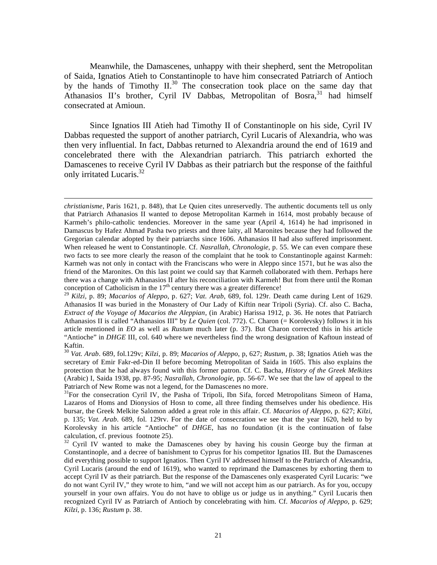Meanwhile, the Damascenes, unhappy with their shepherd, sent the Metropolitan of Saida, Ignatios Atieh to Constantinople to have him consecrated Patriarch of Antioch by the hands of Timothy  $II^{30}$ . The consecration took place on the same day that Athanasios II's brother, Cyril IV Dabbas, Metropolitan of Bosra,  $31$  had himself consecrated at Amioun.

 Since Ignatios III Atieh had Timothy II of Constantinople on his side, Cyril IV Dabbas requested the support of another patriarch, Cyril Lucaris of Alexandria, who was then very influential. In fact, Dabbas returned to Alexandria around the end of 1619 and concelebrated there with the Alexandrian patriarch. This patriarch exhorted the Damascenes to receive Cyril IV Dabbas as their patriarch but the response of the faithful only irritated Lucaris.<sup>32</sup>

*christianisme*, Paris 1621, p. 848), that Le Quien cites unreservedly. The authentic documents tell us only that Patriarch Athanasios II wanted to depose Metropolitan Karmeh in 1614, most probably because of Karmeh's philo-catholic tendencies. Moreover in the same year (April 4, 1614) he had imprisoned in Damascus by Hafez Ahmad Pasha two priests and three laity, all Maronites because they had followed the Gregorian calendar adopted by their patriarchs since 1606. Athanasios II had also suffered imprisonment. When released he went to Constantinople. Cf. *Nasrallah, Chronologie*, p. 55. We can even compare these two facts to see more clearly the reason of the complaint that he took to Constantinople against Karmeh: Karmeh was not only in contact with the Franciscans who were in Aleppo since 1571, but he was also the friend of the Maronites. On this last point we could say that Karmeh collaborated with them. Perhaps here there was a change with Athanasios II after his reconciliation with Karmeh! But from there until the Roman conception of Catholicism in the  $17<sup>th</sup>$  century there was a greater difference!

<sup>29</sup> *Kilzi,* p. 89; *Macarios of Aleppo*, p. 627; *Vat. Arab*, 689, fol. 129r. Death came during Lent of 1629. Athanasios II was buried in the Monastery of Our Lady of Kiftin near Tripoli (Syria). Cf. also C. Bacha, *Extract of the Voyage of Macarios the Aleppian*, (in Arabic) Harissa 1912, p. 36. He notes that Patriarch Athanasios II is called "Athanasios III" by *Le Quien* (col. 772). C. Charon (= Korolevsky) follows it in his article mentioned in *EO* as well as *Rustum* much later (p. 37). But Charon corrected this in his article "Antioche" in *DHGE* III, col. 640 where we nevertheless find the wrong designation of Kaftoun instead of Kaftin.

<sup>30</sup> *Vat. Arab*. 689, fol.129v; *Kilzi*, p. 89; *Macarios of Aleppo*, p, 627; *Rustum*, p. 38; Ignatios Atieh was the secretary of Emir Fakr-ed-Din II before becoming Metropolitan of Saida in 1605. This also explains the protection that he had always found with this former patron. Cf. C. Bacha, *History of the Greek Melkites* (Arabic) I, Saida 1938, pp. 87-95; *Nasrallah, Chronologie*, pp. 56-67. We see that the law of appeal to the Patriarch of New Rome was not a legend, for the Damascenes no more.

<sup>&</sup>lt;sup>31</sup>For the consecration Cyril IV, the Pasha of Tripoli, Ibn Sifa, forced Metropolitans Simeon of Hama, Lazaros of Homs and Dionysios of Hosn to come, all three finding themselves under his obedience. His bursar, the Greek Melkite Salomon added a great role in this affair. Cf. *Macarios of Aleppo*, p. 627; *Kilzi*, p. 135; *Vat. Arab*. 689, fol. 129rv. For the date of consecration we see that the year 1620, held to by Korolevsky in his article "Antioche" of *DHGE*, has no foundation (it is the continuation of false calculation, cf. previous footnote 25).

<sup>&</sup>lt;sup>32</sup> Cyril IV wanted to make the Damascenes obey by having his cousin George buy the firman at Constantinople, and a decree of banishment to Cyprus for his competitor Ignatios III. But the Damascenes did everything possible to support Ignatios. Then Cyril IV addressed himself to the Patriarch of Alexandria, Cyril Lucaris (around the end of 1619), who wanted to reprimand the Damascenes by exhorting them to accept Cyril IV as their patriarch. But the response of the Damascenes only exasperated Cyril Lucaris: "we do not want Cyril IV," they wrote to him, "and we will not accept him as our patriarch. As for you, occupy yourself in your own affairs. You do not have to oblige us or judge us in anything." Cyril Lucaris then recognized Cyril IV as Patriarch of Antioch by concelebrating with him. Cf. *Macarios of Aleppo*, p. 629; *Kilzi*, p. 136; *Rustum* p. 38.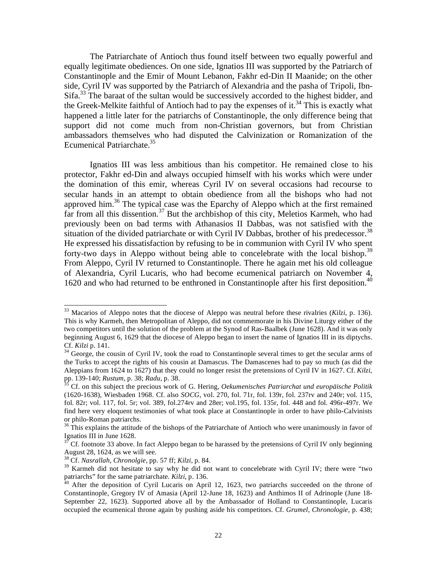The Patriarchate of Antioch thus found itself between two equally powerful and equally legitimate obediences. On one side, Ignatios III was supported by the Patriarch of Constantinople and the Emir of Mount Lebanon, Fakhr ed-Din II Maanide; on the other side, Cyril IV was supported by the Patriarch of Alexandria and the pasha of Tripoli, Ibn-Sifa.<sup>33</sup> The baraat of the sultan would be successively accorded to the highest bidder, and the Greek-Melkite faithful of Antioch had to pay the expenses of it.<sup>34</sup> This is exactly what happened a little later for the patriarchs of Constantinople, the only difference being that support did not come much from non-Christian governors, but from Christian ambassadors themselves who had disputed the Calvinization or Romanization of the Ecumenical Patriarchate.<sup>35</sup>

 Ignatios III was less ambitious than his competitor. He remained close to his protector, Fakhr ed-Din and always occupied himself with his works which were under the domination of this emir, whereas Cyril IV on several occasions had recourse to secular hands in an attempt to obtain obedience from all the bishops who had not approved him.36 The typical case was the Eparchy of Aleppo which at the first remained far from all this dissention.<sup>37</sup> But the archbishop of this city, Meletios Karmeh, who had previously been on bad terms with Athanasios II Dabbas, was not satisfied with the situation of the divided patriarchate or with Cyril IV Dabbas, brother of his predecessor.<sup>38</sup> He expressed his dissatisfaction by refusing to be in communion with Cyril IV who spent forty-two days in Aleppo without being able to concelebrate with the local bishop.<sup>39</sup> From Aleppo, Cyril IV returned to Constantinople. There he again met his old colleague of Alexandria, Cyril Lucaris, who had become ecumenical patriarch on November 4, 1620 and who had returned to be enthroned in Constantinople after his first deposition.<sup>40</sup>

1

<sup>33</sup> Macarios of Aleppo notes that the diocese of Aleppo was neutral before these rivalries (*Kilzi*, p. 136). This is why Karmeh, then Metropolitan of Aleppo, did not commemorate in his Divine Liturgy either of the two competitors until the solution of the problem at the Synod of Ras-Baalbek (June 1628). And it was only beginning August 6, 1629 that the diocese of Aleppo began to insert the name of Ignatios III in its diptychs.<br>Cf. Kilzi p. 141.

<sup>&</sup>lt;sup>34</sup> George, the cousin of Cyril IV, took the road to Constantinople several times to get the secular arms of the Turks to accept the rights of his cousin at Damascus. The Damascenes had to pay so much (as did the Aleppians from 1624 to 1627) that they could no longer resist the pretensions of Cyril IV in 1627. Cf. *Kilzi*,

<sup>&</sup>lt;sup>35</sup> Cf. on this subject the precious work of G. Hering, *Oekumenisches Patriarchat und europäische Politik* (1620-1638), Wiesbaden 1968. Cf. also *SOCG*, vol. 270, fol. 71r, fol. 139r, fol. 237rv and 240r; vol. 115, fol. 82r; vol. 117, fol. 5r; vol. 389, fol.274rv and 28er; vol.195, fol. 135r, fol. 448 and fol. 496r-497r. We find here very eloquent testimonies of what took place at Constantinople in order to have philo-Calvinists or philo-Roman patriarchs.

<sup>&</sup>lt;sup>36</sup> This explains the attitude of the bishops of the Patriarchate of Antioch who were unanimously in favor of Ignatios III in June 1628.

Cf. footnote 33 above. In fact Aleppo began to be harassed by the pretensions of Cyril IV only beginning August 28, 1624, as we will see.

<sup>38</sup> Cf. *Nasrallah, Chronolgie*, pp. 57 ff; *Kilzi*, p. 84.

<sup>&</sup>lt;sup>39</sup> Karmeh did not hesitate to say why he did not want to concelebrate with Cyril IV; there were "two patriarchs" for the same patriarchate. *Kilzi*, p. 136.<br><sup>40</sup> After the deposition of Cyril Lucaris on April 12, 1623, two patriarchs succeeded on the throne of

Constantinople, Gregory IV of Amasia (April 12-June 18, 1623) and Anthimos II of Adrinople (June 18- September 22, 1623). Supported above all by the Ambassador of Holland to Constantinople, Lucaris occupied the ecumenical throne again by pushing aside his competitors. Cf. *Grumel, Chronologie*, p. 438;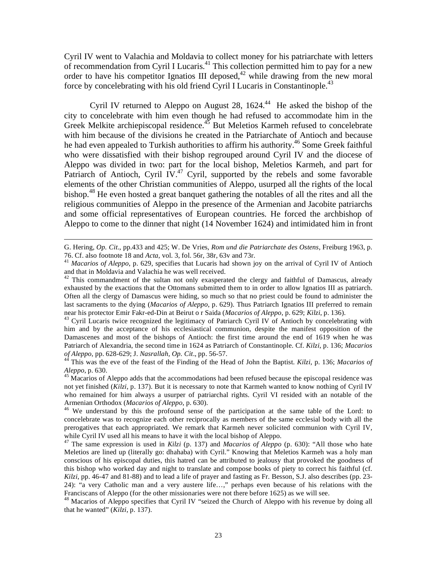Cyril IV went to Valachia and Moldavia to collect money for his patriarchate with letters of recommendation from Cyril I Lucaris.<sup>41</sup> This collection permitted him to pay for a new order to have his competitor Ignatios III deposed,  $42$  while drawing from the new moral force by concelebrating with his old friend Cyril I Lucaris in Constantinople.<sup>43</sup>

Cyril IV returned to Aleppo on August 28,  $1624<sup>44</sup>$  He asked the bishop of the city to concelebrate with him even though he had refused to accommodate him in the Greek Melkite archiepiscopal residence.<sup>45</sup> But Meletios Karmeh refused to concelebrate with him because of the divisions he created in the Patriarchate of Antioch and because he had even appealed to Turkish authorities to affirm his authority.<sup>46</sup> Some Greek faithful who were dissatisfied with their bishop regrouped around Cyril IV and the diocese of Aleppo was divided in two: part for the local bishop, Meletios Karmeh, and part for Patriarch of Antioch, Cyril IV.<sup>47</sup> Cyril, supported by the rebels and some favorable elements of the other Christian communities of Aleppo, usurped all the rights of the local bishop.<sup>48</sup> He even hosted a great banquet gathering the notables of all the rites and all the religious communities of Aleppo in the presence of the Armenian and Jacobite patriarchs and some official representatives of European countries. He forced the archbishop of Aleppo to come to the dinner that night (14 November 1624) and intimidated him in front

1

him and by the acceptance of his ecclesiastical communion, despite the manifest opposition of the Damascenes and most of the bishops of Antioch: the first time around the end of 1619 when he was Patriarch of Alexandria, the second time in 1624 as Patriarch of Constantinople. Cf. *Kilzi*, p. 136; *Macarios* 

G. Hering, *Op. Cit*., pp.433 and 425; W. De Vries, *Rom und die Patriarchate des Ostens*, Freiburg 1963, p.

<sup>&</sup>lt;sup>41</sup> Macarios of Aleppo, p. 629, specifies that Lucaris had shown joy on the arrival of Cyril IV of Antioch and that in Moldavia and Valachia he was well received.

 $42$  This commandment of the sultan not only exasperated the clergy and faithful of Damascus, already exhausted by the exactions that the Ottomans submitted them to in order to allow Ignatios III as patriarch. Often all the clergy of Damascus were hiding, so much so that no priest could be found to administer the last sacraments to the dying (*Macarios of Aleppo*, p. 629). Thus Patriarch Ignatios III preferred to remain near his protector Emir Fakr-ed-Din at Beirut o r Saida (*Macarios of Aleppo*, p. 629; *Kilzi*, p. 136).<br><sup>43</sup> Cyril Lucaris twice recognized the legitimacy of Patriarch Cyril IV of Antioch by concelebrating with

<sup>&</sup>lt;sup>44</sup> This was the eve of the feast of the Finding of the Head of John the Baptist. *Kilzi*, p. 136; *Macarios of Aleppo*, p. 630.

<sup>&</sup>lt;sup>45</sup> Macarios of Aleppo adds that the accommodations had been refused because the episcopal residence was not yet finished (*Kilzi*, p. 137). But it is necessary to note that Karmeh wanted to know nothing of Cyril IV who remained for him always a usurper of patriarchal rights. Cyril VI resided with an notable of the

Armenian Orthodox (*Macarios of Aleppo*, p. 630).<br><sup>46</sup> We understand by this the profound sense of the participation at the same table of the Lord: to concelebrate was to recognize each other reciprocally as members of the same ecclesial body with all the prerogatives that each appropriated. We remark that Karmeh never solicited communion with Cyril IV, while Cyril IV used all his means to have it with the local bishop of Aleppo.

<sup>47</sup> The same expression is used in *Kilzi* (p. 137) and *Macarios of Aleppo* (p. 630): "All those who hate Meletios are lined up (literally go: dhahaba) with Cyril." Knowing that Meletios Karmeh was a holy man conscious of his episcopal duties, this hatred can be attributed to jealousy that provoked the goodness of this bishop who worked day and night to translate and compose books of piety to correct his faithful (cf. *Kilzi*, pp. 46-47 and 81-88) and to lead a life of prayer and fasting as Fr. Besson, S.J. also describes (pp. 23- 24): "a very Catholic man and a very austere life…," perhaps even because of his relations with the Franciscans of Aleppo (for the other missionaries were not there before 1625) as we will see.

<sup>&</sup>lt;sup>48</sup> Macarios of Aleppo specifies that Cyril IV "seized the Church of Aleppo with his revenue by doing all that he wanted" (*Kilzi*, p. 137).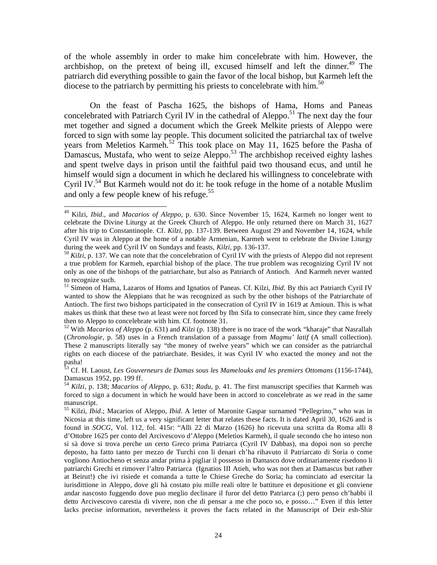of the whole assembly in order to make him concelebrate with him. However, the archbishop, on the pretext of being ill, excused himself and left the dinner.<sup>49</sup> The patriarch did everything possible to gain the favor of the local bishop, but Karmeh left the diocese to the patriarch by permitting his priests to concelebrate with him.<sup>50</sup>

 On the feast of Pascha 1625, the bishops of Hama, Homs and Paneas concelebrated with Patriarch Cyril IV in the cathedral of Aleppo.<sup>51</sup> The next day the four met together and signed a document which the Greek Melkite priests of Aleppo were forced to sign with some lay people. This document solicited the patriarchal tax of twelve years from Meletios Karmeh.<sup>52</sup> This took place on May 11, 1625 before the Pasha of Damascus, Mustafa, who went to seize Aleppo.<sup>53</sup> The archbishop received eighty lashes and spent twelve days in prison until the faithful paid two thousand ecus, and until he himself would sign a document in which he declared his willingness to concelebrate with Cyril IV.<sup>54</sup> But Karmeh would not do it: he took refuge in the home of a notable Muslim and only a few people knew of his refuge.<sup>55</sup>

1

<sup>49</sup> Kilzi, *Ibid*., and *Macarios of Aleppo*, p. 630. Since November 15, 1624, Karmeh no longer went to celebrate the Divine Liturgy at the Greek Church of Aleppo. He only returned there on March 31, 1627 after his trip to Constantinople. Cf. *Kilzi,* pp. 137-139. Between August 29 and November 14, 1624, while Cyril IV was in Aleppo at the home of a notable Armenian, Karmeh went to celebrate the Divine Liturgy during the week and Cyril IV on Sundays and feasts, *Kilzi*, pp. 136-137.

<sup>&</sup>lt;sup>50</sup> *Kilzi*, p. 137. We can note that the concelebration of Cyril IV with the priests of Aleppo did not represent a true problem for Karmeh, eparchial bishop of the place. The true problem was recognizing Cyril IV not only as one of the bishops of the patriarchate, but also as Patriarch of Antioch. And Karmeh never wanted to recognize such.

<sup>51</sup> Simeon of Hama, Lazaros of Homs and Ignatios of Paneas. Cf. Kilzi, *Ibid*. By this act Patriarch Cyril IV wanted to show the Aleppians that he was recognized as such by the other bishops of the Patriarchate of Antioch. The first two bishops participated in the consecration of Cyril IV in 1619 at Amioun. This is what makes us think that these two at least were not forced by Ibn Sifa to consecrate him, since they came freely then to Aleppo to concelebrate with him. Cf. footnote 31.

<sup>52</sup> With *Macarios of Aleppo* (p. 631) and *Kilzi* (p. 138) there is no trace of the work "kharaje" that Nasrallah (*Chronologie*, p. 58) uses in a French translation of a passage from *Magmu' latif* (A small collection). These 2 manuscripts literally say "the money of twelve years" which we can consider as the patriarchal rights on each diocese of the patriarchate. Besides, it was Cyril IV who exacted the money and not the pasha!

<sup>53</sup> Cf. H. Laoust, *Les Gouverneurs de Damas sous les Mamelouks and les premiers Ottomans* (1156-1744), Damascus 1952, pp. 199 ff.

<sup>54</sup> *Kilzi*, p. 138; *Macarios of Aleppo*, p. 631; *Radu*, p. 41. The first manuscript specifies that Karmeh was forced to sign a document in which he would have been in accord to concelebrate as we read in the same manuscript.

<sup>55</sup> Kilzi, *Ibid*.; Macarios of Aleppo, *Ibid*. A letter of Maronite Gaspar surnamed "Pellegrino," who was in Nicosia at this time, left us a very significant letter that relates these facts. It is dated April 30, 1626 and is found in *SOCG*, Vol. 112, fol. 415r: "Alli 22 di Marzo (1626) ho ricevuta una scritta da Roma alli 8 d'Ottobre 1625 per conto del Arcivescovo d'Aleppo (Meletios Karmeh), il quale secondo che ho inteso non si sà dove si trova perche un certo Greco prima Patriarca (Cyril IV Dabbas), ma dopoi non so perche deposto, ha fatto tanto per mezzo de Turchi con li denari ch'ha rihavuto il Patriarcato di Soria o come vogliono Antiocheno et senza andar prima à pigliar il possesso in Damasco dove ordinariamente risedono li patriarchi Grechi et rimover l'altro Patriarca (Ignatios III Atieh, who was not then at Damascus but rather at Beirut!) che ivi risiede et comanda a tutte le Chiese Greche do Soria; ha cominciato ad esercitar la iurisdittione in Aleppo, dove gli hà costato piu mille reali oltre le battiture et depositione et gli conviene andar nascosto fuggendo dove puo meglio declinare il furor del detto Patriarca (;) pero penso ch'habbi il detto Arcivescovo carestia di vivere, non che di pensar a me che poco so, e posso…" Even if this letter lacks precise information, nevertheless it proves the facts related in the Manuscript of Deir esh-Shir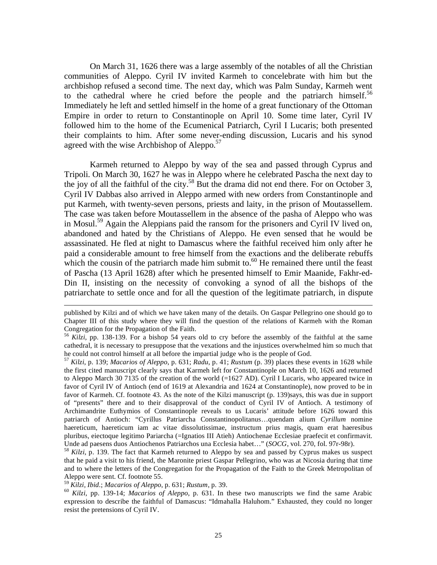On March 31, 1626 there was a large assembly of the notables of all the Christian communities of Aleppo. Cyril IV invited Karmeh to concelebrate with him but the archbishop refused a second time. The next day, which was Palm Sunday, Karmeh went to the cathedral where he cried before the people and the patriarch himself.<sup>56</sup> Immediately he left and settled himself in the home of a great functionary of the Ottoman Empire in order to return to Constantinople on April 10. Some time later, Cyril IV followed him to the home of the Ecumenical Patriarch, Cyril I Lucaris; both presented their complaints to him. After some never-ending discussion, Lucaris and his synod agreed with the wise Archbishop of Aleppo.<sup>57</sup>

 Karmeh returned to Aleppo by way of the sea and passed through Cyprus and Tripoli. On March 30, 1627 he was in Aleppo where he celebrated Pascha the next day to the joy of all the faithful of the city.<sup>58</sup> But the drama did not end there. For on October 3, Cyril IV Dabbas also arrived in Aleppo armed with new orders from Constantinople and put Karmeh, with twenty-seven persons, priests and laity, in the prison of Moutassellem. The case was taken before Moutassellem in the absence of the pasha of Aleppo who was in Mosul.<sup>59</sup> Again the Aleppians paid the ransom for the prisoners and Cyril IV lived on, abandoned and hated by the Christians of Aleppo. He even sensed that he would be assassinated. He fled at night to Damascus where the faithful received him only after he paid a considerable amount to free himself from the exactions and the deliberate rebuffs which the cousin of the patriarch made him submit to.<sup>60</sup> He remained there until the feast of Pascha (13 April 1628) after which he presented himself to Emir Maanide, Fakhr-ed-Din II, insisting on the necessity of convoking a synod of all the bishops of the patriarchate to settle once and for all the question of the legitimate patriarch, in dispute

<sup>58</sup> Kilzi, p. 139. The fact that Karmeh returned to Aleppo by sea and passed by Cyprus makes us suspect that he paid a visit to his friend, the Maronite priest Gaspar Pellegrino, who was at Nicosia during that time and to where the letters of the Congregation for the Propagation of the Faith to the Greek Metropolitan of Aleppo were sent. Cf. footnote 55.<br><sup>59</sup> Kilzi, Ibid.; Macarios of Aleppo, p. 631; Rustum, p. 39.

1

<sup>60</sup> *Kilzi*, pp. 139-14; *Macarios of Aleppo*, p. 631. In these two manuscripts we find the same Arabic expression to describe the faithful of Damascus: "Idmahalla Haluhom." Exhausted, they could no longer resist the pretensions of Cyril IV.

published by Kilzi and of which we have taken many of the details. On Gaspar Pellegrino one should go to Chapter III of this study where they will find the question of the relations of Karmeh with the Roman Congregation for the Propagation of the Faith.

<sup>56</sup> *Kilzi,* pp. 138-139. For a bishop 54 years old to cry before the assembly of the faithful at the same cathedral, it is necessary to presuppose that the vexations and the injustices overwhelmed him so much that he could not control himself at all before the impartial judge who is the people of God.

<sup>57</sup> *Kilzi*, p. 139; *Macarios of Aleppo*, p. 631; *Radu*, p. 41; *Rustum* (p. 39) places these events in 1628 while the first cited manuscript clearly says that Karmeh left for Constantinople on March 10, 1626 and returned to Aleppo March 30 7135 of the creation of the world (=1627 AD). Cyril I Lucaris, who appeared twice in favor of Cyril IV of Antioch (end of 1619 at Alexandria and 1624 at Constantinople), now proved to be in favor of Karmeh. Cf. footnote 43. As the note of the Kilzi manuscript (p. 139)says, this was due in support of "presents" there and to their disapproval of the conduct of Cyril IV of Antioch. A testimony of Archimandrite Euthymios of Constantinople reveals to us Lucaris' attitude before 1626 toward this patriarch of Antioch: "Cyrillus Patriarcha Constantinopolitanus…quendam alium *Cyrillum* nomine haereticum, haereticum iam ac vitae dissolutissimae, instructum prius magis, quam erat haeresibus pluribus, eiectoque legitimo Pariarcha (=Ignatios III Atieh) Antiochenae Ecclesiae praefecit et confirmavit.<br>Unde ad paesens duos Antiochenos Patriarchos una Ecclesia habet..." (SOCG, vol. 270, fol. 97r-98r).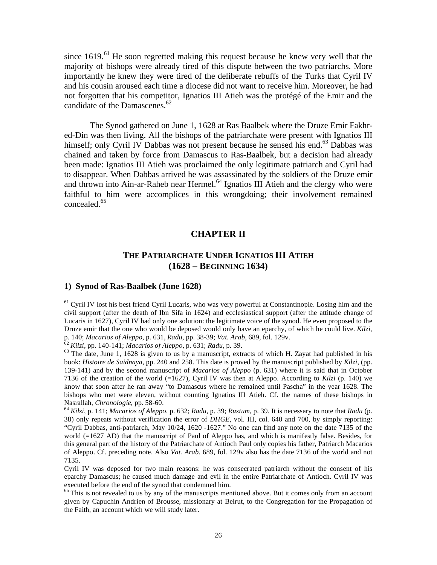since  $1619$ <sup> $61$ </sup> He soon regretted making this request because he knew very well that the majority of bishops were already tired of this dispute between the two patriarchs. More importantly he knew they were tired of the deliberate rebuffs of the Turks that Cyril IV and his cousin aroused each time a diocese did not want to receive him. Moreover, he had not forgotten that his competitor, Ignatios III Atieh was the protégé of the Emir and the candidate of the Damascenes.<sup>62</sup>

 The Synod gathered on June 1, 1628 at Ras Baalbek where the Druze Emir Fakhred-Din was then living. All the bishops of the patriarchate were present with Ignatios III himself; only Cyril IV Dabbas was not present because he sensed his end.<sup>63</sup> Dabbas was chained and taken by force from Damascus to Ras-Baalbek, but a decision had already been made: Ignatios III Atieh was proclaimed the only legitimate patriarch and Cyril had to disappear. When Dabbas arrived he was assassinated by the soldiers of the Druze emir and thrown into Ain-ar-Raheb near Hermel.<sup>64</sup> Ignatios III Atieh and the clergy who were faithful to him were accomplices in this wrongdoing; their involvement remained concealed.<sup>65</sup>

#### **CHAPTER II**

### **THE PATRIARCHATE UNDER IGNATIOS III ATIEH (1628 – BEGINNING 1634)**

#### **1) Synod of Ras-Baalbek (June 1628)**

<sup>&</sup>lt;sup>61</sup> Cyril IV lost his best friend Cyril Lucaris, who was very powerful at Constantinople. Losing him and the civil support (after the death of Ibn Sifa in 1624) and ecclesiastical support (after the attitude change of Lucaris in 1627), Cyril IV had only one solution: the legitimate voice of the synod. He even proposed to the Druze emir that the one who would be deposed would only have an eparchy, of which he could live. *Kilzi*, p. 140; *Macarios of Aleppo*, p. 631, *Radu*, pp. 38-39; *Vat. Arab*, 689, fol. 129v.

 $\frac{62}{1}$  Kilzi, pp. 140-141; *Macarios of Aleppo*, p. 631; *Radu*, p. 39.<br><sup>63</sup> The date, June 1, 1628 is given to us by a manuscript, extracts of which H. Zayat had published in his book: *Histoire de Saidnaya*, pp. 240 and 258. This date is proved by the manuscript published by *Kilzi*, (pp. 139-141) and by the second manuscript of *Macarios of Aleppo* (p. 631) where it is said that in October 7136 of the creation of the world (=1627), Cyril IV was then at Aleppo. According to *Kilzi* (p. 140) we know that soon after he ran away "to Damascus where he remained until Pascha" in the year 1628. The bishops who met were eleven, without counting Ignatios III Atieh. Cf. the names of these bishops in Nasrallah, *Chronologie*, pp. 58-60.<br><sup>64</sup> *Kilzi*, p. 141; *Macarios of Aleppo*, p. 632; *Radu*, p. 39; *Rustum*, p. 39. It is necessary to note that *Radu* (p.

<sup>38)</sup> only repeats without verification the error of *DHGE*, vol. III, col. 640 and 700, by simply reporting: "Cyril Dabbas, anti-patriarch, May 10/24, 1620 -1627." No one can find any note on the date 7135 of the world (=1627 AD) that the manuscript of Paul of Aleppo has, and which is manifestly false. Besides, for this general part of the history of the Patriarchate of Antioch Paul only copies his father, Patriarch Macarios of Aleppo. Cf. preceding note. Also *Vat. Arab*. 689, fol. 129v also has the date 7136 of the world and not 7135.

Cyril IV was deposed for two main reasons: he was consecrated patriarch without the consent of his eparchy Damascus; he caused much damage and evil in the entire Patriarchate of Antioch. Cyril IV was executed before the end of the synod that condemned him.

<sup>&</sup>lt;sup>65</sup> This is not revealed to us by any of the manuscripts mentioned above. But it comes only from an account given by Capuchin Andrien of Brousse, missionary at Beirut, to the Congregation for the Propagation of the Faith, an account which we will study later.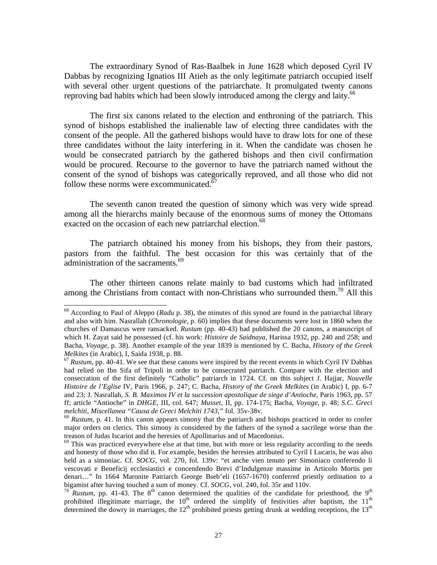The extraordinary Synod of Ras-Baalbek in June 1628 which deposed Cyril IV Dabbas by recognizing Ignatios III Atieh as the only legitimate patriarch occupied itself with several other urgent questions of the patriarchate. It promulgated twenty canons reproving bad habits which had been slowly introduced among the clergy and laity.<sup>66</sup>

 The first six canons related to the election and enthroning of the patriarch. This synod of bishops established the inalienable law of electing three candidates with the consent of the people. All the gathered bishops would have to draw lots for one of these three candidates without the laity interfering in it. When the candidate was chosen he would be consecrated patriarch by the gathered bishops and then civil confirmation would be procured. Recourse to the governor to have the patriarch named without the consent of the synod of bishops was categorically reproved, and all those who did not follow these norms were excommunicated.<sup>67</sup>

 The seventh canon treated the question of simony which was very wide spread among all the hierarchs mainly because of the enormous sums of money the Ottomans exacted on the occasion of each new patriarchal election.<sup>68</sup>

 The patriarch obtained his money from his bishops, they from their pastors, pastors from the faithful. The best occasion for this was certainly that of the administration of the sacraments.<sup>69</sup>

 The other thirteen canons relate mainly to bad customs which had infiltrated among the Christians from contact with non-Christians who surrounded them.<sup>70</sup> All this

1

<sup>66</sup> According to Paul of Aleppo (*Radu* p. 38), the minutes of this synod are found in the patriarchal library and also with him. Nasrallah (*Chronologie*, p. 60) implies that these documents were lost in 1860 when the churches of Damascus were ransacked. *Rustum* (pp. 40-43) had published the 20 canons, a manuscript of which H. Zayat said he possessed (cf. his work: *Histoire de Saidnaya*, Harissa 1932, pp. 240 and 258; and Bacha, *Voyage*, p. 38). Another example of the year 1839 is mentioned by C. Bacha, *History of the Greek Melkites* (in Arabic), I, Saida 1938, p. 88.<br><sup>67</sup> *Rustum*, pp. 40-41. We see that these canons were inspired by the recent events in which Cyril IV Dabbas

had relied on Ibn Sifa of Tripoli in order to be consecrated patriarch. Compare with the election and consecration of the first definitely "Catholic" patriarch in 1724. Cf. on this subject J. Hajjar, *Nouvelle Histoire de l'Eglise* IV, Paris 1966, p. 247; C. Bacha, *History of the Greek Melkites* (in Arabic) I, pp. 6-7 and 23; J. Nasrallah, *S. B. Maximos IV et la succession apostolique de siege d'Antioche*, Paris 1963, pp. 57 ff; article "Antioche" in *DHGE*, III, col. 647; *Musset,* II, pp. 174-175; Bacha, *Voyage*, p. 48; *S.C. Greci* 

<sup>&</sup>lt;sup>68</sup> *Rustum*, p. 41. In this canon appears simony that the patriarch and bishops practiced in order to confer major orders on clerics. This simony is considered by the fathers of the synod a sacrilege worse than the treason of Judas Iscariot and the heresies of Apollinarius and of Macedonius.

 $69$  This was practiced everywhere else at that time, but with more or less regularity according to the needs and honesty of those who did it. For example, besides the heresies attributed to Cyril I Lucaris, he was also held as a simoniac. Cf. *SOCG*, vol. 270, fol. 139v: "et anche vien tenuto per Simoniaco conferendo li vescovati e Beneficij ecclesiastici e concendendo Brevi d'Indulgenze massime in Articolo Mortis per denari..." In 1664 Maronite Patriarch George Bseb'eli (1657-1670) conferred priestly ordination to a bigamist after having touched a sum of money. Cf. *SOCG*, vol. 240, fol. 35r and 110v.

 $\frac{70}{10}$  *Rustum*, pp. 41-43. The 8<sup>th</sup> canon determined the qualities of the candidate for priesthood, the 9<sup>th</sup> prohibited illegitimate marriage, the 10<sup>th</sup> ordered the simplify of festivities after baptism, the 11<sup>th</sup> determined the dowry in marriages, the  $12<sup>th</sup>$  prohibited priests getting drunk at wedding receptions, the  $13<sup>th</sup>$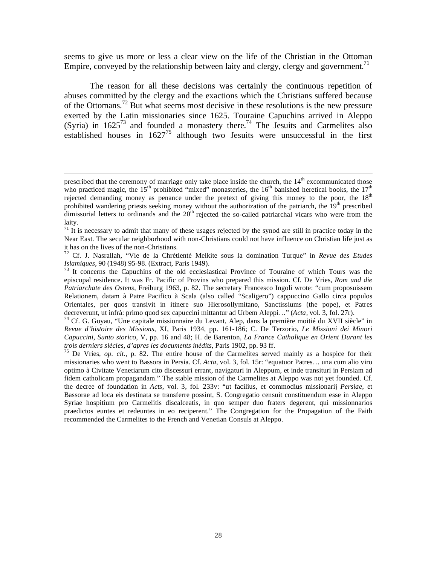seems to give us more or less a clear view on the life of the Christian in the Ottoman Empire, conveyed by the relationship between laity and clergy, clergy and government.<sup>71</sup>

 The reason for all these decisions was certainly the continuous repetition of abuses committed by the clergy and the exactions which the Christians suffered because of the Ottomans.<sup>72</sup> But what seems most decisive in these resolutions is the new pressure exerted by the Latin missionaries since 1625. Touraine Capuchins arrived in Aleppo (Syria) in  $1625^{73}$  and founded a monastery there.<sup>74</sup> The Jesuits and Carmelites also established houses in  $1627^{75}$  although two Jesuits were unsuccessful in the first

 $\overline{a}$ 

*Revue d'histoire des Missions*, XI, Paris 1934, pp. 161-186; C. De Terzorio, *Le Missioni dei Minori Capuccini, Sunto storico*, V, pp. 16 and 48; H. de Barenton, *La France Catholique en Orient Durant les* 

prescribed that the ceremony of marriage only take place inside the church, the 14<sup>th</sup> excommunicated those who practiced magic, the  $15<sup>th</sup>$  prohibited "mixed" monasteries, the  $16<sup>th</sup>$  banished heretical books, the  $17<sup>th</sup>$ rejected demanding money as penance under the pretext of giving this money to the poor, the  $18<sup>th</sup>$ prohibited wandering priests seeking money without the authorization of the patriarch, the  $19<sup>th</sup>$  prescribed dimissorial letters to ordinands and the  $20<sup>th</sup>$  rejected the so-called patriarchal vicars who were from the laity.

 $71$  It is necessary to admit that many of these usages rejected by the synod are still in practice today in the Near East. The secular neighborhood with non-Christians could not have influence on Christian life just as it has on the lives of the non-Christians.

<sup>72</sup> Cf. J. Nasrallah, "Vie de la Chrétienté Melkite sous la domination Turque" in *Revue des Etudes* 

<sup>&</sup>lt;sup>73</sup> It concerns the Capuchins of the old ecclesiastical Province of Touraine of which Tours was the episcopal residence. It was Fr. Pacific of Provins who prepared this mission. Cf. De Vries, *Rom und die Patriarchate des Ostens*, Freiburg 1963, p. 82. The secretary Francesco Ingoli wrote: "cum proposuissem Relationem, datam à Patre Pacifico à Scala (also called "Scaligero") cappuccino Gallo circa populos Orientales, per quos transivit in itinere suo Hierosollymitano, Sanctissiums (the pope), et Patres decreverunt, ut infrà: primo quod sex capuccini mittantur ad Urbem Aleppi..." (*Acta*, vol. 3, fol. 27r).<br><sup>74</sup> Cf. G. Goyau, "Une capitale missionnaire du Levant, Alep, dans la première moitié du XVII siècle" in

<sup>&</sup>lt;sup>75</sup> De Vries, *op. cit.*, p. 82. The entire house of the Carmelites served mainly as a hospice for their missionaries who went to Bassora in Persia. Cf. *Acta*, vol. 3, fol. 15r: "equatuor Patres… una cum alio viro optimo à Civitate Venetiarum cito discessuri errant, navigaturi in Aleppum, et inde transituri in Persiam ad fidem catholicam propagandam." The stable mission of the Carmelites at Aleppo was not yet founded. Cf. the decree of foundation in *Acts*, vol. 3, fol. 233v: "ut facilius, et commodius missionarij *Persiae,* et Bassorae ad loca eis destinata se transferre possint, S. Congregatio censuit constituendum esse in Aleppo Syriae hospitium pro Carmelitis discalceatis, in quo semper duo fraters degerent, qui missionnarios praedictos euntes et redeuntes in eo reciperent." The Congregation for the Propagation of the Faith recommended the Carmelites to the French and Venetian Consuls at Aleppo.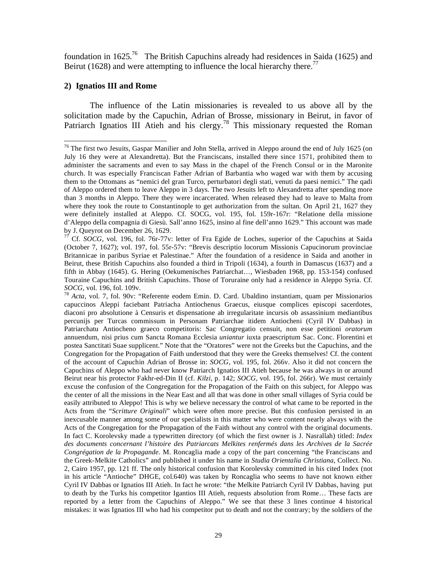foundation in  $1625<sup>76</sup>$  The British Capuchins already had residences in Saida (1625) and Beirut (1628) and were attempting to influence the local hierarchy there.<sup>77</sup>

### **2) Ignatios III and Rome**

1

 The influence of the Latin missionaries is revealed to us above all by the solicitation made by the Capuchin, Adrian of Brosse, missionary in Beirut, in favor of Patriarch Ignatios III Atieh and his clergy.<sup>78</sup> This missionary requested the Roman

<sup>&</sup>lt;sup>76</sup> The first two Jesuits, Gaspar Manilier and John Stella, arrived in Aleppo around the end of July 1625 (on July 16 they were at Alexandretta). But the Franciscans, installed there since 1571, prohibited them to administer the sacraments and even to say Mass in the chapel of the French Consul or in the Maronite church. It was especially Franciscan Father Adrian of Barbantia who waged war with them by accusing them to the Ottomans as "nemici del gran Turco, perturbatori degli stati, venuti da paesi nemici." The qadi of Aleppo ordered them to leave Aleppo in 3 days. The two Jesuits left to Alexandretta after spending more than 3 months in Aleppo. There they were incarcerated. When released they had to leave to Malta from where they took the route to Constantinople to get authorization from the sultan. On April 21, 1627 they were definitely installed at Aleppo. Cf. SOCG, vol. 195, fol. 159r-167r: "Relatione della missione d'Aleppo della compagnia di Giesù. Sall'anno 1625, insino al fine dell'anno 1629." This account was made by J. Queyrot on December 26, 1629.

<sup>77</sup> Cf. *SOCG*, vol. 196, fol. 76r-77v: letter of Fra Egide de Loches, superior of the Capuchins at Saida (October 7, 1627); vol. 197, fol. 55r-57v: "Brevis descriptio locorum Missionis Capucinorum provinciae Britannicae in paribus Syriae et Palestinae." After the foundation of a residence in Saida and another in Beirut, these British Capuchins also founded a third in Tripoli (1634), a fourth in Damascus (1637) and a fifth in Abbay (1645). G. Hering (Oekumenisches Patriarchat…, Wiesbaden 1968, pp. 153-154) confused Touraine Capuchins and British Capuchins. Those of Toruraine only had a residence in Aleppo Syria. Cf.

*SOCG*, vol. 196, fol. 109v.<br><sup>78</sup> *Acta*, vol. 7, fol. 90v: "Referente eodem Emin. D. Card. Ubaldino instantiam, quam per Missionarios capuccinos Aleppi faciebant Patriacha Antiochenus Graecus, eiusque complices episcopi sacerdotes, diaconi pro absolutione à Censuris et dispensatione ab irregularitate incursis ob assassinium mediantibus percunijs per Turcas commissum in Personam Patriarchae itidem Antiocheni (Cyril IV Dabbas) in Patriarchatu Antiocheno graeco competitoris: Sac Congregatio censuit, non esse petitioni *oratorum* annuendum, nisi prius cum Sancta Romana Ecclesia *uniantur* iuxta praescriptum Sac. Conc. Florentini et postea Sanctitati Suae supplicent." Note that the "Oratores" were not the Greeks but the Capuchins, and the Congregation for the Propagation of Faith understood that they were the Greeks themselves! Cf. the content of the account of Capuchin Adrian of Brosse in: *SOCG*, vol. 195, fol. 266v. Also it did not concern the Capuchins of Aleppo who had never know Patriarch Ignatios III Atieh because he was always in or around Beirut near his protector Fakhr-ed-Din II (cf. *Kilzi*, p. 142; *SOCG*, vol. 195, fol. 266r). We must certainly excuse the confusion of the Congregation for the Propagation of the Faith on this subject, for Aleppo was the center of all the missions in the Near East and all that was done in other small villages of Syria could be easily attributed to Aleppo! This is why we believe necessary the control of what came to be reported in the Acts from the "*Scritture Originali*" which were often more precise. But this confusion persisted in an inexcusable manner among some of our specialists in this matter who were content nearly always with the Acts of the Congregation for the Propagation of the Faith without any control with the original documents. In fact C. Korolevsky made a typewritten directory (of which the first owner is J. Nasrallah) titled: *Index des documents concernant l'histoire des Patriarcats Melkites renfermés dans les Archives de la Sacrée Congrégation de la Propagande*. M. Roncaglia made a copy of the part concerning "the Franciscans and the Greek-Melkite Catholics" and published it under his name in *Studia Orientalia Christiana*, Collect. No. 2, Cairo 1957, pp. 121 ff. The only historical confusion that Korolevsky committed in his cited Index (not in his article "Antioche" DHGE, col.640) was taken by Roncaglia who seems to have not known either Cyril IV Dabbas or Ignatios III Atieh. In fact he wrote: "the Melkite Patriarch Cyril IV Dabbas, having put to death by the Turks his competitor Igantios III Atieh, requests absolution from Rome… These facts are reported by a letter from the Capuchins of Aleppo." We see that these 3 lines continue 4 historical mistakes: it was Ignatios III who had his competitor put to death and not the contrary; by the soldiers of the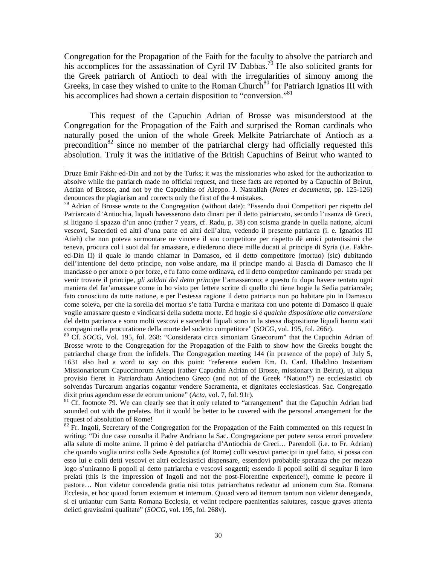Congregation for the Propagation of the Faith for the faculty to absolve the patriarch and his accomplices for the assassination of Cyril IV Dabbas.<sup>79</sup> He also solicited grants for the Greek patriarch of Antioch to deal with the irregularities of simony among the Greeks, in case they wished to unite to the Roman Church<sup>80</sup> for Patriarch Ignatios III with his accomplices had shown a certain disposition to "conversion."<sup>81</sup>

 This request of the Capuchin Adrian of Brosse was misunderstood at the Congregation for the Propagation of the Faith and surprised the Roman cardinals who naturally posed the union of the whole Greek Melkite Patriarchate of Antioch as a precondition<sup>82</sup> since no member of the patriarchal clergy had officially requested this absolution. Truly it was the initiative of the British Capuchins of Beirut who wanted to

 $\overline{a}$ 

<sup>80</sup> Cf. *SOCG*, Vol. 195, fol. 268: "Considerata circa simoniam Graecorum" that the Capuchin Adrian of Brosse wrote to the Congregation for the Propagation of the Faith to show how the Greeks bought the patriarchal charge from the infidels. The Congregation meeting 144 (in presence of the pope) of July 5, 1631 also had a word to say on this point: "referente eodem Em. D. Card. Ubaldino Instantiam Missionariorum Capuccinorum Aleppi (rather Capuchin Adrian of Brosse, missionary in Beirut), ut aliqua provisio fieret in Patriarchatu Antiocheno Greco (and not of the Greek "Nation!") ne ecclesiastici ob solvendas Turcarum angarias cogantur vendere Sacramenta, et dignitates ecclesiasticas. Sac. Congregatio

dixit prius agendum esse de eorum unione" (*Acta*, vol. 7, fol. 91r).<br><sup>81</sup> Cf. footnote 79. We can clearly see that it only related to "arrangement" that the Capuchin Adrian had sounded out with the prelates. But it would be better to be covered with the personal arrangement for the request of absolution of Rome!

 $82$  Fr. Ingoli, Secretary of the Congregation for the Propagation of the Faith commented on this request in writing: "Di due case consulta il Padre Andriano la Sac. Congregazione per potere senza errori provedere alla salute di molte anime. Il primo è del patriarcha d'Antiochia de Greci… Parendoli (i.e. to Fr. Adrian) che quando voglia unirsi colla Sede Apostolica (of Rome) colli vescovi partecipi in quel fatto, si possa con esso lui e colli detti vescovi et altri ecclesiastici dispensare, essendovi probabile speranza che per mezzo logo s'uniranno li popoli al detto patriarcha e vescovi soggetti; essendo li popoli soliti di seguitar li loro prelati (this is the impression of Ingoli and not the post-Florentine experience!), comme le pecore il pastore… Non videtur concedenda gratia nisi totus patriarchatus redeatur ad unionem cum Sta. Romana Ecclesia, et hoc quoad forum externum et internum. Quoad vero ad iternum tantum non videtur deneganda, si ei uniantur cum Santa Romana Ecclesia, et velint recipere paenitentias salutares, easque graves attenta delicti gravissimi qualitate" (*SOCG*, vol. 195, fol. 268v).

Druze Emir Fakhr-ed-Din and not by the Turks; it was the missionaries who asked for the authorization to absolve while the patriarch made no official request, and these facts are reported by a Capuchin of Beirut, Adrian of Brosse, and not by the Capuchins of Aleppo. J. Nasrallah (*Notes et documents*, pp. 125-126) denounces the plagiarism and corrects only the first of the 4 mistakes.

<sup>79</sup> Adrian of Brosse wrote to the Congregation (without date): "Essendo duoi Competitori per rispetto del Patriarcato d'Antiochia, liquali havesserono dato dinari per il detto patriarcato, secondo l'usanza dè Greci, si litigano il spazzo d'un anno (rather 7 years, cf. Radu, p. 38) con scisma grande in quella natione, alcuni vescovi, Sacerdoti ed altri d'una parte ed altri dell'altra, vedendo il presente patriarca (i. e. Ignatios III Atieh) che non poteva surmontare ne vincere il suo competitore per rispetto dè amici potentissimi che teneva, procura col i suoi dal far amassare, e diederono diece mille ducati al principe di Syria (i.e. Fakhred-Din II) il quale lo mando chiamar in Damasco, ed il detto competitore (mortuo) (sic) dubitando dell'intentione del detto principe, non volse andare, ma il principe mando al Bascia di Damasco che li mandasse o per amore o per forze, e fu fatto come ordinava, ed il detto competitor caminando per strada per venir trovare il principe, *gli soldati del detto principe* l'amassarono; e questo fu dopo havere tentato ogni maniera del far'amassare come io ho visto per lettere scritte di quello chi tiene hogie la Sedia patriarcale; fato conosciuto da tutte natione, e per l'estessa ragione il detto patriarca non po habitare piu in Damasco come soleva, per che la sorella del mortuo s'e fatta Turcha e maritata con uno potente di Damasco il quale voglie amassare questo e vindicarsi della sudetta morte. Ed hogie si é *qualche dispositione alla conversione* del detto patriarca e sono molti vescovi e sacerdoti liquali sono in la stessa dispositione liquali hanno stati<br>compagni nella procuratione della morte del sudetto competitore" (SOCG, vol. 195, fol. 266r).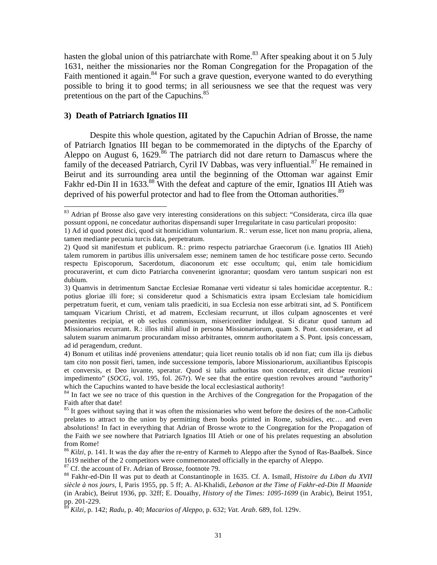hasten the global union of this patriarchate with Rome.<sup>83</sup> After speaking about it on 5 July 1631, neither the missionaries nor the Roman Congregation for the Propagation of the Faith mentioned it again. $84$  For such a grave question, everyone wanted to do everything possible to bring it to good terms; in all seriousness we see that the request was very pretentious on the part of the Capuchins.<sup>85</sup>

#### **3) Death of Patriarch Ignatios III**

1

 Despite this whole question, agitated by the Capuchin Adrian of Brosse, the name of Patriarch Ignatios III began to be commemorated in the diptychs of the Eparchy of Aleppo on August 6, 1629.<sup>86</sup> The patriarch did not dare return to Damascus where the family of the deceased Patriarch, Cyril IV Dabbas, was very influential.<sup>87</sup> He remained in Beirut and its surrounding area until the beginning of the Ottoman war against Emir Fakhr ed-Din II in  $1633$ <sup>88</sup> With the defeat and capture of the emir, Ignatios III Atieh was deprived of his powerful protector and had to flee from the Ottoman authorities.<sup>89</sup>

<sup>87</sup> Cf. the account of Fr. Adrian of Brosse, footnote 79.

<sup>&</sup>lt;sup>83</sup> Adrian pf Brosse also gave very interesting considerations on this subject: "Considerata, circa illa quae possunt opponi, ne concedatur authoritas dispensandi super Irregularitate in casu particulari proposito:

<sup>1)</sup> Ad id quod potest dici, quod sit homicidium voluntarium. R.: verum esse, licet non manu propria, aliena, tamen mediante pecunia turcis data, perpetratum.

<sup>2)</sup> Quod sit manifestum et publicum. R.: primo respectu patriarchae Graecorum (i.e. Ignatios III Atieh) talem rumorem in partibus illis universalem esse; neminem tamen de hoc testificare posse certo. Secundo respectu Episcoporum, Sacerdotum, diaconorum etc esse occultum; qui, enim tale homicidium procuraverint, et cum dicto Patriarcha convenerint ignorantur; quosdam vero tantum suspicari non est dubium.

<sup>3)</sup> Quamvis in detrimentum Sanctae Ecclesiae Romanae verti videatur si tales homicidae acceptentur. R.: potius gloriae illi fore; si consideretur quod a Schismaticis extra ipsam Ecclesiam tale homicidium perpetratum fuerit, et cum, veniam talis praediciti, in sua Ecclesia non esse arbitrati sint, ad S. Pontificem tamquam Vicarium Christi, et ad matrem, Ecclesiam recurrunt, ut illos culpam agnoscentes et veré poenitentes recipiat, et ob seclus commissum, misericorditer indulgeat. Si dicatur quod tantum ad Missionarios recurrant. R.: illos nihil aliud in persona Missionariorum, quam S. Pont. considerare, et ad salutem suarum animarum procurandam misso arbitrantes, omnrm authoritatem a S. Pont. ipsis concessam, ad id peragendum, credunt.

<sup>4)</sup> Bonum et utilitas indé proveniens attendatur; quia licet reunio totalis ob id non fiat; cum illa ijs diebus tam cito non possit fieri, tamen, inde successione temporis, labore Missionariorum, auxiliantibus Episcopis et conversis, et Deo iuvante, speratur. Quod si talis authoritas non concedatur, erit dictae reunioni impedimento" (*SOCG*, vol. 195, fol. 267r). We see that the entire question revolves around "authority" which the Capuchins wanted to have beside the local ecclesiastical authority!

<sup>&</sup>lt;sup>84</sup> In fact we see no trace of this question in the Archives of the Congregation for the Propagation of the Faith after that date!

<sup>&</sup>lt;sup>85</sup> It goes without saying that it was often the missionaries who went before the desires of the non-Catholic prelates to attract to the union by permitting them books printed in Rome, subsidies, etc… and even absolutions! In fact in everything that Adrian of Brosse wrote to the Congregation for the Propagation of the Faith we see nowhere that Patriarch Ignatios III Atieh or one of his prelates requesting an absolution from Rome!

<sup>&</sup>lt;sup>86</sup> *Kilzi*, p. 141. It was the day after the re-entry of Karmeh to Aleppo after the Synod of Ras-Baalbek. Since 1619 neither of the 2 competitors were commemorated officially in the eparchy of Aleppo.

<sup>88</sup> Fakhr-ed-Din II was put to death at Constantinople in 1635. Cf. A. Ismaïl, *Histoire du Liban du XVII siècle à nos jours,* I, Paris 1955, pp. 5 ff; A. Al-Khalidi, *Lebanon at the Time of Fakhr-ed-Din II Maanide* (in Arabic), Beirut 1936, pp. 32ff; E. Douaïhy, *History of the Times: 1095-1699* (in Arabic), Beirut 1951, pp. 201-229.

<sup>89</sup> *Kilzi*, p. 142; *Radu*, p. 40; *Macarios of Aleppo*, p. 632; *Vat. Arab*. 689, fol. 129v.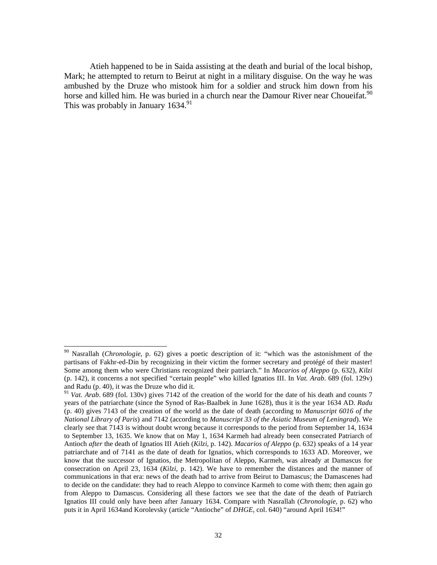Atieh happened to be in Saida assisting at the death and burial of the local bishop, Mark; he attempted to return to Beirut at night in a military disguise. On the way he was ambushed by the Druze who mistook him for a soldier and struck him down from his horse and killed him. He was buried in a church near the Damour River near Choueifat.<sup>90</sup> This was probably in January  $1634.<sup>91</sup>$ 

<sup>90</sup> Nasrallah (*Chronologie*, p. 62) gives a poetic description of it: "which was the astonishment of the partisans of Fakhr-ed-Din by recognizing in their victim the former secretary and protégé of their master! Some among them who were Christians recognized their patriarch." In *Macarios of Aleppo* (p. 632), *Kilzi* (p. 142), it concerns a not specified "certain people" who killed Ignatios III. In *Vat. Arab*. 689 (fol. 129v) and Radu (p. 40), it was the Druze who did it.

<sup>&</sup>lt;sup>91</sup> *Vat. Arab*. 689 (fol. 130v) gives 7142 of the creation of the world for the date of his death and counts 7 years of the patriarchate (since the Synod of Ras-Baalbek in June 1628), thus it is the year 1634 AD. *Radu* (p. 40) gives 7143 of the creation of the world as the date of death (according to *Manuscript 6016 of the National Library of Paris*) and 7142 (according to *Manuscript 33 of the Asiatic Museum of Leningrad*). We clearly see that 7143 is without doubt wrong because it corresponds to the period from September 14, 1634 to September 13, 1635. We know that on May 1, 1634 Karmeh had already been consecrated Patriarch of Antioch *after* the death of Ignatios III Atieh (*Kilzi*, p. 142). *Macarios of Aleppo* (p. 632) speaks of a 14 year patriarchate and of 7141 as the date of death for Ignatios, which corresponds to 1633 AD. Moreover, we know that the successor of Ignatios, the Metropolitan of Aleppo, Karmeh, was already at Damascus for consecration on April 23, 1634 (*Kilzi,* p. 142). We have to remember the distances and the manner of communications in that era: news of the death had to arrive from Beirut to Damascus; the Damascenes had to decide on the candidate: they had to reach Aleppo to convince Karmeh to come with them; then again go from Aleppo to Damascus. Considering all these factors we see that the date of the death of Patriarch Ignatios III could only have been after January 1634. Compare with Nasrallah (*Chronologie,* p. 62) who puts it in April 1634and Korolevsky (article "Antioche" of *DHGE*, col. 640) "around April 1634!"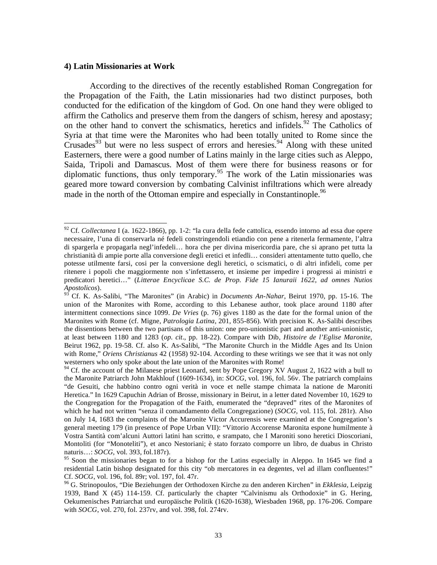#### **4) Latin Missionaries at Work**

 $\overline{a}$ 

 According to the directives of the recently established Roman Congregation for the Propagation of the Faith, the Latin missionaries had two distinct purposes, both conducted for the edification of the kingdom of God. On one hand they were obliged to affirm the Catholics and preserve them from the dangers of schism, heresy and apostasy; on the other hand to convert the schismatics, heretics and infidels.<sup>92</sup> The Catholics of Syria at that time were the Maronites who had been totally united to Rome since the Crusades<sup>93</sup> but were no less suspect of errors and heresies.<sup>94</sup> Along with these united Easterners, there were a good number of Latins mainly in the large cities such as Aleppo, Saida, Tripoli and Damascus. Most of them were there for business reasons or for diplomatic functions, thus only temporary.<sup>95</sup> The work of the Latin missionaries was geared more toward conversion by combating Calvinist infiltrations which were already made in the north of the Ottoman empire and especially in Constantinople.<sup>96</sup>

<sup>92</sup> Cf. *Collectanea* I (a. 1622-1866), pp. 1-2: "la cura della fede cattolica, essendo intorno ad essa due opere necessaire, l'una di conservarla né fedeli constringendoli etiandio con pene a ritenerla fermamente, l'altra di spargerla e propagarla negl'infedeli… hora che per divina misericordia pare, che si aprano pet tutta la christianità di ampie porte alla conversione degli eretici et infedli… consideri attentamente tutto quello, che potesse utilmente farsi, cosi per la conversione degli heretici, o scismatici, o di altri infideli, come per ritenere i popoli che maggiormente non s'infettassero, et insieme per impedire i progressi ai ministri e predicatori heretici…" (*Litterae Encyclicae S.C. de Prop. Fide 15 Ianuraii 1622, ad omnes Nutios Apostolicos*).

<sup>93</sup> Cf. K. As-Salibi, "The Maronites" (in Arabic) in *Documents An-Nahar*, Beirut 1970, pp. 15-16. The union of the Maronites with Rome, according to this Lebanese author, took place around 1180 after intermittent connections since 1099. *De Vries* (p. 76) gives 1180 as the date for the formal union of the Maronites with Rome (cf. Migne, *Patrologia Latina*, 201, 855-856). With precision K. As-Salibi describes the dissentions between the two partisans of this union: one pro-unionistic part and another anti-unionistic, at least between 1180 and 1283 (*op. cit*., pp. 18-22). Compare with Dib, *Histoire de l'Eglise Maronite*, Beirut 1962, pp. 19-58. Cf. also K. As-Salibi, "The Maronite Church in the Middle Ages and Its Union with Rome," *Oriens Christianus* 42 (1958) 92-104. According to these writings we see that it was not only westerners who only spoke about the late union of the Maronites with Rome!

<sup>&</sup>lt;sup>94</sup> Cf. the account of the Milanese priest Leonard, sent by Pope Gregory XV August 2, 1622 with a bull to the Maronite Patriarch John Makhlouf (1609-1634), in: *SOCG*, vol. 196, fol. 56v. The patriarch complains "de Gesuiti, che habbino contro ogni verità in voce et nelle stampe chimata la natione de Maroniti Heretica." In 1629 Capuchin Adrian of Brosse, missionary in Beirut, in a letter dated November 10, 1629 to the Congregation for the Propagation of the Faith, enumerated the "depraved" rites of the Maronites of which he had not written "senza il comandamento della Congregazione) (*SOCG,* vol. 115, fol. 281r). Also on July 14, 1683 the complaints of the Maronite Victor Accurensis were examined at the Congregation's general meeting 179 (in presence of Pope Urban VII): "Vittorio Accorense Maronita espone humilmente à Vostra Santità com'alcuni Auttori latini han scritto, e srampato, che I Maroniti sono heretici Dioscoriani, Montoliti (for "Monoteliti"), et anco Nestoriani; è stato forzato comporre un libro, de duabus in Christo naturis…: *SOCG*, vol. 393, fol.187r).

 $95$  Soon the missionaries began to for a bishop for the Latins especially in Aleppo. In 1645 we find a residential Latin bishop designated for this city "ob mercatores in ea degentes, vel ad illam confluentes!" Cf. *SOCG*, vol. 196, fol. 89r; vol. 197, fol. 47r.<br><sup>96</sup> G. Strinopoulos, "Die Beziehungen der Orthodoxen Kirche zu den anderen Kirchen" in *Ekklesia*, Leipzig

<sup>1939,</sup> Band X (45) 114-159. Cf. particularly the chapter "Calvinismu als Orthodoxie" in G. Hering, Oekumenisches Patriarchat und europäische Politik (1620-1638), Wiesbaden 1968, pp. 176-206. Compare with *SOCG*, vol. 270, fol. 237rv, and vol. 398, fol. 274rv.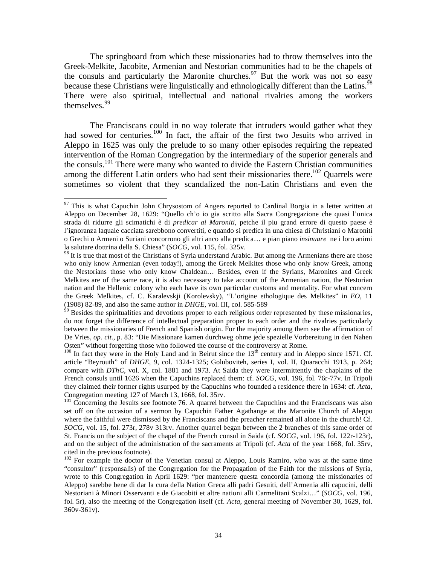The springboard from which these missionaries had to throw themselves into the Greek-Melkite, Jacobite, Armenian and Nestorian communities had to be the chapels of the consuls and particularly the Maronite churches. $\frac{97}{9}$  But the work was not so easy because these Christians were linguistically and ethnologically different than the Latins.<sup>9</sup> There were also spiritual, intellectual and national rivalries among the workers themselves.<sup>99</sup>

 The Franciscans could in no way tolerate that intruders would gather what they had sowed for centuries.<sup>100</sup> In fact, the affair of the first two Jesuits who arrived in Aleppo in 1625 was only the prelude to so many other episodes requiring the repeated intervention of the Roman Congregation by the intermediary of the superior generals and the consuls.<sup>101</sup> There were many who wanted to divide the Eastern Christian communities among the different Latin orders who had sent their missionaries there.<sup>102</sup> Quarrels were sometimes so violent that they scandalized the non-Latin Christians and even the

 $97$  This is what Capuchin John Chrysostom of Angers reported to Cardinal Borgia in a letter written at Aleppo on December 28, 1629: "Quello ch'o io gia scritto alla Sacra Congregazione che quasi l'unica strada di ridurre gli scimatichi è di *predicar ai Maroniti*, petche il piu grand errore di questo paese è l'ignoranza laquale cacciata sarebbono convertiti, e quando si predica in una chiesa di Christiani o Maroniti o Grechi o Armeni o Suriani concorrono gli altri anco alla predica… e pian piano *insinuare* ne i loro animi la salutare dottrina della S. Chiesa" (*SOCG*, vol. 115, fol. 325v.

<sup>&</sup>lt;sup>98</sup> It is true that most of the Christians of Syria understand Arabic. But among the Armenians there are those who only know Armenian (even today!), among the Greek Melkites those who only know Greek, among the Nestorians those who only know Chaldean… Besides, even if the Syrians, Maronites and Greek Melkites are of the same race, it is also necessary to take account of the Armenian nation, the Nestorian nation and the Hellenic colony who each have its own particular customs and mentality. For what concern the Greek Melkites, cf. C. Karalevskji (Korolevsky), "L'origine ethologique des Melkites" in *EO*, 11

<sup>&</sup>lt;sup>99</sup> Besides the spiritualities and devotions proper to each religious order represented by these missionaries, do not forget the difference of intellectual preparation proper to each order and the rivalries particularly between the missionaries of French and Spanish origin. For the majority among them see the affirmation of De Vries, *op. cit*., p. 83: "Die Missionare kamen durchweg ohme jede spezielle Vorbereitung in den Nahen Osten" without forgetting those who followed the course of the controversy at Rome.

 $100$  In fact they were in the Holy Land and in Beirut since the  $13<sup>th</sup>$  century and in Aleppo since 1571. Cf. article "Beyrouth" of *DHGE*, 9, col. 1324-1325; Goluboviteh, series I, vol. II, Quaracchi 1913, p. 264; compare with *DThC*, vol. X, col. 1881 and 1973. At Saida they were intermittently the chaplains of the French consuls until 1626 when the Capuchins replaced them: cf. *SOCG*, vol. 196, fol. 76r-77v. In Tripoli they claimed their former rights usurped by the Capuchins who founded a residence there in 1634: cf. *Acta*, Congregation meeting 127 of March 13, 1668, fol. 35rv.

<sup>&</sup>lt;sup>101</sup> Concerning the Jesuits see footnote 76. A quarrel between the Capuchins and the Franciscans was also set off on the occasion of a sermon by Capuchin Father Agathange at the Maronite Church of Aleppo where the faithful were dismissed by the Franciscans and the preacher remained all alone in the church! Cf. *SOCG*, vol. 15, fol. 273r, 278v 313rv. Another quarrel began between the 2 branches of this same order of St. Francis on the subject of the chapel of the French consul in Saida (cf. *SOCG*, vol. 196, fol. 122r-123r), and on the subject of the administration of the sacraments at Tripoli (cf. *Acta* of the year 1668, fol. 35rv, cited in the previous footnote).

<sup>&</sup>lt;sup>102</sup> For example the doctor of the Venetian consul at Aleppo, Louis Ramiro, who was at the same time "consultor" (responsalis) of the Congregation for the Propagation of the Faith for the missions of Syria, wrote to this Congregation in April 1629: "per mantenere questa concordia (among the missionaries of Aleppo) sarebbe bene di dar la cura della Nation Greca alli padri Gesuiti, dell'Armenia alli capucini, delli Nestoriani à Minori Osservanti e de Giacobiti et altre nationi alli Carmelitani Scalzi…" (*SOCG,* vol. 196, fol. 5r), also the meeting of the Congregation itself (cf. *Acta*, general meeting of November 30, 1629, fol. 360v-361v).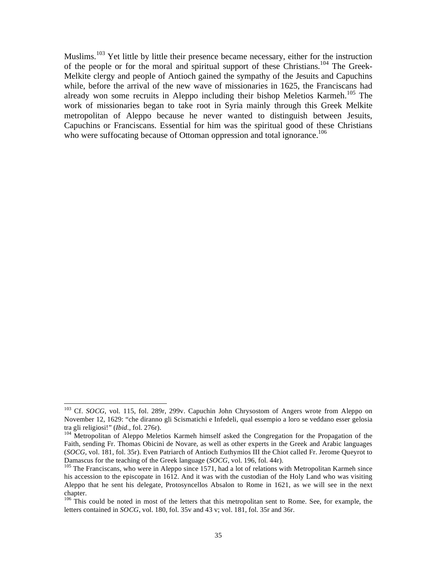Muslims.<sup>103</sup> Yet little by little their presence became necessary, either for the instruction of the people or for the moral and spiritual support of these Christians.<sup>104</sup> The Greek-Melkite clergy and people of Antioch gained the sympathy of the Jesuits and Capuchins while, before the arrival of the new wave of missionaries in 1625, the Franciscans had already won some recruits in Aleppo including their bishop Meletios Karmeh.<sup>105</sup> The work of missionaries began to take root in Syria mainly through this Greek Melkite metropolitan of Aleppo because he never wanted to distinguish between Jesuits, Capuchins or Franciscans. Essential for him was the spiritual good of these Christians who were suffocating because of Ottoman oppression and total ignorance.<sup>106</sup>

1

<sup>103</sup> Cf. *SOCG*, vol. 115, fol. 289r, 299v. Capuchin John Chrysostom of Angers wrote from Aleppo on November 12, 1629: "che diranno gli Scismatichi e Infedeli, qual essempio a loro se veddano esser gelosia tra gli religiosi!" (*Ibid.*, fol. 276r).<br><sup>104</sup> Metropolitan of Aleppo Meletios Karmeh himself asked the Congregation for the Propagation of the

Faith, sending Fr. Thomas Obicini de Novare, as well as other experts in the Greek and Arabic languages (*SOCG*, vol. 181, fol. 35r). Even Patriarch of Antioch Euthymios III the Chiot called Fr. Jerome Queyrot to Damascus for the teaching of the Greek language (*SOCG*, vol. 196, fol. 44r).

<sup>&</sup>lt;sup>105</sup> The Franciscans, who were in Aleppo since 1571, had a lot of relations with Metropolitan Karmeh since his accession to the episcopate in 1612. And it was with the custodian of the Holy Land who was visiting Aleppo that he sent his delegate, Protosyncellos Absalon to Rome in 1621, as we will see in the next chapter.

<sup>&</sup>lt;sup>106</sup> This could be noted in most of the letters that this metropolitan sent to Rome. See, for example, the letters contained in *SOCG*, vol. 180, fol. 35v and 43 v; vol. 181, fol. 35r and 36r.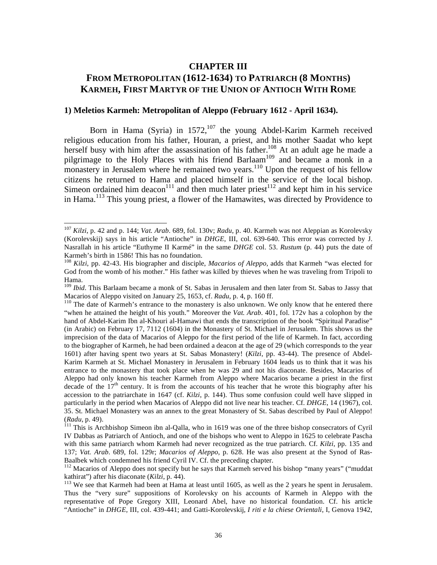## **CHAPTER III FROM METROPOLITAN (1612-1634) TO PATRIARCH (8 MONTHS) KARMEH, FIRST MARTYR OF THE UNION OF ANTIOCH WITH ROME**

#### **1) Meletios Karmeh: Metropolitan of Aleppo (February 1612 - April 1634).**

Born in Hama (Syria) in 1572,<sup>107</sup> the young Abdel-Karim Karmeh received religious education from his father, Houran, a priest, and his mother Saadat who kept herself busy with him after the assassination of his father.<sup>108</sup> At an adult age he made a pilgrimage to the Holy Places with his friend Barlaam<sup>109</sup> and became a monk in a monastery in Jerusalem where he remained two years.<sup>110</sup> Upon the request of his fellow citizens he returned to Hama and placed himself in the service of the local bishop. Simeon ordained him deacon<sup>111</sup> and then much later priest<sup>112</sup> and kept him in his service in Hama.<sup>113</sup> This young priest, a flower of the Hamawites, was directed by Providence to

<sup>107</sup> *Kilzi*, p. 42 and p. 144; *Vat. Arab*. 689, fol. 130v; *Radu*, p. 40. Karmeh was not Aleppian as Korolevsky (Korolevskij) says in his article "Antioche" in *DHGE*, III, col. 639-640. This error was corrected by J. Nasrallah in his article "Euthyme II Karmé" in the same *DHGE* col. 53. *Rustum* (p. 44) puts the date of Karmeh's birth in 1586! This has no foundation.

<sup>108</sup> *Kilzi*, pp. 42-43. His biographer and disciple, *Macarios of Aleppo*, adds that Karmeh "was elected for God from the womb of his mother." His father was killed by thieves when he was traveling from Tripoli to Hama.

<sup>&</sup>lt;sup>109</sup> *Ibid*. This Barlaam became a monk of St. Sabas in Jerusalem and then later from St. Sabas to Jassy that Macarios of Aleppo visited on January 25, 1653, cf. Radu, p. 4, p. 160 ff.

<sup>&</sup>lt;sup>110</sup> The date of Karmeh's entrance to the monastery is also unknown. We only know that he entered there "when he attained the height of his youth." Moreover the *Vat. Arab*. 401, fol. 172v has a colophon by the hand of Abdel-Karim Ibn al-Khouri al-Hamawi that ends the transcription of the book "Spiritual Paradise" (in Arabic) on February 17, 7112 (1604) in the Monastery of St. Michael in Jerusalem. This shows us the imprecision of the data of Macarios of Aleppo for the first period of the life of Karmeh. In fact, according to the biographer of Karmeh, he had been ordained a deacon at the age of 29 (which corresponds to the year 1601) after having spent two years at St. Sabas Monastery! (*Kilzi*, pp. 43-44). The presence of Abdel-Karim Karmeh at St. Michael Monastery in Jerusalem in February 1604 leads us to think that it was his entrance to the monastery that took place when he was 29 and not his diaconate. Besides, Macarios of Aleppo had only known his teacher Karmeh from Aleppo where Macarios became a priest in the first decade of the  $17<sup>th</sup>$  century. It is from the accounts of his teacher that he wrote this biography after his accession to the patriarchate in 1647 (cf. *Kilzi*, p. 144). Thus some confusion could well have slipped in particularly in the period when Macarios of Aleppo did not live near his teacher. Cf. *DHGE*, 14 (1967), col. 35. St. Michael Monastery was an annex to the great Monastery of St. Sabas described by Paul of Aleppo!

<sup>(</sup>*Radu*, p. 49).<br><sup>111</sup> This is Archbishop Simeon ibn al-Qalla, who in 1619 was one of the three bishop consecrators of Cyril IV Dabbas as Patriarch of Antioch, and one of the bishops who went to Aleppo in 1625 to celebrate Pascha with this same patriarch whom Karmeh had never recognized as the true patriarch. Cf. *Kilzi*, pp. 135 and 137; *Vat. Arab*. 689, fol. 129r; *Macarios of Aleppo*, p. 628. He was also present at the Synod of Ras-Baalbek which condemned his friend Cyril IV. Cf. the preceding chapter.

<sup>&</sup>lt;sup>112</sup> Macarios of Aleppo does not specify but he says that Karmeh served his bishop "many years" ("muddat kathirat") after his diaconate (*Kilzi*, p. 44).<br><sup>113</sup> We see that Karmeh had been at Hama at least until 1605, as well as the 2 years he spent in Jerusalem.

Thus the "very sure" suppositions of Korolevsky on his accounts of Karmeh in Aleppo with the representative of Pope Gregory XIII, Leonard Abel, have no historical foundation. Cf. his article "Antioche" in *DHGE,* III, col. 439-441; and Gatti-Korolevskij, *I riti e la chiese Orientali*, I, Genova 1942,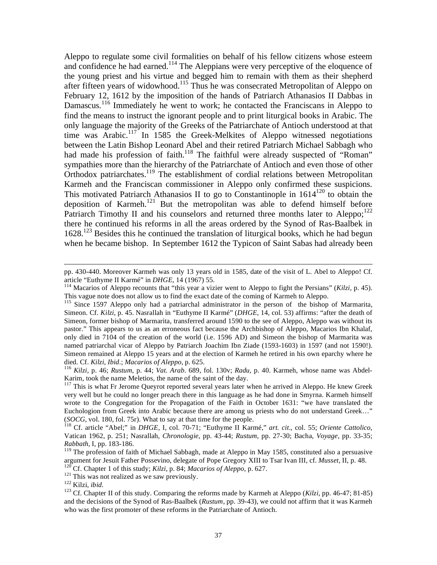Aleppo to regulate some civil formalities on behalf of his fellow citizens whose esteem and confidence he had earned.<sup>114</sup> The Aleppians were very perceptive of the eloquence of the young priest and his virtue and begged him to remain with them as their shepherd after fifteen years of widowhood.<sup>115</sup> Thus he was consecrated Metropolitan of Aleppo on February 12, 1612 by the imposition of the hands of Patriarch Athanasios II Dabbas in Damascus.<sup>116</sup> Immediately he went to work; he contacted the Franciscans in Aleppo to find the means to instruct the ignorant people and to print liturgical books in Arabic. The only language the majority of the Greeks of the Patriarchate of Antioch understood at that time was Arabic.<sup>117</sup> In 1585 the Greek-Melkites of Aleppo witnessed negotiations between the Latin Bishop Leonard Abel and their retired Patriarch Michael Sabbagh who had made his profession of faith.<sup>118</sup> The faithful were already suspected of "Roman" sympathies more than the hierarchy of the Patriarchate of Antioch and even those of other Orthodox patriarchates.<sup>119</sup> The establishment of cordial relations between Metropolitan Karmeh and the Franciscan commissioner in Aleppo only confirmed these suspicions. This motivated Patriarch Athanasios II to go to Constantinople in  $1614^{120}$  to obtain the deposition of Karmeh.<sup>121</sup> But the metropolitan was able to defend himself before Patriarch Timothy II and his counselors and returned three months later to Aleppo;<sup>122</sup> there he continued his reforms in all the areas ordered by the Synod of Ras-Baalbek in  $1628$ <sup>123</sup> Besides this he continued the translation of liturgical books, which he had begun when he became bishop. In September 1612 the Typicon of Saint Sabas had already been

pp. 430-440. Moreover Karmeh was only 13 years old in 1585, date of the visit of L. Abel to Aleppo! Cf. article "Euthyme II Karmé" in *DHGE*, 14 (1967) 55.<br><sup>114</sup> Macarios of Aleppo recounts that "this year a vizier went to Aleppo to fight the Persians" (*Kilzi*, p. 45).

This vague note does not allow us to find the exact date of the coming of Karmeh to Aleppo.

<sup>&</sup>lt;sup>115</sup> Since 1597 Aleppo only had a patriarchal administrator in the person of the bishop of Marmarita, Simeon. Cf. *Kilzi*, p. 45. Nasrallah in "Euthyme II Karmé" (*DHGE*, 14, col. 53) affirms: "after the death of Simeon, former bishop of Marmarita, transferred around 1590 to the see of Aleppo, Aleppo was without its pastor." This appears to us as an erroneous fact because the Archbishop of Aleppo, Macarios Ibn Khalaf, only died in 7104 of the creation of the world (i.e. 1596 AD) and Simeon the bishop of Marmarita was named patriarchal vicar of Aleppo by Patriarch Joachim Ibn Ziade (1593-1603) in 1597 (and not 1590!). Simeon remained at Aleppo 15 years and at the election of Karmeh he retired in his own eparchy where he died. Cf. *Kilzi*, *Ibid.*; *Macarios of Aleppo*, p. 625.<br><sup>116</sup> *Kilzi*, p. 46; *Rustum*, p. 44; *Vat. Arab.* 689, fol. 130v; *Radu*, p. 40. Karmeh, whose name was Abdel-

Karim, took the name Meletios, the name of the saint of the day.

<sup>&</sup>lt;sup>117</sup> This is what Fr Jerome Queyrot reported several years later when he arrived in Aleppo. He knew Greek very well but he could no longer preach there in this language as he had done in Smyrna. Karmeh himself wrote to the Congregation for the Propagation of the Faith in October 1631: "we have translated the Euchologion from Greek into Arabic because there are among us priests who do not understand Greek…" (*SOCG*, vol. 180, fol. 75r). What to say at that time for the people. 118 Cf. article "Abel;" in *DHGE*, I, col. 70-71; "Euthyme II Karmé," *art. cit*., col. 55; *Oriente Cattolico*,

Vatican 1962, p. 251; Nasrallah, *Chronologie*, pp. 43-44; *Rustum*, pp. 27-30; Bacha, *Voyage*, pp. 33-35; *Rabbath,* I, pp. 183-186.

<sup>&</sup>lt;sup>119</sup> The profession of faith of Michael Sabbagh, made at Aleppo in May 1585, constituted also a persuasive argument for Jesuit Father Possevino, delegate of Pope Gregory XIII to Tsar Ivan III, cf. *Musset*, II, p. 48. <sup>120</sup> Cf. Chapter 1 of this study; *Kilzi*, p. 84; *Macarios of Aleppo*, p. 627.<br><sup>121</sup> This was not realized as we saw previously.<br><sup>122</sup> Kilzi, *ibid.*<br><sup>123</sup> Cf. Chapter II of this study. Comparing the reforms made by Kar

and the decisions of the Synod of Ras-Baalbek (*Rustum*, pp. 39-43), we could not affirm that it was Karmeh who was the first promoter of these reforms in the Patriarchate of Antioch.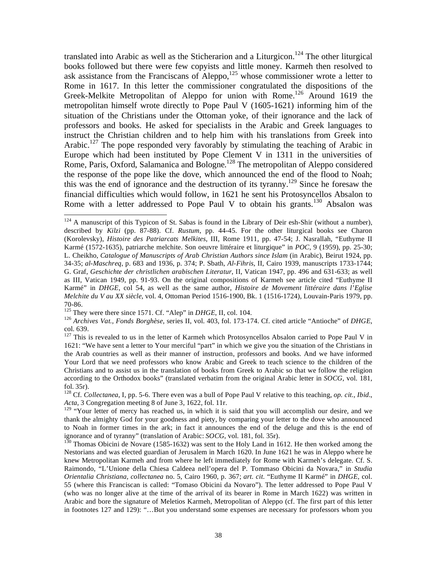translated into Arabic as well as the Sticherarion and a Liturgicon.<sup>124</sup> The other liturgical books followed but there were few copyists and little money. Karmeh then resolved to ask assistance from the Franciscans of Aleppo,<sup>125</sup> whose commissioner wrote a letter to Rome in 1617. In this letter the commissioner congratulated the dispositions of the Greek-Melkite Metropolitan of Aleppo for union with Rome.<sup>126</sup> Around 1619 the metropolitan himself wrote directly to Pope Paul V (1605-1621) informing him of the situation of the Christians under the Ottoman yoke, of their ignorance and the lack of professors and books. He asked for specialists in the Arabic and Greek languages to instruct the Christian children and to help him with his translations from Greek into Arabic.<sup>127</sup> The pope responded very favorably by stimulating the teaching of Arabic in Europe which had been instituted by Pope Clement V in 1311 in the universities of Rome, Paris, Oxford, Salamanica and Bologne.<sup>128</sup> The metropolitan of Aleppo considered the response of the pope like the dove, which announced the end of the flood to Noah; this was the end of ignorance and the destruction of its tyranny.<sup>129</sup> Since he foresaw the financial difficulties which would follow, in 1621 he sent his Protosyncellos Absalon to Rome with a letter addressed to Pope Paul V to obtain his grants.<sup>130</sup> Absalon was

 $\overline{a}$  $124$  A manuscript of this Typicon of St. Sabas is found in the Library of Deir esh-Shir (without a number), described by *Kilzi* (pp. 87-88). Cf. *Rustum*, pp. 44-45. For the other liturgical books see Charon (Korolevsky), *Histoire des Patriarcats Melkites*, III, Rome 1911, pp. 47-54; J. Nasrallah, "Euthyme II Karmé (1572-1635), patriarche melchite. Son oeuvre littéraire et liturgique" in *POC,* 9 (1959), pp. 25-30; L. Cheikho, *Catalogue of Manuscripts of Arab Christian Authors since Islam* (in Arabic), Beirut 1924, pp. 34-35; *al-Maschreq*, p. 683 and 1936, p. 374; P. Sbath, *Al-Fihris*, II, Cairo 1939, manuscripts 1733-1744; G. Graf, *Geschichte der christlichen arabischen Literatur*, II, Vatican 1947, pp. 496 and 631-633; as well as III, Vatican 1949, pp. 91-93. On the original compositions of Karmeh see article cited "Euthyme II Karmé" in *DHGE*, col 54, as well as the same author, *Histoire de Movement littéraire dans l'Eglise Melchite du V au XX siècle*, vol. 4, Ottoman Period 1516-1900, Bk. 1 (1516-1724), Louvain-Paris 1979, pp. 70-86.<br><sup>125</sup> They were there since 1571. Cf. "Alep" in *DHGE*, II, col. 104.

<sup>&</sup>lt;sup>126</sup> Archives Vat., Fonds Borghèse, series II, vol. 403, fol. 173-174. Cf. cited article "Antioche" of *DHGE*, col. 639.

 $127$  This is revealed to us in the letter of Karmeh which Protosyncellos Absalon carried to Pope Paul V in 1621: "We have sent a letter to Your merciful "part" in which we give you the situation of the Christians in the Arab countries as well as their manner of instruction, professors and books. And we have informed Your Lord that we need professors who know Arabic and Greek to teach science to the children of the Christians and to assist us in the translation of books from Greek to Arabic so that we follow the religion according to the Orthodox books" (translated verbatim from the original Arabic letter in *SOCG*, vol. 181, fol. 35r).

<sup>128</sup> Cf. *Collectanea*, I, pp. 5-6. There even was a bull of Pope Paul V relative to this teaching, *op. cit., Ibid*., *Acta*, 3 Congregation meeting 8 of June 3, 1622, fol. 11r.

<sup>&</sup>lt;sup>129</sup> "Your letter of mercy has reached us, in which it is said that you will accomplish our desire, and we thank the almighty God for your goodness and piety, by comparing your letter to the dove who announced to Noah in former times in the ark; in fact it announces the end of the deluge and this is the end of ignorance and of tyranny" (translation of Arabic:  $SOCG$ , vol. 181, fol. 35r).

<sup>&</sup>lt;sup>130</sup> Thomas Obicini de Novare (1585-1632) was sent to the Holy Land in 1612. He then worked among the Nestorians and was elected guardian of Jerusalem in March 1620. In June 1621 he was in Aleppo where he knew Metropolitan Karmeh and from where he left immediately for Rome with Karmeh's delegate. Cf. S. Raimondo, "L'Unione della Chiesa Caldeea nell'opera del P. Tommaso Obicini da Novara," in *Studia Orientalia Christiana, collectanea* no. 5, Cairo 1960, p. 367; *art. cit*. "Euthyme II Karmé" in *DHGE*, col. 55 (where this Franciscan is called: "Tomaso Obicini da Novaro"). The letter addressed to Pope Paul V (who was no longer alive at the time of the arrival of its bearer in Rome in March 1622) was written in Arabic and bore the signature of Meletios Karmeh, Metropolitan of Aleppo (cf. The first part of this letter in footnotes 127 and 129): "…But you understand some expenses are necessary for professors whom you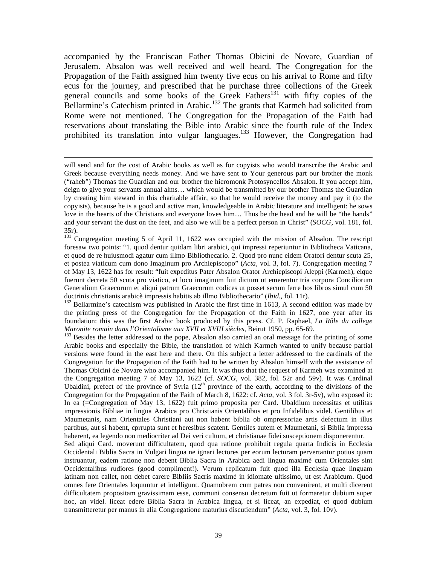accompanied by the Franciscan Father Thomas Obicini de Novare, Guardian of Jerusalem. Absalon was well received and well heard. The Congregation for the Propagation of the Faith assigned him twenty five ecus on his arrival to Rome and fifty ecus for the journey, and prescribed that he purchase three collections of the Greek general councils and some books of the Greek Fathers<sup>131</sup> with fifty copies of the Bellarmine's Catechism printed in Arabic.<sup>132</sup> The grants that Karmeh had solicited from Rome were not mentioned. The Congregation for the Propagation of the Faith had reservations about translating the Bible into Arabic since the fourth rule of the Index prohibited its translation into vulgar languages.<sup>133</sup> However, the Congregation had

 $\overline{a}$ 

doctrinis christianis arabicè impressis habitis ab illmo Bibliothecario" (*Ibid.*, fol. 11r).<br><sup>132</sup> Bellarmine's catechism was published in Arabic the first time in 1613, A second edition was made by the printing press of the Congregation for the Propagation of the Faith in 1627, one year after its foundation: this was the first Arabic book produced by this press. Cf. P. Raphael, *La Rôle du college* 

*Maronite romain dans l'Orientalisme aux XVII et XVIII siècles*, Beirut 1950, pp. 65-69.<br><sup>133</sup> Besides the letter addressed to the pope, Absalon also carried an oral message for the printing of some Arabic books and especially the Bible, the translation of which Karmeh wanted to unify because partial versions were found in the east here and there. On this subject a letter addressed to the cardinals of the Congregation for the Propagation of the Faith had to be written by Absalon himself with the assistance of Thomas Obicini de Novare who accompanied him. It was thus that the request of Karmeh was examined at the Congregation meeting 7 of May 13, 1622 (cf. *SOCG*, vol. 382, fol. 52r and 59v). It was Cardinal Ubaldini, prefect of the province of Syria  $(12<sup>th</sup>$  province of the earth, according to the divisions of the Congregation for the Propagation of the Faith of March 8, 1622: cf. *Acta*, vol. 3 fol. 3r-5v), who exposed it: In ea (=Congregation of May 13, 1622) fuit primo proposita per Card. Ubaldium necessitas et utilitas impressionis Bibliae in lingua Arabica pro Christianis Orientalibus et pro Infidelibus videl. Gentilibus et Maumetanis, nam Orientales Christiani aut non habent biblia ob ompressoriae artis defectum in illus partibus, aut si habent, cprrupta sunt et heresibus scatent. Gentiles autem et Maumetani, si Biblia impressa haberent, ea legendo non mediocriter ad Dei veri cultum, et christianae fidei susceptionem disponerentur.

Sed aliqui Card. moverunt difficultatem, quod qua ratione prohibuit regula quarta Indicis in Ecclesia Occidentali Biblia Sacra in Vulgari lingua ne ignari lectores per eorum lecturam pervertantur potius quam instruantur, eadem ratione non debent Biblia Sacra in Arabica aedi lingua maximè cum Orientales sint Occidentalibus rudiores (good compliment!). Verum replicatum fuit quod illa Ecclesia quae linguam latinam non callet, non debet carere Bibliis Sacris maximè in idiomate ultissimo, ut est Arabicum. Quod omnes fere Orientales loquuntur et intelligunt. Quamobrem cum patres non convenirent, et multi dicerent difficultatem propositam gravissimam esse, communi consensu decretum fuit ut formaretur dubium super hoc, an videl. liceat edere Biblia Sacra in Arabica lingua, et si liceat, an expediat, et quod dubium transmitteretur per manus in alia Congregatione maturius discutiendum" (*Acta,* vol. 3, fol. 10v).

will send and for the cost of Arabic books as well as for copyists who would transcribe the Arabic and Greek because everything needs money. And we have sent to Your generous part our brother the monk ("raheb") Thomas the Guardian and our brother the hieromonk Protosyncellos Absalon. If you accept him, deign to give your servants annual alms… which would be transmitted by our brother Thomas the Guardian by creating him steward in this charitable affair, so that he would receive the money and pay it (to the copyists), because he is a good and active man, knowledgeable in Arabic literature and intelligent: he sows love in the hearts of the Christians and everyone loves him... Thus be the head and he will be "the hands" and your servant the dust on the feet, and also we will be a perfect person in Christ" (*SOCG*, vol. 181, fol. 35r).

<sup>&</sup>lt;sup>131</sup> Congregation meeting 5 of April 11, 1622 was occupied with the mission of Absalon. The rescript foresaw two points: "1. quod dentur quidam libri arabici, qui impressi reperiuntur in Bibliotheca Vaticana, et quod de re huiusmodi agatur cum illmo Bibliothecario. 2. Quod pro nunc eidem Oratori dentur scuta 25, et postea viaticum cum dono Imaginum pro Archiepiscopo" (*Acta*, vol. 3, fol. 7). Congregation meeting 7 of May 13, 1622 has for result: "fuit expeditus Pater Absalon Orator Archiepiscopi Aleppi (Karmeh), eique fuerunt decreta 50 scuta pro viatico, et loco imaginum fuit dictum ut emerentur tria corpora Conciliorum Generalium Graecorum et aliqui patrum Graecorum codices ut posset secum ferre hos libros simul cum 50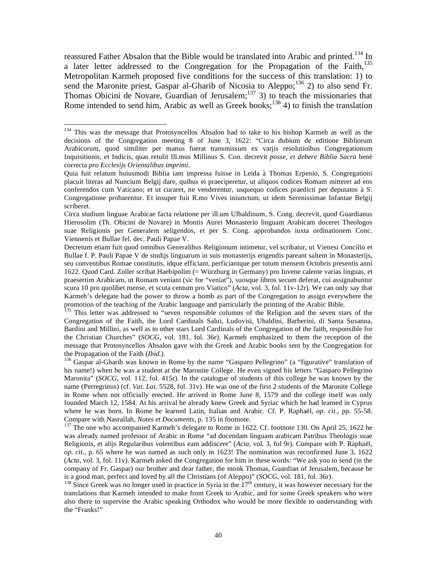reassured Father Absalon that the Bible would be translated into Arabic and printed.<sup>134</sup> In a later letter addressed to the Congregation for the Propagation of the Faith, $^{135}$ Metropolitan Karmeh proposed five conditions for the success of this translation: 1) to send the Maronite priest, Gaspar al-Gharib of Nicosia to Aleppo;<sup>136</sup> 2) to also send Fr. Thomas Obicini de Novare, Guardian of Jerusalem; $^{137}$  3) to teach the missionaries that Rome intended to send him, Arabic as well as Greek books;<sup>138</sup> 4) to finish the translation

 $\overline{a}$ 

translations that Karmeh intended to make from Greek to Arabic, and for some Greek speakers who were also there to supervise the Arabic speaking Orthodox who would be more flexible to understanding with the "Franks!"

<sup>&</sup>lt;sup>134</sup> This was the message that Protosyncellos Absalon had to take to his bishop Karmeh as well as the decisions of the Congregation meeting 8 of June 3, 1622: "Circa dubium de editione Bibliorum Arabicorum, quod similiter per manus fuerat transmissum ex varjis resolutioibus Congregationum Inquisitionis, et Indicis, quas retulit Ill.mus Millinus S. Con. decrevit *posse, et debere Biblia Sacra* benè correcta *pro Ecclesijs Orientalibus imprimi*.

Quia fuit relatum huiusmodi Biblia iam impressa fuisse in Leida à Thomas Erpenio, S. Congregationi placuit literas ad Nuncium Belgij dare, quibus ei praeciperetur, ut aliquos codices Romam mitteret ad eos conferendos cum Vaticano; et ut curaret, ne venderentur, usquequo codices praedicti per deputatos à S. Congregatione probarentur. Et insuper fuit R.mo Vives iniunctum, ut idem Serenissimae Infantae Belgij scriberet.

Circa studium linguae Arabicae facta relatione per ill.um Ulbaldinum, S. Cong. decrevit, quod Guardianus Hierosolim (Th. Obicini de Novare) in Montis Aurei Monasterio linguam Arabicam doceret Theologos suae Religionis per Generalem seligendos, et per S. Cong. approbandos iuxta ordinationem Conc. Viennenis et Bullae fel. dec. Pauli Papae V.

Decretum etiam fuit quod omnibus Generalibus Religionum intimetur, vel scribatur, ut Vienesi Concilio et Bullae f. P. Pauli Papae V de studijs linguarum in suis monasterijs erigendis pareant saltem in Monasterijs, seu conventibus Romae constitutis, idque efficiant, perficiantque per totum mensem Octobris presentis anni 1622. Quod Card. Zoller scribat Haebipolim (= Würzburg in Germany) pro Iuvene calente varias linguas, et praesertim Arabicam, ut Romam veniant (sic for "veniat"), suosque libros secum deferat, cui assignabuntur scura 10 pro quolibet mense, et scuta centum pro Viatico" (*Acta*, vol. 3, fol. 11v-12r). We can only say that Karmeh's delegate had the power to throw a bomb as part of the Congregation to assign everywhere the promotion of the teaching of the Arabic language and particularly the printing of the Arabic Bible.

<sup>&</sup>lt;sup>135</sup> This letter was addressed to "seven responsible columns of the Religion and the seven stars of the Congregation of the Faith, the Lord Cardinals Salui, Ludovisi, Ubaldini, Barberini, di Santa Susanna, Bardini and Millini, as well as to other stars Lord Cardinals of the Congregation of the faith, responsible for the Christian Churches" (*SOCG,* vol. 181, fol. 36r). Karmeh emphasized to them the reception of the message that Protosyncellos Absalon gave with the Greek and Arabic books sent by the Congregation for the Propagation of the Faith *(Ibid.)*.<br><sup>136</sup> Gaspar al-Gharib was known in Rome by the name "Gasparo Pellegrino" (a "figurative" translation of

his name!) when he was a student at the Maronite College. He even signed his letters "Gasparo Pellegrino Maronita" (*SOCG*, vol. 112, fol. 415r). In the catalogue of students of this college he was known by the name (Perregrinus) (cf. *Vat. Lat*. 5528, fol. 31v). He was one of the first 2 students of the Maronite College in Rome when not officially erected. He arrived in Rome June 8, 1579 and the college itself was only founded March 12, 1584. At his arrival he already knew Greek and Syriac which he had learned in Cyprus where he was born. In Rome he learned Latin, Italian and Arabic. Cf. P. Raphaël, *op. cit*., pp. 55-58.

<sup>&</sup>lt;sup>137</sup> The one who accompanied Karmeh's delegate to Rome in 1622. Cf. footnote 130. On April 25, 1622 he was already named professor of Arabic in Rome "ad docendam linguam arabicam Patribus Theologis suae Religionis, et alijs Regularibus volentibus eam addiscere" (*Acta,* vol. 3, fol 9r). Compare with P. Raphaël, *op. cit*., p. 65 where he was named as such only in 1623! The nomination was reconfirmed June 3, 1622 (*Acta*, vol. 3, fol. 11v). Karmeh asked the Congregation for him in these words: "We ask you to send (in the company of Fr. Gaspar) our brother and dear father, the monk Thomas, Guardian of Jerusalem, because he is a good man, perfect and loved by all the Christians (of Aleppo)" (*SOCG*, vol. 181, fol. 36r). <sup>138</sup> Since Greek was no longer used in practice in Syria in the 17<sup>th</sup> century, it was however necessary for the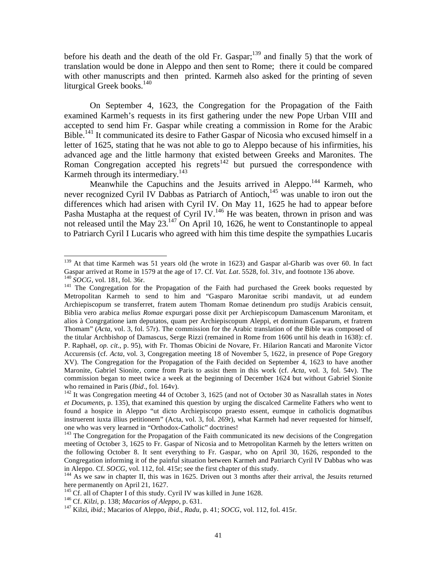before his death and the death of the old Fr. Gaspar; $139$  and finally 5) that the work of translation would be done in Aleppo and then sent to Rome; there it could be compared with other manuscripts and then printed. Karmeh also asked for the printing of seven liturgical Greek books.<sup>140</sup>

 On September 4, 1623, the Congregation for the Propagation of the Faith examined Karmeh's requests in its first gathering under the new Pope Urban VIII and accepted to send him Fr. Gaspar while creating a commission in Rome for the Arabic Bible.<sup>141</sup> It communicated its desire to Father Gaspar of Nicosia who excused himself in a letter of 1625, stating that he was not able to go to Aleppo because of his infirmities, his advanced age and the little harmony that existed between Greeks and Maronites. The Roman Congregation accepted his regrets<sup>142</sup> but pursued the correspondence with Karmeh through its intermediary.<sup>143</sup>

Meanwhile the Capuchins and the Jesuits arrived in Aleppo.<sup>144</sup> Karmeh, who never recognized Cyril IV Dabbas as Patriarch of Antioch,<sup>145</sup> was unable to iron out the differences which had arisen with Cyril IV. On May 11, 1625 he had to appear before Pasha Mustapha at the request of Cyril IV.<sup>146</sup> He was beaten, thrown in prison and was not released until the May  $23^{147}$  On April 10, 1626, he went to Constantinople to appeal to Patriarch Cyril I Lucaris who agreed with him this time despite the sympathies Lucaris

<sup>&</sup>lt;sup>139</sup> At that time Karmeh was 51 years old (he wrote in 1623) and Gaspar al-Gharib was over 60. In fact Gaspar arrived at Rome in 1579 at the age of 17. Cf. *Vat. Lat.* 5528, fol. 31v, and footnote 136 above.<br><sup>140</sup> *SOCG*, vol. 181, fol. 36r.<br><sup>141</sup> The Congregation for the Propagation of the Faith had purchased the Greek boo

Metropolitan Karmeh to send to him and "Gasparo Maronitae scribi mandavit, ut ad eundem Archiepiscopum se transferret, fratem autem Thomam Romae detinendum pro studijs Arabicis censuit, Biblia vero arabica *melius Romae* expurgari posse dixit per Archiepiscopum Damascenum Maronitam, et alios à Congrgatione iam deputatos, quam per Archiepiscopum Aleppi, et dominum Gasparum, et fratrem Thomam" (*Acta*, vol. 3, fol. 57r). The commission for the Arabic translation of the Bible was composed of the titular Archbishop of Damascus, Serge Rizzi (remained in Rome from 1606 until his death in 1638): cf. P. Raphaël, *op. cit*., p. 95), with Fr. Thomas Obicini de Novare, Fr. Hilarion Rancati and Maronite Victor Accurensis (cf. *Acta*, vol. 3, Congregation meeting 18 of November 5, 1622, in presence of Pope Gregory XV). The Congregation for the Propagation of the Faith decided on September 4, 1623 to have another Maronite, Gabriel Sionite, come from Paris to assist them in this work (cf. *Acta*, vol. 3, fol. 54v). The commission began to meet twice a week at the beginning of December 1624 but without Gabriel Sionite who remained in Paris (*Ibid.*, fol. 164v).<br><sup>142</sup> It was Congregation meeting 44 of October 3, 1625 (and not of October 30 as Nasrallah states in *Notes* 

*et Documents*, p. 135), that examined this question by urging the discalced Carmelite Fathers who went to found a hospice in Aleppo "ut dicto Archiepiscopo praesto essent, eumque in catholicis dogmatibus instruerent iuxta illius petitionem" (Acta, vol. 3, fol. 269r), what Karmeh had never requested for himself, one who was very learned in "Orthodox-Catholic" doctrines!

<sup>&</sup>lt;sup>143</sup> The Congregation for the Propagation of the Faith communicated its new decisions of the Congregation meeting of October 3, 1625 to Fr. Gaspar of Nicosia and to Metropolitan Karmeh by the letters written on the following October 8. It sent everything to Fr. Gaspar, who on April 30, 1626, responded to the Congregation informing it of the painful situation between Karmeh and Patriarch Cyril IV Dabbas who was in Aleppo. Cf. *SOCG*, vol. 112, fol. 415r; see the first chapter of this study.

<sup>&</sup>lt;sup>144</sup> As we saw in chapter II, this was in 1625. Driven out 3 months after their arrival, the Jesuits returned here permanently on April 21, 1627.<br><sup>145</sup> Cf. all of Chapter I of this study. Cyril IV was killed in June 1628.

<sup>&</sup>lt;sup>146</sup> Cf. Kilzi, p. 138; Macarios of Aleppo, p. 631.<br><sup>147</sup> Kilzi, *ibid.*; Macarios of Aleppo, *ibid.*, *Radu*, p. 41; *SOCG*, vol. 112, fol. 415r.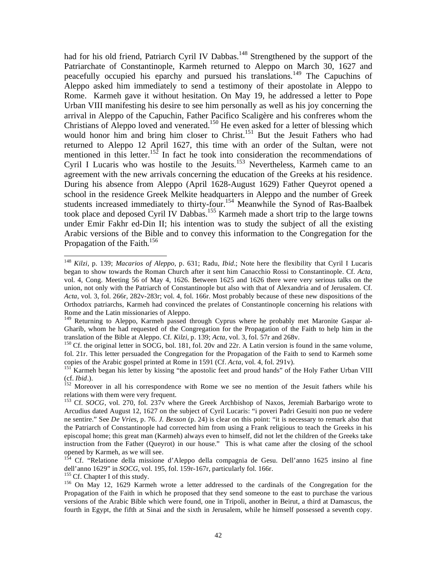had for his old friend, Patriarch Cyril IV Dabbas.<sup>148</sup> Strengthened by the support of the Patriarchate of Constantinople, Karmeh returned to Aleppo on March 30, 1627 and peacefully occupied his eparchy and pursued his translations.149 The Capuchins of Aleppo asked him immediately to send a testimony of their apostolate in Aleppo to Rome. Karmeh gave it without hesitation. On May 19, he addressed a letter to Pope Urban VIII manifesting his desire to see him personally as well as his joy concerning the arrival in Aleppo of the Capuchin, Father Pacifico Scaligère and his confreres whom the Christians of Aleppo loved and venerated.<sup>150</sup> He even asked for a letter of blessing which would honor him and bring him closer to Christ.<sup>151</sup> But the Jesuit Fathers who had returned to Aleppo 12 April 1627, this time with an order of the Sultan, were not mentioned in this letter.<sup>152</sup> In fact he took into consideration the recommendations of Cyril I Lucaris who was hostile to the Jesuits.<sup>153</sup> Nevertheless, Karmeh came to an agreement with the new arrivals concerning the education of the Greeks at his residence. During his absence from Aleppo (April 1628-August 1629) Father Queyrot opened a school in the residence Greek Melkite headquarters in Aleppo and the number of Greek students increased immediately to thirty-four.<sup>154</sup> Meanwhile the Synod of Ras-Baalbek took place and deposed Cyril IV Dabbas.155 Karmeh made a short trip to the large towns under Emir Fakhr ed-Din II; his intention was to study the subject of all the existing Arabic versions of the Bible and to convey this information to the Congregation for the Propagation of the Faith.<sup>156</sup>

<sup>148</sup> *Kilzi*, p. 139; *Macarios of Aleppo*, p. 631; Radu, *Ibid*.; Note here the flexibility that Cyril I Lucaris began to show towards the Roman Church after it sent him Canacchio Rossi to Constantinople. Cf. *Acta*, vol. 4, Cong. Meeting 56 of May 4, 1626. Between 1625 and 1626 there were very serious talks on the union, not only with the Patriarch of Constantinople but also with that of Alexandria and of Jerusalem. Cf. *Acta*, vol. 3, fol. 266r, 282v-283r; vol. 4, fol. 166r. Most probably because of these new dispositions of the Orthodox patriarchs, Karmeh had convinced the prelates of Constantinople concerning his relations with Rome and the Latin missionaries of Aleppo.

<sup>&</sup>lt;sup>149</sup> Returning to Aleppo, Karmeh passed through Cyprus where he probably met Maronite Gaspar al-Gharib, whom he had requested of the Congregation for the Propagation of the Faith to help him in the translation of the Bible at Aleppo. Cf. *Kilzi*, p. 139; *Acta*, vol. 3, fol. 57r and 268v.<br><sup>150</sup> Cf. the original letter in SOCG, bol. 181, fol. 20v and 22r. A Latin version is found in the same volume,

fol. 21r. This letter persuaded the Congregation for the Propagation of the Faith to send to Karmeh some

copies of the Arabic gospel printed at Rome in 1591 (Cf. *Acta*, vol. 4, fol. 291v).<br><sup>151</sup> Karmeh began his letter by kissing "the apostolic feet and proud hands" of the Holy Father Urban VIII<br>(cf. *Ibid.*).

<sup>&</sup>lt;sup>152</sup> Moreover in all his correspondence with Rome we see no mention of the Jesuit fathers while his relations with them were very frequent.

<sup>&</sup>lt;sup>153</sup> Cf. *SOCG*, vol. 270, fol. 237v where the Greek Archbishop of Naxos, Jeremiah Barbarigo wrote to Arcudius dated August 12, 1627 on the subject of Cyril Lucaris: "i poveri Padri Gesuiti non puo ne vedere ne sentire." See *De Vries*, p. 76. *J. Besson* (p. 24) is clear on this point: "it is necessary to remark also that the Patriarch of Constantinople had corrected him from using a Frank religious to teach the Greeks in his episcopal home; this great man (Karmeh) always even to himself, did not let the children of the Greeks take instruction from the Father (Queyrot) in our house." This is what came after the closing of the school opened by Karmeh, as we will see.

<sup>&</sup>lt;sup>154</sup> Cf. "Relatione della missione d'Aleppo della compagnia de Gesu. Dell'anno 1625 insino al fine dell'anno 1629" in *SOCG*, vol. 195, fol. 159r-167r, particularly fol. 166r.

<sup>&</sup>lt;sup>155</sup> Cf. Chapter I of this study.<br><sup>156</sup> On May 12, 1629 Karmeh wrote a letter addressed to the cardinals of the Congregation for the Propagation of the Faith in which he proposed that they send someone to the east to purchase the various versions of the Arabic Bible which were found, one in Tripoli, another in Beirut, a third at Damascus, the fourth in Egypt, the fifth at Sinai and the sixth in Jerusalem, while he himself possessed a seventh copy.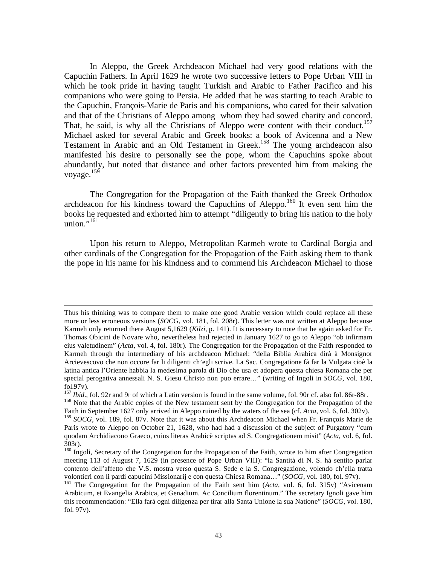In Aleppo, the Greek Archdeacon Michael had very good relations with the Capuchin Fathers. In April 1629 he wrote two successive letters to Pope Urban VIII in which he took pride in having taught Turkish and Arabic to Father Pacifico and his companions who were going to Persia. He added that he was starting to teach Arabic to the Capuchin, François-Marie de Paris and his companions, who cared for their salvation and that of the Christians of Aleppo among whom they had sowed charity and concord. That, he said, is why all the Christians of Aleppo were content with their conduct.<sup>157</sup> Michael asked for several Arabic and Greek books: a book of Avicenna and a New Testament in Arabic and an Old Testament in Greek.<sup>158</sup> The young archdeacon also manifested his desire to personally see the pope, whom the Capuchins spoke about abundantly, but noted that distance and other factors prevented him from making the voyage. $159$ 

 The Congregation for the Propagation of the Faith thanked the Greek Orthodox archdeacon for his kindness toward the Capuchins of Aleppo.<sup>160</sup> It even sent him the books he requested and exhorted him to attempt "diligently to bring his nation to the holy union."<sup>161</sup>

 Upon his return to Aleppo, Metropolitan Karmeh wrote to Cardinal Borgia and other cardinals of the Congregation for the Propagation of the Faith asking them to thank the pope in his name for his kindness and to commend his Archdeacon Michael to those

1

Thus his thinking was to compare them to make one good Arabic version which could replace all these more or less erroneous versions (*SOCG*, vol. 181, fol. 208r). This letter was not written at Aleppo because Karmeh only returned there August 5,1629 (*Kilzi,* p. 141). It is necessary to note that he again asked for Fr. Thomas Obicini de Novare who, nevertheless had rejected in January 1627 to go to Aleppo "ob infirmam eius valetudinem" (*Acta*, vol. 4, fol. 180r). The Congregation for the Propagation of the Faith responded to Karmeh through the intermediary of his archdeacon Michael: "della Biblia Arabica dirà à Monsignor Arcievescovo che non occore far li diligenti ch'egli scrive. La Sac. Congregatione fà far la Vulgata cioè la latina antica l'Oriente habbia la medesima parola di Dio che usa et adopera questa chiesa Romana che per special perogativa annessali N. S. Giesu Christo non puo errare…" (writing of Ingoli in *SOCG*, vol. 180, fol.97v).<br> $157$  *Ibid.*, fol. 92r and 9r of which a Latin version is found in the same volume, fol. 90r cf. also fol. 86r-88r.

<sup>&</sup>lt;sup>158</sup> Note that the Arabic copies of the New testament sent by the Congregation for the Propagation of the

Faith in September 1627 only arrived in Aleppo ruined by the waters of the sea (cf. *Acta*, vol. 6, fol. 302v). <sup>159</sup> *SOCG*, vol. 189, fol. 87v. Note that it was about this Archdeacon Michael when Fr. François Marie de Paris wrote to Aleppo on October 21, 1628, who had had a discussion of the subject of Purgatory "cum quodam Archidiacono Graeco, cuius literas Arabicè scriptas ad S. Congregationem misit" (*Acta,* vol. 6, fol. 303r).

<sup>&</sup>lt;sup>160</sup> Ingoli, Secretary of the Congregation for the Propagation of the Faith, wrote to him after Congregation meeting 113 of August 7, 1629 (in presence of Pope Urban VIII): "la Santità di N. S. hà sentito parlar contento dell'affetto che V.S. mostra verso questa S. Sede e la S. Congregazione, volendo ch'ella tratta volontieri con li pardi capucini Missionarij e con questa Chiesa Romana…" (*SOCG*, vol. 180, fol. 97v). 161 The Congregation for the Propagation of the Faith sent him (*Acta*, vol. 6, fol. 315v) "Avicenam

Arabicum, et Evangelia Arabica, et Genadium. Ac Concilium florentinum." The secretary Ignoli gave him this recommendation: "Ella farà ogni diligenza per tirar alla Santa Unione la sua Natione" (*SOCG*, vol. 180, fol. 97v).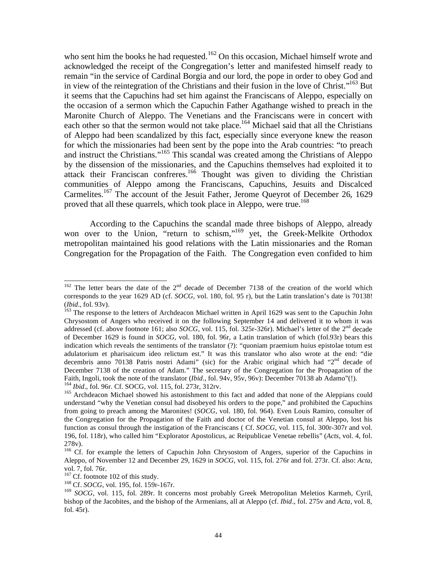who sent him the books he had requested.<sup>162</sup> On this occasion, Michael himself wrote and acknowledged the receipt of the Congregation's letter and manifested himself ready to remain "in the service of Cardinal Borgia and our lord, the pope in order to obey God and in view of the reintegration of the Christians and their fusion in the love of Christ."<sup>163</sup> But it seems that the Capuchins had set him against the Franciscans of Aleppo, especially on the occasion of a sermon which the Capuchin Father Agathange wished to preach in the Maronite Church of Aleppo. The Venetians and the Franciscans were in concert with each other so that the sermon would not take place.<sup>164</sup> Michael said that all the Christians of Aleppo had been scandalized by this fact, especially since everyone knew the reason for which the missionaries had been sent by the pope into the Arab countries: "to preach and instruct the Christians."165 This scandal was created among the Christians of Aleppo by the dissension of the missionaries, and the Capuchins themselves had exploited it to attack their Franciscan confreres.<sup>166</sup> Thought was given to dividing the Christian communities of Aleppo among the Franciscans, Capuchins, Jesuits and Discalced Carmelites.167 The account of the Jesuit Father, Jerome Queyrot of December 26, 1629 proved that all these quarrels, which took place in Aleppo, were true.<sup>168</sup>

 According to the Capuchins the scandal made three bishops of Aleppo, already won over to the Union, "return to schism,"<sup>169</sup> yet, the Greek-Melkite Orthodox metropolitan maintained his good relations with the Latin missionaries and the Roman Congregation for the Propagation of the Faith. The Congregation even confided to him

 $162$  The letter bears the date of the  $2<sup>nd</sup>$  decade of December 7138 of the creation of the world which corresponds to the year 1629 AD (cf. *SOCG*, vol. 180, fol. 95 r), but the Latin translation's date is 70138! (*Ibid.*, fol. 93v).<br><sup>163</sup> The response to the letters of Archdeacon Michael written in April 1629 was sent to the Capuchin John

Chrysostom of Angers who received it on the following September 14 and delivered it to whom it was addressed (cf. above footnote 161; also *SOCG*, vol. 115, fol. 325r-326r). Michael's letter of the 2<sup>nd</sup> decade of December 1629 is found in *SOCG*, vol. 180, fol. 96r, a Latin translation of which (fol.93r) bears this indication which reveals the sentiments of the translator (?): "quoniam praemium huius epistolae totum est adulatorium et pharisaicum ideo relictum est." It was this translator who also wrote at the end: "die decembris anno 70138 Patris nostri Adami" (sic) for the Arabic original which had "2<sup>nd</sup> decade of December 7138 of the creation of Adam." The secretary of the Congregation for the Propagation of the Faith, Ingoli, took the note of the translator (*Ibid.*, fol. 94v, 95v, 96v): December 70138 ab Adamo"(!). <sup>164</sup> *Ibid.*, fol. 96r. Cf. SOCG, vol. 115, fol. 273r, 312rv.<br><sup>165</sup> Archdeacon Michael showed his astonishment to this fact and added that none of the Aleppians could

understand "why the Venetian consul had disobeyed his orders to the pope," and prohibited the Capuchins from going to preach among the Maronites! (*SOCG*, vol. 180, fol. 964). Even Louis Ramiro, consulter of the Congregation for the Propagation of the Faith and doctor of the Venetian consul at Aleppo, lost his function as consul through the instigation of the Franciscans ( Cf. *SOCG*, vol. 115, fol. 300r-307r and vol. 196, fol. 118r), who called him "Explorator Apostolicus, ac Reipublicae Venetae rebellis" (*Acts*, vol. 4, fol. 278v).

<sup>&</sup>lt;sup>166</sup> Cf. for example the letters of Capuchin John Chrysostom of Angers, superior of the Capuchins in Aleppo, of November 12 and December 29, 1629 in *SOCG*, vol. 115, fol. 276r and fol. 273r. Cf. also: *Acta*, vol. 7, fol. 76r.<br><sup>167</sup> Cf. footnote 102 of this study.

<sup>&</sup>lt;sup>168</sup> Cf. *SOCG*, vol. 195, fol. 159r-167r.

<sup>&</sup>lt;sup>169</sup> *SOCG*, vol. 115, fol. 289r. It concerns most probably Greek Metropolitan Meletios Karmeh, Cyril, bishop of the Jacobites, and the bishop of the Armenians, all at Aleppo (cf. *Ibid*., fol. 275v and *Acta*, vol. 8, fol. 45r).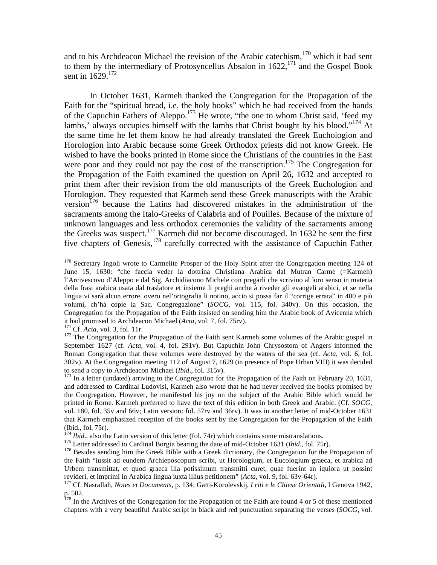and to his Archdeacon Michael the revision of the Arabic catechism,<sup>170</sup> which it had sent to them by the intermediary of Protosyncellus Absalon in  $1622$ ,<sup>171</sup> and the Gospel Book sent in 1629.<sup>172</sup>

 In October 1631, Karmeh thanked the Congregation for the Propagation of the Faith for the "spiritual bread, i.e. the holy books" which he had received from the hands of the Capuchin Fathers of Aleppo.173 He wrote, "the one to whom Christ said, 'feed my lambs,' always occupies himself with the lambs that Christ bought by his blood."<sup>174</sup> At the same time he let them know he had already translated the Greek Euchologion and Horologion into Arabic because some Greek Orthodox priests did not know Greek. He wished to have the books printed in Rome since the Christians of the countries in the East were poor and they could not pay the cost of the transcription.<sup>175</sup> The Congregation for the Propagation of the Faith examined the question on April 26, 1632 and accepted to print them after their revision from the old manuscripts of the Greek Euchologion and Horologion. They requested that Karmeh send these Greek manuscripts with the Arabic version<sup>176</sup> because the Latins had discovered mistakes in the administration of the sacraments among the Italo-Greeks of Calabria and of Pouilles. Because of the mixture of unknown languages and less orthodox ceremonies the validity of the sacraments among the Greeks was suspect.<sup>177</sup> Karmeh did not become discouraged. In 1632 he sent the first five chapters of Genesis,<sup>178</sup> carefully corrected with the assistance of Capuchin Father

 $\overline{a}$ <sup>170</sup> Secretary Ingoli wrote to Carmelite Prosper of the Holy Spirit after the Congregation meeting 124 of June 15, 1630: "che faccia veder la dottrina Christiana Arabica dal Mutran Carme (=Karmeh) l'Arcivescovo d'Aleppo e dal Sig. Archidiacono Michele con pregarli che scrivino al loro senso in materia della frasi arabica usata dal traslatore et insieme li preghi anche à riveder gli evangeli arabici, et se nella lingua vi sarà alcun errore, overo nel'ortografia li notino, accio si possa far il "corrige errata" in 400 e più volumi, ch'hà copie la Sac. Congregazione" (*SOCG*, vol. 115, fol. 340v). On this occasion, the Congregation for the Propagation of the Faith insisted on sending him the Arabic book of Avicenna which it had promised to Archdeacon Michael (Acta, vol. 7, fol. 75rv).

<sup>&</sup>lt;sup>171</sup> Cf. *Acta*, vol. 3, fol. 11r.<br><sup>172</sup> The Congregation for the Propagation of the Faith sent Karmeh some volumes of the Arabic gospel in September 1627 (cf. *Acta*, vol. 4, fol. 291v). But Capuchin John Chrysostom of Angers informed the Roman Congregation that these volumes were destroyed by the waters of the sea (cf. *Acta*, vol. 6, fol. 302v). At the Congregation meeting 112 of August 7, 1629 (in presence of Pope Urban VIII) it was decided to send a copy to Archdeacon Michael (*Ibid.*, fol. 315v).

<sup>&</sup>lt;sup>173</sup> In a letter (undated) arriving to the Congregation for the Propagation of the Faith on February 20, 1631, and addressed to Cardinal Ludovisi, Karmeh also wrote that he had never received the books promised by the Congregation. However, he manifested his joy on the subject of the Arabic Bible which would be printed in Rome. Karmeh preferred to have the text of this edition in both Greek and Arabic. (Cf. *SOCG*, vol. 180, fol. 35v and 66v; Latin version: fol. 57rv and 36rv). It was in another letter of mid-October 1631 that Karmeh emphasized reception of the books sent by the Congregation for the Propagation of the Faith (Ibid., fol. 75r).<br> $^{174}$  *Ibid.*, also the Latin version of this letter (fol. 74r) which contains some mistranslations.

<sup>&</sup>lt;sup>175</sup> Letter addressed to Cardinal Borgia bearing the date of mid-October 1631 (*Ibid.*, fol. 75r).<br><sup>176</sup> Besides sending him the Greek Bible with a Greek dictionary, the Congregation for the Propagation of the Faith "iussit ad eundem Archieposcopum scribi, ut Horologium, et Eucologium graeca, et arabica ad Urbem transmittat, et quod graeca illa potissimum transmitti curet, quae fuerint an iquiora ut possint revideri, et imprimi in Arabica lingua iuxta illius petitionem" (Acta, vol. 9, fol. 63v-64r).<br><sup>177</sup> Cf. Nasrallah, *Notes et Documents*, p. 134; Gatti-Korolevskij, *I riti e le Chiese Orientali*, I Genova 1942,

p. 502.

<sup>&</sup>lt;sup>178</sup> In the Archives of the Congregation for the Propagation of the Faith are found 4 or 5 of these mentioned chapters with a very beautiful Arabic script in black and red punctuation separating the verses (*SOCG*, vol.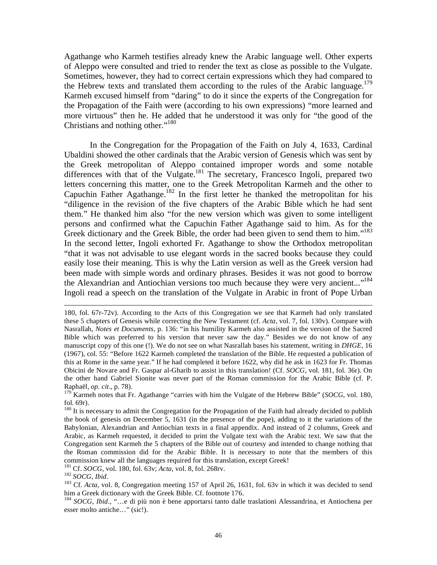Agathange who Karmeh testifies already knew the Arabic language well. Other experts of Aleppo were consulted and tried to render the text as close as possible to the Vulgate. Sometimes, however, they had to correct certain expressions which they had compared to the Hebrew texts and translated them according to the rules of the Arabic language.<sup>179</sup> Karmeh excused himself from "daring" to do it since the experts of the Congregation for the Propagation of the Faith were (according to his own expressions) "more learned and more virtuous" then he. He added that he understood it was only for "the good of the Christians and nothing other."<sup>180</sup>

 In the Congregation for the Propagation of the Faith on July 4, 1633, Cardinal Ubaldini showed the other cardinals that the Arabic version of Genesis which was sent by the Greek metropolitan of Aleppo contained improper words and some notable differences with that of the Vulgate.<sup>181</sup> The secretary, Francesco Ingoli, prepared two letters concerning this matter, one to the Greek Metropolitan Karmeh and the other to Capuchin Father Agathange.<sup>182</sup> In the first letter he thanked the metropolitan for his "diligence in the revision of the five chapters of the Arabic Bible which he had sent them." He thanked him also "for the new version which was given to some intelligent persons and confirmed what the Capuchin Father Agathange said to him. As for the Greek dictionary and the Greek Bible, the order had been given to send them to him."<sup>183</sup> In the second letter, Ingoli exhorted Fr. Agathange to show the Orthodox metropolitan "that it was not advisable to use elegant words in the sacred books because they could easily lose their meaning. This is why the Latin version as well as the Greek version had been made with simple words and ordinary phrases. Besides it was not good to borrow the Alexandrian and Antiochian versions too much because they were very ancient..."<sup>184</sup> Ingoli read a speech on the translation of the Vulgate in Arabic in front of Pope Urban

1

<sup>180,</sup> fol. 67r-72v). According to the Acts of this Congregation we see that Karmeh had only translated these 5 chapters of Genesis while correcting the New Testament (cf. *Acta*, vol. 7, fol. 130v). Compare with Nasrallah, *Notes et Documents*, p. 136: "in his humility Karmeh also assisted in the version of the Sacred Bible which was preferred to his version that never saw the day." Besides we do not know of any manuscript copy of this one (!). We do not see on what Nasrallah bases his statement, writing in *DHGE*, 16 (1967), col. 55: "Before 1622 Karmeh completed the translation of the Bible. He requested a publication of this at Rome in the same year." If he had completed it before 1622, why did he ask in 1623 for Fr. Thomas Obicini de Novare and Fr. Gaspar al-Gharib to assist in this translation! (Cf. *SOCG*, vol. 181, fol. 36r). On the other hand Gabriel Sionite was never part of the Roman commission for the Arabic Bible (cf. P. Raphaël, *op. cit*., p. 78).

<sup>179</sup> Karmeh notes that Fr. Agathange "carries with him the Vulgate of the Hebrew Bible" (*SOCG*, vol. 180, fol. 69r).

<sup>&</sup>lt;sup>180</sup> It is necessary to admit the Congregation for the Propagation of the Faith had already decided to publish the book of genesis on December 5, 1631 (in the presence of the pope), adding to it the variations of the Babylonian, Alexandrian and Antiochian texts in a final appendix. And instead of 2 columns, Greek and Arabic, as Karmeh requested, it decided to print the Vulgate text with the Arabic text. We saw that the Congregation sent Karmeh the 5 chapters of the Bible out of courtesy and intended to change nothing that the Roman commission did for the Arabic Bible. It is necessary to note that the members of this commission knew all the languages required for this translation, except Greek!<br><sup>181</sup> Cf. *SOCG*, vol. 180, fol. 63v; *Acta*, vol. 8, fol. 268rv.

<sup>182</sup> SOCG, *Ibid.*<br><sup>182</sup> SOCG, *Ibid.* 183 Cf. *Acta*, vol. 8, Congregation meeting 157 of April 26, 1631, fol. 63v in which it was decided to send him a Greek dictionary with the Greek Bible. Cf. footnote 176.

<sup>184</sup> *SOCG, Ibid*., "…e di più non è bene apportarsi tanto dalle traslationi Alessandrina, et Antiochena per esser molto antiche…" (sic!).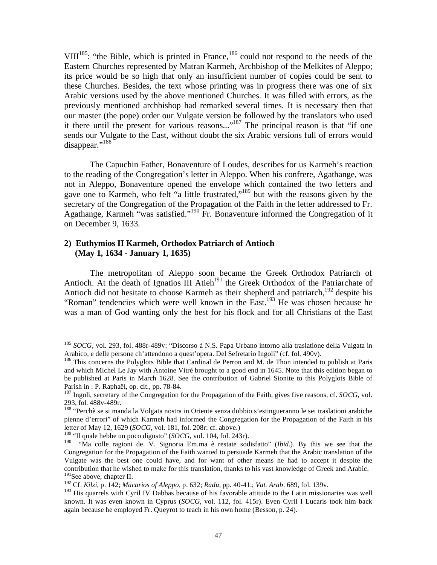VIII<sup>185</sup>: "the Bible, which is printed in France,<sup>186</sup> could not respond to the needs of the Eastern Churches represented by Matran Karmeh, Archbishop of the Melkites of Aleppo; its price would be so high that only an insufficient number of copies could be sent to these Churches. Besides, the text whose printing was in progress there was one of six Arabic versions used by the above mentioned Churches. It was filled with errors, as the previously mentioned archbishop had remarked several times. It is necessary then that our master (the pope) order our Vulgate version be followed by the translators who used it there until the present for various reasons..."<sup>187</sup> The principal reason is that "if one sends our Vulgate to the East, without doubt the six Arabic versions full of errors would disappear."<sup>188</sup>

 The Capuchin Father, Bonaventure of Loudes, describes for us Karmeh's reaction to the reading of the Congregation's letter in Aleppo. When his confrere, Agathange, was not in Aleppo, Bonaventure opened the envelope which contained the two letters and gave one to Karmeh, who felt "a little frustrated,"<sup>189</sup> but with the reasons given by the secretary of the Congregation of the Propagation of the Faith in the letter addressed to Fr. Agathange, Karmeh "was satisfied."<sup>190</sup> Fr. Bonaventure informed the Congregation of it on December 9, 1633.

## **2) Euthymios II Karmeh, Orthodox Patriarch of Antioch (May 1, 1634 - January 1, 1635)**

 The metropolitan of Aleppo soon became the Greek Orthodox Patriarch of Antioch. At the death of Ignatios III Atieh<sup>191</sup> the Greek Orthodox of the Patriarchate of Antioch did not hesitate to choose Karmeh as their shepherd and patriarch, $192$  despite his "Roman" tendencies which were well known in the  $East<sup>193</sup>$  He was chosen because he was a man of God wanting only the best for his flock and for all Christians of the East

1

<sup>185</sup> *SOCG*, vol. 293, fol. 488r-489v: "Discorso à N.S. Papa Urbano intorno alla traslatione della Vulgata in Arabico, e delle persone ch'attendono a quest'opera. Del Sefretario Ingoli" (cf. fol. 490v).

<sup>&</sup>lt;sup>186</sup> This concerns the Polyglots Bible that Cardinal de Perron and M. de Thon intended to publish at Paris and which Michel Le Jay with Antoine Vitré brought to a good end in 1645. Note that this edition began to be published at Paris in March 1628. See the contribution of Gabriel Sionite to this Polyglots Bible of Parish in : P. Raphaël, op. cit., pp. 78-84.

<sup>&</sup>lt;sup>187</sup> Ingoli, secretary of the Congregation for the Propagation of the Faith, gives five reasons, cf. *SOCG*, vol. 293, fol. 488v-489r.

<sup>188 &</sup>quot;Perchè se si manda la Volgata nostra in Oriente senza dubbio s'estingueranno le sei traslationi arabiche pienne d'errori" of which Karmeh had informed the Congregation for the Propagation of the Faith in his letter of May 12, 1629 (*SOCG*, vol. 181, fol. 208r: cf. above.)

<sup>189 &</sup>quot;Il quale hebbe un poco digusto" (*SOCG*, vol. 104, fol. 243r).

<sup>190 &</sup>quot;Ma colle ragioni de. V. Signoria Em.ma è restate sodisfatto" (*Ibid*.). By this we see that the Congregation for the Propagation of the Faith wanted to persuade Karmeh that the Arabic translation of the Vulgate was the best one could have, and for want of other means he had to accept it despite the contribution that he wished to make for this translation, thanks to his vast knowledge of Greek and Arabic. <sup>191</sup>See above, chapter II.

<sup>192</sup> Cf. *Kilzi*, p. 142; *Macarios of Aleppo*, p. 632; *Radu*, pp. 40-41.; *Vat. Arab*. 689, fol. 139v.

<sup>&</sup>lt;sup>193</sup> His quarrels with Cyril IV Dabbas because of his favorable attitude to the Latin missionaries was well known. It was even known in Cyprus (*SOCG,* vol. 112, fol. 415r). Even Cyril I Lucaris took him back again because he employed Fr. Queyrot to teach in his own home (Besson, p. 24).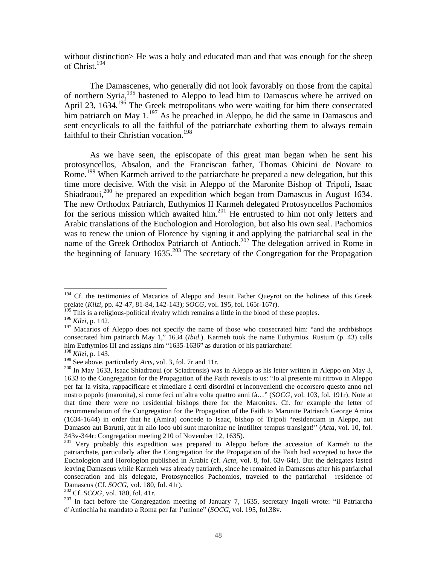without distinction> He was a holy and educated man and that was enough for the sheep of Christ.194

 The Damascenes, who generally did not look favorably on those from the capital of northern Syria,195 hastened to Aleppo to lead him to Damascus where he arrived on April 23, 1634.<sup>196</sup> The Greek metropolitans who were waiting for him there consecrated him patriarch on May 1.<sup>197</sup> As he preached in Aleppo, he did the same in Damascus and sent encyclicals to all the faithful of the patriarchate exhorting them to always remain faithful to their Christian vocation.<sup>198</sup>

 As we have seen, the episcopate of this great man began when he sent his protosyncellos, Absalon, and the Franciscan father, Thomas Obicini de Novare to Rome.<sup>199</sup> When Karmeh arrived to the patriarchate he prepared a new delegation, but this time more decisive. With the visit in Aleppo of the Maronite Bishop of Tripoli, Isaac Shiadraoui,<sup>200</sup> he prepared an expedition which began from Damascus in August 1634. The new Orthodox Patriarch, Euthymios II Karmeh delegated Protosyncellos Pachomios for the serious mission which awaited him.201 He entrusted to him not only letters and Arabic translations of the Euchologion and Horologion, but also his own seal. Pachomios was to renew the union of Florence by signing it and applying the patriarchal seal in the name of the Greek Orthodox Patriarch of Antioch.<sup>202</sup> The delegation arrived in Rome in the beginning of January  $1635.<sup>203</sup>$  The secretary of the Congregation for the Propagation

<sup>&</sup>lt;sup>194</sup> Cf. the testimonies of Macarios of Aleppo and Jesuit Father Queyrot on the holiness of this Greek prelate (*Kilzi*, pp. 42-47, 81-84, 142-143); *SOCG*, vol. 195, fol. 165r-167r).

<sup>&</sup>lt;sup>195</sup> This is a religious-political rivalry which remains a little in the blood of these peoples.

<sup>196</sup> *Kilzi,* p. 142.

<sup>&</sup>lt;sup>197</sup> Macarios of Aleppo does not specify the name of those who consecrated him: "and the archbishops consecrated him patriarch May 1," 1634 (*Ibid*.). Karmeh took the name Euthymios. Rustum (p. 43) calls him Euthymios III and assigns him "1635-1636" as duration of his patriarchate!

<sup>&</sup>lt;sup>198</sup> *Kilzi*, p. 143.<br><sup>199</sup> See above, particularly *Acts*, vol. 3, fol. 7r and 11r.

<sup>&</sup>lt;sup>200</sup> In May 1633, Isaac Shiadraoui (or Sciadrensis) was in Aleppo as his letter written in Aleppo on May 3, 1633 to the Congregation for the Propagation of the Faith reveals to us: "Io al presente mi ritrovo in Aleppo per far la visita, rappacificare et rimediare à certi disordini et inconvenienti che occorsero questo anno nel nostro popolo (maronita), si come feci un'altra volta quattro anni fà…" (*SOCG*, vol. 103, fol. 191r). Note at that time there were no residential bishops there for the Maronites. Cf. for example the letter of recommendation of the Congregation for the Propagation of the Faith to Maronite Patriarch George Amira (1634-1644) in order that he (Amira) concede to Isaac, bishop of Tripoli "residentiam in Aleppo, aut Damasco aut Barutti, aut in alio loco ubi sunt maronitae ne inutiliter tempus transigat!" (*Acta,* vol. 10, fol. 343v-344r: Congregation meeting 210 of November 12, 1635).

<sup>&</sup>lt;sup>201</sup> Very probably this expedition was prepared to Aleppo before the accession of Karmeh to the patriarchate, particularly after the Congregation for the Propagation of the Faith had accepted to have the Euchologion and Horologion published in Arabic (cf. *Acta*, vol. 8, fol. 63v-64r). But the delegates lasted leaving Damascus while Karmeh was already patriarch, since he remained in Damascus after his patriarchal consecration and his delegate, Protosyncellos Pachomios, traveled to the patriarchal residence of Damascus (Cf. *SOCG*, vol. 180, fol. 41r).<br><sup>202</sup> Cf. *SCOG*, vol. 180, fol. 41r.<br><sup>203</sup> In fact before the Congregation meeting of January 7, 1635, secretary Ingoli wrote: "il Patriarcha

d'Antiochia ha mandato a Roma per far l'unione" (*SOCG*, vol. 195, fol.38v.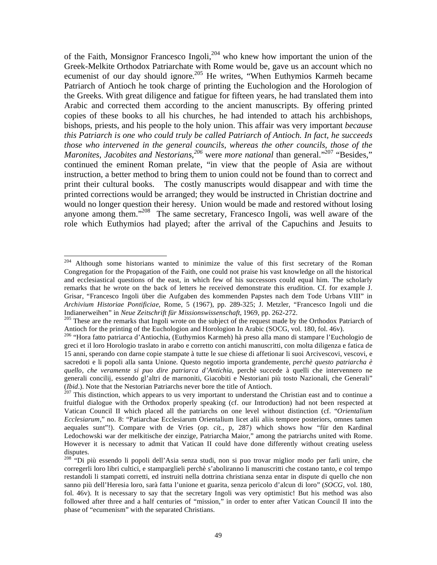of the Faith, Monsignor Francesco Ingoli, $204$  who knew how important the union of the Greek-Melkite Orthodox Patriarchate with Rome would be, gave us an account which no ecumenist of our day should ignore.<sup>205</sup> He writes, "When Euthymios Karmeh became Patriarch of Antioch he took charge of printing the Euchologion and the Horologion of the Greeks. With great diligence and fatigue for fifteen years, he had translated them into Arabic and corrected them according to the ancient manuscripts. By offering printed copies of these books to all his churches, he had intended to attach his archbishops, bishops, priests, and his people to the holy union. This affair was very important *because this Patriarch is one who could truly be called Patriarch of Antioch. In fact, he succeeds those who intervened in the general councils, whereas the other councils, those of the Maronites, Jacobites and Nestorians,*<sup>206</sup> were *more national* than general."<sup>207</sup> "Besides," continued the eminent Roman prelate, "in view that the people of Asia are without instruction, a better method to bring them to union could not be found than to correct and print their cultural books. The costly manuscripts would disappear and with time the printed corrections would be arranged; they would be instructed in Christian doctrine and would no longer question their heresy. Union would be made and restored without losing anyone among them."208 The same secretary, Francesco Ingoli, was well aware of the role which Euthymios had played; after the arrival of the Capuchins and Jesuits to

 $204\,$ 204 Although some historians wanted to minimize the value of this first secretary of the Roman Congregation for the Propagation of the Faith, one could not praise his vast knowledge on all the historical and ecclesiastical questions of the east, in which few of his successors could equal him. The scholarly remarks that he wrote on the back of letters he received demonstrate this erudition. Cf. for example J. Grisar, "Francesco Ingoli über die Aufgaben des kommenden Papstes nach dem Tode Urbans VIII" in *Archivium Historiae Pontificiae*, Rome, 5 (1967), pp. 289-325; J. Metzler, "Francesco Ingoli und die

Indianerweihen" in *Neue Zeitschrift für Missionswissenschaft*, 1969, pp. 262-272.<br><sup>205</sup> These are the remarks that Ingoli wrote on the subject of the request made by the Orthodox Patriarch of Antioch for the printing of the Euchologion and Horologion In Arabic (SOCG, vol. 180, fol. 46v).

<sup>&</sup>lt;sup>206</sup> "Hora fatto patriarca d'Antiochia, (Euthymios Karmeh) hà preso alla mano di stampare l'Euchologio de greci et il loro Horologio traslato in arabo e corretto con antichi manuscritti, con molta diligenza e fatica de 15 anni, sperando con darne copie stampate à tutte le sue chiese di affetionar li suoi Arcivescovi, vescovi, e sacredoti e li popoli alla santa Unione. Questo negotio importa grandemente, *perchè questo patriarcha è quello, che veramente si puo dire patriarca d'Antichia*, perchè succede à quelli che intervennero ne generali concilij, essendo gl'altri de marnoniti, Giacobiti e Nestoriani più tosto Nazionali, che Generali" (Ibid.). Note that the Nestorian Patriarchs never bore the title of Antioch.

<sup>&</sup>lt;sup>207</sup> This distinction, which appears to us very important to understand the Christian east and to continue a fruitful dialogue with the Orthodox properly speaking (cf. our Introduction) had not been respected at Vatican Council II which placed all the patriarchs on one level without distinction (cf. "*Orientalium Ecclesiarum*," no. 8: "Patiarchae Ecclesiarum Orientalium licet alii aliis tempore posteriors, omnes tamen aequales sunt"!). Compare with de Vries (*op. cit.,* p, 287) which shows how "für den Kardinal Ledochowski war der melkitische der einzige, Patriarcha Maior," among the patriarchs united with Rome. However it is necessary to admit that Vatican II could have done differently without creating useless disputes.

<sup>&</sup>lt;sup>208</sup> "Di più essendo li popoli dell'Asia senza studi, non si puo trovar miglior modo per farli unire, che corregerli loro libri cultici, e stamparglieli perchè s'aboliranno li manuscritti che costano tanto, e col tempo restandoli li stampati corretti, ed instruiti nella dottrina christiana senza entar in dispute di quello che non sanno più dell'Heresia loro, sarà fatta l'unione et guarita, senza pericolo d'alcun di loro" (*SOCG*, vol. 180, fol. 46v). It is necessary to say that the secretary Ingoli was very optimistic! But his method was also followed after three and a half centuries of "mission," in order to enter after Vatican Council II into the phase of "ecumenism" with the separated Christians.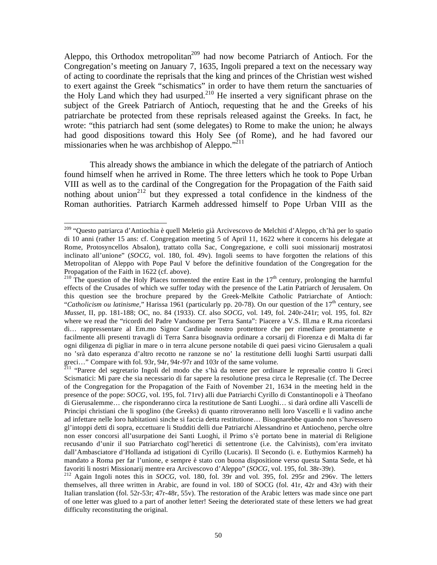Aleppo, this Orthodox metropolitan<sup>209</sup> had now become Patriarch of Antioch. For the Congregation's meeting on January 7, 1635, Ingoli prepared a text on the necessary way of acting to coordinate the reprisals that the king and princes of the Christian west wished to exert against the Greek "schismatics" in order to have them return the sanctuaries of the Holy Land which they had usurped.<sup>210</sup> He inserted a very significant phrase on the subject of the Greek Patriarch of Antioch, requesting that he and the Greeks of his patriarchate be protected from these reprisals released against the Greeks. In fact, he wrote: "this patriarch had sent (some delegates) to Rome to make the union; he always had good dispositions toward this Holy See (of Rome), and he had favored our missionaries when he was archbishop of Aleppo."<sup>211</sup>

 This already shows the ambiance in which the delegate of the patriarch of Antioch found himself when he arrived in Rome. The three letters which he took to Pope Urban VIII as well as to the cardinal of the Congregation for the Propagation of the Faith said nothing about union<sup>212</sup> but they expressed a total confidence in the kindness of the Roman authorities. Patriarch Karmeh addressed himself to Pope Urban VIII as the

<sup>&</sup>lt;sup>209</sup> "Questo patriarca d'Antiochia è quell Meletio già Arcivescovo de Melchiti d'Aleppo, ch'hà per lo spatio di 10 anni (rather 15 ans: cf. Congregation meeting 5 of April 11, 1622 where it concerns his delegate at Rome, Protosyncellos Absalon), trattato colla Sac, Congregazione, e colli suoi missionarij mostratosi inclinato all'unione" (*SOCG*, vol. 180, fol. 49v). Ingoli seems to have forgotten the relations of this Metropolitan of Aleppo with Pope Paul V before the definitive foundation of the Congregation for the Propagation of the Faith in 1622 (cf. above).

<sup>&</sup>lt;sup>210</sup> The question of the Holy Places tormented the entire East in the  $17<sup>th</sup>$  century, prolonging the harmful effects of the Crusades of which we suffer today with the presence of the Latin Patriarch of Jerusalem. On this question see the brochure prepared by the Greek-Melkite Catholic Patriarchate of Antioch: "Catholicism ou latinisme," Harissa 1961 (particularly pp. 20-78). On our question of the 17<sup>th</sup> century, see *Musset*, II, pp. 181-188; OC, no. 84 (1933). Cf. also *SOCG*, vol. 149, fol. 240r-241r; vol. 195, fol. 82r where we read the "ricordi del Padre Vandsome per Terra Santa": Piacere a V.S. Ill.ma e R.ma ricordarsi di… rappressentare al Em.mo Signor Cardinale nostro prottettore che per rimediare prontamente e facilmente alli presenti travagli di Terra Sanra bisognavia ordinare a corsarij di Fiorenza e di Malta di far ogni diligenza di pigliar in mare o in terra alcune persone notabile di quei paesi vicino Gierusalem a quali no 'srà dato esperanza d'altro recotto ne ranzone se no' la restitutione delli luoghi Sartti usurpati dalli greci…" Compare with fol. 93r, 94r, 94r-97r and 103r of the same volume.

<sup>&</sup>lt;sup>211</sup> "Parere del segretario Ingoli del modo che s'hà da tenere per ordinare le represalie contro li Greci Scismatici: Mi pare che sia necessario di far sapere la resolutione presa circa le Represalie (cf. The Decree of the Congregation for the Propagation of the Faith of November 21, 1634 in the meeting held in the presence of the pope: *SOCG,* vol. 195, fol. 71rv) alli due Patriarchi Cyrillo di Constantinopoli e à Theofano di Gierusalemme… che risponderanno circa la restitutione de Santi Luoghi… si darà ordine alli Vascelli de Principi christiani che li spoglino (the Greeks) di quanto ritroveranno nelli loro Vascelli e li vadino anche ad infettare nelle loro habitationi sinche si faccia detta restitutione… Bisognarebbe quando non s'havessero gl'intoppi detti di sopra, eccettuare li Studditi delli due Patriarchi Alessandrino et Antiocheno, perche oltre non esser concorsi all'usurpatione dei Santi Luoghi, il Primo s'è portato bene in material di Religione recusando d'unir il suo Patriarchato cogl'heretici di settentrone (i.e. the Calvinists), com'era invitato dall'Ambasciatore d'Hollanda ad istigationi di Cyrillo (Lucaris). Il Secondo (i. e. Euthymios Karmeh) ha mandato a Roma per far l'unione, e sempre è stato con buona dispositione verso questa Santa Sede, et hà<br>favoriti li nostri Missionarij mentre era Arcivescovo d'Aleppo" (SOCG, vol. 195, fol. 38r-39r).

<sup>&</sup>lt;sup>212</sup> Again Ingoli notes this in *SOCG*, vol. 180, fol. 39r and vol. 395, fol. 295r and 296v. The letters themselves, all three written in Arabic, are found in vol. 180 of SOCG (fol. 41r, 42r and 43r) with their Italian translation (fol. 52r-53r; 47r-48r, 55v). The restoration of the Arabic letters was made since one part of one letter was glued to a part of another letter! Seeing the deteriorated state of these letters we had great difficulty reconstituting the original.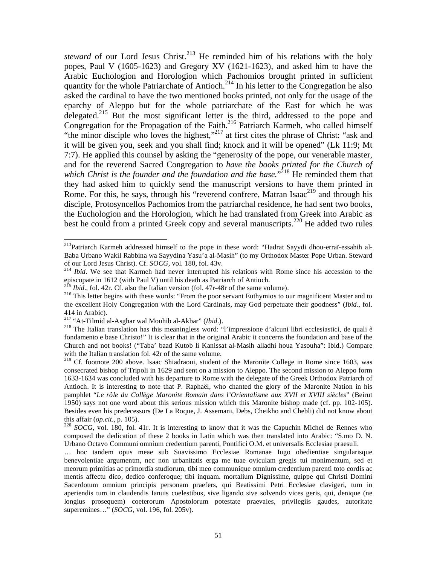*steward* of our Lord Jesus Christ.<sup>213</sup> He reminded him of his relations with the holy popes, Paul V (1605-1623) and Gregory XV (1621-1623), and asked him to have the Arabic Euchologion and Horologion which Pachomios brought printed in sufficient quantity for the whole Patriarchate of Antioch.<sup>214</sup> In his letter to the Congregation he also asked the cardinal to have the two mentioned books printed, not only for the usage of the eparchy of Aleppo but for the whole patriarchate of the East for which he was delegated.<sup>215</sup> But the most significant letter is the third, addressed to the pope and Congregation for the Propagation of the Faith.<sup>216</sup> Patriarch Karmeh, who called himself "the minor disciple who loves the highest,"<sup>217</sup> at first cites the phrase of Christ: "ask and it will be given you, seek and you shall find; knock and it will be opened" (Lk 11:9; Mt 7:7). He applied this counsel by asking the "generosity of the pope, our venerable master, and for the reverend Sacred Congregation to *have the books printed for the Church of*  which Christ is the founder and the foundation and the base."<sup>218</sup> He reminded them that they had asked him to quickly send the manuscript versions to have them printed in Rome. For this, he says, through his "reverend confrere, Matran Isaac<sup>219</sup> and through his disciple, Protosyncellos Pachomios from the patriarchal residence, he had sent two books, the Euchologion and the Horologion, which he had translated from Greek into Arabic as best he could from a printed Greek copy and several manuscripts.<sup>220</sup> He added two rules

1

<sup>&</sup>lt;sup>213</sup>Patriarch Karmeh addressed himself to the pope in these word: "Hadrat Sayydi dhou-erraï-essahih al-Baba Urbano Wakil Rabbina wa Sayydina Yasu'a al-Masih" (to my Orthodox Master Pope Urban. Steward of our Lord Jesus Christ). Cf. *SOCG,* vol. 180, fol. 43v. 214 *Ibid*. We see that Karmeh had never interrupted his relations with Rome since his accession to the

episcopate in 1612 (with Paul V) until his death as Patriarch of Antioch.<br><sup>215</sup> Ibid., fol. 42r. Cf. also the Italian version (fol. 47r-48r of the same volume).

<sup>&</sup>lt;sup>216</sup> This letter begins with these words: "From the poor servant Euthymios to our magnificent Master and to the excellent Holy Congregation with the Lord Cardinals, may God perpetuate their goodness" (*Ibid.*, fol.

<sup>414</sup> in Arabic).<br><sup>217</sup> "At-Tilmid al-Asghar wal Mouhib al-Akbar" (*Ibid*.).

<sup>&</sup>lt;sup>218</sup> The Italian translation has this meaningless word: "l'impressione d'alcuni libri ecclesiastici, de quali è fondamento e base Christo!" It is clear that in the original Arabic it concerns the foundation and base of the Church and not books! ("Taba' baad Kutob li Kanissat al-Masih alladhi houa Yasouha": Ibid.) Compare with the Italian translation fol. 42r of the same volume.

<sup>219</sup> Cf. footnote 200 above. Isaac Shiadraoui, student of the Maronite College in Rome since 1603, was consecrated bishop of Tripoli in 1629 and sent on a mission to Aleppo. The second mission to Aleppo form 1633-1634 was concluded with his departure to Rome with the delegate of the Greek Orthodox Patriarch of Antioch. It is interesting to note that P. Raphaël, who chanted the glory of the Maronite Nation in his pamphlet "*Le rôle du Collège Maronite Romain dans l'Orientalisme aux XVII et XVIII siècles*" (Beirut 1950) says not one word about this serious mission which this Maronite bishop made (cf. pp. 102-105). Besides even his predecessors (De La Roque, J. Assemani, Debs, Cheikho and Chebli) did not know about this affair (*op.cit.*, p. 105).<br><sup>220</sup> *SOCG*, vol. 180, fol. 41r. It is interesting to know that it was the Capuchin Michel de Rennes who

composed the dedication of these 2 books in Latin which was then translated into Arabic: "S.mo D. N. Urbano Octavo Communi omnium credentium parenti, Pontifici O.M. et universalis Ecclesiae praesuli.

<sup>…</sup> hoc tandem opus meae sub Suavissimo Ecclesiae Romanae Iugo obedientiae singularisque benevolentiae argumentm, nec non urbanitatis erga me tuae oviculam gregis tui monimentum, sed et meorum primitias ac primordia studiorum, tibi meo communique omnium credentium parenti toto cordis ac mentis affectu dico, dedico conferoque; tibi inquam. mortalium Dignissime, quippe qui Christi Domini Sacerdotum omnium principis personam praefers, qui Beatissimi Petri Ecclesiae clavigeri, tum in aperiendis tum in claudendis Ianuis coelestibus, sive ligando sive solvendo vices geris, qui, denique (ne longius prosequem) coeterorum Apostolorum potestate praevales, privilegiis gaudes, autoritate superemines…" (*SOCG*, vol. 196, fol. 205v).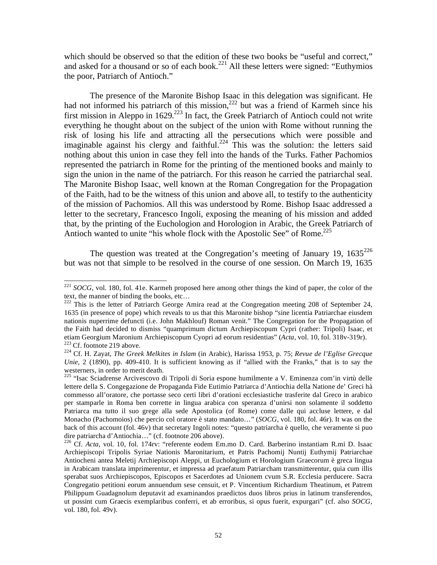which should be observed so that the edition of these two books be "useful and correct," and asked for a thousand or so of each book.<sup>221</sup> All these letters were signed: "Euthymios" the poor, Patriarch of Antioch."

 The presence of the Maronite Bishop Isaac in this delegation was significant. He had not informed his patriarch of this mission,<sup>222</sup> but was a friend of Karmeh since his first mission in Aleppo in 1629.<sup>223</sup> In fact, the Greek Patriarch of Antioch could not write everything he thought about on the subject of the union with Rome without running the risk of losing his life and attracting all the persecutions which were possible and imaginable against his clergy and faithful.<sup>224</sup> This was the solution: the letters said nothing about this union in case they fell into the hands of the Turks. Father Pachomios represented the patriarch in Rome for the printing of the mentioned books and mainly to sign the union in the name of the patriarch. For this reason he carried the patriarchal seal. The Maronite Bishop Isaac, well known at the Roman Congregation for the Propagation of the Faith, had to be the witness of this union and above all, to testify to the authenticity of the mission of Pachomios. All this was understood by Rome. Bishop Isaac addressed a letter to the secretary, Francesco Ingoli, exposing the meaning of his mission and added that, by the printing of the Euchologion and Horologion in Arabic, the Greek Patriarch of Antioch wanted to unite "his whole flock with the Apostolic See" of Rome.<sup>225</sup>

The question was treated at the Congregation's meeting of January 19,  $1635^{226}$ but was not that simple to be resolved in the course of one session. On March 19, 1635

<sup>&</sup>lt;sup>221</sup> *SOCG*, vol. 180, fol. 41e. Karmeh proposed here among other things the kind of paper, the color of the text, the manner of binding the books, etc…

 $222$  This is the letter of Patriarch George Amira read at the Congregation meeting 208 of September 24, 1635 (in presence of pope) which reveals to us that this Maronite bishop "sine licentia Patriarchae eiusdem nationis nuperrime defuncti (i.e. John Makhlouf) Roman venit." The Congregation for the Propagation of the Faith had decided to dismiss "quamprimum dictum Archiepiscopum Cypri (rather: Tripoli) Isaac, et etiam Georgium Maronium Archiepiscopum Cyopri ad eorum residentias" (Acta, vol. 10, fol. 318v-319r).<br><sup>223</sup> Cf. footnote 219 above.<br><sup>224</sup> Cf. H. Zayat, *The Greek Melkites in Islam* (in Arabic), Harissa 1953, p. 75; Revue d

*Unie*, 2 (1890), pp. 409-410. It is sufficient knowing as if "allied with the Franks," that is to say the westerners, in order to merit death.

<sup>&</sup>lt;sup>225</sup> "Isac Sciadrense Arcivescovo di Tripoli di Soria espone humilmente a V. Eminenza com'in virtù delle lettere della S. Congegazione de Propaganda Fide Eutimio Patriarca d'Antiochia della Natione de' Greci hà commesso all'oratore, che portasse seco certi libri d'orationi ecclesiastiche trasferite dal Greco in arabico per stamparle in Roma ben corrette in lingua arabica con speranza d'unirsi non solamente il soddetto Patriarca ma tutto il suo grege alla sede Apostolica (of Rome) come dalle qui accluse lettere, e dal Monacho (Pachomoios) che percio col oratore è stato mandato…" (*SOCG*, vol. 180, fol. 46r). It was on the back of this account (fol. 46v) that secretary Ingoli notes: "questo patriarcha è quello, che veramente si puo dire patriarcha d'Antiochia…" (cf. footnote 206 above).

<sup>&</sup>lt;sup>226</sup> Cf. *Acta*, vol. 10, fol. 174rv: "referente eodem Em.mo D. Card. Barberino instantiam R.mi D. Isaac Archiepiscopi Tripolis Syriae Nationis Maronitarium, et Patris Pachomij Nuntij Euthymij Patriarchae Antiocheni antea Meletij Archiepiscopi Aleppi, ut Euchologium et Horologium Graecorum è greca lingua in Arabicam translata imprimerentur, et impressa ad praefatum Patriarcham transmitterentur, quia cum illis sperabat suos Archiepiscopos, Episcopos et Sacerdotes ad Unionem cvum S.R. Ecclesia perducere. Sacra Congregatio petitioni eorum annuendum sese censuit, et P. Vincentium Richardium Theatinum, et Patrem Philippum Guadagnolum deputavit ad examinandos praedictos duos libros prius in latinum transferendos, ut possint cum Graecis exemplaribus conferri, et ab erroribus, si opus fuerit, expurgari" (cf. also *SOCG*, vol. 180, fol. 49v).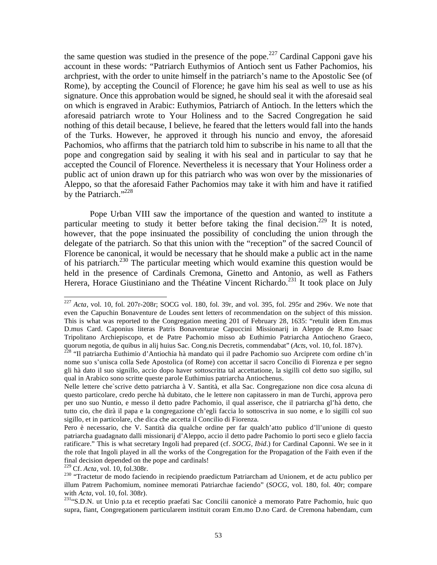the same question was studied in the presence of the pope.<sup>227</sup> Cardinal Capponi gave his account in these words: "Patriarch Euthymios of Antioch sent us Father Pachomios, his archpriest, with the order to unite himself in the patriarch's name to the Apostolic See (of Rome), by accepting the Council of Florence; he gave him his seal as well to use as his signature. Once this approbation would be signed, he should seal it with the aforesaid seal on which is engraved in Arabic: Euthymios, Patriarch of Antioch. In the letters which the aforesaid patriarch wrote to Your Holiness and to the Sacred Congregation he said nothing of this detail because, I believe, he feared that the letters would fall into the hands of the Turks. However, he approved it through his nuncio and envoy, the aforesaid Pachomios, who affirms that the patriarch told him to subscribe in his name to all that the pope and congregation said by sealing it with his seal and in particular to say that he accepted the Council of Florence. Nevertheless it is necessary that Your Holiness order a public act of union drawn up for this patriarch who was won over by the missionaries of Aleppo, so that the aforesaid Father Pachomios may take it with him and have it ratified by the Patriarch." $^{228}$ 

 Pope Urban VIII saw the importance of the question and wanted to institute a particular meeting to study it better before taking the final decision.<sup>229</sup> It is noted, however, that the pope insinuated the possibility of concluding the union through the delegate of the patriarch. So that this union with the "reception" of the sacred Council of Florence be canonical, it would be necessary that he should make a public act in the name of his patriarch.<sup>230</sup> The particular meeting which would examine this question would be held in the presence of Cardinals Cremona, Ginetto and Antonio, as well as Fathers Herera, Horace Giustiniano and the Théatine Vincent Richardo.<sup>231</sup> It took place on July

 $^{227}$  *Acta*, vol. 10, fol. 207r-208r; SOCG vol. 180, fol. 39r, and vol. 395, fol. 295r and 296v. We note that even the Capuchin Bonaventure de Loudes sent letters of recommendation on the subject of this mission. This is what was reported to the Congregation meeting 201 of February 28, 1635: "retulit idem Em.mus D.mus Card. Caponius literas Patris Bonaventurae Capuccini Missionarij in Aleppo de R.mo Isaac Tripolitano Archiepiscopo, et de Patre Pachomio misso ab Euthimio Patriarcha Antiocheno Graeco, quorum negotia, de quibus in alij huius Sac. Cong.nis Decretis, commendabat" (Acts, vol. 10, fol. 187v).

<sup>&</sup>lt;sup>228</sup> "Il patriarcha Euthimio d'Antiochia hà mandato qui il padre Pachomio suo Arciprete com ordine ch'in nome suo s'unisca colla Sede Apostolica (of Rome) con accettar il sacro Concilio di Fiorenza e per segno gli hà dato il suo signillo, accio dopo haver sottoscritta tal accettatione, la sigilli col detto suo sigillo, sul qual in Arabico sono scritte queste parole Euthimius patriarcha Antiochenus.

Nelle lettere che`scrive detto patriarcha à V. Santità, et alla Sac. Congregazione non dice cosa alcuna di questo particolare, credo perche hà dubitato, che le lettere non capitassero in man de Turchi, approva pero per uno suo Nuntio, e messo il detto padre Pachomio, il qual asserisce, che il patriarcha gl'hà detto, che tutto cio, che dirà il papa e la congregazione ch'egli faccia lo sottoscriva in suo nome, e lo sigilli col suo sigillo, et in particolare, che dica che accetta il Concilio di Fiorenza.

Pero è necessario, che V. Santità dia qualche ordine per far qualch'atto publico d'll'unione di questo patriarcha guadagnato dalli missionarij d'Aleppo, accio il detto padre Pachomio lo porti seco e glielo faccia ratificare." This is what secretary Ingoli had prepared (cf. *SOCG, Ibid*.) for Cardinal Caponni. We see in it the role that Ingoli played in all the works of the Congregation for the Propagation of the Faith even if the final decision depended on the pope and cardinals!<br> $^{229}$  Cf. *Acta*, vol. 10, fol.308r.

<sup>&</sup>lt;sup>230</sup> "Tractetur de modo faciendo in recipiendo praedictum Patriarcham ad Unionem, et de actu publico per illum Patrem Pachomium, nominee memorati Patriarchae faciendo" (*SOCG*, vol. 180, fol. 40r; compare with *Acta*, vol. 10, fol. 308r).<br><sup>231</sup>"S.D.N. ut Unio p.ta et receptio praefati Sac Concilii canonicè a memorato Patre Pachomio, huic quo

supra, fiant, Congregationem particularem instituit coram Em.mo D.no Card. de Cremona habendam, cum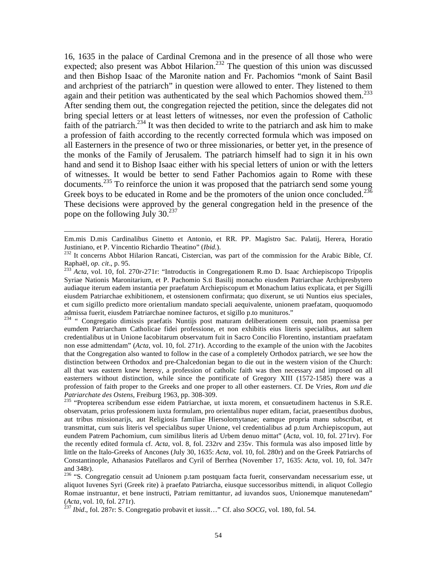16, 1635 in the palace of Cardinal Cremona and in the presence of all those who were expected; also present was Abbot Hilarion.<sup>232</sup> The question of this union was discussed and then Bishop Isaac of the Maronite nation and Fr. Pachomios "monk of Saint Basil and archpriest of the patriarch" in question were allowed to enter. They listened to them again and their petition was authenticated by the seal which Pachomios showed them.<sup>233</sup> After sending them out, the congregation rejected the petition, since the delegates did not bring special letters or at least letters of witnesses, nor even the profession of Catholic faith of the patriarch. $234$  It was then decided to write to the patriarch and ask him to make a profession of faith according to the recently corrected formula which was imposed on all Easterners in the presence of two or three missionaries, or better yet, in the presence of the monks of the Family of Jerusalem. The patriarch himself had to sign it in his own hand and send it to Bishop Isaac either with his special letters of union or with the letters of witnesses. It would be better to send Father Pachomios again to Rome with these documents.<sup>235</sup> To reinforce the union it was proposed that the patriarch send some young Greek boys to be educated in Rome and be the promoters of the union once concluded.<sup>236</sup> These decisions were approved by the general congregation held in the presence of the pope on the following July  $30.^{237}$ 

 $\overline{a}$ 

<sup>235</sup> "Propterea scribendum esse eidem Patriarchae, ut iuxta morem, et consuetudinem hactenus in S.R.E. observatam, prius professionem iuxta formulam, pro orientalibus nuper editam, faciat, praesentibus duobus, aut tribus missionarijs, aut Religiosis familiae Hiersolomytanae; eamque propria manu subscribat, et transmittat, cum suis literis vel specialibus super Unione, vel credentialibus ad p.tum Archiepiscopum, aut eundem Patrem Pachomium, cum similibus literis ad Urbem denuo mittat" (*Acta*, vol. 10, fol. 271rv). For the recently edited formula cf. *Acta*, vol. 8, fol. 232rv and 235v. This formula was also imposed little by little on the Italo-Greeks of Ancones (July 30, 1635: *Acta*, vol. 10, fol. 280r) and on the Greek Patriarchs of Constantinople, Athanasios Patellaros and Cyril of Berrhea (November 17, 1635: *Acta*, vol. 10, fol. 347r and 348r).

Em.mis D.mis Cardinalibus Ginetto et Antonio, et RR. PP. Magistro Sac. Palatij, Herera, Horatio Justiniano, et P. Vincentio Richardio Theatino" (*Ibid.*).

<sup>&</sup>lt;sup>232</sup> It concerns Abbot Hilarion Rancati, Cistercian, was part of the commission for the Arabic Bible, Cf.<br>Raphaël, *op. cit.*, p. 95.

raphaël, *op.* 233 *Acta*, vol. 10, fol. 270r-271r: "Introductis in Congregationem R.mo D. Isaac Archiepiscopo Tripoplis Syriae Nationis Maronitarium, et P. Pachomio S.ti Basilij monacho eiusdem Patriarchae Archipresbytero audiaque iterum eadem instantia per praefatum Archiepiscopum et Monachum latius explicata, et per Sigilli eiusdem Patriarchae exhibitionem, et ostensionem confirmata; quo dixerunt, se uti Nuntios eius speciales, et cum sigillo predicto more orientalium mandato speciali aequivalente, unionem praefatam, quoquomodo admissa fuerit, eiusdem Patriarchae nominee facturos, et sigillo p.to munituros."

<sup>&</sup>lt;sup>234</sup> " Congregatio dimissis praefatis Nuntijs post maturam deliberationem censuit, non praemissa per eumdem Patriarcham Catholicae fidei professione, et non exhibitis eius literis specialibus, aut saltem credentialibus ut in Unione Iacobitarum observatum fuit in Sacro Concilio Florentino, instantiam praefatam non esse admittendam" (*Acta*, vol. 10, fol. 271r). According to the example of the union with the Jacobites that the Congregation also wanted to follow in the case of a completely Orthodox patriarch, we see how the distinction between Orthodox and pre-Chalcedonian began to die out in the western vision of the Church: all that was eastern knew heresy, a profession of catholic faith was then necessary and imposed on all easterners without distinction, while since the pontificate of Gregory XIII (1572-1585) there was a profession of faith proper to the Greeks and one proper to all other easterners. Cf. De Vries, *Rom und die* 

<sup>&</sup>lt;sup>236</sup> "S. Congregatio censuit ad Unionem p.tam postquam facta fuerit, conservandam necessarium esse, ut aliquot Iuvenes Syri (Greek rite) à praefato Patriarcha, eiusque successoribus mittendi, in aliquot Collegio Romae instruantur, et bene instructi, Patriam remittantur, ad iuvandos suos, Unionemque manutenedam" (Acta, vol. 10, fol. 271r).

<sup>(</sup>*Acta*, vol. 10, fol. 271r). 237 *Ibid*., fol. 287r: S. Congregatio probavit et iussit…" Cf. also *SOCG,* vol. 180, fol. 54.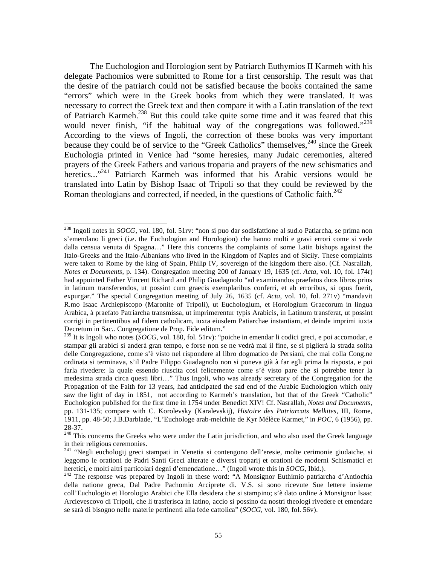The Euchologion and Horologion sent by Patriarch Euthymios II Karmeh with his delegate Pachomios were submitted to Rome for a first censorship. The result was that the desire of the patriarch could not be satisfied because the books contained the same "errors" which were in the Greek books from which they were translated. It was necessary to correct the Greek text and then compare it with a Latin translation of the text of Patriarch Karmeh.238 But this could take quite some time and it was feared that this would never finish, "if the habitual way of the congregations was followed."<sup>239</sup> According to the views of Ingoli, the correction of these books was very important because they could be of service to the "Greek Catholics" themselves,<sup>240</sup> since the Greek Euchologia printed in Venice had "some heresies, many Judaic ceremonies, altered prayers of the Greek Fathers and various troparia and prayers of the new schismatics and heretics...<sup>"241</sup> Patriarch Karmeh was informed that his Arabic versions would be translated into Latin by Bishop Isaac of Tripoli so that they could be reviewed by the Roman theologians and corrected, if needed, in the questions of Catholic faith.<sup>242</sup>

<sup>238</sup> Ingoli notes in *SOCG*, vol. 180, fol. 51rv: "non si puo dar sodisfattione al sud.o Patiarcha, se prima non s'emendano li greci (i.e. the Euchologion and Horologion) che hanno molti e gravi errori come si vede dalla censua venuta di Spagna…" Here this concerns the complaints of some Latin bishops against the Italo-Greeks and the Italo-Albanians who lived in the Kingdom of Naples and of Sicily. These complaints were taken to Rome by the king of Spain, Philip IV, sovereign of the kingdom there also. (Cf. Nasrallah, *Notes et Documents*, p. 134). Congregation meeting 200 of January 19, 1635 (cf. *Acta*, vol. 10, fol. 174r) had appointed Father Vincent Richard and Philip Guadagnolo "ad examinandos praefatos duos libros prius in latinum transferendos, ut possint cum graecis exemplaribus conferri, et ab erroribus, si opus fuerit, expurgar." The special Congregation meeting of July 26, 1635 (cf. *Acta*, vol. 10, fol. 271v) "mandavit R.mo Isaac Archiepiscopo (Maronite of Tripoli), ut Euchologium, et Horologium Graecorum in lingua Arabica, à praefato Patriarcha transmissa, ut imprimerentur typis Arabicis, in Latinum transferat, ut possint corrigi in pertinentibus ad fidem catholicam, iuxta eiusdem Patiarchae instantiam, et deinde imprimi iuxta Decretum in Sac.. Congregatione de Prop. Fide editum."

<sup>&</sup>lt;sup>239</sup> It is Ingoli who notes (*SOCG*, vol. 180, fol. 51rv): "poiche in emendar li codici greci, e poi accomodar, e stampar gli arabici si anderà gran tempo, e forse non se ne vedrà mai il fine, se si piglierà la strada solita delle Congregazione, come s'è visto nel rispondere al libro dogmatico de Persiani, che mai colla Cong.ne ordinata si terminava, s'il Padre Filippo Guadagnolo non si poneva già à far egli prima la risposta, e poi farla rivedere: la quale essendo riuscita cosi felicemente come s'è visto pare che si potrebbe tener la medesima strada circa questi libri…" Thus Ingoli, who was already secretary of the Congregation for the Propagation of the Faith for 13 years, had anticipated the sad end of the Arabic Euchologion which only saw the light of day in 1851, not according to Karmeh's translation, but that of the Greek "Catholic" Euchologion published for the first time in 1754 under Benedict XIV! Cf. Nasrallah, *Notes and Documents*, pp. 131-135; compare with C. Korolevsky (Karalevskij), *Histoire des Patriarcats Melkites*, III, Rome, 1911, pp. 48-50; J.B.Darblade, "L'Euchologe arab-melchite de Kyr Mélèce Karmet," in *POC*, 6 (1956), pp. 28-37.

<sup>&</sup>lt;sup>240</sup> This concerns the Greeks who were under the Latin jurisdiction, and who also used the Greek language in their religious ceremonies.

<sup>&</sup>lt;sup>241</sup> "Negli euchologij greci stampati in Venetia si contengono dell'eresie, molte cerimonie giudaiche, si leggomo le orationi de Padri Santi Greci alterate e diversi troparij et orationi de moderni Schismatici et<br>heretici, e molti altri particolari degni d'emendatione..." (Ingoli wrote this in SOCG, Ibid.).

<sup>&</sup>lt;sup>242</sup> The response was prepared by Ingoli in these word: "A Monsignor Euthimio patriarcha d'Antiochia della natione greca, Dal Padre Pachomio Arciprete di. V.S. si sono ricevute Sue lettere insieme coll'Euchologio et Horologio Arabici che Ella desidera che si stampino; s'è dato ordine à Monsignor Isaac Arcievescovo di Tripoli, che li trasferisca in latino, accio si possino da nostri theologi rivedere et emendare se sarà di bisogno nelle materie pertinenti alla fede cattolica" (*SOCG*, vol. 180, fol. 56v).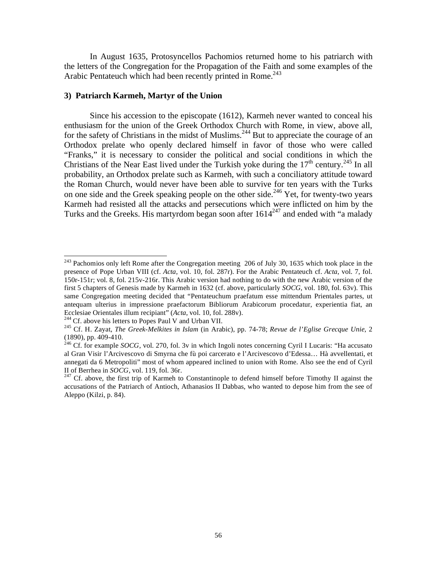In August 1635, Protosyncellos Pachomios returned home to his patriarch with the letters of the Congregation for the Propagation of the Faith and some examples of the Arabic Pentateuch which had been recently printed in Rome.<sup>243</sup>

### **3) Patriarch Karmeh, Martyr of the Union**

 Since his accession to the episcopate (1612), Karmeh never wanted to conceal his enthusiasm for the union of the Greek Orthodox Church with Rome, in view, above all, for the safety of Christians in the midst of Muslims.<sup>244</sup> But to appreciate the courage of an Orthodox prelate who openly declared himself in favor of those who were called "Franks," it is necessary to consider the political and social conditions in which the Christians of the Near East lived under the Turkish yoke during the  $17<sup>th</sup>$  century.<sup>245</sup> In all probability, an Orthodox prelate such as Karmeh, with such a conciliatory attitude toward the Roman Church, would never have been able to survive for ten years with the Turks on one side and the Greek speaking people on the other side.<sup>246</sup> Yet, for twenty-two years Karmeh had resisted all the attacks and persecutions which were inflicted on him by the Turks and the Greeks. His martyrdom began soon after  $1614^{247}$  and ended with "a malady

<sup>&</sup>lt;sup>243</sup> Pachomios only left Rome after the Congregation meeting 206 of July 30, 1635 which took place in the presence of Pope Urban VIII (cf. *Acta*, vol. 10, fol. 287r). For the Arabic Pentateuch cf. *Acta*, vol. 7, fol. 150r-151r; vol. 8, fol. 215v-216r. This Arabic version had nothing to do with the new Arabic version of the first 5 chapters of Genesis made by Karmeh in 1632 (cf. above, particularly *SOCG*, vol. 180, fol. 63v). This same Congregation meeting decided that "Pentateuchum praefatum esse mittendum Prientales partes, ut antequam ulterius in impressione praefactorum Bibliorum Arabicorum procedatur, experientia fiat, an Ecclesiae Orientales illum recipiant" (*Acta*, vol. 10, fol. 288v).<br><sup>244</sup> Cf. above his letters to Popes Paul V and Urban VII.<br><sup>245</sup> Cf. H. Zayat, *The Greek-Melkites in Islam* (in Arabic), pp. 74-78; *Revue de l'Eglise Gr* 

<sup>(1890),</sup> pp. 409-410.

<sup>&</sup>lt;sup>246</sup> Cf. for example *SOCG*, vol. 270, fol. 3v in which Ingoli notes concerning Cyril I Lucaris: "Ha accusato al Gran Visir l'Arcivescovo di Smyrna che fù poi carcerato e l'Arcivescovo d'Edessa… Hà avvellentati, et annegati da 6 Metropoliti" most of whom appeared inclined to union with Rome. Also see the end of Cyril II of Berrhea in *SOCG*, vol. 119, fol. 36r.

<sup>&</sup>lt;sup>247</sup> Cf. above, the first trip of Karmeh to Constantinople to defend himself before Timothy II against the accusations of the Patriarch of Antioch, Athanasios II Dabbas, who wanted to depose him from the see of Aleppo (Kilzi, p. 84).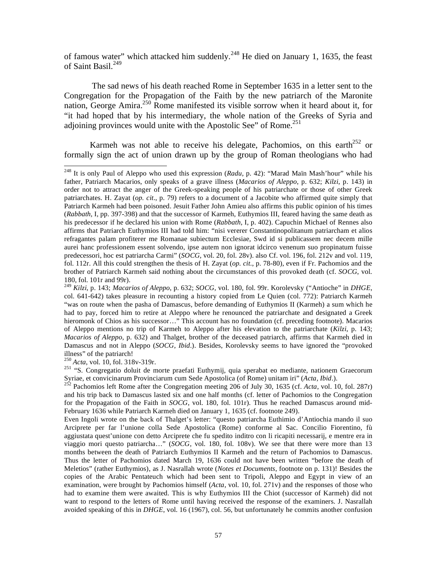of famous water" which attacked him suddenly.<sup>248</sup> He died on January 1, 1635, the feast of Saint Basil.<sup>249</sup>

 The sad news of his death reached Rome in September 1635 in a letter sent to the Congregation for the Propagation of the Faith by the new patriarch of the Maronite nation, George Amira.<sup>250</sup> Rome manifested its visible sorrow when it heard about it, for "it had hoped that by his intermediary, the whole nation of the Greeks of Syria and adjoining provinces would unite with the Apostolic See" of Rome. $^{251}$ 

Karmeh was not able to receive his delegate, Pachomios, on this earth<sup>252</sup> or formally sign the act of union drawn up by the group of Roman theologians who had

<sup>251</sup> "S. Congregatio doluit de morte praefati Euthymij, quia sperabat eo mediante, nationem Graecorum<br>Syriae, et convicinarum Provinciarum cum Sede Apostolica (of Rome) unitam iri" (*Acta, Ibid.*).

Syriae, et convicting the Provincian in Provincia cum Sede Apostolica (*Acta*, Vol. 10, fol. 287r) and his trip back to Damascus lasted six and one half months (cf. letter of Pachomios to the Congregation for the Propagation of the Faith in *SOCG*, vol. 180, fol. 101r). Thus he reached Damascus around mid-February 1636 while Patriarch Karmeh died on January 1, 1635 (cf. footnote 249).

Even Ingoli wrote on the back of Thalget's letter: "questo patriarcha Euthimio d'Antiochia mando il suo Arciprete per far l'unione colla Sede Apostolica (Rome) conforme al Sac. Concilio Fiorentino, fù aggiustata quest'unione con detto Arciprete che fu spedito inditro con li ricapiti necessarij, e mentre era in viaggio mori questo patriarcha…" (*SOCG,* vol. 180, fol. 108v). We see that there were more than 13 months between the death of Patriarch Euthymios II Karmeh and the return of Pachomios to Damascus. Thus the letter of Pachomios dated March 19, 1636 could not have been written "before the death of Meletios" (rather Euthymios), as J. Nasrallah wrote (*Notes et Documents*, footnote on p. 131)! Besides the copies of the Arabic Pentateuch which had been sent to Tripoli, Aleppo and Egypt in view of an examination, were brought by Pachomios himself (*Acta*, vol. 10, fol. 271v) and the responses of those who had to examine them were awaited. This is why Euthymios III the Chiot (successor of Karmeh) did not want to respond to the letters of Rome until having received the response of the examiners. J. Nasrallah avoided speaking of this in *DHGE*, vol. 16 (1967), col. 56, but unfortunately he commits another confusion

 $\overline{a}$ 248 It is only Paul of Aleppo who used this expression (*Radu*, p. 42): "Marad Maïn Mash'hour" while his father, Patriarch Macarios, only speaks of a grave illness (*Macarios of Aleppo*, p. 632; *Kilzi*, p. 143) in order not to attract the anger of the Greek-speaking people of his patriarchate or those of other Greek patriarchates. H. Zayat (*op. cit*., p. 79) refers to a document of a Jacobite who affirmed quite simply that Patriarch Karmeh had been poisoned. Jesuit Father John Amieu also affirms this public opinion of his times (*Rabbath,* I, pp. 397-398) and that the successor of Karmeh, Euthymios III, feared having the same death as his predecessor if he declared his union with Rome (*Rabbath*, I, p. 402). Capuchin Michael of Rennes also affirms that Patriarch Euthymios III had told him: "nisi vererer Constantinopolitanum patriarcham et alios refragantes palam profiterer me Romanae subiectum Ecclesiae, Swd id si publicassem nec decem mille aurei hanc professionem essent solvendo, ipse autem non ignorat idcirco venenum suo propinatum fuisse predecessori, hoc est patriarcha Carmi" (*SOCG*, vol. 20, fol. 28v). also Cf. vol. 196, fol. 212v and vol. 119, fol. 112r. All this could strengthen the thesis of H. Zayat (*op. cit*., p. 78-80), even if Fr. Pachomios and the brother of Patriarch Karmeh said nothing about the circumstances of this provoked death (cf. *SOCG*, vol. 180, fol. 101r and 99r).

<sup>249</sup> *Kilzi*, p. 143; *Macarios of Aleppo*, p. 632; *SOCG,* vol. 180, fol. 99r. Korolevsky ("Antioche" in *DHGE*, col. 641-642) takes pleasure in recounting a history copied from Le Quien (col. 772): Patriarch Karmeh "was on route when the pasha of Damascus, before demanding of Euthymios II (Karmeh) a sum which he had to pay, forced him to retire at Aleppo where he renounced the patriarchate and designated a Greek hieromonk of Chios as his successor…" This account has no foundation (cf. preceding footnote). Macarios of Aleppo mentions no trip of Karmeh to Aleppo after his elevation to the patriarchate (*Kilzi*, p. 143; *Macarios of Aleppo*, p. 632) and Thalget, brother of the deceased patriarch, affirms that Karmeh died in Damascus and not in Aleppo (*SOCG, Ibid*.). Besides, Korolevsky seems to have ignored the "provoked illness" of the patriarch!<br> $^{250}$  *Acta*, vol. 10, fol. 318v-319r.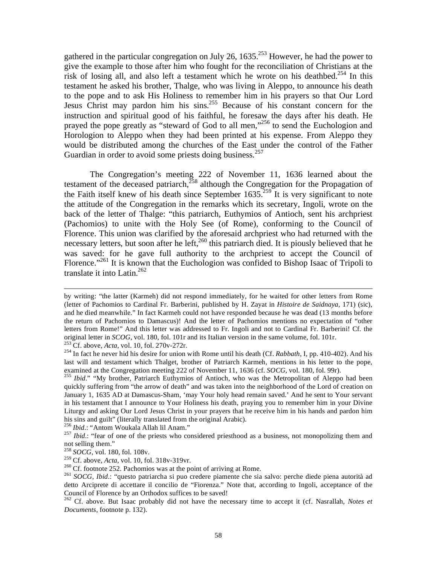gathered in the particular congregation on July 26,  $1635$ <sup>253</sup> However, he had the power to give the example to those after him who fought for the reconciliation of Christians at the risk of losing all, and also left a testament which he wrote on his deathbed.<sup>254</sup> In this testament he asked his brother, Thalge, who was living in Aleppo, to announce his death to the pope and to ask His Holiness to remember him in his prayers so that Our Lord Jesus Christ may pardon him his sins.<sup>255</sup> Because of his constant concern for the instruction and spiritual good of his faithful, he foresaw the days after his death. He prayed the pope greatly as "steward of God to all men,"<sup>256</sup> to send the Euchologion and Horologion to Aleppo when they had been printed at his expense. From Aleppo they would be distributed among the churches of the East under the control of the Father Guardian in order to avoid some priests doing business.<sup>257</sup>

 The Congregation's meeting 222 of November 11, 1636 learned about the testament of the deceased patriarch, $^{258}$  although the Congregation for the Propagation of the Faith itself knew of his death since September  $1635$ <sup>259</sup> It is very significant to note the attitude of the Congregation in the remarks which its secretary, Ingoli, wrote on the back of the letter of Thalge: "this patriarch, Euthymios of Antioch, sent his archpriest (Pachomios) to unite with the Holy See (of Rome), conforming to the Council of Florence. This union was clarified by the aforesaid archpriest who had returned with the necessary letters, but soon after he left,<sup>260</sup> this patriarch died. It is piously believed that he was saved: for he gave full authority to the archpriest to accept the Council of Florence."<sup>261</sup> It is known that the Euchologion was confided to Bishop Isaac of Tripoli to translate it into Latin.<sup>262</sup>

by writing: "the latter (Karmeh) did not respond immediately, for he waited for other letters from Rome (letter of Pachomios to Cardinal Fr. Barberini, published by H. Zayat in *Histoire de Saidnaya*, 171) (sic), and he died meanwhile." In fact Karmeh could not have responded because he was dead (13 months before the return of Pachomios to Damascus)! And the letter of Pachomios mentions no expectation of "other letters from Rome!" And this letter was addressed to Fr. Ingoli and not to Cardinal Fr. Barberini! Cf. the original letter in *SCOG*, vol. 180, fol. 101r and its Italian version in the same volume, fol. 101r.<br><sup>253</sup> Cf. above, *Acta*, vol. 10, fol. 270v-272r.<br><sup>254</sup> In fact he never hid his desire for union with Rome until his de

last will and testament which Thalget, brother of Patriarch Karmeh, mentions in his letter to the pope,

examined at the Congregation meeting 222 of November 11, 1636 (cf. *SOCG*, vol. 180, fol. 99r).<br><sup>255</sup> *Ibid.*" "My brother, Patriarch Euthymios of Antioch, who was the Metropolitan of Aleppo had been quickly suffering from "the arrow of death" and was taken into the neighborhood of the Lord of creation on January 1, 1635 AD at Damascus-Sham, 'may Your holy head remain saved.' And he sent to Your servant in his testament that I announce to Your Holiness his death, praying you to remember him in your Divine Liturgy and asking Our Lord Jesus Christ in your prayers that he receive him in his hands and pardon him his sins and guilt" (literally translated from the original Arabic).<br><sup>256</sup> Ibid.: "Antom Woukala Allah lil Anam."

<sup>&</sup>lt;sup>257</sup> *Ibid.*: "fear of one of the priests who considered priesthood as a business, not monopolizing them and not selling them."

<sup>&</sup>lt;sup>258</sup> *SOCG*, vol. 180, fol. 108v.<br><sup>259</sup> Cf. above, *Acta*, vol. 10, fol. 318v-319vr.

 $^{260}$  Cf. footnote 252. Pachomios was at the point of arriving at Rome.<br><sup>261</sup> SOCG, *Ibid.*: "questo patriarcha si puo credere piamente che sia salvo: perche diede piena autorità ad detto Arciprete di accettare il concilio de "Fiorenza." Note that, according to Ingoli, acceptance of the Council of Florence by an Orthodox suffices to be saved!

<sup>262</sup> Cf. above. But Isaac probably did not have the necessary time to accept it (cf. Nasrallah, *Notes et Documents*, footnote p. 132).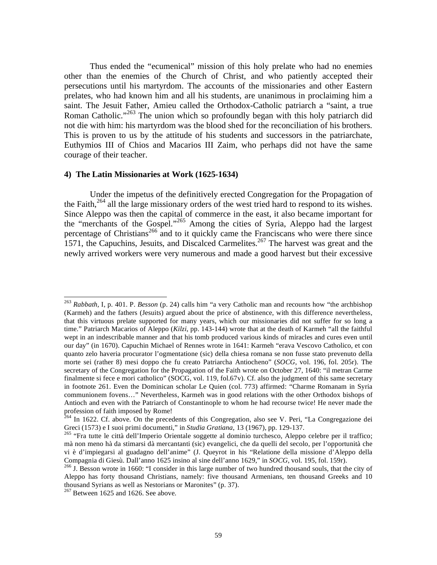Thus ended the "ecumenical" mission of this holy prelate who had no enemies other than the enemies of the Church of Christ, and who patiently accepted their persecutions until his martyrdom. The accounts of the missionaries and other Eastern prelates, who had known him and all his students, are unanimous in proclaiming him a saint. The Jesuit Father, Amieu called the Orthodox-Catholic patriarch a "saint, a true Roman Catholic."<sup>263</sup> The union which so profoundly began with this holy patriarch did not die with him: his martyrdom was the blood shed for the reconciliation of his brothers. This is proven to us by the attitude of his students and successors in the patriarchate, Euthymios III of Chios and Macarios III Zaim, who perhaps did not have the same courage of their teacher.

#### **4) The Latin Missionaries at Work (1625-1634)**

 Under the impetus of the definitively erected Congregation for the Propagation of the Faith,<sup>264</sup> all the large missionary orders of the west tried hard to respond to its wishes. Since Aleppo was then the capital of commerce in the east, it also became important for the "merchants of the Gospel."265 Among the cities of Syria, Aleppo had the largest percentage of Christians<sup>266</sup> and to it quickly came the Franciscans who were there since 1571, the Capuchins, Jesuits, and Discalced Carmelites.<sup>267</sup> The harvest was great and the newly arrived workers were very numerous and made a good harvest but their excessive

<sup>263</sup> *Rabbath,* I, p. 401. P. *Besson* (p. 24) calls him "a very Catholic man and recounts how "the archbishop (Karmeh) and the fathers (Jesuits) argued about the price of abstinence, with this difference nevertheless, that this virtuous prelate supported for many years, which our missionaries did not suffer for so long a time." Patriarch Macarios of Aleppo (*Kilzi*, pp. 143-144) wrote that at the death of Karmeh "all the faithful wept in an indescribable manner and that his tomb produced various kinds of miracles and cures even until our day" (in 1670). Capuchin Michael of Rennes wrote in 1641: Karmeh "erava Vescovo Catholico, et con quanto zelo haveria procurator l'ogmentatione (sic) della chiesa romana se non fusse stato prevenuto della morte sei (rather 8) mesi doppo che fu creato Patriarcha Antiocheno" (*SOCG*, vol. 196, fol. 205r). The secretary of the Congregation for the Propagation of the Faith wrote on October 27, 1640: "il metran Carme finalmente si fece e mori catholico" (SOCG, vol. 119, fol.67v). Cf. also the judgment of this same secretary in footnote 261. Even the Dominican scholar Le Quien (col. 773) affirmed: "Charme Romanam in Syria communionem fovens…" Nevertheless, Karmeh was in good relations with the other Orthodox bishops of Antioch and even with the Patriarch of Constantinople to whom he had recourse twice! He never made the profession of faith imposed by Rome!

<sup>&</sup>lt;sup>264</sup> In 1622. Cf. above. On the precedents of this Congregation, also see V. Peri, "La Congregazione dei Greci (1573) e I suoi primi documenti," in *Studia Gratiana*, 13 (1967), pp. 129-137.<br><sup>265</sup> "Fra tutte le città dell'Imperio Orientale soggette al dominio turchesco, Aleppo celebre per il traffico;

mà non meno hà da stimarsi dà mercantanti (sic) evangelici, che da quelli del secolo, per l'opportunità che vi è d'impiegarsi al guadagno dell'anime" (J. Queyrot in his "Relatione della missione d'Aleppo della Compagnia di Giesù. Dall'anno 1625 insino al sine dell'anno 1629," in *SOCG*, vol. 195, fol. 159r).<br><sup>266</sup> J. Besson wrote in 1660: "I consider in this large number of two hundred thousand souls, that the city of

Aleppo has forty thousand Christians, namely: five thousand Armenians, ten thousand Greeks and 10 thousand Syrians as well as Nestorians or Maronites" (p. 37).

 $267$  Between 1625 and 1626. See above.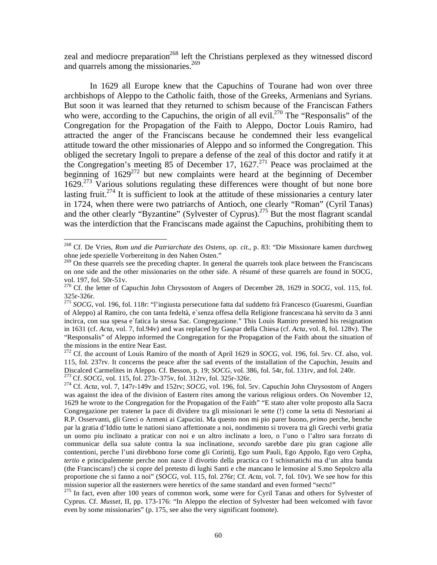zeal and mediocre preparation<sup>268</sup> left the Christians perplexed as they witnessed discord and quarrels among the missionaries.<sup>269</sup>

 In 1629 all Europe knew that the Capuchins of Tourane had won over three archbishops of Aleppo to the Catholic faith, those of the Greeks, Armenians and Syrians. But soon it was learned that they returned to schism because of the Franciscan Fathers who were, according to the Capuchins, the origin of all evil.<sup>270</sup> The "Responsalis" of the Congregation for the Propagation of the Faith to Aleppo, Doctor Louis Ramiro, had attracted the anger of the Franciscans because he condemned their less evangelical attitude toward the other missionaries of Aleppo and so informed the Congregation. This obliged the secretary Ingoli to prepare a defense of the zeal of this doctor and ratify it at the Congregation's meeting  $85$  of December 17, 1627.<sup>271</sup> Peace was proclaimed at the beginning of  $1629^{272}$  but new complaints were heard at the beginning of December 1629.<sup>273</sup> Various solutions regulating these differences were thought of but none bore lasting fruit.<sup>274</sup> It is sufficient to look at the attitude of these missionaries a century later in 1724, when there were two patriarchs of Antioch, one clearly "Roman" (Cyril Tanas) and the other clearly "Byzantine" (Sylvester of Cyprus).<sup>275</sup> But the most flagrant scandal was the interdiction that the Franciscans made against the Capuchins, prohibiting them to

1

<sup>268</sup> Cf. De Vries, *Rom und die Patriarchate des Ostens*, *op. cit*., p. 83: "Die Missionare kamen durchweg ohne jede spezielle Vorbereitung in den Nahen Osten."

<sup>&</sup>lt;sup>269</sup> On these quarrels see the preceding chapter. In general the quarrels took place between the Franciscans on one side and the other missionaries on the other side. A résumé of these quarrels are found in SOCG, vol. 197, fol. 50r-51v.

<sup>270</sup> Cf. the letter of Capuchin John Chrysostom of Angers of December 28, 1629 in *SOCG,* vol. 115, fol. 325r-326r.

<sup>271</sup> *SOCG*, vol. 196, fol. 118r: "l'ingiusta persecutione fatta dal suddetto frà Francesco (Guaresmi, Guardian of Aleppo) al Ramiro, che con tanta fedeltà, e`senza offesa della Religione francescana hà servito da 3 anni incirca, con sua spesa e`fatica la stessa Sac. Congregazione." This Louis Ramiro presented his resignation in 1631 (cf. *Acta*, vol. 7, fol.94v) and was replaced by Gaspar della Chiesa (cf. *Acta*, vol. 8, fol. 128v). The "Responsalis" of Aleppo informed the Congregation for the Propagation of the Faith about the situation of the missions in the entire Near East.

<sup>&</sup>lt;sup>272</sup> Cf. the account of Louis Ramiro of the month of April 1629 in *SOCG*, vol. 196, fol. 5rv. Cf. also, vol. 115, fol. 237rv. It concerns the peace after the sad events of the installation of the Capuchin, Jesuits and Discalced Carmelites in Aleppo. Cf. Besson, p. 19; *SOCG*, vol. 386, fol. 54r, fol. 131rv, and fol. 240r.

<sup>&</sup>lt;sup>273</sup> Cf. *SOCG*, vol. 115, fol.  $273r-375v$ , fol.  $312rv$ , fol.  $325r-326r$ .<br><sup>274</sup> Cf. *Acta*, vol. 7, 147r-149v and 152rv; *SOCG*, vol. 196, fol. 5rv. Capuchin John Chrysostom of Angers was against the idea of the division of Eastern rites among the various religious orders. On November 12, 1629 he wrote to the Congregation for the Propagation of the Faith" "E stato alter volte proposto alla Sacra Congregazione per tratener la pace di dividere tra gli missionari le sette (!) come la setta di Nestoriani ai R.P. Osservanti, gli Greci o Armeni ai Capucini. Ma questo non mi pio parer buono, *primo* perche, benche par la gratia d'Iddio tutte le nationi siano affettionate a noi, nondimento si trovera tra gli Grechi verbi gratia un uomo piu inclinato a praticar con noi e un altro inclinato a loro, o l'uno o l'altro sara forzato di communicar della sua salute contra la sua inclinatione, *secondo* sarebbe dare piu gran cagione alle contentioni, perche l'uni direbbono forse come gli Corintij, Ego sum Pauli, Ego Appolo, Ego vero Cepha, *tertio* e principalemente perche non nasce il divortio della practica co I schismatichi ma d'un altra banda

<sup>(</sup>the Franciscans!) che si copre del pretesto di lughi Santi e che mancano le lemosine al S.mo Sepolcro alla proportione che si fanno a noi" (*SOCG*, vol. 115, fol. 276r; Cf. *Acta*, vol. 7, fol. 10v). We see how for this mission superior all the easterners were heretics of the same standard and even formed "sects!"

<sup>&</sup>lt;sup>275</sup> In fact, even after 100 years of common work, some were for Cyril Tanas and others for Sylvester of Cyprus. Cf. *Musset*, II, pp. 173-176: "In Aleppo the election of Sylvester had been welcomed with favor even by some missionaries" (p. 175, see also the very significant footnote).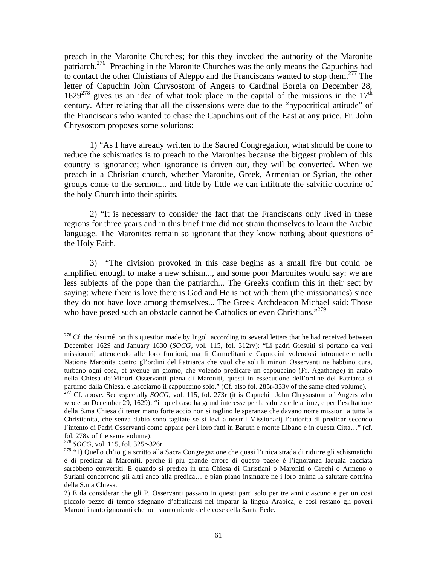preach in the Maronite Churches; for this they invoked the authority of the Maronite patriarch.<sup>276</sup> Preaching in the Maronite Churches was the only means the Capuchins had to contact the other Christians of Aleppo and the Franciscans wanted to stop them.<sup>277</sup> The letter of Capuchin John Chrysostom of Angers to Cardinal Borgia on December 28,  $1629^{278}$  gives us an idea of what took place in the capital of the missions in the  $17<sup>th</sup>$ century. After relating that all the dissensions were due to the "hypocritical attitude" of the Franciscans who wanted to chase the Capuchins out of the East at any price, Fr. John Chrysostom proposes some solutions:

 1) "As I have already written to the Sacred Congregation, what should be done to reduce the schismatics is to preach to the Maronites because the biggest problem of this country is ignorance; when ignorance is driven out, they will be converted. When we preach in a Christian church, whether Maronite, Greek, Armenian or Syrian, the other groups come to the sermon... and little by little we can infiltrate the salvific doctrine of the holy Church into their spirits.

 2) "It is necessary to consider the fact that the Franciscans only lived in these regions for three years and in this brief time did not strain themselves to learn the Arabic language. The Maronites remain so ignorant that they know nothing about questions of the Holy Faith.

 3) "The division provoked in this case begins as a small fire but could be amplified enough to make a new schism..., and some poor Maronites would say: we are less subjects of the pope than the patriarch... The Greeks confirm this in their sect by saying: where there is love there is God and He is not with them (the missionaries) since they do not have love among themselves... The Greek Archdeacon Michael said: Those who have posed such an obstacle cannot be Catholics or even Christians."<sup>279</sup>

 $276$  Cf. the résumé on this question made by Ingoli according to several letters that he had received between December 1629 and January 1630 (*SOCG*, vol. 115, fol. 312rv): "Li padri Giesuiti si portano da veri missionarij attendendo alle loro funtioni, ma li Carmelitani e Capuccini volendosi intromettere nella Natione Maronita contro gl'ordini del Patriarca che vuol che soli li minori Osservanti ne habbino cura, turbano ogni cosa, et avenue un giorno, che volendo predicare un cappuccino (Fr. Agathange) in arabo nella Chiesa de'Minori Osservanti piena di Maroniti, questi in essecutione dell'ordine del Patriarca si partirno dalla Chiesa, e lascciarno il cappuccino solo." (Cf. also fol. 285r-333v of the same cited volume).

<sup>277</sup> Cf. above. See especially *SOCG*, vol. 115, fol. 273r (it is Capuchin John Chrysostom of Angers who wrote on December 29, 1629): "in quel caso ha grand interesse per la salute delle anime, e per l'esaltatione della S.ma Chiesa di tener mano forte accio non si taglino le speranze che davano notre missioni a tutta la Christianità, che senza dubio sono tagliate se si levi a nostril Missionarij l'autorita di predicar secondo l'intento di Padri Osservanti come appare per i loro fatti in Baruth e monte Libano e in questa Citta…" (cf. fol. 278v of the same volume).

<sup>278</sup> *SOCG*, vol. 115, fol. 325r-326r.

<sup>&</sup>lt;sup>279</sup> "1) Quello ch'io gia scritto alla Sacra Congregazione che quasi l'unica strada di ridurre gli schismatichi è di predicar ai Maroniti, perche il piu grande errore di questo paese è l'ignoranza laquala cacciata sarebbeno convertiti. E quando si predica in una Chiesa di Christiani o Maroniti o Grechi o Armeno o Suriani concorrono gli altri anco alla predica… e pian piano insinuare ne i loro anima la salutare dottrina della S.ma Chiesa.

<sup>2)</sup> E da considerar che gli P. Osservanti passano in questi parti solo per tre anni ciascuno e per un cosi piccolo pezzo di tempo sdegnano d'affaticarsi nel imparar la lingua Arabica, e cosi restano gli poveri Maroniti tanto ignoranti che non sanno niente delle cose della Santa Fede.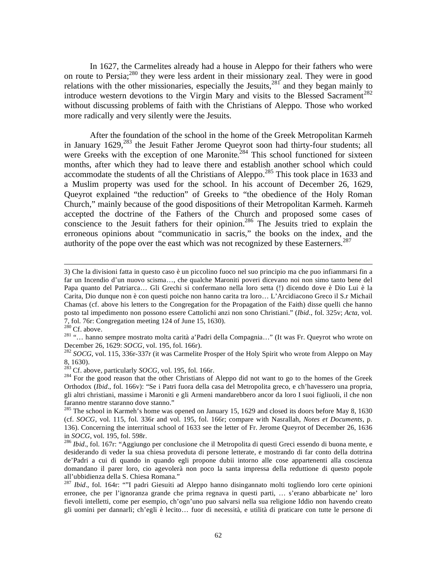In 1627, the Carmelites already had a house in Aleppo for their fathers who were on route to Persia;280 they were less ardent in their missionary zeal. They were in good relations with the other missionaries, especially the Jesuits,  $^{281'}$  and they began mainly to introduce western devotions to the Virgin Mary and visits to the Blessed Sacrament<sup>282</sup> without discussing problems of faith with the Christians of Aleppo. Those who worked more radically and very silently were the Jesuits.

 After the foundation of the school in the home of the Greek Metropolitan Karmeh in January 1629,<sup>283</sup> the Jesuit Father Jerome Queyrot soon had thirty-four students; all were Greeks with the exception of one Maronite.<sup>284</sup> This school functioned for sixteen months, after which they had to leave there and establish another school which could accommodate the students of all the Christians of Aleppo.<sup>285</sup> This took place in 1633 and a Muslim property was used for the school. In his account of December 26, 1629, Queyrot explained "the reduction" of Greeks to "the obedience of the Holy Roman Church," mainly because of the good dispositions of their Metropolitan Karmeh. Karmeh accepted the doctrine of the Fathers of the Church and proposed some cases of conscience to the Jesuit fathers for their opinion.<sup>286</sup> The Jesuits tried to explain the erroneous opinions about "communicatio in sacris," the books on the index, and the authority of the pope over the east which was not recognized by these Easterners.<sup>287</sup>

<sup>3)</sup> Che la divisioni fatta in questo caso è un piccolino fuoco nel suo principio ma che puo infiammarsi fin a far un Incendio d'un nuovo scisma…, che qualche Maroniti poveri dicevano noi non simo tanto bene del Papa quanto del Patriarca… Gli Grechi si confermano nella loro setta (!) dicendo dove è Dio Lui è la Carita, Dio dunque non è con questi poiche non hanno carita tra loro… L'Arcidiacono Greco il S.r Michail Chamas (cf. above his letters to the Congregation for the Propagation of the Faith) disse quelli che hanno posto tal impedimento non possono essere Cattolichi anzi non sono Christiani." (*Ibid*., fol. 325v; *Acta*, vol. 7, fol. 76r: Congregation meeting 124 of June 15, 1630).<br><sup>280</sup> Cf. above.

<sup>&</sup>lt;sup>281</sup> "... hanno sempre mostrato molta carità a'Padri della Compagnia..." (It was Fr. Queyrot who wrote on December 26, 1629: *SOCG*, vol. 195, fol. 166r).

 $282$  *SOCG*, vol. 115, 336r-337r (it was Carmelite Prosper of the Holy Spirit who wrote from Aleppo on May 8, 1630).<br> $283$  Cf. above, particularly *SOCG*, vol. 195, fol. 166r.

<sup>&</sup>lt;sup>284</sup> For the good reason that the other Christians of Aleppo did not want to go to the homes of the Greek Orthodox (*Ibid*., fol. 166v): "Se i Patri fuora della casa del Metropolita greco, e ch'havessero una propria, gli altri christiani, massime i Maroniti e gli Armeni mandarebbero ancor da loro I suoi figliuoli, il che non faranno mentre staranno dove stanno."

 $285$  The school in Karmeh's home was opened on January 15, 1629 and closed its doors before May 8, 1630 (cf. *SOCG*, vol. 115, fol. 336r and vol. 195, fol. 166r; compare with Nasrallah, *Notes et Documents*, p. 136). Concerning the interritual school of 1633 see the letter of Fr. Jerome Queyrot of December 26, 1636 in *SOCG*, vol. 195, fol. 598r.<br><sup>286</sup> *Ibid.*, fol. 167r: "Aggiungo per conclusione che il Metropolita di questi Greci essendo di buona mente, e

desiderando di veder la sua chiesa proveduta di persone letterate, e mostrando di far conto della dottrina de'Padri a cui di quando in quando egli propone dubii intorno alle cose appartenenti alla coscienza domandano il parer loro, cio agevolerà non poco la santa impressa della reduttione di questo popole all'ubbidienza della S. Chiesa Romana."

<sup>287</sup> *Ibid*., fol. 164r: ""I padri Giesuiti ad Aleppo hanno disingannato molti togliendo loro certe opinioni erronee, che per l'ignoranza grande che prima regnava in questi parti, … s'erano abbarbicate ne' loro fievoli intelletti, come per esempio, ch'ogn'uno puo salvarsi nella sua religione Iddio non havendo creato gli uomini per dannarli; ch'egli è lecito… fuor di necessità, e utilità di praticare con tutte le persone di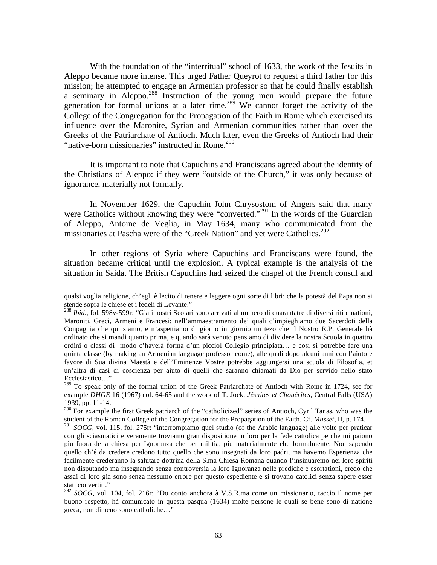With the foundation of the "interritual" school of 1633, the work of the Jesuits in Aleppo became more intense. This urged Father Queyrot to request a third father for this mission; he attempted to engage an Armenian professor so that he could finally establish a seminary in Aleppo.288 Instruction of the young men would prepare the future generation for formal unions at a later time.<sup>289</sup> We cannot forget the activity of the College of the Congregation for the Propagation of the Faith in Rome which exercised its influence over the Maronite, Syrian and Armenian communities rather than over the Greeks of the Patriarchate of Antioch. Much later, even the Greeks of Antioch had their "native-born missionaries" instructed in Rome.<sup>290</sup>

 It is important to note that Capuchins and Franciscans agreed about the identity of the Christians of Aleppo: if they were "outside of the Church," it was only because of ignorance, materially not formally.

 In November 1629, the Capuchin John Chrysostom of Angers said that many were Catholics without knowing they were "converted."<sup>291</sup> In the words of the Guardian of Aleppo, Antoine de Veglia, in May 1634, many who communicated from the missionaries at Pascha were of the "Greek Nation" and yet were Catholics.<sup>292</sup>

 In other regions of Syria where Capuchins and Franciscans were found, the situation became critical until the explosion. A typical example is the analysis of the situation in Saida. The British Capuchins had seized the chapel of the French consul and

qualsi voglia religione, ch'egli è lecito di tenere e leggere ogni sorte di libri; che la potestà del Papa non si stende sopra le chiese et i fedeli di Levante."

<sup>288</sup> *Ibid*., fol. 598v-599r: "Gia i nostri Scolari sono arrivati al numero di quarantatre di diversi riti e nationi, Maroniti, Greci, Armeni e Francesi; nell'ammaestramento de' quali c'impieghiamo due Sacerdoti della Conpagnia che qui siamo, e n'aspettiamo di giorno in giornio un tezo che il Nostro R.P. Generale hà ordinato che si mandi quanto prima, e quando sarà venuto pensiamo di dividere la nostra Scuola in quattro ordini o classi di modo c'haverà forma d'un picciol Collegio principiata… e cosi si potrebbe fare una quinta classe (by making an Armenian language professor come), alle quali dopo alcuni anni con l'aiuto e favore di Sua divina Maestà e dell'Eminenze Vostre potrebbe aggiungersi una scuola di Filosofia, et un'altra di casi di coscienza per aiuto di quelli che saranno chiamati da Dio per servido nello stato Ecclesiastico…"

<sup>&</sup>lt;sup>289</sup> To speak only of the formal union of the Greek Patriarchate of Antioch with Rome in 1724, see for example *DHGE* 16 (1967) col. 64-65 and the work of T. Jock, *Jésuites et Chouérites*, Central Falls (USA) 1939, pp. 11-14.

<sup>&</sup>lt;sup>290</sup> For example the first Greek patriarch of the "catholicized" series of Antioch, Cyril Tanas, who was the student of the Roman College of the Congregation for the Propagation of the Faith. Cf. *Musset*, II, p. 174.

<sup>291</sup> *SOCG,* vol. 115, fol. 275r: "interrompiamo quel studio (of the Arabic language) alle volte per praticar con gli sciasmatici e veramente troviamo gran dispositione in loro per la fede cattolica perche mi paiono piu fuora della chiesa per Ignoranza che per militia, piu materialmente che formalmente. Non sapendo quello ch'é da credere credono tutto quello che sono insegnati da loro padri, ma havemo Esperienza che facilmente crederanno la salutare dottrina della S.ma Chiesa Romana quando l'insinuaremo nei loro spiriti non disputando ma insegnando senza controversia la loro Ignoranza nelle prediche e esortationi, credo che assai di loro gia sono senza nessumo errore per questo espediente e si trovano catolici senza sapere esser stati convertiti."

<sup>292</sup> *SOCG*, vol. 104, fol. 216r: "Do conto anchora à V.S.R.ma come un missionario, taccio il nome per buono respetto, hà comunicato in questa pasqua (1634) molte persone le quali se bene sono di natione greca, non dimeno sono catholiche…"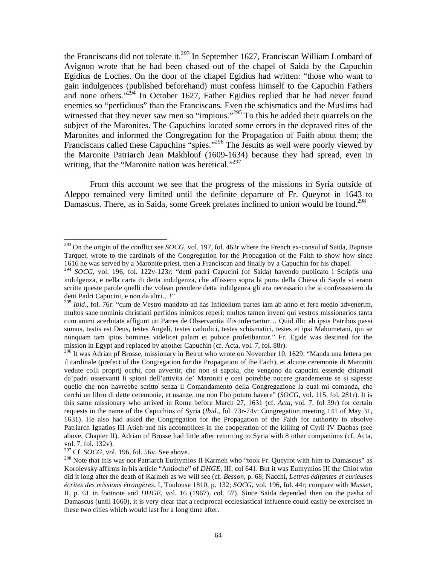the Franciscans did not tolerate it.<sup>293</sup> In September 1627, Franciscan William Lombard of Avignon wrote that he had been chased out of the chapel of Saida by the Capuchin Egidius de Loches. On the door of the chapel Egidius had written: "those who want to gain indulgences (published beforehand) must confess himself to the Capuchin Fathers and none others."<sup>294</sup> In October 1627, Father Egidius replied that he had never found enemies so "perfidious" than the Franciscans. Even the schismatics and the Muslims had witnessed that they never saw men so "impious."<sup>295</sup> To this he added their quarrels on the subject of the Maronites. The Capuchins located some errors in the depraved rites of the Maronites and informed the Congregation for the Propagation of Faith about them; the Franciscans called these Capuchins "spies."<sup>296</sup> The Jesuits as well were poorly viewed by the Maronite Patriarch Jean Makhlouf (1609-1634) because they had spread, even in writing, that the "Maronite nation was heretical."<sup>297</sup>

 From this account we see that the progress of the missions in Syria outside of Aleppo remained very limited until the definite departure of Fr. Queyrot in 1643 to Damascus. There, as in Saida, some Greek prelates inclined to union would be found.<sup>298</sup>

1

<sup>293</sup> On the origin of the conflict see *SOCG*, vol. 197, fol. 463r where the French ex-consul of Saida, Baptiste Tarquet, wrote to the cardinals of the Congregation for the Propagation of the Faith to show how since 1616 he was served by a Maronite priest, then a Franciscan and finally by a Capuchin for his chapel.

<sup>294</sup> *SOCG*, vol. 196, fol. 122v-123r: "detti padri Capucini (of Saida) havendo publicato i Scriptis una indulgenza, e nella carta di detta indulgenza, che affissero sopra la porta della Chiesa di Sayda vi erano scritte queste parole quelli che volean prendere detta indulgenza gli era necessario che si confessassero da detti Padri Capucini, e non da altri…!"

<sup>295</sup> *Ibid*., fol. 76r: "cum de Vestro mandato ad has Infidelium partes iam ab anno et fere medio advenerim, multos sane nominis christiani perfidos inimicos reperi: multos tamen inveni qui vestros missionarios tanta cum animi acerbitate affigunt uti Patres de Observantia illis infectantur… Quid illic ab ipsis Patribus passi sumus, testis est Deus, testes Angeli, testes catholici, testes schismatici, testes et ipsi Mahometani, qui se nunquam tam ipios homines videlicet palam et pubice profetibantur." Fr. Egide was destined for the mission in Egypt and replaced by another Capuchin (cf. Acta, vol. 7, fol. 88r).

<sup>296</sup> It was Adrian pf Brosse, missionary in Beirut who wrote on November 10, 1629: "Manda una lettera per il cardinale (prefect of the Congregation for the Propagation of the Faith), et alcune ceremonie di Maroniti vedute colli proprij occhi, con avvertir, che non si sappia, che vengono da capucini essendo chiamati da'padri osservanti li spioni dell'attivita de' Maroniti e cosi potrebbe nocere grandemente se si sapesse quello che non havrebbe scritto senza il Comandamento della Congregazione la qual mi comanda, che cerchi un libro di dette ceremonie, et usanze, ma non l'ho potuto havere" (*SOCG*, vol. 115, fol. 281r). It is this same missionary who arrived in Rome before March 27, 1631 (cf. *Acta*, vol. 7, fol 39r) for certain requests in the name of the Capuchins of Syria (*Ibid*., fol. 73r-74v: Congregation meeting 141 of May 31, 1631). He also had asked the Congregation for the Propagation of the Faith for authority to absolve Patriarch Ignatios III Atieh and his accomplices in the cooperation of the killing of Cyril IV Dabbas (see above, Chapter II). Adrian of Brosse had little after returning to Syria with 8 other companions (cf. Acta, vol. 7, fol. 132v).

<sup>&</sup>lt;sup>297</sup> Cf. *SOCG*, vol. 196, fol. 56v. See above.

<sup>&</sup>lt;sup>298</sup> Note that this was not Patriarch Euthymios II Karmeh who "took Fr. Queyrot with him to Damascus" as Korolevsky affirms in his article "Antioche" of *DHGE,* III, col 641. But it was Euthymios III the Chiot who did it long after the death of Karmeh as we will see (cf. *Besson*, p. 68; Nacchi*, Lettres édifantes et curieuses écrites des missions étrangères*, I, Toulouse 1810, p. 132; *SOCG*, vol. 196, fol. 44r; compare with *Musset*, II, p. 61 in footnote and *DHGE*, vol. 16 (1967), col. 57). Since Saida depended then on the pasha of Damascus (until 1660), it is very clear that a reciprocal ecclesiastical influence could easily be exercised in these two cities which would last for a long time after.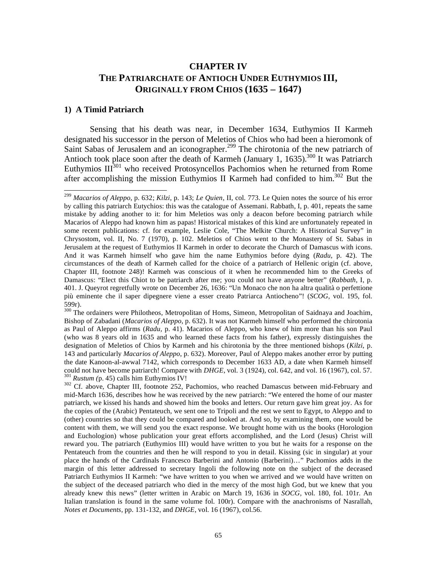# **CHAPTER IV THE PATRIARCHATE OF ANTIOCH UNDER EUTHYMIOS III, ORIGINALLY FROM CHIOS (1635 – 1647)**

#### **1) A Timid Patriarch**

 $\overline{a}$ 

 Sensing that his death was near, in December 1634, Euthymios II Karmeh designated his successor in the person of Meletios of Chios who had been a hieromonk of Saint Sabas of Jerusalem and an iconographer.<sup>299</sup> The chirotonia of the new patriarch of Antioch took place soon after the death of Karmeh (January 1, 1635).<sup>300</sup> It was Patriarch Euthymios  $III^{301}$  who received Protosyncellos Pachomios when he returned from Rome after accomplishing the mission Euthymios II Karmeh had confided to  $\lim_{n \to \infty} 302$  But the

<sup>300</sup> The ordainers were Philotheos, Metropolitan of Homs, Simeon, Metropolitan of Saidnaya and Joachim, Bishop of Zabadani (*Macarios of Aleppo*, p. 632). It was not Karmeh himself who performed the chirotonia as Paul of Aleppo affirms (*Radu,* p. 41). Macarios of Aleppo, who knew of him more than his son Paul (who was 8 years old in 1635 and who learned these facts from his father), expressly distinguishes the designation of Meletios of Chios by Karmeh and his chirotonia by the three mentioned bishops (*Kilzi*, p. 143 and particularly *Macarios of Aleppo*, p. 632). Moreover, Paul of Aleppo makes another error by putting the date Kanoon-al-awwal 7142, which corresponds to December 1633 AD, a date when Karmeh himself could not have become patriarch! Compare with *DHGE*, vol. 3 (1924), col. 642, and vol. 16 (1967), col. 57.  $\frac{301}{102}$  Rustum (p. 45) calls him Euthymios IV!<br> $\frac{302}{102}$  Cf. above, Chapter III, footnote 252, Pachomios, who reached Damascus between mid-February and

mid-March 1636, describes how he was received by the new patriarch: "We entered the home of our master patriarch, we kissed his hands and showed him the books and letters. Our return gave him great joy. As for the copies of the (Arabic) Pentateuch, we sent one to Tripoli and the rest we sent to Egypt, to Aleppo and to (other) countries so that they could be compared and looked at. And so, by examining them, one would be content with them, we will send you the exact response. We brought home with us the books (Horologion and Euchologion) whose publication your great efforts accomplished, and the Lord (Jesus) Christ will reward you. The patriarch (Euthymios III) would have written to you but he waits for a response on the Pentateuch from the countries and then he will respond to you in detail. Kissing (sic in singular) at your place the hands of the Cardinals Francesco Barberini and Antonio (Barberini)…" Pachomios adds in the margin of this letter addressed to secretary Ingoli the following note on the subject of the deceased Patriarch Euthymios II Karmeh: "we have written to you when we arrived and we would have written on the subject of the deceased patriarch who died in the mercy of the most high God, but we knew that you already knew this news" (letter written in Arabic on March 19, 1636 in *SOCG*, vol. 180, fol. 101r. An Italian translation is found in the same volume fol. 100r). Compare with the anachronisms of Nasrallah, *Notes et Documents*, pp. 131-132, and *DHGE*, vol. 16 (1967), col.56.

<sup>299</sup> *Macarios of Aleppo*, p. 632; *Kilzi*, p. 143; *Le Quien*, II, col. 773. Le Quien notes the source of his error by calling this patriarch Eutychios: this was the catalogue of Assemani. Rabbath, I, p. 401, repeats the same mistake by adding another to it: for him Meletios was only a deacon before becoming patriarch while Macarios of Aleppo had known him as papas! Historical mistakes of this kind are unfortunately repeated in some recent publications: cf. for example, Leslie Cole, "The Melkite Church: A Historical Survey" in Chrysostom, vol. II, No. 7 (1970), p. 102. Meletios of Chios went to the Monastery of St. Sabas in Jerusalem at the request of Euthymios II Karmeh in order to decorate the Church of Damascus with icons. And it was Karmeh himself who gave him the name Euthymios before dying (*Radu*, p. 42). The circumstances of the death of Karmeh called for the choice of a patriarch of Hellenic origin (cf. above, Chapter III, footnote 248)! Karmeh was conscious of it when he recommended him to the Greeks of Damascus: "Elect this Chiot to be patriarch after me; you could not have anyone better" (*Rabbath*, I, p. 401. J. Queyrot regretfully wrote on December 26, 1636: "Un Monaco che non ha altra qualità o perfettione più eminente che il saper dipegnere viene a esser creato Patriarca Antiocheno"! (*SCOG*, vol. 195, fol. 599r).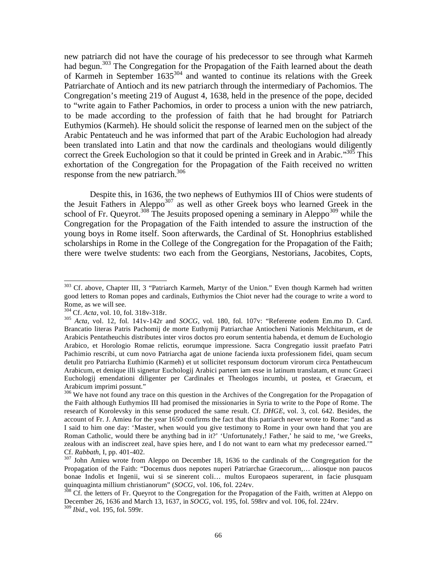new patriarch did not have the courage of his predecessor to see through what Karmeh had begun.<sup>303</sup> The Congregation for the Propagation of the Faith learned about the death of Karmeh in September  $1635^{304}$  and wanted to continue its relations with the Greek Patriarchate of Antioch and its new patriarch through the intermediary of Pachomios. The Congregation's meeting 219 of August 4, 1638, held in the presence of the pope, decided to "write again to Father Pachomios, in order to process a union with the new patriarch, to be made according to the profession of faith that he had brought for Patriarch Euthymios (Karmeh). He should solicit the response of learned men on the subject of the Arabic Pentateuch and he was informed that part of the Arabic Euchologion had already been translated into Latin and that now the cardinals and theologians would diligently correct the Greek Euchologion so that it could be printed in Greek and in Arabic."<sup>305</sup> This exhortation of the Congregation for the Propagation of the Faith received no written response from the new patriarch.<sup>306</sup>

 Despite this, in 1636, the two nephews of Euthymios III of Chios were students of the Jesuit Fathers in Aleppo<sup>307</sup> as well as other Greek boys who learned Greek in the school of Fr. Queyrot.<sup>308</sup> The Jesuits proposed opening a seminary in Aleppo<sup>309</sup> while the Congregation for the Propagation of the Faith intended to assure the instruction of the young boys in Rome itself. Soon afterwards, the Cardinal of St. Honophrius established scholarships in Rome in the College of the Congregation for the Propagation of the Faith; there were twelve students: two each from the Georgians, Nestorians, Jacobites, Copts,

<sup>&</sup>lt;sup>303</sup> Cf. above, Chapter III, 3 "Patriarch Karmeh, Martyr of the Union." Even though Karmeh had written good letters to Roman popes and cardinals, Euthymios the Chiot never had the courage to write a word to Rome, as we will see.<br> $^{304}$  Cf. *Acta*, vol. 10, fol. 318v-318r.

<sup>&</sup>lt;sup>305</sup> Acta, vol. 12, fol. 141v-142r and *SOCG*, vol. 180, fol. 107v: "Referente eodem Em.mo D. Card. Brancatio literas Patris Pachomij de morte Euthymij Patriarchae Antiocheni Nationis Melchitarum, et de Arabicis Pentatheuchis distributes inter viros doctos pro eorum sententia habenda, et demum de Euchologio Arabico, et Horologio Romae relictis, eorumque impressione. Sacra Congregatio iussit praefato Patri Pachimio rescribi, ut cum novo Patriarcha agat de unione facienda iuxta professionem fidei, quam secum detulit pro Patriarcha Euthimio (Karmeh) et ut sollicitet responsum doctorum virorum circa Pentatheucum Arabicum, et denique illi signetur Euchologij Arabici partem iam esse in latinum translatam, et nunc Graeci Euchologij emendationi diligenter per Cardinales et Theologos incumbi, ut postea, et Graecum, et Arabicum imprimi possunt."

<sup>&</sup>lt;sup>306</sup> We have not found any trace on this question in the Archives of the Congregation for the Propagation of the Faith although Euthymios III had promised the missionaries in Syria to write to the Pope of Rome. The research of Korolevsky in this sense produced the same result. Cf. *DHGE*, vol. 3, col. 642. Besides, the account of Fr. J. Amieu for the year 1650 confirms the fact that this patriarch never wrote to Rome: "and as I said to him one day: 'Master, when would you give testimony to Rome in your own hand that you are Roman Catholic, would there be anything bad in it?' 'Unfortunately,! Father,' he said to me, 'we Greeks, zealous with an indiscreet zeal, have spies here, and I do not want to earn what my predecessor earned.'" Cf. *Rabbath*, I, pp. 401-402.<br><sup>307</sup> John Amieu wrote from Aleppo on December 18, 1636 to the cardinals of the Congregation for the

Propagation of the Faith: "Docemus duos nepotes nuperi Patriarchae Graecorum,… aliosque non paucos bonae Indolis et Ingenii, wui si se sinerent coli… multos Europaeos superarent, in facie plusquam quinquaginta millium christianorum" (*SOCG*, vol. 106, fol. 224rv.<br><sup>308</sup> Cf. the letters of Fr. Queyrot to the Congregation for the Propagation of the Faith, written at Aleppo on

December 26, 1636 and March 13, 1637, in *SOCG*, vol. 195, fol. 598rv and vol. 106, fol. 224rv. <sup>309</sup> *Ibid*., vol. 195, fol. 599r.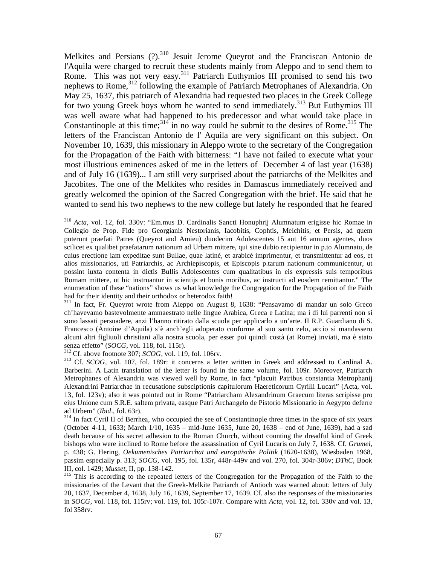Melkites and Persians  $(?)$ .<sup>310</sup> Jesuit Jerome Queyrot and the Franciscan Antonio de l'Aquila were charged to recruit these students mainly from Aleppo and to send them to Rome. This was not very easy.<sup>311</sup> Patriarch Euthymios III promised to send his two nephews to Rome,<sup>312</sup> following the example of Patriarch Metrophanes of Alexandria. On May 25, 1637, this patriarch of Alexandria had requested two places in the Greek College for two young Greek boys whom he wanted to send immediately.<sup>313</sup> But Euthymios III was well aware what had happened to his predecessor and what would take place in Constantinople at this time;  $314 \text{ in}$  no way could he submit to the desires of Rome.<sup>315</sup> The letters of the Franciscan Antonio de l' Aquila are very significant on this subject. On November 10, 1639, this missionary in Aleppo wrote to the secretary of the Congregation for the Propagation of the Faith with bitterness: "I have not failed to execute what your most illustrious eminences asked of me in the letters of December 4 of last year (1638) and of July 16 (1639)... I am still very surprised about the patriarchs of the Melkites and Jacobites. The one of the Melkites who resides in Damascus immediately received and greatly welcomed the opinion of the Sacred Congregation with the brief. He said that he wanted to send his two nephews to the new college but lately he responded that he feared

311 In fact, Fr. Queyrot wrote from Aleppo on August 8, 1638: "Pensavamo di mandar un solo Greco ch'havevamo bastevolmente ammaestrato nelle lingue Arabica, Greca e Latina; ma i di lui parrenti non si sono lassati persuadere, anzi l'hanno ritirato dalla scuola per applicarlo a un'arte. II R.P. Guardiano di S. Francesco (Antoine d'Aquila) s'è anch'egli adoperato conforme al suo santo zelo, accio si mandassero alcuni altri figliuoli christiani alla nostra scuola, per esser poi quindi costà (at Rome) inviati, ma è stato senza effetto" (SOCG, vol. 118, fol. 115r).

 $\overline{a}$ <sup>310</sup> *Acta*, vol. 12, fol. 330v: "Em.mus D. Cardinalis Sancti Honuphrij Alumnatum erigisse hic Romae in Collegio de Prop. Fide pro Georgianis Nestorianis, Iacobitis, Cophtis, Melchitis, et Persis, ad quem poterunt praefati Patres (Queyrot and Amieu) duodecim Adolescentes 15 aut 16 annum agentes, duos scilicet ex qualibet praefatarum nationum ad Urbem mittere, qui sine dubio recipientur in p.to Alumnatu, de cuius erectione iam expeditae sunt Bullae, quae latinè, et arabicè imprimentur, et transmittentur ad eos, et alios missionarios, uti Patriarchis, ac Archiepiscopis, et Episcopis p.tarum nationum communicentur, ut possint iuxta contenta in dictis Bullis Adolescentes cum qualitatibus in eis expressis suis temporibus Romam mittere, ut hic instruantur in scientijs et bonis moribus, ac instructi ad eosdem remittantur." The enumeration of these "nations" shows us what knowledge the Congregation for the Propagation of the Faith had for their identity and their orthodox or heterodox faith!

<sup>&</sup>lt;sup>312</sup> Cf. above footnote 307; *SCOG*, vol. 119, fol. 106rv.<br><sup>313</sup> Cf. *SCOG*, vol. 107, fol. 189r: it concerns a letter written in Greek and addressed to Cardinal A. Barberini. A Latin translation of the letter is found in the same volume, fol. 109r. Moreover, Patriarch Metrophanes of Alexandria was viewed well by Rome, in fact "placuit Patribus constantia Metrophanij Alexandrini Patriarchae in recusatione subsciptionis capitulorum Haereticorum Cyrilli Lucari" (Acta, vol. 13, fol. 123v); also it was pointed out in Rome "Patriarcham Alexandrinum Graecum literas scripisse pro eius Unione cum S.R.E. saltem privata, easque Patri Archangelo de Pistorio Missionario in Aegypto deferre ad Urbem" (Ibid., fol. 63r).

<sup>&</sup>lt;sup>314</sup> In fact Cyril II of Berrhea, who occupied the see of Constantinople three times in the space of six years (October 4-11, 1633; March 1/10, 1635 – mid-June 1635, June 20, 1638 – end of June, 1639), had a sad death because of his secret adhesion to the Roman Church, without counting the dreadful kind of Greek bishops who were inclined to Rome before the assassination of Cyril Lucaris on July 7, 1638. Cf. *Grumel*, p. 438; G. Hering, *Oekumenisches Patriarchat und europäische Politik* (1620-1638), Wiesbaden 1968, passim especially p. 313; *SOCG,* vol. 195, fol. 135r, 448r-449v and vol. 270, fol. 304r-306v; *DThC*, Book

<sup>&</sup>lt;sup>315</sup> This is according to the repeated letters of the Congregation for the Propagation of the Faith to the missionaries of the Levant that the Greek-Melkite Patriarch of Antioch was warned about: letters of July 20, 1637, December 4, 1638, July 16, 1639, September 17, 1639. Cf. also the responses of the missionaries in *SOCG*, vol. 118, fol. 115rv; vol. 119, fol. 105r-107r. Compare with *Acta*, vol. 12, fol. 330v and vol. 13, fol 358rv.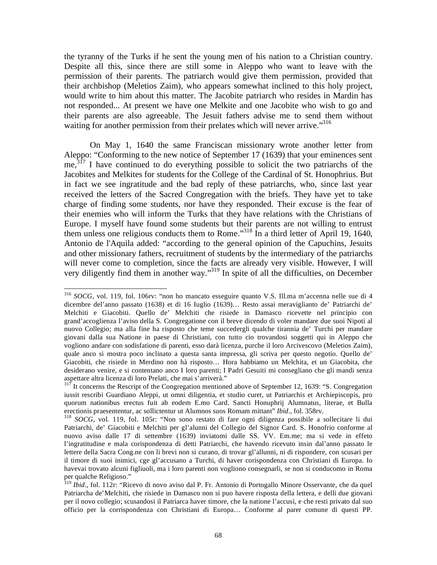the tyranny of the Turks if he sent the young men of his nation to a Christian country. Despite all this, since there are still some in Aleppo who want to leave with the permission of their parents. The patriarch would give them permission, provided that their archbishop (Meletios Zaim), who appears somewhat inclined to this holy project, would write to him about this matter. The Jacobite patriarch who resides in Mardin has not responded... At present we have one Melkite and one Jacobite who wish to go and their parents are also agreeable. The Jesuit fathers advise me to send them without waiting for another permission from their prelates which will never arrive."<sup>316</sup>

 On May 1, 1640 the same Franciscan missionary wrote another letter from Aleppo: "Conforming to the new notice of September 17 (1639) that your eminences sent  $me<sub>1</sub><sup>317</sup>$  I have continued to do everything possible to solicit the two patriarchs of the Jacobites and Melkites for students for the College of the Cardinal of St. Honophrius. But in fact we see ingratitude and the bad reply of these patriarchs, who, since last year received the letters of the Sacred Congregation with the briefs. They have yet to take charge of finding some students, nor have they responded. Their excuse is the fear of their enemies who will inform the Turks that they have relations with the Christians of Europe. I myself have found some students but their parents are not willing to entrust them unless one religious conducts them to Rome."318 In a third letter of April 19, 1640, Antonio de l'Aquila added: "according to the general opinion of the Capuchins, Jesuits and other missionary fathers, recruitment of students by the intermediary of the patriarchs will never come to completion, since the facts are already very visible. However, I will very diligently find them in another way."<sup>319</sup> In spite of all the difficulties, on December

<sup>316</sup> *SOCG*, vol. 119, fol. 106rv: "non ho mancato esseguire quanto V.S. Ill.ma m'accenna nelle sue di 4 dicembre del'anno passato (1638) et di 16 Iuglio (1639)… Resto assai meraviglianto de' Patriarchi de' Melchiti e Giacobiti. Quello de' Melchiti che risiede in Damasco ricevette nel principio con grand'accoglienza l'aviso della S. Congregatione con il breve dicendo di voler mandare due suoi Nipoti al nuovo Collegio; ma alla fine ha risposto che teme succedergli qualche tirannia de' Turchi per mandare giovani dalla sua Natione in paese di Christiani, con tutto cio trovandosi soggetti qui in Aleppo che vogliono andare con sodisfatione di parenti, esso darà licenza, purche il loro Arcivescovo (Meletios Zaim), quale anco si mostra poco inclinato a questa santa impressa, gli scriva per questo negotio. Quello de' Giacobiti, che risiede in Merdino non hà risposto… Hora habbiamo un Melchita, et un Giacobita, che desiderano venire, e si contentano anco I loro parenti; I Padri Gesuiti mi consegliano che gli mandi senza aspettare altra licenza di loro Prelati, che mai s'arriverà."

 $317$  It concerns the Rescript of the Congregation mentioned above of September 12, 1639: "S. Congregation iussit rescribi Guardiano Aleppi, ut omni diligentia, et studio curet, ut Patriarchis et Archiepiscopis, pro quorum nationibus erectus fuit ab eodem E.mo Card. Sancti Honuphrij Alumnatus, literae, et Bulla erectionis praesententur, ac sollictentur ut Alumnos suos Romam mittant" *Ibid.*, fol. 358rv.<br><sup>318</sup> *SOCG*, vol. 119, fol. 105r: "Non sono restato di fare ogni diligenza possibile a sollecitare li dui

Patriarchi, de' Giacobiti e Melchiti per gl'alunni del Collegio del Signor Card. S. Honofrio conforme al nuovo aviso dalle 17 di settembre (1639) inviatomi dalle SS. VV. Em.me; ma si vede in effeto l'ingratitudine e mala corispondenza di detti Patriarchi, che havendo ricevuto insin dal'anno passato le lettere della Sacra Cong.ne con li brevi non si curano, di trovar gl'allunni, ni di rispondere, con scusari per il timore di suoi inimici, cge gl'accusano a Turchi, di haver corispondenza con Christiani di Europa. Io havevai trovato alcuni figliuoli, ma i loro parenti non vogliono consegnarli, se non si conducomo in Roma per qualche Religioso."

<sup>319</sup> *Ibid*., fol. 112r: "Ricevo di novo aviso dal P. Fr. Antonio di Portogallo Minore Osservante, che da quel Patriarcha de'Melchiti, che risiede in Damasco non si puo havere risposta della lettera, e delli due giovani per il novo collegio; scusandosi il Patriarca haver timore, che la natione l'accusi, e che resti privato dal suo officio per la corrispondenza con Christiani di Europa… Conforme al parer comune di questi PP.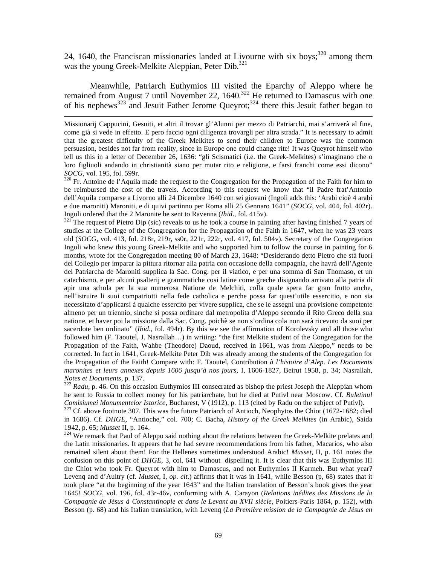24, 1640, the Franciscan missionaries landed at Livourne with six boys; $320$  among them was the young Greek-Melkite Aleppian, Peter Dib. $^{321}$ 

 Meanwhile, Patriarch Euthymios III visited the Eparchy of Aleppo where he remained from August 7 until November 22,  $1640$ <sup>322</sup> He returned to Damascus with one of his nephews<sup>323</sup> and Jesuit Father Jerome Queyrot;<sup>324</sup> there this Jesuit father began to

 $\overline{a}$ 

be reimbursed the cost of the travels. According to this request we know that "il Padre frat'Antonio dell'Aquila comparse a Livorno alli 24 Dicembre 1640 con sei giovani (Ingoli adds this: 'Arabi cioè 4 arabi e due maroniti) Maroniti, e di quivi partinno per Roma alli 25 Gennaro 1641" (*SOCG*, vol. 404, fol. 402r).

Ingoli ordered that the 2 Maronite be sent to Ravenna (*Ibid*., fol. 415v). 321 The request of Pietro Dip (sic) reveals to us he took a course in painting after having finished 7 years of studies at the College of the Congregation for the Propagation of the Faith in 1647, when he was 23 years old (*SOCG*, vol. 413, fol. 218r, 219r, ss0r, 221r, 222r, vol. 417, fol. 504v). Secretary of the Congregation Ingoli who knew this young Greek-Melkite and who supported him to follow the course in painting for 6 months, wrote for the Congregation meeting 80 of March 23, 1648: "Desiderando detto Pietro che stà fuori del Collegio per imparar la pittura ritornar alla patria con occasione della compagnia, che havrà dell'Agente del Patriarcha de Maroniti supplica la Sac. Cong. per il viatico, e per una somma di San Thomaso, et un catechismo, e per alcuni psalterij e grammatiche cosi latine come greche disignando arrivato alla patria di apir una schola per la sua numerosa Natione de Melchiti, colla quale spera far gran frutto anche, nell'istruire li suoi compatriotti nella fede catholica e perche possa far quest'utile essercitio, e non sia necessitato d'applicarsi à qualche essercito per vivere supplica, che se le assegni una provisione competente almeno per un triennio, sinche si possa ordinare dal metropolita d'Aleppo secondo il Rito Greco della sua natione, et haver poi la missione dalla Sac. Cong. poichè se non s'ordina cola non sarà ricevuto da suoi per sacerdote ben ordinato" (*Ibid*., fol. 494r). By this we see the affirmation of Korolevsky and all those who followed him (F. Taoutel, J. Nasrallah…) in writing: "the first Melkite student of the Congregation for the Propagation of the Faith, Wahbe (Theodore) Daoud, received in 1661, was from Aleppo," needs to be corrected. In fact in 1641, Greek-Melkite Peter Dib was already among the students of the Congregation for the Propagation of the Faith! Compare with: F. Taoutel, Contribution *à l'histoire d'Alep. Les Documents maronites et leurs annexes depuis 1606 jusqu'à nos jours*, I, 1606-1827, Beirut 1958, p. 34; Nasrallah, *Notes et Documents*, p. 137.<br><sup>322</sup> *Radu*, p. 46. On this occasion Euthymios III consecrated as bishop the priest Joseph the Aleppian whom

he sent to Russia to collect money for his patriarchate, but he died at Putivl near Moscow. Cf. *Buletinul* 

<sup>323</sup> Cf. above footnote 307. This was the future Patriarch of Antioch, Neophytos the Chiot (1672-1682; died in 1686). Cf. *DHGE*, "Antioche," col. 700; C. Bacha, *History of the Greek Melkites* (in Arabic), Saida 1942, p. 65; *Musset* II, p. 164.<br><sup>324</sup> We remark that Paul of Aleppo said nothing about the relations between the Greek-Melkite prelates and

the Latin missionaries. It appears that he had severe recommendations from his father, Macarios, who also remained silent about them! For the Hellenes sometimes understood Arabic! *Musset*, II, p. 161 notes the confusion on this point of *DHGE*, 3, col. 641 without dispelling it. It is clear that this was Euthymios III the Chiot who took Fr. Queyrot with him to Damascus, and not Euthymios II Karmeh. But what year? Levenq and d'Aultry (cf. *Musset*, I, *op. cit*.) affirms that it was in 1641, while Besson (p, 68) states that it took place "at the beginning of the year 1643" and the Italian translation of Besson's book gives the year 1645! *SOCG*, vol. 196, fol. 43r-46v, conforming with A. Carayon (*Relations inédites des Missions de la Compagnie de Jésus à Constantinople et dans le Levant au XVII siècle*, Poitiers-Paris 1864, p. 152), with Besson (p. 68) and his Italian translation, with Levenq (*La Première mission de la Compagnie de Jésus en* 

Missionarij Cappucini, Gesuiti, et altri il trovar gl'Alunni per mezzo di Patriarchi, mai s'arriverà al fine, come già si vede in effetto. E pero faccio ogni diligenza trovargli per altra strada." It is necessary to admit that the greatest difficulty of the Greek Melkites to send their children to Europe was the common persuasion, besides not far from reality, since in Europe one could change rite! It was Queyrot himself who tell us this in a letter of December 26, 1636: "gli Scismatici (i.e. the Greek-Melkites) s'imaginano che o loro figliuoli andando in christianità siano per mutar rito e religione, e farsi franchi come essi dicono" *SOCG*, vol. 195, fol. 599r.<br><sup>320</sup> Fr. Antoine de l'Aquila made the request to the Congregation for the Propagation of the Faith for him to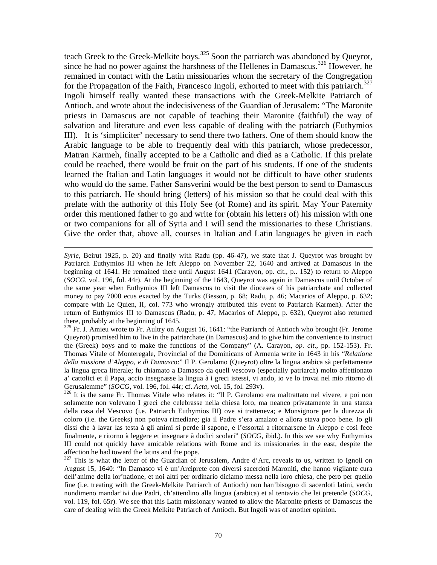teach Greek to the Greek-Melkite boys.<sup>325</sup> Soon the patriarch was abandoned by Queyrot, since he had no power against the harshness of the Hellenes in Damascus.<sup>326</sup> However, he remained in contact with the Latin missionaries whom the secretary of the Congregation for the Propagation of the Faith, Francesco Ingoli, exhorted to meet with this patriarch.<sup>327</sup> Ingoli himself really wanted these transactions with the Greek-Melkite Patriarch of Antioch, and wrote about the indecisiveness of the Guardian of Jerusalem: "The Maronite priests in Damascus are not capable of teaching their Maronite (faithful) the way of salvation and literature and even less capable of dealing with the patriarch (Euthymios III). It is 'simpliciter' necessary to send there two fathers. One of them should know the Arabic language to be able to frequently deal with this patriarch, whose predecessor, Matran Karmeh, finally accepted to be a Catholic and died as a Catholic. If this prelate could be reached, there would be fruit on the part of his students. If one of the students learned the Italian and Latin languages it would not be difficult to have other students who would do the same. Father Sansverini would be the best person to send to Damascus to this patriarch. He should bring (letters) of his mission so that he could deal with this prelate with the authority of this Holy See (of Rome) and its spirit. May Your Paternity order this mentioned father to go and write for (obtain his letters of) his mission with one or two companions for all of Syria and I will send the missionaries to these Christians. Give the order that, above all, courses in Italian and Latin languages be given in each

 $\overline{a}$ 

<sup>325</sup> Fr. J. Amieu wrote to Fr. Aultry on August 16, 1641: "the Patriarch of Antioch who brought (Fr. Jerome Queyrot) promised him to live in the patriarchate (in Damascus) and to give him the convenience to instruct the (Greek) boys and to make the functions of the Company" (A. Carayon, *op. cit*., pp. 152-153). Fr. Thomas Vitale of Monteregale, Provincial of the Dominicans of Armenia write in 1643 in his "*Relatione della missione d'Aleppo, e di Damasco*:" Il P. Gerolamo (Queyrot) oltre la lingua arabica sà perfettamente la lingua greca litterale; fu chiamato a Damasco da quell vescovo (especially patriarch) molto affettionato a' cattolici et il Papa, accio insegnasse la lingua à i greci istessi, vi ando, io ve lo trovai nel mio ritorno di

<sup>326</sup> It is the same Fr. Thomas Vitale who relates it: "Il P. Gerolamo era maltrattato nel vivere, e poi non solamente non volevano I greci che celebrasse nella chiesa loro, ma neanco privatamente in una stanza della casa del Vescovo (i.e. Patriarch Euthymios III) ove si tratteneva; e Monsignore per la durezza di coloro (i.e. the Greeks) non poteva rimediare; gia il Padre s'era amalato e allora stava poco bene. Io gli dissi che à lavar las testa à gli animi si perde il sapone, e l'essortai a ritornarsene in Aleppo e cosi fece finalmente, e ritorno à leggere et insegnare à dodici scolari" (*SOCG*, ibid.). In this we see why Euthymios III could not quickly have amicable relations with Rome and its missionaries in the east, despite the affection he had toward the latins and the pope.

 $327$  This is what the letter of the Guardian of Jerusalem, Andre d'Arc, reveals to us, written to Ignoli on August 15, 1640: "In Damasco vi è un'Arciprete con diversi sacerdoti Maroniti, che hanno vigilante cura dell'anime della lor'natione, et noi altri per ordinario diciamo messa nella loro chiesa, che pero per quello fine (i.e. treating with the Greek-Melkite Patriarch of Antioch) non han'bisogno di sacerdoti latini, verdo nondimeno mandar'ivi due Padri, ch'attendino alla lingua (arabica) et al tentavio che lei pretende (*SOCG*, vol. 119, fol. 65r). We see that this Latin missionary wanted to allow the Maronite priests of Damascus the care of dealing with the Greek Melkite Patriarch of Antioch. But Ingoli was of another opinion.

*Syrie*, Beirut 1925, p. 20) and finally with Radu (pp. 46-47), we state that J. Queyrot was brought by Patriarch Euthymios III when he left Aleppo on November 22, 1640 and arrived at Damascus in the beginning of 1641. He remained there until August 1641 (Carayon, op. cit., p.. 152) to return to Aleppo (*SOCG*, vol. 196, fol. 44r). At the beginning of the 1643, Queyrot was again in Damascus until October of the same year when Euthymios III left Damascus to visit the dioceses of his patriarchate and collected money to pay 7000 ecus exacted by the Turks (Besson, p. 68; Radu, p. 46; Macarios of Aleppo, p. 632; compare with Le Quien, II, col. 773 who wrongly attributed this event to Patriarch Karmeh). After the return of Euthymios III to Damascus (Radu, p. 47, Macarios of Aleppo, p. 632), Queyrot also returned there, probably at the beginning of 1645.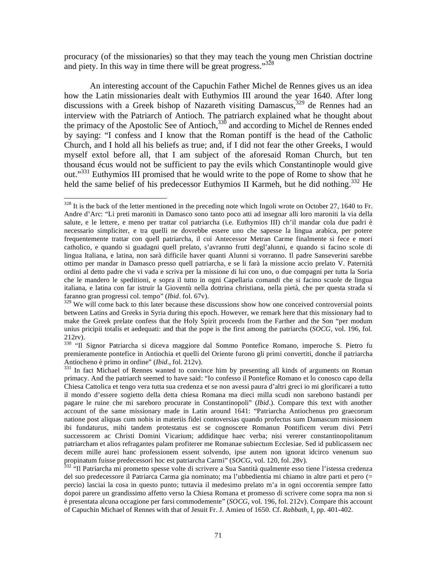procuracy (of the missionaries) so that they may teach the young men Christian doctrine and piety. In this way in time there will be great progress." $328$ 

 An interesting account of the Capuchin Father Michel de Rennes gives us an idea how the Latin missionaries dealt with Euthymios III around the year 1640. After long discussions with a Greek bishop of Nazareth visiting Damascus,<sup>329</sup> de Rennes had an interview with the Patriarch of Antioch. The patriarch explained what he thought about the primacy of the Apostolic See of Antioch, $330$  and according to Michel de Rennes ended by saying: "I confess and I know that the Roman pontiff is the head of the Catholic Church, and I hold all his beliefs as true; and, if I did not fear the other Greeks, I would myself extol before all, that I am subject of the aforesaid Roman Church, but ten thousand écus would not be sufficient to pay the evils which Constantinople would give out."<sup>331</sup> Euthymios III promised that he would write to the pope of Rome to show that he held the same belief of his predecessor Euthymios II Karmeh, but he did nothing.<sup>332</sup> He

 $328$  It is the back of the letter mentioned in the preceding note which Ingoli wrote on October 27, 1640 to Fr. Andre d'Arc: "Li preti maroniti in Damasco sono tanto poco atti ad insegnar alli loro maroniti la via della salute, e le lettere, e meno per trattar col patriarcha (i.e. Euthymios III) ch'il mandar cola due padri è necessario simpliciter, e tra quelli ne dovrebbe essere uno che sapesse la lingua arabica, per potere frequentemente trattar con quell patriarcha, il cui Antecessor Metran Carme finalmente si fece e mori catholico, e quando si guadagni quell prelato, s'avranno frutti degl'alunni, e quando si facino scole di lingua Italiana, e latina, non sarà difficile haver quanti Alunni si vorranno. Il padre Sanseverini sarebbe ottimo per mandar in Damasco presso quell patriarcha, e se li farà la missione accio prelato V. Paternità ordini al detto padre che vi vada e scriva per la missione di lui con uno, o due compagni per tutta la Soria che le mandero le speditioni, e sopra il tutto in ogni Capellaria comandi che si facino scuole de lingua italiana, e latina con far istruir la Gioventù nella dottrina christiana, nella pietà, che per questa strada si faranno gran progressi col. tempo" (*Ibid*. fol. 67v).

<sup>&</sup>lt;sup>329</sup> We will come back to this later because these discussions show how one conceived controversial points between Latins and Greeks in Syria during this epoch. However, we remark here that this missionary had to make the Greek prelate confess that the Holy Spirit proceeds from the Farther and the Son "per modum unius pricipii totalis et aedequati: and that the pope is the first among the patriarchs (*SOCG*, vol. 196, fol. 212rv).

<sup>330 &</sup>quot;Il Signor Patriarcha si diceva maggiore dal Sommo Pontefice Romano, imperoche S. Pietro fu premieramente pontefice in Antiochia et quelli del Oriente furono gli primi convertiti, donche il patriarcha Antiocheno è primo in ordine" (*Ibid.*, fol. 212v).<br><sup>331</sup> In fact Michael of Rennes wanted to convince him by presenting all kinds of arguments on Roman

primacy. And the patriarch seemed to have said: "Io confesso il Pontefice Romano et lo conosco capo della Chiesa Cattolica et tengo vera tutta sua credenza et se non avessi paura d'altri greci io mi glorificarei a tutto il mondo d'essere sogietto della detta chiesa Romana ma dieci milla scudi non sarebono bastandi per pagare le ruine che mi sareboro procurate in Constantinopoli" (*Ibid*.). Compare this text with another account of the same missionary made in Latin around 1641: "Patriarcha Antiochenus pro graecorum natione post aliquas cum nobis in materiis fidei contoversias quando profectus sum Damascum missionem ibi fundaturus, mihi tandem protestatus est se cognoscere Romanun Pontificem verum divi Petri successorem ac Christi Domini Vicarium; addiditque haec verba; nisi vererer constantinopolitanum patriarcham et alios refragantes palam profiterer me Romanae subiectum Ecclesiae. Sed id publicassem nec decem mille aurei hanc professionem essent solvendo, ipse autem non ignorat idcirco venenum suo propinatum fuisse predecessori hoc est patriarcha Carmi" (*SOCG*, vol. 120, fol. 28v).<br><sup>332</sup> "Il Patriarcha mi prometto spesse volte di scrivere a Sua Santità qualmente esso tiene l'istessa credenza

del suo predecessore il Patriarca Carma gia nominato; ma l'ubbedientia mi chiamo in altre parti et pero (= percio) lasciai la cosa in questo punto; tuttavia il medesimo prelato m'a in ogni occorentia sempre fatto dopoi parere un grandissimo affetto verso la Chiesa Romana et promesso di scrivere come sopra ma non si è presentata alcuna occagione per farsi commodemente" (*SOCG*, vol. 196, fol. 212v). Compare this account of Capuchin Michael of Rennes with that of Jesuit Fr. J. Amieu of 1650. Cf. *Rabbath*, I, pp. 401-402.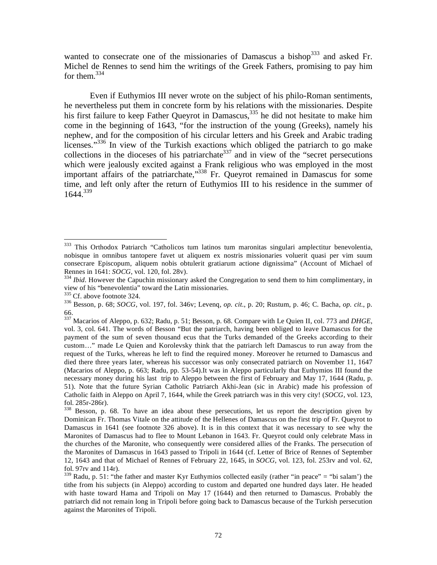wanted to consecrate one of the missionaries of Damascus a bishop<sup>333</sup> and asked Fr. Michel de Rennes to send him the writings of the Greek Fathers, promising to pay him for them.<sup>334</sup>

 Even if Euthymios III never wrote on the subject of his philo-Roman sentiments, he nevertheless put them in concrete form by his relations with the missionaries. Despite his first failure to keep Father Queyrot in Damascus,  $335$  he did not hesitate to make him come in the beginning of 1643, "for the instruction of the young (Greeks), namely his nephew, and for the composition of his circular letters and his Greek and Arabic trading licenses."<sup>336</sup> In view of the Turkish exactions which obliged the patriarch to go make collections in the dioceses of his patriarchate<sup>337</sup> and in view of the "secret persecutions" which were jealously excited against a Frank religious who was employed in the most important affairs of the patriarchate,"338 Fr. Queyrot remained in Damascus for some time, and left only after the return of Euthymios III to his residence in the summer of 1644.339

<sup>333</sup> 333 This Orthodox Patriarch "Catholicos tum latinos tum maronitas singulari amplectitur benevolentia, nobisque in omnibus tantopere favet ut aliquem ex nostris missionaries voluerit quasi per vim suum consecrare Episcopum, aliquem nobis obtulerit gratiarum actione dignissima" (Account of Michael of Rennes in 1641:  $SOCG$ , vol. 120, fol. 28v).

<sup>&</sup>lt;sup>334</sup> *Ibid*. However the Capuchin missionary asked the Congregation to send them to him complimentary, in view of his "benevolentia" toward the Latin missionaries.

 $336$  Besson, p. 68; *SOCG*, vol. 197, fol. 346v; Leveng, *op. cit.*, p. 20; Rustum, p. 46; C. Bacha, *op. cit.*, p. 66.

<sup>337</sup> Macarios of Aleppo, p. 632; Radu, p. 51; Besson, p. 68. Compare with Le Quien II, col. 773 and *DHGE*, vol. 3, col. 641. The words of Besson "But the patriarch, having been obliged to leave Damascus for the payment of the sum of seven thousand ecus that the Turks demanded of the Greeks according to their custom…" made Le Quien and Korolevsky think that the patriarch left Damascus to run away from the request of the Turks, whereas he left to find the required money. Moreover he returned to Damascus and died there three years later, whereas his successor was only consecrated patriarch on November 11, 1647 (Macarios of Aleppo, p. 663; Radu, pp. 53-54).It was in Aleppo particularly that Euthymios III found the necessary money during his last trip to Aleppo between the first of February and May 17, 1644 (Radu, p. 51). Note that the future Syrian Catholic Patriarch Akhi-Jean (sic in Arabic) made his profession of Catholic faith in Aleppo on April 7, 1644, while the Greek patriarch was in this very city! (*SOCG*, vol. 123, fol. 285r-286r).

<sup>&</sup>lt;sup>338</sup> Besson, p. 68. To have an idea about these persecutions, let us report the description given by Dominican Fr. Thomas Vitale on the attitude of the Hellenes of Damascus on the first trip of Fr. Queyrot to Damascus in 1641 (see footnote 326 above). It is in this context that it was necessary to see why the Maronites of Damascus had to flee to Mount Lebanon in 1643. Fr. Queyrot could only celebrate Mass in the churches of the Maronite, who consequently were considered allies of the Franks. The persecution of the Maronites of Damascus in 1643 passed to Tripoli in 1644 (cf. Letter of Brice of Rennes of September 12, 1643 and that of Michael of Rennes of February 22, 1645, in *SOCG*, vol. 123, fol. 253rv and vol. 62, fol. 97rv and 114r).

 $339$  Radu, p. 51: "the father and master Kyr Euthymios collected easily (rather "in peace" = "bi salam') the tithe from his subjects (in Aleppo) according to custom and departed one hundred days later. He headed with haste toward Hama and Tripoli on May 17 (1644) and then returned to Damascus. Probably the patriarch did not remain long in Tripoli before going back to Damascus because of the Turkish persecution against the Maronites of Tripoli.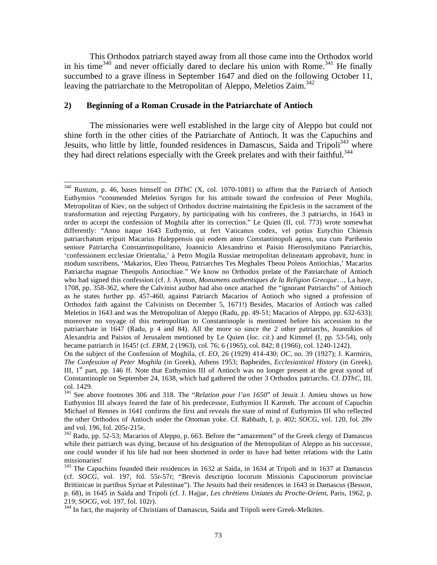This Orthodox patriarch stayed away from all those came into the Orthodox world in his time<sup>340</sup> and never officially dared to declare his union with Rome.<sup>341</sup> He finally succumbed to a grave illness in September 1647 and died on the following October 11, leaving the patriarchate to the Metropolitan of Aleppo, Meletios Zaim.<sup>342</sup>

# **2) Beginning of a Roman Crusade in the Patriarchate of Antioch**

 The missionaries were well established in the large city of Aleppo but could not shine forth in the other cities of the Patriarchate of Antioch. It was the Capuchins and Jesuits, who little by little, founded residences in Damascus, Saida and Tripoli<sup>343</sup> where they had direct relations especially with the Greek prelates and with their faithful.<sup>344</sup>

 $\overline{a}$ 340 Rustum, p. 46, bases himself on *DThC* (X, col. 1070-1081) to affirm that the Patriarch of Antioch Euthymios "commended Meletios Syrigos for his attitude toward the confession of Peter Moghila, Metropolitan of Kiev, on the subject of Orthodox doctrine maintaining the Epiclesis in the sacrament of the transformation and rejecting Purgatory, by participating with his confreres, the 3 patriarchs, in 1643 in order to accept the confession of Moghila after its correction." Le Quien (II, col. 773) wrote somewhat differently: "Anno itaque 1643 Euthymio, ut fert Vaticanus codex, vel potius Eutychio Chiensis patriarchatum eripuit Macarius Haleppensis qui eodem anno Constantinopoli agens, una cum Parthenio seniore Patriarcha Constantinopolitano, Joannicio Alexandrino et Paisio Hierosolymitano Patriarchis, 'confessionem ecclesiae Orientalia,' à Petro Mogila Russiae metropolitan delineatam approbavit, hunc in modum suscribens, 'Makarios, Eleo Theou, Patriarches Tes Meghales Theou Poleos Antiochias,' Macarius Patriarcha magnae Theopolis Antiochiae." We know no Orthodox prelate of the Patriarchate of Antioch who had signed this confession (cf. J. Aymon, *Monumens authentiques de la Religion Grecque*…, La haye, 1708, pp. 358-362, where the Calvinist author had also once attached the "ignorant Patriarchs" of Antioch as he states further pp. 457-460, against Patriarch Macarios of Antioch who signed a profession of Orthodox faith against the Calvinists on December 5, 1671!) Besides, Macarios of Antioch was called Meletios in 1643 and was the Metropolitan of Aleppo (Radu, pp. 49-51; Macarios of Aleppo, pp. 632-633); moreover no voyage of this metropolitan to Constantinople is mentioned before his accession to the patriarchate in 1647 (Radu, p 4 and 84). All the more so since the 2 other patriarchs, Joannikios of Alexandria and Paisios of Jerusalem mentioned by Le Quien (*loc. cit*.) and Kimmel (I, pp. 53-54), only became patriarch in 1645! (cf. *ERM*, 2 (1963), col. 76; 6 (1965), col. 842; 8 (1966), col. 1240-1242).

On the subject of the Confession of Moghila, cf. *EO*, 26 (1929) 414-430; *OC*, no. 39 (1927); J. Karmiris, *The Confession of Peter Moghila* (in Greek), Athens 1953; Bapheides, *Ecclesiastical History* (in Greek), III,  $1<sup>st</sup>$  part, pp. 146 ff. Note that Euthymios III of Antioch was no longer present at the great synod of Constantinople on September 24, 1638, which had gathered the other 3 Orthodox patriarchs. Cf. *DThC*, III, col. 1429.

<sup>341</sup> See above footnotes 306 and 318. The "*Relation pour l'an 1650*" of Jesuit J. Amieu shows us how Euthymios III always feared the fate of his predecessor, Euthymios II Karmeh. The account of Capuchin Michael of Rennes in 1641 confirms the first and reveals the state of mind of Euthymios III who reflected the other Orthodox of Antioch under the Ottoman yoke. Cf. Rabbath, I, p. 402; *SOCG*, vol. 120, fol. 28v and vol. 196, fol. 205r-215r.

 $342$  Radu, pp. 52-53; Macarios of Aleppo, p. 663. Before the "amazement" of the Greek clergy of Damascus while their patriarch was dying, because of his designation of the Metropolitan of Aleppo as his successor, one could wonder if his life had not been shortened in order to have had better relations with the Latin missionaries!

<sup>343</sup> The Capuchins founded their residences in 1632 at Saida, in 1634 at Tripoli and in 1637 at Damascus (cf. *SOCG*, vol. 197, fol. 55r-57r; "Brevis descriptio locorum Missionis Capucinorum provinciae Brittinicae in partibus Syriae et Palestinae"). The Jesuits had their residences in 1643 in Damascus (Besson, p. 68), in 1645 in Saida and Tripoli (cf. J. Hajjar, *Les chrétiens Uniates du Proche-Orient*, Paris, 1962, p.

<sup>219;</sup> *SOCG*, vol. 197, fol. 102r). 344 In fact, the majority of Christians of Damascus, Saida and Tripoli were Greek-Melkites.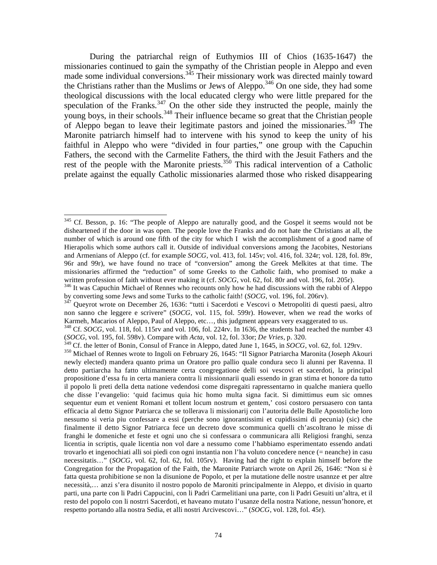During the patriarchal reign of Euthymios III of Chios (1635-1647) the missionaries continued to gain the sympathy of the Christian people in Aleppo and even made some individual conversions.<sup>345</sup> Their missionary work was directed mainly toward the Christians rather than the Muslims or Jews of Aleppo.<sup>346</sup> On one side, they had some theological discussions with the local educated clergy who were little prepared for the speculation of the Franks. $347$  On the other side they instructed the people, mainly the young boys, in their schools.<sup>348</sup> Their influence became so great that the Christian people of Aleppo began to leave their legitimate pastors and joined the missionaries.<sup>349</sup> The Maronite patriarch himself had to intervene with his synod to keep the unity of his faithful in Aleppo who were "divided in four parties," one group with the Capuchin Fathers, the second with the Carmelite Fathers, the third with the Jesuit Fathers and the rest of the people with the Maronite priests.<sup>350</sup> This radical intervention of a Catholic prelate against the equally Catholic missionaries alarmed those who risked disappearing

<sup>&</sup>lt;sup>345</sup> Cf. Besson, p. 16: "The people of Aleppo are naturally good, and the Gospel it seems would not be disheartened if the door in was open. The people love the Franks and do not hate the Christians at all, the number of which is around one fifth of the city for which I wish the accomplishment of a good name of Hierapolis which some authors call it. Outside of individual conversions among the Jacobites, Nestorians and Armenians of Aleppo (cf. for example *SOCG*, vol. 413, fol. 145v; vol. 416, fol. 324r; vol. 128, fol. 89r, 96r and 99r), we have found no trace of "conversion" among the Greek Melkites at that time. The missionaries affirmed the "reduction" of some Greeks to the Catholic faith, who promised to make a written profession of faith without ever making it (cf. *SOCG*, vol. 62, fol. 80r and vol. 196, fol. 205r).<br><sup>346</sup> It was Capuchin Michael of Rennes who recounts only how he had discussions with the rabbi of Aleppo

by converting some Jews and some Turks to the catholic faith! (*SOCG*, vol. 196, fol. 206rv).<br><sup>347</sup> Queyrot wrote on December 26, 1636: "tutti i Sacerdoti e Vescovi o Metropoliti di questi paesi, altro

non sanno che leggere e scrivere" (*SOCG*, vol. 115, fol. 599r). However, when we read the works of Karmeh, Macarios of Aleppo, Paul of Aleppo, etc…, this judgment appears very exaggerated to us.

<sup>&</sup>lt;sup>348</sup> Cf. *SOCG*, vol. 118, fol. 115rv and vol. 106, fol. 224rv. In 1636, the students had reached the number 43 (*SOCG*, vol. 195, fol. 598v). Compare with *Acta*, vol. 12, fol. 33or; *De Vries*, p. 320.

<sup>&</sup>lt;sup>350</sup> Michael of Rennes wrote to Ingoli on February 26, 1645: "Il Signor Patriarcha Maronita (Joseph Akouri newly elected) mandera quanto prima un Oratore pro pallio quale condura seco li alunni per Ravenna. Il detto partiarcha ha fatto ultimamente certa congregatione delli soi vescovi et sacerdoti, la principal propositione d'essa fu in certa maniera contra li missionnarii quali essendo in gran stima et honore da tutto il popolo li preti della detta natione vedendosi come dispregaiti rapressentarno in qualche maniera quello che disse l'evangelio: 'quid facimus quia hic homo multa signa facit. Si dimittimus eum sic omnes sequentur eum et venient Romani et tollent locum nostrum et gentem,' cosi costoro persuasero con tanta efficacia al detto Signor Patriarca che se tollerava li missionarij con l'autorita delle Bulle Apostoliche loro nessumo si veria piu confessare a essi (perche sono ignorantissimi et cupidissimi di pecunia) (sic) che finalmente il detto Signor Patriarca fece un decreto dove scommunica quelli ch'ascoltrano le misse di franghi le domeniche et feste et ogni uno che si confessara o communicara alli Religiosi franghi, senza licentia in scriptis, quale licentia non vol dare a nessumo come l'habbiamo esperimentato essendo andati trovarlo et ingenochiati alli soi piedi con ogni instantia non l'ha voluto concedere nence (= neanche) in casu necessitatis…" (*SOCG*, vol. 62, fol. 62, fol. 105rv). Having had the right to explain himself before the Congregation for the Propagation of the Faith, the Maronite Patriarch wrote on April 26, 1646: "Non si è fatta questa prohibitione se non la disunione de Popolo, et per la mutatione delle nostre usannze et per altre necessità,… anzi s'era disunito il nostro popolo de Maroniti principalmente in Aleppo, et divisio in quarto parti, una parte con li Padri Cappucini, con li Padri Carmelitiani una parte, con li Padri Gesuiti un'altra, et il resto del popolo con li nostrri Sacerdoti, et haveano mutato l'usanze della nostra Natione, nessun'honore, et respetto portando alla nostra Sedia, et alli nostri Arcivescovi…" (*SOCG*, vol. 128, fol. 45r).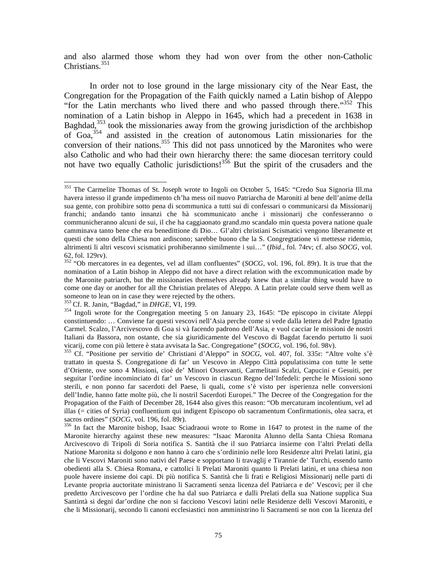and also alarmed those whom they had won over from the other non-Catholic Christians. $351$ 

 In order not to lose ground in the large missionary city of the Near East, the Congregation for the Propagation of the Faith quickly named a Latin bishop of Aleppo "for the Latin merchants who lived there and who passed through there."<sup>352</sup> This nomination of a Latin bishop in Aleppo in 1645, which had a precedent in 1638 in Baghdad, $353$  took the missionaries away from the growing jurisdiction of the archbishop of Goa,354 and assisted in the creation of autonomous Latin missionaries for the conversion of their nations.<sup>355</sup> This did not pass unnoticed by the Maronites who were also Catholic and who had their own hierarchy there: the same diocesan territory could not have two equally Catholic jurisdictions!<sup>356</sup> But the spirit of the crusaders and the

<sup>&</sup>lt;sup>351</sup> The Carmelite Thomas of St. Joseph wrote to Ingoli on October 5, 1645: "Credo Sua Signoria Ill.ma havera intesso il grande impedimento ch'ha mess oil nuovo Patriarcha de Maroniti al bene dell'anime della sua gente, con prohibire sotto pena di scommunica a tutti sui di confessari o communicarsi da Missionarij franchi; andando tanto innanzi che hà scommunicato anche i missionarij che confesseranno o communicheranno alcuni de sui, il che ha caggiaonato grand.mo scandalo min questa povera natione quale camminava tanto bene che era benedittione di Dio… Gl'altri christiani Scismatici vengono liberamente et questi che sono della Chiesa non ardiscono; sarebbe buono che la S. Congregtatione vi mettesse ridemio, altrimenti li altri vescovi scismatici prohiberanno similmente i sui…" (*Ibid*., fol. 74rv; cf. also *SOCG*, vol. 62, fol. 129rv).

<sup>352 &</sup>quot;Ob mercatores in ea degentes, vel ad illam confluentes" (*SOCG*, vol. 196, fol. 89r). It is true that the nomination of a Latin bishop in Aleppo did not have a direct relation with the excommunication made by the Maronite patriarch, but the missionaries themselves already knew that a similar thing would have to come one day or another for all the Christian prelates of Aleppo. A Latin prelate could serve them well as someone to lean on in case they were rejected by the others.<br><sup>353</sup> Cf. R. Janin, "Bagdad," in *DHGE*, VI, 199.

<sup>&</sup>lt;sup>354</sup> Ingoli wrote for the Congregation meeting 5 on January 23, 1645: "De episcopo in civitate Aleppi constintuendo: … Conviene far questi vescovi nell'Asia perche come si vede dalla lettera del Padre Ignatio Carmel. Scalzo, l'Arcivescovo di Goa si và facendo padrono dell'Asia, e vuol cacciar le missioni de nostri Italiani da Bassora, non ostante, che sia giuridicamente del Vescovo di Bagdat facendo pertutto li suoi vicarij, come con più lettere è stata avvisata la Sac. Congregatione" (SOCG, vol. 196, fol. 98v).

<sup>&</sup>lt;sup>355</sup> Cf. "Positione per servitio de' Christiani d'Aleppo" in *SOCG*, vol. 407, fol. 335r: "Altre volte s'è trattato in questa S. Congregatione di far' un Vescovo in Aleppo Città populatissima con tutte le sette d'Oriente, ove sono 4 Missioni, cioè de' Minori Osservanti, Carmelitani Scalzi, Capucini e Gesuiti, per seguitar l'ordine incominciato di far' un Vescovo in ciascun Regno del'Infedeli: perche le Missioni sono sterili, e non ponno far sacerdoti del Paese, li quali, come s'è visto per isperienza nelle conversioni dell'Indie, hanno fatte molte più, che li nostril Sacerdoti Europei." The Decree of the Congregation for the Propagation of the Faith of December 28, 1644 also gives this reason: "Ob mercaturam incolentium, vel ad illas (= cities of Syria) confluentium qui indigent Episcopo ob sacramentum Confirmationis, olea sacra, et sacros ordines" (*SOCG*, vol. 196, fol. 89r).<br><sup>356</sup> In fact the Maronite bishop, Isaac Sciadraoui wrote to Rome in 1647 to protest in the name of the

Maronite hierarchy against these new measures: "Isaac Maronita Alunno della Santa Chiesa Romana Arcivescovo di Tripoli di Soria notifica S. Santità che il suo Patriarca insieme con l'altri Prelati della Natione Maronita si dolgono e non hanno à caro che s'ordininio nelle loro Residenze altri Prelati latini, gia che li Vescovi Maroniti sono nativi del Paese e sopportano li travaglij e Tirannie de' Turchi, essendo tanto obedienti alla S. Chiesa Romana, e cattolici li Prelati Maroniti quanto li Prelati latini, et una chiesa non puole havere insieme doi capi. Di più notifica S. Santità che li frati e Religiosi Missionarij nelle parti di Levante propria auctoritate ministrano li Sacramenti senza licenza del Patriarca e de' Vescovi; per il che predetto Arcivescovo per l'ordine che ha dal suo Patriarca e dalli Prelati della sua Natione supplica Sua Santintà si degni dar'ordine che non si facciono Vescovi latini nelle Residenze delli Vescovi Maroniti, e che li Missionarij, secondo li canoni ecclesiastici non amministrino li Sacramenti se non con la licenza del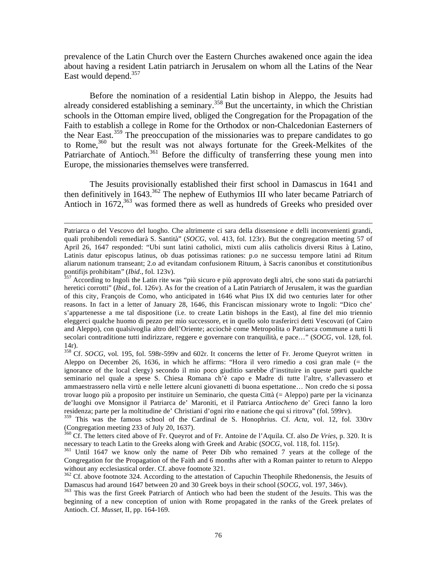prevalence of the Latin Church over the Eastern Churches awakened once again the idea about having a resident Latin patriarch in Jerusalem on whom all the Latins of the Near East would depend.<sup>357</sup>

 Before the nomination of a residential Latin bishop in Aleppo, the Jesuits had already considered establishing a seminary.<sup>358</sup> But the uncertainty, in which the Christian schools in the Ottoman empire lived, obliged the Congregation for the Propagation of the Faith to establish a college in Rome for the Orthodox or non-Chalcedonian Easterners of the Near East.<sup>359</sup> The preoccupation of the missionaries was to prepare candidates to go to Rome,360 but the result was not always fortunate for the Greek-Melkites of the Patriarchate of Antioch.<sup>361</sup> Before the difficulty of transferring these young men into Europe, the missionaries themselves were transferred.

 The Jesuits provisionally established their first school in Damascus in 1641 and then definitively in  $1643$ <sup>362</sup> The nephew of Euthymios III who later became Patriarch of Antioch in  $1672$ ,  $363$  was formed there as well as hundreds of Greeks who presided over

 $\overline{a}$ 

359 This was the famous school of the Cardinal de S. Honophrius. Cf. *Acta*, vol. 12, fol. 330rv (Congregation meeting 233 of July 20, 1637).

Patriarca o del Vescovo del luogho. Che altrimente ci sara della dissensione e delli inconvenienti grandi, quali prohibendoli remediarà S. Santità" (*SOCG*, vol. 413, fol. 123r). But the congregation meeting 57 of April 26, 1647 responded: "Ubi sunt latini catholici, mixti cum aliis catholicis diversi Ritus à Latino, Latinis datur episcopus latinus, ob duas potissimas rationes: p.o ne successu tempore latini ad Ritum aliarum nationum transeant; 2.o ad evitandam confusionem Rituum, à Sacris canonibus et constitutionibus pontifijs prohibitam" (*Ibid.*, fol. 123v).<br><sup>357</sup> According to Ingoli the Latin rite was "più sicuro e più approvato degli altri, che sono stati da patriarchi

heretici corrotti" (*Ibid*., fol. 126v). As for the creation of a Latin Patriarch of Jerusalem, it was the guardian of this city, François de Como, who anticipated in 1646 what Pius IX did two centuries later for other reasons. In fact in a letter of January 28, 1646, this Franciscan missionary wrote to Ingoli: "Dico che' s'appartenesse a me tal dispositione (i.e. to create Latin bishops in the East), al fine del mio triennio eleggerci qualche huomo di pezzo per mio successore, et in quello solo trasferirci detti Vescovati (of Cairo and Aleppo), con qualsivoglia altro dell'Oriente; acciochè come Metropolita o Patriarca commune a tutti li secolari contraditione tutti indirizzare, reggere e governare con tranquilità, e pace…" (*SOCG*, vol. 128, fol. 14r).

<sup>&</sup>lt;sup>358</sup> Cf. *SOCG*, vol. 195, fol. 598r-599v and 602r. It concerns the letter of Fr. Jerome Queyrot written in Aleppo on December 26, 1636, in which he affirms: "Hora il vero rimedio a cosi gran male (= the ignorance of the local clergy) secondo il mio poco giuditio sarebbe d'instituire in queste parti qualche seminario nel quale a spese S. Chiesa Romana ch'è capo e Madre di tutte l'altre, s'allevassero et ammaestrassero nella virtù e nelle lettere alcuni giovanetti di buona espettatione… Non credo che si possa trovar luogo più a proposito per instituire un Seminario, che questa Città (= Aleppo) parte per la vicinanza de'luoghi ove Monsignor il Patriarca de' Maroniti, et il Patriarca *Antiocheno* de' Greci fanno la loro residenza; parte per la moltitudine de' Christiani d'ogni rito e natione che qui si ritrova" (fol. 599rv).

<sup>&</sup>lt;sup>360</sup> Cf. The letters cited above of Fr. Queyrot and of Fr. Antoine de l'Aquila. Cf. also *De Vries*, p. 320. It is necessary to teach Latin to the Greeks along with Greek and Arabic (*SOCG*, vol. 118, fol. 115r).

<sup>&</sup>lt;sup>361</sup> Until 1647 we know only the name of Peter Dib who remained 7 years at the college of the Congregation for the Propagation of the Faith and 6 months after with a Roman painter to return to Aleppo without any ecclesiastical order. Cf. above footnote 321.

 $362$  Cf. above footnote 324. According to the attestation of Capuchin Theophile Rhedonensis, the Jesuits of Damascus had around 1647 between 20 and 30 Greek boys in their school (*SOCG*, vol. 197, 346v).

<sup>&</sup>lt;sup>363</sup> This was the first Greek Patriarch of Antioch who had been the student of the Jesuits. This was the beginning of a new conception of union with Rome propagated in the ranks of the Greek prelates of Antioch. Cf. *Musset*, II, pp. 164-169.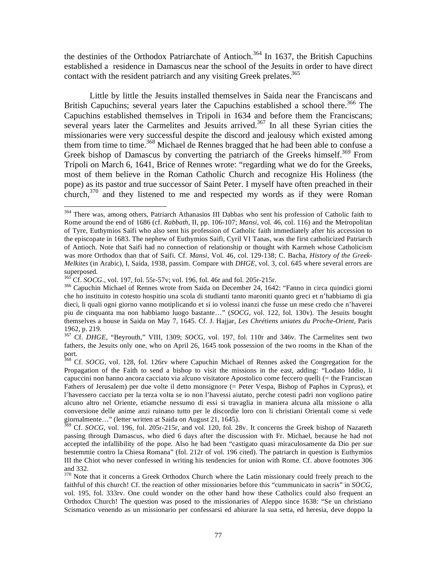the destinies of the Orthodox Patriarchate of Antioch.<sup>364</sup> In 1637, the British Capuchins established a residence in Damascus near the school of the Jesuits in order to have direct contact with the resident patriarch and any visiting Greek prelates.<sup>365</sup>

 Little by little the Jesuits installed themselves in Saida near the Franciscans and British Capuchins; several years later the Capuchins established a school there.<sup>366</sup> The Capuchins established themselves in Tripoli in 1634 and before them the Franciscans; several years later the Carmelites and Jesuits arrived.<sup>367</sup> In all these Syrian cities the missionaries were very successful despite the discord and jealousy which existed among them from time to time.<sup>368</sup> Michael de Rennes bragged that he had been able to confuse a Greek bishop of Damascus by converting the patriarch of the Greeks himself.<sup>369</sup> From Tripoli on March 6, 1641, Brice of Rennes wrote: "regarding what we do for the Greeks, most of them believe in the Roman Catholic Church and recognize His Holiness (the pope) as its pastor and true successor of Saint Peter. I myself have often preached in their church,<sup>370</sup> and they listened to me and respected my words as if they were Roman

1

<sup>&</sup>lt;sup>364</sup> There was, among others, Patriarch Athanasios III Dabbas who sent his profession of Catholic faith to Rome around the end of 1686 (cf. *Rabbath,* II, pp. 106-107; *Mansi*, vol. 46, col. 116) and the Metropolitan of Tyre, Euthymios Saifi who also sent his profession of Catholic faith immediately after his accession to the episcopate in 1683. The nephew of Euthymios Saifi, Cyril VI Tanas, was the first catholicized Patriarch of Antioch. Note that Saifi had no connection of relationship or thought with Karmeh whose Catholicism was more Orthodox than that of Saifi. Cf. *Mansi*, Vol. 46, col. 129-138; C. Bacha, *History of the Greek-Melkites* (in Arabic), I, Saida, 1938, passim. Compare with *DHGE*, vol. 3, col. 645 where several errors are superposed.<br><sup>365</sup> Cf. *SOCG*., vol. 197, fol. 55r-57v; vol. 196, fol. 46r and fol. 205r-215r.

<sup>&</sup>lt;sup>366</sup> Capuchin Michael of Rennes wrote from Saida on December 24, 1642: "Fanno in circa quindici giorni che ho instituito in cotesto hospitio una scola di studianti tanto maroniti quanto greci et n'habbiamo di gia dieci, li quali ogni giorno vanno motiplicando et si io volessi inanzi che fusse un mese credo che n'haverei piu de cinquanta ma non habbiamo luogo bastante…" (*SOCG*, vol. 122, fol. 130v). The Jesuits bought themselves a house in Saida on May 7, 1645. Cf. J. Hajjar, *Les Chrétiens uniates du Proche-Orient*, Paris 1962, p. 219.

<sup>367</sup> Cf. *DHGE*, "Beyrouth," VIII, 1309; *SOC*G, vol. 197, fol. 110r and 346v. The Carmelites sent two fathers, the Jesuits only one, who on April 26, 1645 took possession of the two rooms in the Khan of the port.

<sup>368</sup> Cf. *SOCG*, vol. 128, fol. 126rv where Capuchin Michael of Rennes asked the Congregation for the Propagation of the Faith to send a bishop to visit the missions in the east, adding: "Lodato Iddio, li capuccini non hanno ancora cacciato via alcuno visitatore Apostolico come feccero quelli (= the Franciscan Fathers of Jerusalem) per due volte il detto monsignore (= Peter Vespa, Bishop of Paphos in Cyprus), et l'havessero cacciato per la terza volta se io non l'havessi aiutato, perche cotesti padri non vogliono patire alcuno altro nel Oriente, etiamche nessumo di essi si travaglia in maniera alcuna alla missione o alla conversione delle anime anzi ruinano tutto per le discordie loro con li christiani Orientali come si vede giornalmente…" (letter written at Saida on August 21, 1645).

<sup>&</sup>lt;sup>369</sup> Cf. *SOCG*, vol. 196, fol. 205r-215r, and vol. 120, fol. 28v. It concerns the Greek bishop of Nazareth passing through Damascus, who died 6 days after the discussion with Fr. Michael, because he had not accepted the infallibility of the pope. Also he had been "castigato quasi miraculosamente da Dio per sue bestemmie contro la Chiesa Romana" (fol. 212r of vol. 196 cited). The patriarch in question is Euthymios III the Chiot who never confessed in writing his tendencies for union with Rome. Cf. above footnotes 306 and 332.

<sup>&</sup>lt;sup>370</sup> Note that it concerns a Greek Orthodox Church where the Latin missionary could freely preach to the faithful of this church! Cf. the reaction of other missionaries before this "cummunicato in sacris" in *SOCG*, vol. 195, fol. 333rv. One could wonder on the other hand how these Catholics could also frequent an Orthodox Church! The question was posed to the missionaries of Aleppo since 1638: "Se un christiano Scismatico venendo as un missionario per confessarsi ed abiurare la sua setta, ed heresia, deve doppo la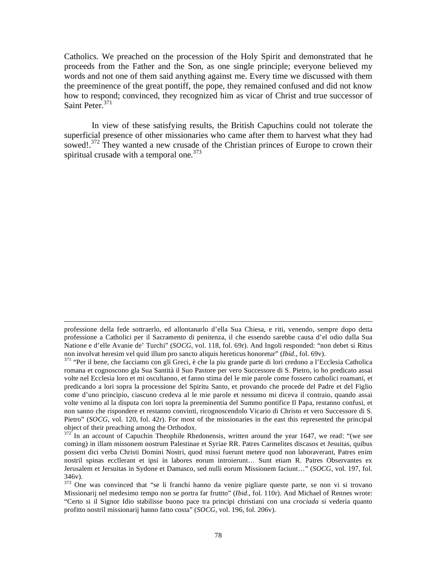Catholics. We preached on the procession of the Holy Spirit and demonstrated that he proceeds from the Father and the Son, as one single principle; everyone believed my words and not one of them said anything against me. Every time we discussed with them the preeminence of the great pontiff, the pope, they remained confused and did not know how to respond; convinced, they recognized him as vicar of Christ and true successor of Saint Peter.<sup>371</sup>

 In view of these satisfying results, the British Capuchins could not tolerate the superficial presence of other missionaries who came after them to harvest what they had sowed!.<sup>372</sup> They wanted a new crusade of the Christian princes of Europe to crown their spiritual crusade with a temporal one.<sup>373</sup>

professione della fede sottraerlo, ed allontanarlo d'ella Sua Chiesa, e riti, venendo, sempre dopo detta professione a Catholici per il Sacramento di penitenza, il che essendo sarebbe causa d'el odio dalla Sua Natione e d'elle Avanie de' Turchi" (*SOCG*, vol. 118, fol. 69r). And Ingoli responded: "non debet si Ritus non involvat heresim vel quid illum pro sancto aliquis hereticus honoretur" (*Ibid.*, fol. 69v).<br><sup>371</sup> "Per il bene, che facciamo con gli Greci, è che la piu grande parte di lori credono a l'Ecclesia Catholica

romana et cognoscono gla Sua Santità il Suo Pastore per vero Successore di S. Pietro, io ho predicato assai volte nel Ecclesia loro et mi oscultanno, et fanno stima del le mie parole come fossero catholici roamani, et predicando a lori sopra la processione del Spiritu Santo, et provando che procede del Padre et del Figlio come d'uno principio, ciascuno credeva al le mie parole et nessumo mi diceva il contraio, quando assai volte venimo al la disputa con lori sopra la preeminentia del Summo pontifice Il Papa, restanno confusi, et non sanno che rispondere et restanno convinti, ricognoscendolo Vicario di Christo et vero Successore di S. Pietro" (*SOCG*, vol. 120, fol. 42r). For most of the missionaries in the east this represented the principal object of their preaching among the Orthodox.

 $372$  In an account of Capuchin Theophile Rhedonensis, written around the year 1647, we read: "(we see coming) in illam missonem nostrum Palestinae et Syriae RR. Patres Carmelites discasos et Jesuitas, quibus possent dici verba Christi Domini Nostri, quod missi fuerunt metere quod non laboraverant, Patres enim nostril spinas eccllerant et ipsi in labores eorum introierunt… Sunt etiam R. Patres Observantes ex Jerusalem et Jersuitas in Sydone et Damasco, sed nulli eorum Missionem faciunt…" (*SOCG*, vol. 197, fol. 346v).

<sup>&</sup>lt;sup>373</sup> One was convinced that "se li franchi hanno da venire pigliare queste parte, se non vi si trovano Missionarij nel medesimo tempo non se portra far fruttto" (*Ibid*., fol. 110r). And Michael of Rennes wrote: "Certo si il Signor Idio stabilisse buono pace tra principi christiani con una *crociada* si vederia quanto profitto nostril missionarij hanno fatto costa" (*SOCG*, vol. 196, fol. 206v).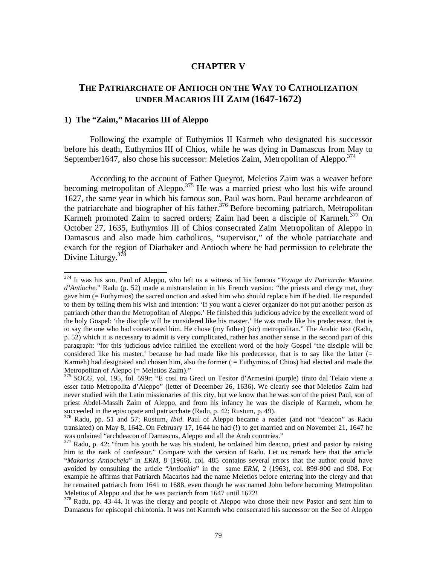# **CHAPTER V**

# **THE PATRIARCHATE OF ANTIOCH ON THE WAY TO CATHOLIZATION UNDER MACARIOS III ZAIM (1647-1672)**

## **1) The "Zaim," Macarios III of Aleppo**

 $\overline{a}$ 

 Following the example of Euthymios II Karmeh who designated his successor before his death, Euthymios III of Chios, while he was dying in Damascus from May to September1647, also chose his successor: Meletios Zaim, Metropolitan of Aleppo. $374$ 

 According to the account of Father Queyrot, Meletios Zaim was a weaver before becoming metropolitan of Aleppo.<sup>375</sup> He was a married priest who lost his wife around 1627, the same year in which his famous son, Paul was born. Paul became archdeacon of the patriarchate and biographer of his father.<sup>376</sup> Before becoming patriarch, Metropolitan Karmeh promoted Zaim to sacred orders; Zaim had been a disciple of Karmeh.<sup>377</sup> On October 27, 1635, Euthymios III of Chios consecrated Zaim Metropolitan of Aleppo in Damascus and also made him catholicos, "supervisor," of the whole patriarchate and exarch for the region of Diarbaker and Antioch where he had permission to celebrate the Divine Liturgy.<sup>378</sup>

<sup>374</sup> It was his son, Paul of Aleppo, who left us a witness of his famous "*Voyage du Patriarche Macaire d'Antioche*." Radu (p. 52) made a mistranslation in his French version: "the priests and clergy met, they gave him (= Euthymios) the sacred unction and asked him who should replace him if he died. He responded to them by telling them his wish and intention: 'If you want a clever organizer do not put another person as patriarch other than the Metropolitan of Aleppo.' He finished this judicious advice by the excellent word of the holy Gospel: 'the disciple will be considered like his master.' He was made like his predecessor, that is to say the one who had consecrated him. He chose (my father) (sic) metropolitan." The Arabic text (Radu, p. 52) which it is necessary to admit is very complicated, rather has another sense in the second part of this paragraph: "for this judicious advice fulfilled the excellent word of the holy Gospel 'the disciple will be considered like his master,' because he had made like his predecessor, that is to say like the latter (= Karmeh) had designated and chosen him, also the former ( = Euthymios of Chios) had elected and made the Metropolitan of Aleppo  $(=$  Meletios Zaim)."

<sup>375</sup> *SOCG*, vol. 195, fol. 599r: "E cosi tra Greci un Tesitor d'Armesini (purple) tirato dal Telaio viene a esser fatto Metropolita d'Aleppo" (letter of December 26, 1636). We clearly see that Meletios Zaim had never studied with the Latin missionaries of this city, but we know that he was son of the priest Paul, son of priest Abdel-Massih Zaim of Aleppo, and from his infancy he was the disciple of Karmeh, whom he succeeded in the episcopate and patriarchate (Radu, p. 42; Rustum, p. 49).

<sup>376</sup> Radu, pp. 51 and 57; Rustum, *Ibid*. Paul of Aleppo became a reader (and not "deacon" as Radu translated) on May 8, 1642. On February 17, 1644 he had (!) to get married and on November 21, 1647 he was ordained "archdeacon of Damascus, Aleppo and all the Arab countries."

<sup>&</sup>lt;sup>377</sup> Radu, p. 42: "from his youth he was his student, he ordained him deacon, priest and pastor by raising him to the rank of confessor." Compare with the version of Radu. Let us remark here that the article "*Makarios Antiocheia*" in *ERM*, 8 (1966), col. 485 contains several errors that the author could have avoided by consulting the article "*Antiochia*" in the same *ERM*, 2 (1963), col. 899-900 and 908. For example he affirms that Patriarch Macarios had the name Meletios before entering into the clergy and that he remained patriarch from 1641 to 1688, even though he was named John before becoming Metropolitan Meletios of Aleppo and that he was patriarch from 1647 until 1672!

<sup>&</sup>lt;sup>378</sup> Radu, pp. 43-44. It was the clergy and people of Aleppo who chose their new Pastor and sent him to Damascus for episcopal chirotonia. It was not Karmeh who consecrated his successor on the See of Aleppo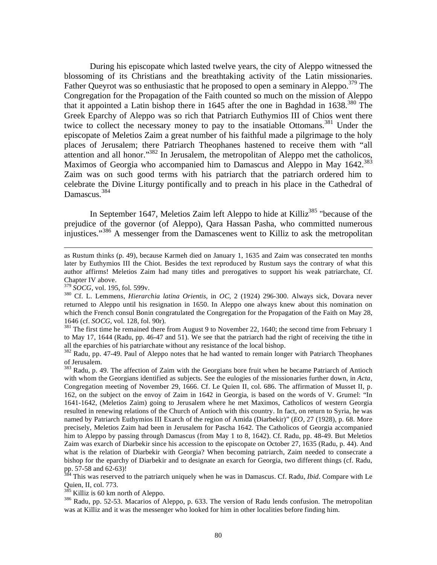During his episcopate which lasted twelve years, the city of Aleppo witnessed the blossoming of its Christians and the breathtaking activity of the Latin missionaries. Father Queyrot was so enthusiastic that he proposed to open a seminary in Aleppo.<sup>379</sup> The Congregation for the Propagation of the Faith counted so much on the mission of Aleppo that it appointed a Latin bishop there in 1645 after the one in Baghdad in  $1638^{380}$  The Greek Eparchy of Aleppo was so rich that Patriarch Euthymios III of Chios went there twice to collect the necessary money to pay to the insatiable Ottomans.<sup>381</sup> Under the episcopate of Meletios Zaim a great number of his faithful made a pilgrimage to the holy places of Jerusalem; there Patriarch Theophanes hastened to receive them with "all attention and all honor."382 In Jerusalem, the metropolitan of Aleppo met the catholicos, Maximos of Georgia who accompanied him to Damascus and Aleppo in May 1642.<sup>383</sup> Zaim was on such good terms with his patriarch that the patriarch ordered him to celebrate the Divine Liturgy pontifically and to preach in his place in the Cathedral of Damascus.<sup>384</sup>

In September 1647, Meletios Zaim left Aleppo to hide at Killiz<sup>385</sup> "because of the prejudice of the governor (of Aleppo), Qara Hassan Pasha, who committed numerous injustices."<sup>386</sup> A messenger from the Damascenes went to Killiz to ask the metropolitan

 $\overline{a}$ 

<sup>381</sup> The first time he remained there from August 9 to November 22, 1640; the second time from February 1 to May 17, 1644 (Radu, pp. 46-47 and 51). We see that the patriarch had the right of receiving the tithe in all the eparchies of his patriarchate without any resistance of the local bishop.

<sup>382</sup> Radu, pp. 47-49. Paul of Aleppo notes that he had wanted to remain longer with Patriarch Theophanes of Jerusalem.

<sup>383</sup> Radu, p. 49. The affection of Zaim with the Georgians bore fruit when he became Patriarch of Antioch with whom the Georgians identified as subjects. See the eulogies of the missionaries further down, in *Acta*, Congregation meeting of November 29, 1666. Cf. Le Quien II, col. 686. The affirmation of Musset II, p. 162, on the subject on the envoy of Zaim in 1642 in Georgia, is based on the words of V. Grumel: "In 1641-1642, (Meletios Zaim) going to Jerusalem where he met Maximos, Catholicos of western Georgia resulted in renewing relations of the Church of Antioch with this country. In fact, on return to Syria, he was named by Patriarch Euthymios III Exarch of the region of Amida (Diarbekir)" (*EO*, 27 (1928), p. 68. More precisely, Meletios Zaim had been in Jerusalem for Pascha 1642. The Catholicos of Georgia accompanied him to Aleppo by passing through Damascus (from May 1 to 8, 1642). Cf. Radu, pp. 48-49. But Meletios Zaim was exarch of Diarbekir since his accession to the episcopate on October 27, 1635 (Radu, p. 44). And what is the relation of Diarbekir with Georgia? When becoming patriarch, Zaim needed to consecrate a bishop for the eparchy of Diarbekir and to designate an exarch for Georgia, two different things (cf. Radu, pp. 57-58 and  $62-63$ )!

384 This was reserved to the patriarch uniquely when he was in Damascus. Cf. Radu, *Ibid*. Compare with Le Quien, II, col. 773.<br><sup>385</sup> Killiz is 60 km north of Aleppo.

 $386$  Radu, pp. 52-53. Macarios of Aleppo, p. 633. The version of Radu lends confusion. The metropolitan was at Killiz and it was the messenger who looked for him in other localities before finding him.

as Rustum thinks (p. 49), because Karmeh died on January 1, 1635 and Zaim was consecrated ten months later by Euthymios III the Chiot. Besides the text reproduced by Rustum says the contrary of what this author affirms! Meletios Zaim had many titles and prerogatives to support his weak patriarchate, Cf. Chapter IV above.<br><sup>379</sup> SOCG, vol. 195, fol. 599v.

<sup>&</sup>lt;sup>380</sup> Cf. L. Lemmens, *Hierarchia latina Orientis*, in *OC*, 2 (1924) 296-300. Always sick, Dovara never returned to Aleppo until his resignation in 1650. In Aleppo one always knew about this nomination on which the French consul Bonin congratulated the Congregation for the Propagation of the Faith on May 28, 1646 (cf. *SOCG*, vol. 128, fol. 90r).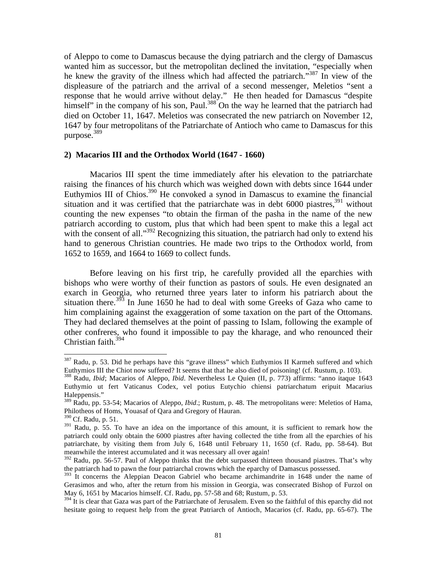of Aleppo to come to Damascus because the dying patriarch and the clergy of Damascus wanted him as successor, but the metropolitan declined the invitation, "especially when he knew the gravity of the illness which had affected the patriarch."<sup>387</sup> In view of the displeasure of the patriarch and the arrival of a second messenger, Meletios "sent a response that he would arrive without delay." He then headed for Damascus "despite himself" in the company of his son, Paul.<sup>388</sup> On the way he learned that the patriarch had died on October 11, 1647. Meletios was consecrated the new patriarch on November 12, 1647 by four metropolitans of the Patriarchate of Antioch who came to Damascus for this purpose.<sup>389</sup>

#### **2) Macarios III and the Orthodox World (1647 - 1660)**

 Macarios III spent the time immediately after his elevation to the patriarchate raising the finances of his church which was weighed down with debts since 1644 under Euthymios III of Chios.<sup>390</sup> He convoked a synod in Damascus to examine the financial situation and it was certified that the patriarchate was in debt  $6000$  piastres,<sup>391</sup> without counting the new expenses "to obtain the firman of the pasha in the name of the new patriarch according to custom, plus that which had been spent to make this a legal act with the consent of all." $392$  Recognizing this situation, the patriarch had only to extend his hand to generous Christian countries. He made two trips to the Orthodox world, from 1652 to 1659, and 1664 to 1669 to collect funds.

 Before leaving on his first trip, he carefully provided all the eparchies with bishops who were worthy of their function as pastors of souls. He even designated an exarch in Georgia, who returned three years later to inform his patriarch about the situation there.<sup>393</sup> In June 1650 he had to deal with some Greeks of Gaza who came to him complaining against the exaggeration of some taxation on the part of the Ottomans. They had declared themselves at the point of passing to Islam, following the example of other confreres, who found it impossible to pay the kharage, and who renounced their Christian faith.394

<sup>&</sup>lt;sup>387</sup> Radu, p. 53. Did he perhaps have this "grave illness" which Euthymios II Karmeh suffered and which Euthymios III the Chiot now suffered? It seems that that he also died of poisoning! (cf. Rustum, p. 103).

<sup>388</sup> Radu, *Ibid*; Macarios of Aleppo, *Ibid*. Nevertheless Le Quien (II, p. 773) affirms: "anno itaque 1643 Euthymio ut fert Vaticanus Codex, vel potius Eutychio chiensi patriarchatum eripuit Macarius Haleppensis."

<sup>389</sup> Radu, pp. 53-54; Macarios of Aleppo, *Ibid*.; Rustum, p. 48. The metropolitans were: Meletios of Hama, Philotheos of Homs, Youasaf of Qara and Gregory of Hauran.

<sup>390</sup> Cf. Radu, p. 51.

 $391$  Radu, p. 55. To have an idea on the importance of this amount, it is sufficient to remark how the patriarch could only obtain the 6000 piastres after having collected the tithe from all the eparchies of his patriarchate, by visiting them from July 6, 1648 until February 11, 1650 (cf. Radu, pp. 58-64). But meanwhile the interest accumulated and it was necessary all over again!

<sup>&</sup>lt;sup>392</sup> Radu, pp. 56-57. Paul of Aleppo thinks that the debt surpassed thirteen thousand piastres. That's why the patriarch had to pawn the four patriarchal crowns which the eparchy of Damascus possessed.

<sup>&</sup>lt;sup>393</sup> It concerns the Aleppian Deacon Gabriel who became archimandrite in 1648 under the name of Gerasimos and who, after the return from his mission in Georgia, was consecrated Bishop of Furzol on May 6, 1651 by Macarios himself. Cf. Radu, pp. 57-58 and 68; Rustum, p. 53.

<sup>&</sup>lt;sup>394</sup> It is clear that Gaza was part of the Patriarchate of Jerusalem. Even so the faithful of this eparchy did not hesitate going to request help from the great Patriarch of Antioch, Macarios (cf. Radu, pp. 65-67). The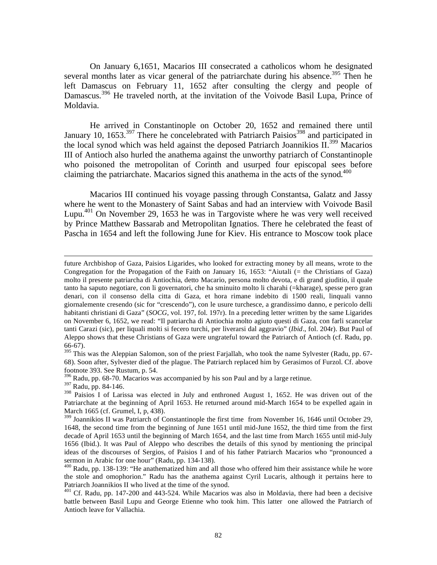On January 6,1651, Macarios III consecrated a catholicos whom he designated several months later as vicar general of the patriarchate during his absence.<sup>395</sup> Then he left Damascus on February 11, 1652 after consulting the clergy and people of Damascus.<sup>396</sup> He traveled north, at the invitation of the Voivode Basil Lupa, Prince of Moldavia.

 He arrived in Constantinople on October 20, 1652 and remained there until January 10, 1653.<sup>397</sup> There he concelebrated with Patriarch Paisios<sup>398</sup> and participated in the local synod which was held against the deposed Patriarch Joannikios  $II^{399}$  Macarios III of Antioch also hurled the anathema against the unworthy patriarch of Constantinople who poisoned the metropolitan of Corinth and usurped four episcopal sees before claiming the patriarchate. Macarios signed this anathema in the acts of the synod.<sup>400</sup>

 Macarios III continued his voyage passing through Constantsa, Galatz and Jassy where he went to the Monastery of Saint Sabas and had an interview with Voivode Basil Lupu.<sup>401</sup> On November 29, 1653 he was in Targoviste where he was very well received by Prince Matthew Bassarab and Metropolitan Ignatios. There he celebrated the feast of Pascha in 1654 and left the following June for Kiev. His entrance to Moscow took place

future Archbishop of Gaza, Paisios Ligarides, who looked for extracting money by all means, wrote to the Congregation for the Propagation of the Faith on January 16, 1653: "Aiutali (= the Christians of Gaza) molto il presente patriarcha di Antiochia, detto Macario, persona molto devota, e di grand giuditio, il quale tanto ha saputo negotiare, con li governatori, che ha sminuito molto li charahi (=kharage), spesse pero gran denari, con il consenso della citta di Gaza, et hora rimane indebito di 1500 reali, linquali vanno giornalemente cresendo (sic for "crescendo"), con le usure turchesce, a grandissimo danno, e pericolo delli habitanti christiani di Gaza" (*SOCG*, vol. 197, fol. 197r). In a preceding letter written by the same Ligarides on November 6, 1652, we read: "Il patriarcha di Antiochia molto agiuto questi di Gaza, con farli scancelar tanti Carazi (sic), per liquali molti si fecero turchi, per liverarsi dal aggravio" (*Ibid*., fol. 204r). But Paul of Aleppo shows that these Christians of Gaza were ungrateful toward the Patriarch of Antioch (cf. Radu, pp. 66-67).

<sup>&</sup>lt;sup>395</sup> This was the Aleppian Salomon, son of the priest Farjallah, who took the name Sylvester (Radu, pp. 67-68). Soon after, Sylvester died of the plague. The Patriarch replaced him by Gerasimos of Furzol. Cf. above footnote 393. See Rustum, p. 54.

<sup>396</sup> Radu, pp. 68-70. Macarios was accompanied by his son Paul and by a large retinue.

<sup>397</sup> Radu, pp. 84-146.

<sup>&</sup>lt;sup>398</sup> Paisios I of Larissa was elected in July and enthroned August 1, 1652. He was driven out of the Patriarchate at the beginning of April 1653. He returned around mid-March 1654 to be expelled again in March 1665 (cf. Grumel, I, p, 438).

<sup>&</sup>lt;sup>399</sup> Joannikios II was Patriarch of Constantinople the first time from November 16, 1646 until October 29, 1648, the second time from the beginning of June 1651 until mid-June 1652, the third time from the first decade of April 1653 until the beginning of March 1654, and the last time from March 1655 until mid-July 1656 (Ibid.). It was Paul of Aleppo who describes the details of this synod by mentioning the principal ideas of the discourses of Sergios, of Paisios I and of his father Patriarch Macarios who "pronounced a sermon in Arabic for one hour" (Radu, pp. 134-138).

<sup>400</sup> Radu, pp. 138-139: "He anathematized him and all those who offered him their assistance while he wore the stole and omophorion." Radu has the anathema against Cyril Lucaris, although it pertains here to Patriarch Joannikios II who lived at the time of the synod.

 $401$  Cf. Radu, pp. 147-200 and 443-524. While Macarios was also in Moldavia, there had been a decisive battle between Basil Lupu and George Etienne who took him. This latter one allowed the Patriarch of Antioch leave for Vallachia.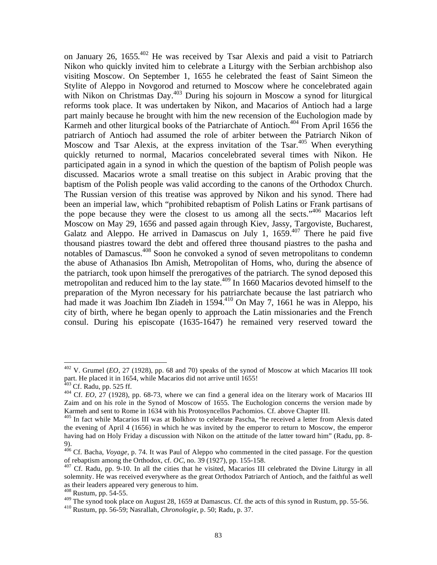on January 26, 1655.402 He was received by Tsar Alexis and paid a visit to Patriarch Nikon who quickly invited him to celebrate a Liturgy with the Serbian archbishop also visiting Moscow. On September 1, 1655 he celebrated the feast of Saint Simeon the Stylite of Aleppo in Novgorod and returned to Moscow where he concelebrated again with Nikon on Christmas Day.<sup>403</sup> During his sojourn in Moscow a synod for liturgical reforms took place. It was undertaken by Nikon, and Macarios of Antioch had a large part mainly because he brought with him the new recension of the Euchologion made by Karmeh and other liturgical books of the Patriarchate of Antioch.<sup> $404$ </sup> From April 1656 the patriarch of Antioch had assumed the role of arbiter between the Patriarch Nikon of Moscow and Tsar Alexis, at the express invitation of the Tsar.<sup>405</sup> When everything quickly returned to normal, Macarios concelebrated several times with Nikon. He participated again in a synod in which the question of the baptism of Polish people was discussed. Macarios wrote a small treatise on this subject in Arabic proving that the baptism of the Polish people was valid according to the canons of the Orthodox Church. The Russian version of this treatise was approved by Nikon and his synod. There had been an imperial law, which "prohibited rebaptism of Polish Latins or Frank partisans of the pope because they were the closest to us among all the sects."<sup>406</sup> Macarios left Moscow on May 29, 1656 and passed again through Kiev, Jassy, Targoviste, Bucharest, Galatz and Aleppo. He arrived in Damascus on July 1, 1659.<sup>407</sup> There he paid five thousand piastres toward the debt and offered three thousand piastres to the pasha and notables of Damascus.408 Soon he convoked a synod of seven metropolitans to condemn the abuse of Athanasios Ibn Amish, Metropolitan of Homs, who, during the absence of the patriarch, took upon himself the prerogatives of the patriarch. The synod deposed this metropolitan and reduced him to the lay state.<sup>409</sup> In 1660 Macarios devoted himself to the preparation of the Myron necessary for his patriarchate because the last patriarch who had made it was Joachim Ibn Ziadeh in 1594.<sup>410</sup> On May 7, 1661 he was in Aleppo, his city of birth, where he began openly to approach the Latin missionaries and the French consul. During his episcopate (1635-1647) he remained very reserved toward the

<sup>402</sup> V. Grumel (*EO*, 27 (1928), pp. 68 and 70) speaks of the synod of Moscow at which Macarios III took part. He placed it in 1654, while Macarios did not arrive until 1655!<br><sup>403</sup> Cf. Radu, pp. 525 ff.

<sup>&</sup>lt;sup>404</sup> Cf. *EO*, 27 (1928), pp. 68-73, where we can find a general idea on the literary work of Macarios III Zaim and on his role in the Synod of Moscow of 1655. The Euchologion concerns the version made by Karmeh and sent to Rome in 1634 with his Protosyncellos Pachomios. Cf. above Chapter III.

<sup>&</sup>lt;sup>405</sup> In fact while Macarios III was at Bolkhov to celebrate Pascha, "he received a letter from Alexis dated the evening of April 4 (1656) in which he was invited by the emperor to return to Moscow, the emperor having had on Holy Friday a discussion with Nikon on the attitude of the latter toward him" (Radu, pp. 8- 9).

<sup>406</sup> Cf. Bacha, *Voyage*, p. 74. It was Paul of Aleppo who commented in the cited passage. For the question of rebaptism among the Orthodox, cf. *OC*, no. 39 (1927), pp. 155-158. 407 Cf. Radu, pp. 9-10. In all the cities that he visited, Macarios III celebrated the Divine Liturgy in all

solemnity. He was received everywhere as the great Orthodox Patriarch of Antioch, and the faithful as well as their leaders appeared very generous to him.

<sup>408</sup> Rustum, pp. 54-55.

<sup>409</sup> The synod took place on August 28, 1659 at Damascus. Cf. the acts of this synod in Rustum, pp. 55-56.<br><sup>410</sup> Rustum, pp. 56-59; Nasrallah, *Chronologie*, p. 50; Radu, p. 37.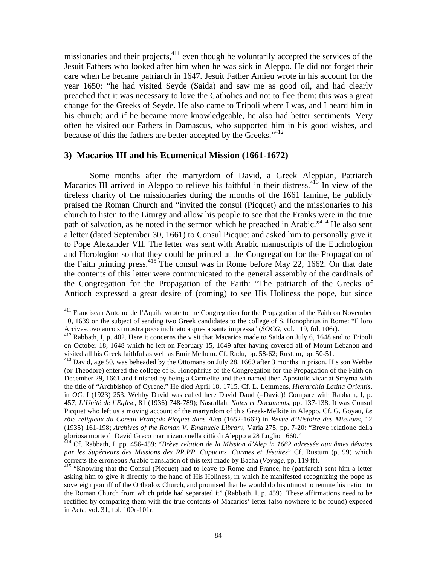missionaries and their projects,<sup>411</sup> even though he voluntarily accepted the services of the Jesuit Fathers who looked after him when he was sick in Aleppo. He did not forget their care when he became patriarch in 1647. Jesuit Father Amieu wrote in his account for the year 1650: "he had visited Seyde (Saida) and saw me as good oil, and had clearly preached that it was necessary to love the Catholics and not to flee them: this was a great change for the Greeks of Seyde. He also came to Tripoli where I was, and I heard him in his church; and if he became more knowledgeable, he also had better sentiments. Very often he visited our Fathers in Damascus, who supported him in his good wishes, and because of this the fathers are better accepted by the Greeks."<sup>412</sup>

## **3) Macarios III and his Ecumenical Mission (1661-1672)**

1

 Some months after the martyrdom of David, a Greek Aleppian, Patriarch Macarios III arrived in Aleppo to relieve his faithful in their distress.  $413$  In view of the tireless charity of the missionaries during the months of the 1661 famine, he publicly praised the Roman Church and "invited the consul (Picquet) and the missionaries to his church to listen to the Liturgy and allow his people to see that the Franks were in the true path of salvation, as he noted in the sermon which he preached in Arabic."<sup>414</sup> He also sent a letter (dated September 30, 1661) to Consul Picquet and asked him to personally give it to Pope Alexander VII. The letter was sent with Arabic manuscripts of the Euchologion and Horologion so that they could be printed at the Congregation for the Propagation of the Faith printing press.<sup>415</sup> The consul was in Rome before May 22, 1662. On that date the contents of this letter were communicated to the general assembly of the cardinals of the Congregation for the Propagation of the Faith: "The patriarch of the Greeks of Antioch expressed a great desire of (coming) to see His Holiness the pope, but since

 $411$  Franciscan Antoine de l'Aquila wrote to the Congregation for the Propagation of the Faith on November 10, 1639 on the subject of sending two Greek candidates to the college of S. Honophrius in Rome: "Il loro Arcivescovo anco si mostra poco inclinato a questa santa impressa" (*SOCG*, vol. 119, fol. 106r). <sup>412</sup> Rabbath, I, p. 402. Here it concerns the visit that Macarios made to Saida on July 6, 1648 and to Tripoli

on October 18, 1648 which he left on February 15, 1649 after having covered all of Mount Lebanon and visited all his Greek faithful as well as Emir Melhem. Cf. Radu, pp. 58-62; Rustum, pp. 50-51.

<sup>413</sup> David, age 50, was beheaded by the Ottomans on July 28, 1660 after 3 months in prison. His son Wehbe (or Theodore) entered the college of S. Honophrius of the Congregation for the Propagation of the Faith on December 29, 1661 and finished by being a Carmelite and then named then Apostolic vicar at Smyrna with the title of "Archbishop of Cyrene." He died April 18, 1715. Cf. L. Lemmens, *Hierarchia Latina Orientis*, in *OC*, I (1923) 253. Wehby David was called here David Daud (=David)! Compare with Rabbath, I, p. 457; *L'Unité de l'Eglise*, 81 (1936) 748-789); Nasrallah, *Notes et Documents*, pp. 137-138. It was Consul Picquet who left us a moving account of the martyrdom of this Greek-Melkite in Aleppo. Cf. G. Goyau, *Le rôle religieux du Consul François Picquet dans Alep* (1652-1662) in *Revue d'Histoire des Missions*, 12 (1935) 161-198; *Archives of the Roman V. Emanuele Library*, Varia 275, pp. 7-20: "Breve relatione della gloriosa morte di David Greco martirizano nella città di Aleppo a 28 Luglio 1660."

<sup>414</sup> Cf. Rabbath, I, pp. 456-459: "*Brève relation de la Mission d'Alep in 1662 adressée aux âmes dévotes par les Supérieurs des Missions des RR.PP. Capucins, Carmes et Jésuites*" Cf. Rustum (p. 99) which corrects the erroneous Arabic translation of this text made by Bacha (*Voyage*, pp. 119 ff).<br><sup>415</sup> "Knowing that the Consul (Picquet) had to leave to Rome and France, he (patriarch) sent him a letter

asking him to give it directly to the hand of His Holiness, in which he manifested recognizing the pope as sovereign pontiff of the Orthodox Church, and promised that he would do his utmost to reunite his nation to the Roman Church from which pride had separated it" (Rabbath, I, p. 459). These affirmations need to be rectified by comparing them with the true contents of Macarios' letter (also nowhere to be found) exposed in Acta, vol. 31, fol. 100r-101r.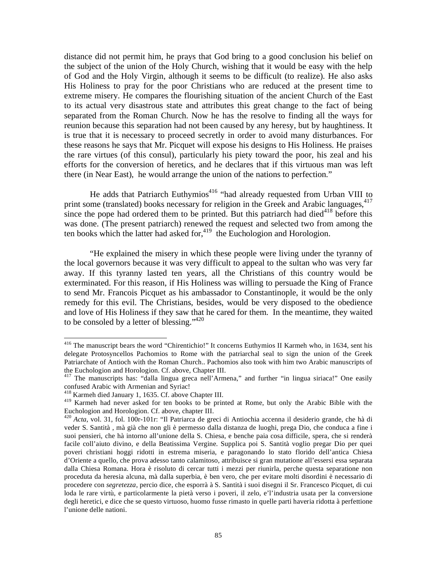distance did not permit him, he prays that God bring to a good conclusion his belief on the subject of the union of the Holy Church, wishing that it would be easy with the help of God and the Holy Virgin, although it seems to be difficult (to realize). He also asks His Holiness to pray for the poor Christians who are reduced at the present time to extreme misery. He compares the flourishing situation of the ancient Church of the East to its actual very disastrous state and attributes this great change to the fact of being separated from the Roman Church. Now he has the resolve to finding all the ways for reunion because this separation had not been caused by any heresy, but by haughtiness. It is true that it is necessary to proceed secretly in order to avoid many disturbances. For these reasons he says that Mr. Picquet will expose his designs to His Holiness. He praises the rare virtues (of this consul), particularly his piety toward the poor, his zeal and his efforts for the conversion of heretics, and he declares that if this virtuous man was left there (in Near East), he would arrange the union of the nations to perfection."

He adds that Patriarch Euthymios<sup>416</sup> "had already requested from Urban VIII to print some (translated) books necessary for religion in the Greek and Arabic languages,<sup>417</sup> since the pope had ordered them to be printed. But this patriarch had died<sup>418</sup> before this was done. (The present patriarch) renewed the request and selected two from among the ten books which the latter had asked for, $419$  the Euchologion and Horologion.

 "He explained the misery in which these people were living under the tyranny of the local governors because it was very difficult to appeal to the sultan who was very far away. If this tyranny lasted ten years, all the Christians of this country would be exterminated. For this reason, if His Holiness was willing to persuade the King of France to send Mr. Francois Picquet as his ambassador to Constantinople, it would be the only remedy for this evil. The Christians, besides, would be very disposed to the obedience and love of His Holiness if they saw that he cared for them. In the meantime, they waited to be consoled by a letter of blessing." $420$ 

1

<sup>&</sup>lt;sup>416</sup> The manuscript bears the word "Chirentichio!" It concerns Euthymios II Karmeh who, in 1634, sent his delegate Protosyncellos Pachomios to Rome with the patriarchal seal to sign the union of the Greek Patriarchate of Antioch with the Roman Church.. Pachomios also took with him two Arabic manuscripts of the Euchologion and Horologion. Cf. above, Chapter III.

<sup>&</sup>lt;sup>417</sup> The manuscripts has: "dalla lingua greca nell'Armena," and further "in lingua siriaca!" One easily confused Arabic with Armenian and Syriac!

<sup>&</sup>lt;sup>418</sup> Karmeh died January 1, 1635. Cf. above Chapter III.

<sup>&</sup>lt;sup>419</sup> Karmeh had never asked for ten books to be printed at Rome, but only the Arabic Bible with the Euchologion and Horologion. Cf. above, chapter III.

<sup>420</sup> *Acta*, vol. 31, fol. 100r-101r: "Il Patriarca de greci di Antiochia accenna il desiderio grande, che hà di veder S. Santità , mà già che non gli è permesso dalla distanza de luoghi, prega Dio, che conduca a fine i suoi pensieri, che hà intorno all'unione della S. Chiesa, e benche paia cosa difficile, spera, che si renderà facile coll'aiuto divino, e della Beatissima Vergine. Supplica poi S. Santità voglio pregar Dio per quei poveri christiani hoggi ridotti in estrema miseria, e paragonando lo stato florido dell'antica Chiesa d'Oriente a quello, che prova adesso tanto calamitoso, attribuisce si gran mutatione all'essersi essa separata dalla Chiesa Romana. Hora è risoluto di cercar tutti i mezzi per riunirla, perche questa separatione non proceduta da heresia alcuna, mà dalla superbia, è ben vero, che per evitare molti disordini è necessario di procedere con *segretezza*, percio dice, che esporrà à S. Santità i suoi disegni il Sr. Francesco Picquet, di cui loda le rare virtù, e particolarmente la pietà verso i poveri, il zelo, e'l'industria usata per la conversione degli heretici, e dice che se questo virtuoso, huomo fusse rimasto in quelle parti haveria ridotta à perfettione l'unione delle nationi.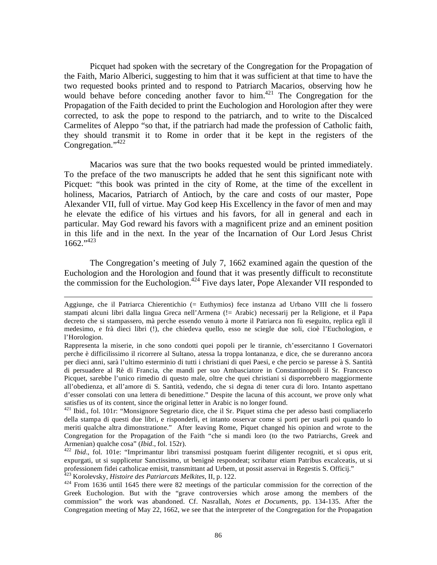Picquet had spoken with the secretary of the Congregation for the Propagation of the Faith, Mario Alberici, suggesting to him that it was sufficient at that time to have the two requested books printed and to respond to Patriarch Macarios, observing how he would behave before conceding another favor to him.<sup>421</sup> The Congregation for the Propagation of the Faith decided to print the Euchologion and Horologion after they were corrected, to ask the pope to respond to the patriarch, and to write to the Discalced Carmelites of Aleppo "so that, if the patriarch had made the profession of Catholic faith, they should transmit it to Rome in order that it be kept in the registers of the Congregation."<sup>422</sup>

 Macarios was sure that the two books requested would be printed immediately. To the preface of the two manuscripts he added that he sent this significant note with Picquet: "this book was printed in the city of Rome, at the time of the excellent in holiness, Macarios, Patriarch of Antioch, by the care and costs of our master, Pope Alexander VII, full of virtue. May God keep His Excellency in the favor of men and may he elevate the edifice of his virtues and his favors, for all in general and each in particular. May God reward his favors with a magnificent prize and an eminent position in this life and in the next. In the year of the Incarnation of Our Lord Jesus Christ  $1662.^{9423}$ 

 The Congregation's meeting of July 7, 1662 examined again the question of the Euchologion and the Horologion and found that it was presently difficult to reconstitute the commission for the Euchologion.<sup>424</sup> Five days later, Pope Alexander VII responded to

Aggiunge, che il Patriarca Chierentichio (= Euthymios) fece instanza ad Urbano VIII che li fossero stampati alcuni libri dalla lingua Greca nell'Armena (!= Arabic) necessarij per la Religione, et il Papa decreto che si stampassero, mà perche essendo venuto à morte il Patriarca non fù eseguito, replica egli il medesimo, e frà dieci libri (!), che chiedeva quello, esso ne sciegle due soli, cioè l'Euchologion, e l'Horologion.

Rappresenta la miserie, in che sono condotti quei popoli per le tirannie, ch'essercitanno I Governatori perche è difficilissimo il ricorrere al Sultano, atessa la troppa lontananza, e dice, che se dureranno ancora per dieci anni, sarà l'ultimo esterminio di tutti i christiani di quei Paesi, e che percio se paresse à S. Santità di persuadere al Rè di Francia, che mandi per suo Ambasciatore in Constantinopoli il Sr. Francesco Picquet, sarebbe l'unico rimedio di questo male, oltre che quei christiani si disporrebbero maggiormente all'obedienza, et all'amore di S. Santità, vedendo, che si degna di tener cura di loro. Intanto aspettano d'esser consolati con una lettera di benedittione." Despite the lacuna of this account, we prove only what satisfies us of its content, since the original letter in Arabic is no longer found.

<sup>421</sup> Ibid., fol. 101r: "Monsignore Segretario dice, che il Sr. Piquet stima che per adesso basti compliacerlo della stampa di questi due libri, e risponderli, et intanto osservar come si porti per usarli poi quando lo meriti qualche altra dimonstratione." After leaving Rome, Piquet changed his opinion and wrote to the Congregation for the Propagation of the Faith "che si mandi loro (to the two Patriarchs, Greek and Armenian) qualche cosa" (Ibid., fol. 152r).

<sup>&</sup>lt;sup>422</sup> *Ibid.*, fol. 101e: "Imprimantur libri transmissi postquam fuerint diligenter recogniti, et si opus erit, expurgati, ut si supplicetur Sanctissimo, ut benignè respondeat; scribatur etiam Patribus excalceatis, ut si professionem fidei catholicae emisit, transmittant ad Urbem, ut possit asservai in Regestis S. Officij."<br><sup>423</sup> Korolevsky, *Histoire des Patriarcats Melkites*, II, p. 122.

<sup>&</sup>lt;sup>424</sup> From 1636 until 1645 there were 82 meetings of the particular commission for the correction of the Greek Euchologion. But with the "grave controversies which arose among the members of the commission" the work was abandoned. Cf. Nasrallah, *Notes et Documents*, pp. 134-135. After the Congregation meeting of May 22, 1662, we see that the interpreter of the Congregation for the Propagation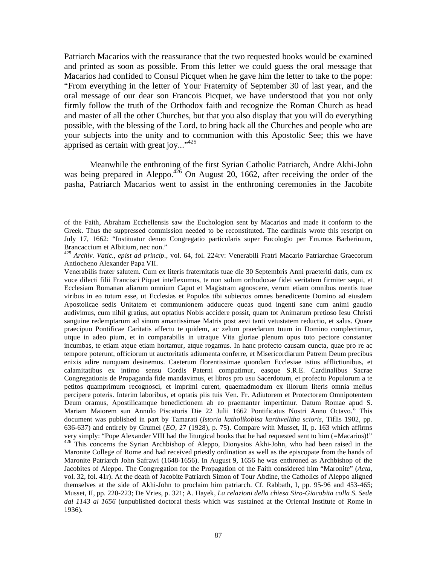Patriarch Macarios with the reassurance that the two requested books would be examined and printed as soon as possible. From this letter we could guess the oral message that Macarios had confided to Consul Picquet when he gave him the letter to take to the pope: "From everything in the letter of Your Fraternity of September 30 of last year, and the oral message of our dear son Francois Picquet, we have understood that you not only firmly follow the truth of the Orthodox faith and recognize the Roman Church as head and master of all the other Churches, but that you also display that you will do everything possible, with the blessing of the Lord, to bring back all the Churches and people who are your subjects into the unity and to communion with this Apostolic See; this we have apprised as certain with great joy..." $425$ 

 Meanwhile the enthroning of the first Syrian Catholic Patriarch, Andre Akhi-John was being prepared in Aleppo.<sup>426</sup> On August 20, 1662, after receiving the order of the pasha, Patriarch Macarios went to assist in the enthroning ceremonies in the Jacobite

of the Faith, Abraham Ecchellensis saw the Euchologion sent by Macarios and made it conform to the Greek. Thus the suppressed commission needed to be reconstituted. The cardinals wrote this rescript on July 17, 1662: "Instituatur denuo Congregatio particularis super Eucologio per Em.mos Barberinum, Brancaccium et Albitium, nec non."

<sup>425</sup> *Archiv. Vatic., epist ad princip*., vol. 64, fol. 224rv: Venerabili Fratri Macario Patriarchae Graecorum Antiocheno Alexander Papa VII.

Venerabilis frater salutem. Cum ex literis fraternitatis tuae die 30 Septembris Anni praeteriti datis, cum ex voce dilecti filii Francisci Piquet intellexumus, te non solum orthodoxae fidei veritatem firmiter sequi, et Ecclesiam Romanan aliarum omnium Caput et Magistram agnoscere, verum etiam omnibus mentis tuae viribus in eo totum esse, ut Ecclesias et Populos tibi subiectos omnes benedicente Domino ad eiusdem Apostolicae sedis Unitatem et communionem adducere queas quod ingenti sane cum animi gaudio audivimus, cum nihil gratius, aut optatius Nobis accidere possit, quam tot Animarum pretioso Iesu Christi sanguine redemptarum ad sinum amantissimae Matris post aevi tanti vetustatem reductio, et salus. Quare praecipuo Pontificae Caritatis affectu te quidem, ac zelum praeclarum tuum in Domino complectimur, utque in adeo pium, et in comparabilis in utraque Vita gloriae plenum opus toto pectore constanter incumbas, te etiam atque etiam hortamur, atque rogamus. In hanc profecto causam cuncta, quae pro re ac tempore poterunt, officiorum ut auctoritatis adiumenta conferre, et Misericordiarum Patrem Deum precibus enixis adire nunquam desinemus. Caeterum florentissimae quondam Ecclesiae istius afflictionibus, et calamitatibus ex intimo sensu Cordis Paterni compatimur, easque S.R.E. Cardinalibus Sacrae Congregationis de Propaganda fide mandavimus, et libros pro usu Sacerdotum, et profectu Populorum a te petitos quamprimum recognosci, et imprimi curent, quaemadmodum ex illorum literis omnia melius percipere poteris. Interim laboribus, et optatis piis tuis Ven. Fr. Adiutorem et Protectorem Omnipotentem Deum oramus, Apostilicamque benedictionem ab eo praemanter impertimur. Datum Romae apud S. Mariam Maiorem sun Annulo Piscatoris Die 22 Julii 1662 Pontificatus Nostri Anno Octavo." This document was published in part by Tamarati (*Istoria katholikobisa karthvelltha scioris*, Tiflis 1902, pp. 636-637) and entirely by Grumel (*EO*, 27 (1928), p. 75). Compare with Musset, II, p. 163 which affirms very simply: "Pope Alexander VIII had the liturgical books that he had requested sent to him (=Macarios)!" <sup>426</sup> This concerns the Syrian Archbishop of Aleppo, Dionysios Akhi-John, who had been raised in the Maronite College of Rome and had received priestly ordination as well as the episcopate from the hands of Maronite Patriarch John Safrawi (1648-1656). In August 9, 1656 he was enthroned as Archbishop of the Jacobites of Aleppo. The Congregation for the Propagation of the Faith considered him "Maronite" (*Acta*, vol. 32, fol. 41r). At the death of Jacobite Patriarch Simon of Tour Abdine, the Catholics of Aleppo aligned themselves at the side of Akhi-John to proclaim him patriarch. Cf. Rabbath, I, pp. 95-96 and 453-465; Musset, II, pp. 220-223; De Vries, p. 321; A. Hayek, *La relazioni della chiesa Siro-Giacobita colla S. Sede dal 1143 al 1656* (unpublished doctoral thesis which was sustained at the Oriental Institute of Rome in 1936).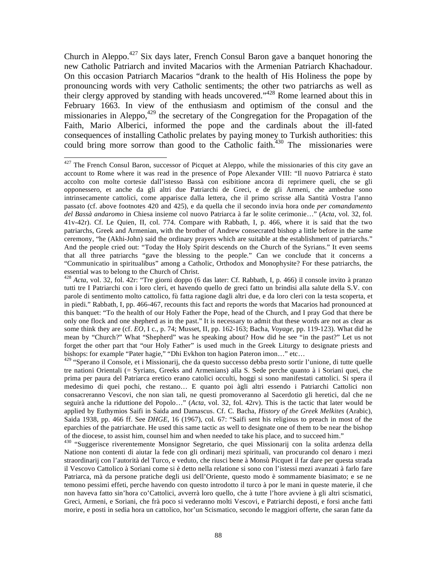Church in Aleppo.427 Six days later, French Consul Baron gave a banquet honoring the new Catholic Patriarch and invited Macarios with the Armenian Patriarch Khachadour. On this occasion Patriarch Macarios "drank to the health of His Holiness the pope by pronouncing words with very Catholic sentiments; the other two patriarchs as well as their clergy approved by standing with heads uncovered."428 Rome learned about this in February 1663. In view of the enthusiasm and optimism of the consul and the missionaries in Aleppo, $429$  the secretary of the Congregation for the Propagation of the Faith, Mario Alberici, informed the pope and the cardinals about the ill-fated consequences of installing Catholic prelates by paying money to Turkish authorities: this could bring more sorrow than good to the Catholic faith.<sup>430</sup> The missionaries were

 $\overline{a}$  $427$  The French Consul Baron, successor of Picquet at Aleppo, while the missionaries of this city gave an account to Rome where it was read in the presence of Pope Alexander VIII: "Il nuovo Patriarca è stato accolto con molte cortesie dall'istesso Bassà con esibitione ancora di reprimere queli, che se gli opponessero, et anche da gli altri due Patriarchi de Greci, e de gli Armeni, che ambedue sono intrinsecamente cattolici, come apparisce dalla lettera, che il primo scrisse alla Santità Vostra l'anno passato (cf. above footnotes 420 and 425), e da quella che il secondo invia hora onde *per comandamento del Bassà andaromo* in Chiesa insieme col nuovo Patriarca à far le solite cerimonie…" (*Acta*, vol. 32, fol. 41v-42r). Cf. Le Quien, II, col. 774. Compare with Rabbath, I, p. 466, where it is said that the two patriarchs, Greek and Armenian, with the brother of Andrew consecrated bishop a little before in the same ceremony, "he (Akhi-John) said the ordinary prayers which are suitable at the establishment of patriarchs." And the people cried out: "Today the Holy Spirit descends on the Church of the Syrians." It even seems that all three patriarchs "gave the blessing to the people." Can we conclude that it concerns a "Communicatio in spiritualibus" among a Catholic, Orthodox and Monophysite? For these patriarchs, the essential was to belong to the Church of Christ.

<sup>428</sup> *Acta*, vol. 32, fol. 42r: "Tre giorni doppo (6 das later: Cf. Rabbath, I, p. 466) il console invito à pranzo tutti tre I Patriarchi con i loro cleri, et havendo quello de greci fatto un brindisi alla salute della S.V. con parole di sentimento molto cattolico, fù fatta ragione dagli altri due, e da loro cleri con la testa scoperta, et in piedi." Rabbath, I, pp. 466-467, recounts this fact and reports the words that Macarios had pronounced at this banquet: "To the health of our Holy Father the Pope, head of the Church, and I pray God that there be only one flock and one shepherd as in the past." It is necessary to admit that these words are not as clear as some think they are (cf. *EO*, I c., p. 74; Musset, II, pp. 162-163; Bacha, *Voyage*, pp. 119-123). What did he mean by "Church?" What "Shepherd" was he speaking about? How did he see "in the past?" Let us not forget the other part that "our Holy Father" is used much in the Greek Liturgy to designate priests and bishops: for example "Pater hagie," "Dhi Evkhon ton hagion Pateron imon…" etc…

<sup>&</sup>lt;sup>429</sup> "Sperano il Console, et i Missionarij, che da questo successo debba presto sortir l'unione, di tutte quelle tre nationi Orientali (= Syrians, Greeks and Armenians) alla S. Sede perche quanto à i Soriani quei, che prima per paura del Patriarca eretico erano catolici occulti, hoggi si sono manifestati cattolici. Si spera il medesimo di quei pochi, che restano… E quanto poi àgli altri essendo i Patriarchi Cattolici non consacreranno Vescovi, che non sian tali, ne questi promoveranno al Sacerdotio gli heretici, dal che ne seguirà anche la riduttione del Popolo…" (*Acta*, vol. 32, fol. 42rv). This is the tactic that later would be applied by Euthymios Saifi in Saida and Damascus. Cf. C. Bacha, *History of the Greek Melkites* (Arabic), Saida 1938, pp. 466 ff. See *DHGE*, 16 (1967), col. 67: "Saifi sent his religious to preach in most of the eparchies of the patriarchate. He used this same tactic as well to designate one of them to be near the bishop of the diocese, to assist him, counsel him and when needed to take his place, and to succeed him."

<sup>&</sup>lt;sup>430</sup> "Suggerisce riverentemente Monsignor Segretario, che quei Missionarij con la solita ardenza della Natione non contenti di aiutar la fede con gli ordinarij mezi spirituali, van procurando col denaro i mezi straordinarij con l'autorità del Turco, e veduto, che riusci bene à Monsù Picquet il far dare per questa strada il Vescovo Cattolico à Soriani come si è detto nella relatione si sono con l'istessi mezi avanzati à farlo fare Patriarca, mà da persone pratiche degli usi dell'Oriente, questo modo è sommamente biasimato; e se ne temono pessimi effeti, perche havendo con questo introdotto il turco à por le mani in queste materie, il che non haveva fatto sin'hora co'Cattolici, avverrà loro quello, che à tutte l'hore avviene à gli altri scismatici, Greci, Armeni, e Soriani, che frà poco si vederanno molti Vescovi, e Patriarchi deposti, e forsi anche fatti morire, e posti in sedia hora un cattolico, hor'un Scismatico, secondo le maggiori offerte, che saran fatte da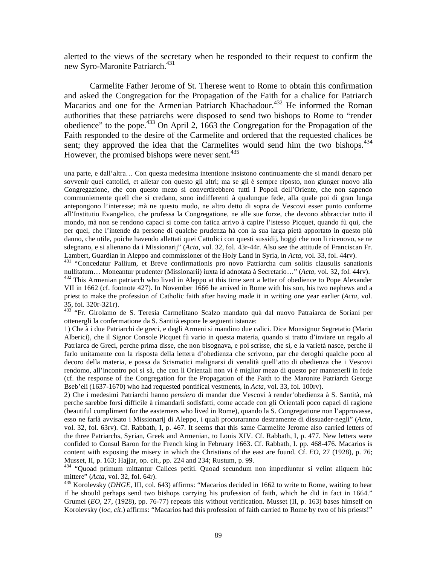alerted to the views of the secretary when he responded to their request to confirm the new Syro-Maronite Patriarch.<sup>431</sup>

 Carmelite Father Jerome of St. Therese went to Rome to obtain this confirmation and asked the Congregation for the Propagation of the Faith for a chalice for Patriarch Macarios and one for the Armenian Patriarch Khachadour.<sup>432</sup> He informed the Roman authorities that these patriarchs were disposed to send two bishops to Rome to "render obedience" to the pope.433 On April 2, 1663 the Congregation for the Propagation of the Faith responded to the desire of the Carmelite and ordered that the requested chalices be sent; they approved the idea that the Carmelites would send him the two bishops. $434$ However, the promised bishops were never sent.<sup>435</sup>

 $\overline{a}$ 

una parte, e dall'altra… Con questa medesima intentione insistono continuamente che si mandi denaro per sovvenir quei cattolici, et alletar con questo gli altri; ma se gli è sempre riposto, non giunger nuovo alla Congregazione, che con questo mezo si convertirebbero tutti I Popoli dell'Oriente, che non sapendo communiemente quell che si credano, sono indifferenti à qualunque fede, alla quale poi di gran lunga antepongono l'interesse; mà ne questo modo, ne altro detto di sopra de Vescovi esser punto conforme all'Institutio Evangelico, che professa la Congregatione, ne alle sue forze, che devono abbracciar tutto il mondo, mà non se rendono capaci si come con fatica arrivo à capire l'istesso Picquet, quando fù qui, che per quel, che l'intende da persone di qualche prudenza hà con la sua larga pietà apportato in questo più danno, che utile, poiche havendo allettati quei Cattolici con questi sussidij, hoggi che non li ricenovo, se ne sdegnano, e si alienano da i Missionarij" (*Acta*, vol. 32, fol. 43r-44r. Also see the attitude of Franciscan Fr.

<sup>431</sup> "Concedatur Pallium, et Breve confirmationis pro novo Patriarcha cum solitis clausulis sanationis nullitatum... Moneantur prudenter (Missionarii) iuxta id adnotata à Secretario..." (Acta, vol. 32, fol. 44rv). <sup>432</sup> This Armenian patriarch who lived in Aleppo at this time sent a letter of obedience to Pope Alexander VII in 1662 (cf. footnote 427). In November 1666 he arrived in Rome with his son, his two nephews and a priest to make the profession of Catholic faith after having made it in writing one year earlier (*Acta*, vol. 35, fol. 320r-321r).

433<sup>'</sup> "Fr. Girolamo de S. Teresia Carmelitano Scalzo mandato quà dal nuovo Patraiarca de Soriani per ottenergli la confermatione da S. Santità espone le seguenti istanze:

1) Che à i due Patriarchi de greci, e degli Armeni si mandino due calici. Dice Monsignor Segretatio (Mario Alberici), che il Signor Console Picquet fù vario in questa materia, quando si tratto d'inviare un regalo al Patriarca de Greci, perche prima disse, che non bisognava, e poi scrisse, che si, e la varietà nasce, perche il farlo unitamente con la risposta della lettera d'obedienza che scrivono, par che deroghi qualche poco al decoro della materia, e possa da Scismatici malignarsi di venalità quell'atto di obedienza che i Vescovi rendomo, all'incontro poi si sà, che con li Orientali non vi è miglior mezo di questo per mantenerli in fede (cf. the response of the Congregation for the Propagation of the Faith to the Maronite Patriarch George Bseb'eli (1637-1670) who had requested pontifical vestments, in *Acta*, vol. 33, fol. 100rv).

2) Che i medesimi Patriarchi hanno *pensiero* di mandar due Vescovi à render'obedienza à S. Santità, mà perche sarebbe forsi difficile à rimandarli sodisfatti, come accade con gli Orientali poco capaci di ragione (beautiful compliment for the easterners who lived in Rome), quando la S. Congregatione non l'approvasse, esso ne farlà avvisato i Missionarij di Aleppo, i quali procuraranno destramente di dissuader-negli" (*Acta*, vol. 32, fol. 63rv). Cf. Rabbath, I, p. 467. It seems that this same Carmelite Jerome also carried letters of the three Patriarchs, Syrian, Greek and Armenian, to Louis XIV. Cf. Rabbath, I, p. 477. New letters were confided to Consul Baron for the French king in February 1663. Cf. Rabbath, I. pp. 468-476. Macarios is content with exposing the misery in which the Christians of the east are found. Cf. *EO*, 27 (1928), p. 76; Musset, II, p. 163; Hajjar, op. cit., pp. 224 and 234; Rustum, p. 99.

434 "Quoad primum mittantur Calices petiti. Quoad secundum non impediuntur si velint aliquem hùc mittere" (*Acta*, vol. 32, fol. 64r).<br><sup>435</sup> Korolevsky (*DHGE*, III, col. 643) affirms: "Macarios decided in 1662 to write to Rome, waiting to hear

if he should perhaps send two bishops carrying his profession of faith, which he did in fact in 1664." Grumel (*EO*, 27, (1928), pp. 76-77) repeats this without verification. Musset (II, p. 163) bases himself on Korolevsky (*loc, cit*.) affirms: "Macarios had this profession of faith carried to Rome by two of his priests!"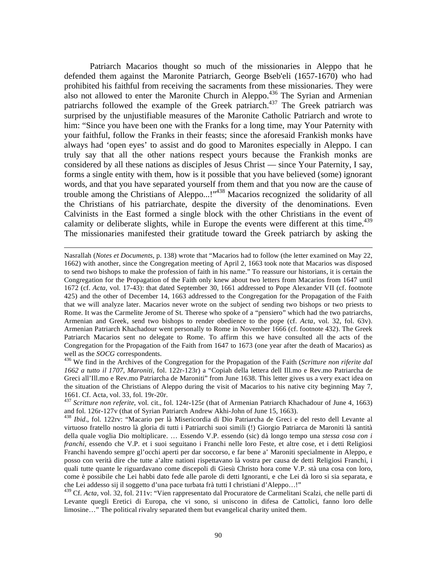Patriarch Macarios thought so much of the missionaries in Aleppo that he defended them against the Maronite Patriarch, George Bseb'eli (1657-1670) who had prohibited his faithful from receiving the sacraments from these missionaries. They were also not allowed to enter the Maronite Church in Aleppo.<sup>436</sup> The Syrian and Armenian patriarchs followed the example of the Greek patriarch.<sup>437</sup> The Greek patriarch was surprised by the unjustifiable measures of the Maronite Catholic Patriarch and wrote to him: "Since you have been one with the Franks for a long time, may Your Paternity with your faithful, follow the Franks in their feasts; since the aforesaid Frankish monks have always had 'open eyes' to assist and do good to Maronites especially in Aleppo. I can truly say that all the other nations respect yours because the Frankish monks are considered by all these nations as disciples of Jesus Christ — since Your Paternity, I say, forms a single entity with them, how is it possible that you have believed (some) ignorant words, and that you have separated yourself from them and that you now are the cause of trouble among the Christians of Aleppo...!"438 Macarios recognized the solidarity of all the Christians of his patriarchate, despite the diversity of the denominations. Even Calvinists in the East formed a single block with the other Christians in the event of calamity or deliberate slights, while in Europe the events were different at this time. $439$ The missionaries manifested their gratitude toward the Greek patriarch by asking the

Nasrallah (*Notes et Documents*, p. 138) wrote that "Macarios had to follow (the letter examined on May 22, 1662) with another, since the Congregation meeting of April 2, 1663 took note that Macarios was disposed to send two bishops to make the profession of faith in his name." To reassure our historians, it is certain the Congregation for the Propagation of the Faith only knew about two letters from Macarios from 1647 until 1672 (cf. *Acta*, vol. 17-43): that dated September 30, 1661 addressed to Pope Alexander VII (cf. footnote 425) and the other of December 14, 1663 addressed to the Congregation for the Propagation of the Faith that we will analyze later. Macarios never wrote on the subject of sending two bishops or two priests to Rome. It was the Carmelite Jerome of St. Therese who spoke of a "pensiero" which had the two patriarchs, Armenian and Greek, send two bishops to render obedience to the pope (cf. *Acta*, vol. 32, fol. 63v). Armenian Patriarch Khachadour went personally to Rome in November 1666 (cf. footnote 432). The Greek Patriarch Macarios sent no delegate to Rome. To affirm this we have consulted all the acts of the Congregation for the Propagation of the Faith from 1647 to 1673 (one year after the death of Macarios) as well as the *SOCG* correspondents.<br><sup>436</sup> We find in the Archives of the Congregation for the Propagation of the Faith (*Scritture non riferite dal* 

*<sup>1662</sup> a tutto il 1707, Maroniti*, fol. 122r-123r) a "Copiah della lettera dell Ill.mo e Rev.mo Patriarcha de Greci all'Ill.mo e Rev.mo Patriarcha de Maroniti" from June 1638. This letter gives us a very exact idea on the situation of the Christians of Aleppo during the visit of Macarios to his native city beginning May 7, 1661. Cf. Acta, vol. 33, fol. 19r-20r.

<sup>437</sup> *Scritture non referite*, vol. cit., fol. 124r-125r (that of Armenian Patriarch Khachadour of June 4, 1663) and fol. 126r-127v (that of Syrian Patriarch Andrew Akhi-John of June 15, 1663).

<sup>438</sup> *Ibid*., fol. 122rv: "Macario per là Misericordia di Dio Patriarcha de Greci e del resto dell Levante al virtuoso fratello nostro là gloria di tutti i Patriarchi suoi simili (!) Giorgio Patriarca de Maroniti là santità della quale voglia Dio moltiplicare. … Essendo V.P. essendo (sic) dà longo tempo una *stessa cosa con i franchi,* essendo che V.P. et i suoi seguitano i Franchi nelle loro Feste, et altre cose, et i detti Religiosi Franchi havendo sempre gl'occhi aperti per dar soccorso, e far bene a' Maroniti specialmente in Aleppo, e posso con verità dire che tutte a'altre nationi rispettavano là vostra per causa de detti Religiosi Franchi, i quali tutte quante le riguardavano come discepoli di Giesù Christo hora come V.P. stà una cosa con loro, come è possibile che Lei habbi dato fede alle parole di detti Ignoranti, e che Lei dà loro si sia separata, e che Lei addesso sij il soggetto d'una pace turbata frà tutti I christiani d'Aleppo…!"

<sup>439</sup> Cf. *Acta*, vol. 32, fol. 211v: "Vien rappresentato dal Procuratore de Carmelitani Scalzi, che nelle parti di Levante quegli Eretici di Europa, che vi sono, si uniscono in difesa de Cattolici, fanno loro delle limosine…" The political rivalry separated them but evangelical charity united them.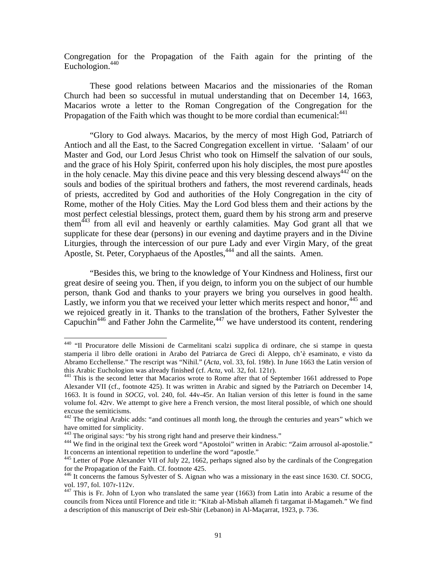Congregation for the Propagation of the Faith again for the printing of the Euchologion. $440$ 

 These good relations between Macarios and the missionaries of the Roman Church had been so successful in mutual understanding that on December 14, 1663, Macarios wrote a letter to the Roman Congregation of the Congregation for the Propagation of the Faith which was thought to be more cordial than ecumenical:  $441$ 

 "Glory to God always. Macarios, by the mercy of most High God, Patriarch of Antioch and all the East, to the Sacred Congregation excellent in virtue. 'Salaam' of our Master and God, our Lord Jesus Christ who took on Himself the salvation of our souls, and the grace of his Holy Spirit, conferred upon his holy disciples, the most pure apostles in the holy cenacle. May this divine peace and this very blessing descend always<sup>442</sup> on the souls and bodies of the spiritual brothers and fathers, the most reverend cardinals, heads of priests, accredited by God and authorities of the Holy Congregation in the city of Rome, mother of the Holy Cities. May the Lord God bless them and their actions by the most perfect celestial blessings, protect them, guard them by his strong arm and preserve them<sup>443</sup> from all evil and heavenly or earthly calamities. May God grant all that we supplicate for these dear (persons) in our evening and daytime prayers and in the Divine Liturgies, through the intercession of our pure Lady and ever Virgin Mary, of the great Apostle, St. Peter, Coryphaeus of the Apostles,<sup>444</sup> and all the saints. Amen.

 "Besides this, we bring to the knowledge of Your Kindness and Holiness, first our great desire of seeing you. Then, if you deign, to inform you on the subject of our humble person, thank God and thanks to your prayers we bring you ourselves in good health. Lastly, we inform you that we received your letter which merits respect and honor,  $445$  and we rejoiced greatly in it. Thanks to the translation of the brothers, Father Sylvester the Capuchin<sup>446</sup> and Father John the Carmelite,  $447$  we have understood its content, rendering

1

<sup>&</sup>lt;sup>440</sup> "Il Procuratore delle Missioni de Carmelitani scalzi supplica di ordinare, che si stampe in questa stamperia il libro delle orationi in Arabo del Patriarca de Greci di Aleppo, ch'è esaminato, e visto da Abramo Ecchellense." The rescript was "Nihil." (*Acta*, vol. 33, fol. 198r). In June 1663 the Latin version of

<sup>&</sup>lt;sup>441</sup> This is the second letter that Macarios wrote to Rome after that of September 1661 addressed to Pope Alexander VII (cf., footnote 425). It was written in Arabic and signed by the Patriarch on December 14, 1663. It is found in *SOCG,* vol. 240, fol. 44v-45r. An Italian version of this letter is found in the same volume fol. 42rv. We attempt to give here a French version, the most literal possible, of which one should excuse the semiticisms.

 $442$  The original Arabic adds: "and continues all month long, the through the centuries and years" which we have omitted for simplicity.<br><sup>443</sup> The original says: "by his strong right hand and preserve their kindness."

<sup>&</sup>lt;sup>444</sup> We find in the original text the Greek word "Apostoloi" written in Arabic: "Zaim arrousol al-apostolie." It concerns an intentional repetition to underline the word "apostle."

<sup>445</sup> Letter of Pope Alexander VII of July 22, 1662, perhaps signed also by the cardinals of the Congregation for the Propagation of the Faith. Cf. footnote 425.

<sup>446</sup> It concerns the famous Sylvester of S. Aignan who was a missionary in the east since 1630. Cf. SOCG, vol. 197, fol. 107r-112v.

 $447$  This is Fr. John of Lyon who translated the same year (1663) from Latin into Arabic a resume of the councils from Nicea until Florence and title it: "Kitab al-Misbah allameh fi targamat il-Magameh." We find a description of this manuscript of Deir esh-Shir (Lebanon) in Al-Maçarrat, 1923, p. 736.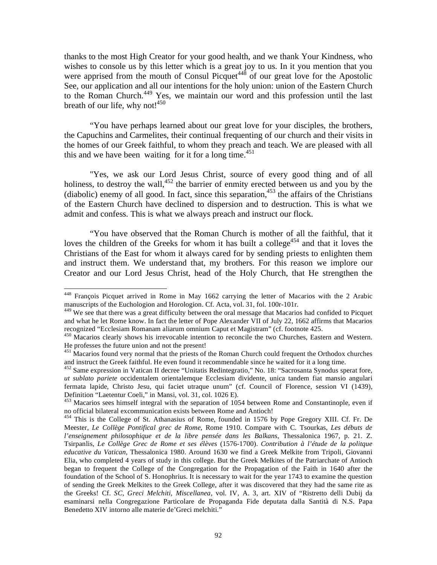thanks to the most High Creator for your good health, and we thank Your Kindness, who wishes to console us by this letter which is a great joy to us. In it you mention that you were apprised from the mouth of Consul Picquet<sup> $448$ </sup> of our great love for the Apostolic See, our application and all our intentions for the holy union: union of the Eastern Church to the Roman Church.<sup>449</sup> Yes, we maintain our word and this profession until the last breath of our life, why not! $450$ 

 "You have perhaps learned about our great love for your disciples, the brothers, the Capuchins and Carmelites, their continual frequenting of our church and their visits in the homes of our Greek faithful, to whom they preach and teach. We are pleased with all this and we have been waiting for it for a long time.<sup>451</sup>

 "Yes, we ask our Lord Jesus Christ, source of every good thing and of all holiness, to destroy the wall, $452$  the barrier of enmity erected between us and you by the (diabolic) enemy of all good. In fact, since this separation,  $453$  the affairs of the Christians of the Eastern Church have declined to dispersion and to destruction. This is what we admit and confess. This is what we always preach and instruct our flock.

 "You have observed that the Roman Church is mother of all the faithful, that it loves the children of the Greeks for whom it has built a college<sup>454</sup> and that it loves the Christians of the East for whom it always cared for by sending priests to enlighten them and instruct them. We understand that, my brothers. For this reason we implore our Creator and our Lord Jesus Christ, head of the Holy Church, that He strengthen the

<sup>&</sup>lt;sup>448</sup> François Picquet arrived in Rome in May 1662 carrying the letter of Macarios with the 2 Arabic manuscripts of the Euchologion and Horologion. Cf. Acta, vol. 31, fol. 100r-101r.

<sup>&</sup>lt;sup>449</sup> We see that there was a great difficulty between the oral message that Macarios had confided to Picquet and what he let Rome know. In fact the letter of Pope Alexander VII of July 22, 1662 affirms that Macarios recognized "Ecclesiam Romanam aliarum omnium Caput et Magistram" (cf. footnote 425.

<sup>450</sup> Macarios clearly shows his irrevocable intention to reconcile the two Churches, Eastern and Western. He professes the future union and not the present!

<sup>&</sup>lt;sup>451</sup> Macarios found very normal that the priests of the Roman Church could frequent the Orthodox churches and instruct the Greek faithful. He even found it recommendable since he waited for it a long time.

<sup>&</sup>lt;sup>452</sup> Same expression in Vatican II decree "Unitatis Redintegratio," No. 18: "Sacrosanta Synodus sperat fore, *ut sublato pariete* occidentalem orientalemque Ecclesiam dividente, unica tandem fiat mansio angulari fermata lapide, Christo Jesu, qui faciet utraque unum" (cf. Council of Florence, session VI (1439), Definition "Laetentur Coeli," in Mansi, vol. 31, col. 1026 E).

<sup>&</sup>lt;sup>453</sup> Macarios sees himself integral with the separation of 1054 between Rome and Constantinople, even if no official bilateral excommunication exists between Rome and Antioch!

<sup>&</sup>lt;sup>454</sup> This is the College of St. Athanasius of Rome, founded in 1576 by Pope Gregory XIII. Cf. Fr. De Meester, *Le Collège Pontifical grec de Rome*, Rome 1910. Compare with C. Tsourkas, *Les débuts de l'enseignement philosophique et de la libre pensée dans les Balkans*, Thessalonica 1967, p. 21. Z. Tsirpanlis, *Le Collège Grec de Rome et ses élèves* (1576-1700). *Contribution à l'étude de la politque educative du Vatican*, Thessalonica 1980. Around 1630 we find a Greek Melkite from Tripoli, Giovanni Elia, who completed 4 years of study in this college. But the Greek Melkites of the Patriarchate of Antioch began to frequent the College of the Congregation for the Propagation of the Faith in 1640 after the foundation of the School of S. Honophrius. It is necessary to wait for the year 1743 to examine the question of sending the Greek Melkites to the Greek College, after it was discovered that they had the same rite as the Greeks! Cf. *SC*, *Greci Melchiti, Miscellanea*, vol. IV, A. 3, art. XIV of "Ristretto delli Dubij da esaminarsi nella Congregazione Particolare de Propaganda Fide deputata dalla Santità di N.S. Papa Benedetto XIV intorno alle materie de'Greci melchiti."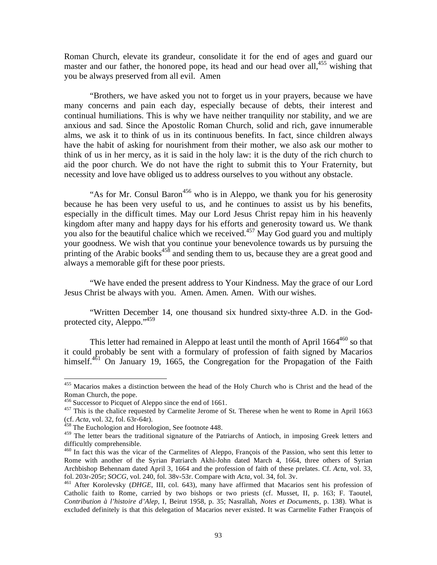Roman Church, elevate its grandeur, consolidate it for the end of ages and guard our master and our father, the honored pope, its head and our head over all,  $455$  wishing that you be always preserved from all evil. Amen

 "Brothers, we have asked you not to forget us in your prayers, because we have many concerns and pain each day, especially because of debts, their interest and continual humiliations. This is why we have neither tranquility nor stability, and we are anxious and sad. Since the Apostolic Roman Church, solid and rich, gave innumerable alms, we ask it to think of us in its continuous benefits. In fact, since children always have the habit of asking for nourishment from their mother, we also ask our mother to think of us in her mercy, as it is said in the holy law: it is the duty of the rich church to aid the poor church. We do not have the right to submit this to Your Fraternity, but necessity and love have obliged us to address ourselves to you without any obstacle.

"As for Mr. Consul Baron<sup>456</sup> who is in Aleppo, we thank you for his generosity because he has been very useful to us, and he continues to assist us by his benefits, especially in the difficult times. May our Lord Jesus Christ repay him in his heavenly kingdom after many and happy days for his efforts and generosity toward us. We thank you also for the beautiful chalice which we received.<sup>457</sup> May God guard you and multiply your goodness. We wish that you continue your benevolence towards us by pursuing the printing of the Arabic books<sup>458</sup> and sending them to us, because they are a great good and always a memorable gift for these poor priests.

 "We have ended the present address to Your Kindness. May the grace of our Lord Jesus Christ be always with you. Amen. Amen. Amen. With our wishes.

 "Written December 14, one thousand six hundred sixty-three A.D. in the Godprotected city, Aleppo."<sup>459</sup>

This letter had remained in Aleppo at least until the month of April  $1664^{460}$  so that it could probably be sent with a formulary of profession of faith signed by Macarios himself. $461$  On January 19, 1665, the Congregation for the Propagation of the Faith

1

<sup>&</sup>lt;sup>455</sup> Macarios makes a distinction between the head of the Holy Church who is Christ and the head of the Roman Church, the pope.<br><sup>456</sup> Successor to Picquet of Aleppo since the end of 1661.

<sup>&</sup>lt;sup>457</sup> This is the chalice requested by Carmelite Jerome of St. Therese when he went to Rome in April 1663 (cf. *Acta*, vol. 32, fol. 63r-64r). 458 The Euchologion and Horologion, See footnote 448.

<sup>&</sup>lt;sup>459</sup> The letter bears the traditional signature of the Patriarchs of Antioch, in imposing Greek letters and difficultly comprehensible.

<sup>&</sup>lt;sup>460</sup> In fact this was the vicar of the Carmelites of Aleppo, François of the Passion, who sent this letter to Rome with another of the Syrian Patriarch Akhi-John dated March 4, 1664, three others of Syrian Archbishop Behennam dated April 3, 1664 and the profession of faith of these prelates. Cf. *Acta*, vol. 33, fol. 203r-205r; *SOCG*, vol. 240, fol. 38v-53r. Compare with *Acta*, vol. 34, fol. 3v. 461 After Korolevsky (*DHGE*, III, col. 643), many have affirmed that Macarios sent his profession of

Catholic faith to Rome, carried by two bishops or two priests (cf. Musset, II, p. 163; F. Taoutel, *Contribution à l'histoire d'Alep*, I, Beirut 1958, p. 35; Nasrallah, *Notes et Documents*, p. 138). What is excluded definitely is that this delegation of Macarios never existed. It was Carmelite Father François of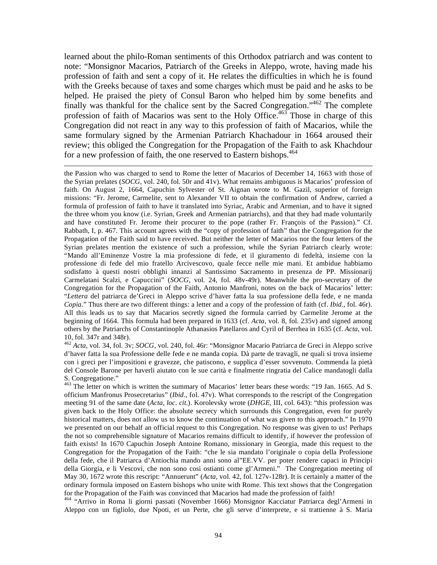learned about the philo-Roman sentiments of this Orthodox patriarch and was content to note: "Monsignor Macarios, Patriarch of the Greeks in Aleppo, wrote, having made his profession of faith and sent a copy of it. He relates the difficulties in which he is found with the Greeks because of taxes and some charges which must be paid and he asks to be helped. He praised the piety of Consul Baron who helped him by some benefits and finally was thankful for the chalice sent by the Sacred Congregation."462 The complete profession of faith of Macarios was sent to the Holy Office.<sup>463</sup> Those in charge of this Congregation did not react in any way to this profession of faith of Macarios, while the same formulary signed by the Armenian Patriarch Khachadour in 1664 aroused their review; this obliged the Congregation for the Propagation of the Faith to ask Khachdour for a new profession of faith, the one reserved to Eastern bishops.<sup>464</sup>

 $\overline{a}$ 

the Passion who was charged to send to Rome the letter of Macarios of December 14, 1663 with those of the Syrian prelates (*SOCG*, vol. 240, fol. 50r and 41v). What remains ambiguous is Macarios' profession of faith. On August 2, 1664, Capuchin Sylvester of St. Aignan wrote to M. Gazil, superior of foreign missions: "Fr. Jerome, Carmelite, sent to Alexander VII to obtain the confirmation of Andrew, carried a formula of profession of faith to have it translated into Syriac, Arabic and Armenian, and to have it signed the three whom you know (i.e. Syrian, Greek and Armenian patriarchs), and that they had made voluntarily and have constituted Fr. Jerome their procurer to the pope (rather Fr. François of the Passion)." Cf. Rabbath, I, p. 467. This account agrees with the "copy of profession of faith" that the Congregation for the Propagation of the Faith said to have received. But neither the letter of Macarios nor the four letters of the Syrian prelates mention the existence of such a profession, while the Syrian Patriarch clearly wrote: "Mando all'Eminenze Vostre la mia professione di fede, et il giuramento di fedeltà, insieme con la professione di fede del mio fratello Arcivescovo, quale fecce nelle mie mani. Et ambidue habbiamo sodisfatto à questi nostri obblighi innanzi al Santissimo Sacramento in presenza de PP. Missionarij Carmelatani Scalzi, e Capuccini" (*SOCG*, vol. 24, fol. 48v-49r). Meanwhile the pro-secretary of the Congregation for the Propagation of the Faith, Antonio Manfroni, notes on the back of Macarios' letter: "*Lettera* del patriarca de'Greci in Aleppo scrive d'haver fatta la sua professione della fede, e ne manda *Copia*." Thus there are two different things: a letter and a copy of the profession of faith (cf. *Ibid*., fol. 46r). All this leads us to say that Macarios secretly signed the formula carried by Carmelite Jerome at the beginning of 1664. This formula had been prepared in 1633 (cf. *Acta*, vol. 8, fol. 235v) and signed among others by the Patriarchs of Constantinople Athanasios Patellaros and Cyril of Berrhea in 1635 (cf. *Acta*, vol. 10, fol. 347r and 348r).

<sup>462</sup> *Acta,* vol. 34, fol. 3v; *SOCG*, vol. 240, fol. 46r: "Monsignor Macario Patriarca de Greci in Aleppo scrive d'haver fatta la sua Professione delle fede e ne manda copia. Dà parte de travagli, ne quali si trova insieme con i greci per l'impositioni e gravezze, che patiscono, e supplica d'esser sovvenuto. Commenda la pietà del Console Barone per haverli aiutato con le sue carità e finalmente ringratia del Calice mandatogli dalla S. Congregatione."

<sup>463</sup> The letter on which is written the summary of Macarios' letter bears these words: "19 Jan. 1665. Ad S. officium Manfronus Prosecretarius" (*Ibid*., fol. 47v). What corresponds to the rescript of the Congregation meeting 91 of the same date (*Acta, loc. cit*.). Korolevsky wrote (*DHGE*, III, col. 643): "this profession was given back to the Holy Office: the absolute secrecy which surrounds this Congregation, even for purely historical matters, does not allow us to know the continuation of what was given to this approach." In 1970 we presented on our behalf an official request to this Congregation. No response was given to us! Perhaps the not so comprehensible signature of Macarios remains difficult to identify, if however the profession of faith exists! In 1670 Capuchin Joseph Antoine Romano, missionary in Georgia, made this request to the Congregation for the Propagation of the Faith: "che le sia mandato l'originale o copia della Professione della fede, che il Patriarca d'Antiochia mando anni sono al"EE.VV. per poter rendere capaci in Principi della Giorgia, e li Vescovi, che non sono cosi ostianti come gl'Armeni." The Congregation meeting of May 30, 1672 wrote this rescript: "Annuerunt" (*Acta*, vol. 42, fol. 127v-128r). It is certainly a matter of the ordinary formula imposed on Eastern bishops who unite with Rome. This text shows that the Congregation for the Propagation of the Faith was convinced that Macarios had made the profession of faith!

464 "Arrivo in Roma li giorni passati (November 1666) Monsignor Kacciatur Patriarca degl'Armeni in Aleppo con un figliolo, due Npoti, et un Perte, che gli serve d'interprete, e si trattienne à S. Maria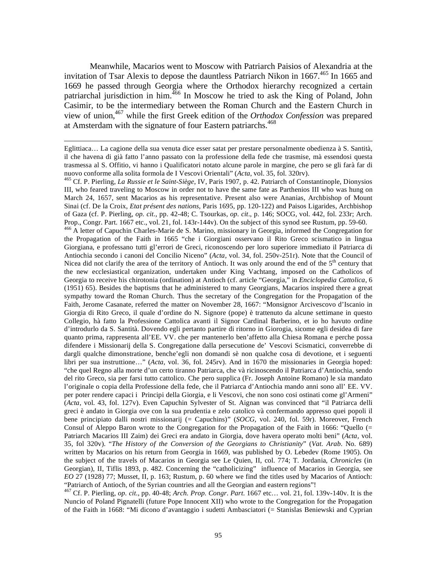Meanwhile, Macarios went to Moscow with Patriarch Paisios of Alexandria at the invitation of Tsar Alexis to depose the dauntless Patriarch Nikon in  $1667<sup>465</sup>$  In 1665 and 1669 he passed through Georgia where the Orthodox hierarchy recognized a certain patriarchal jurisdiction in him.<sup>466</sup> In Moscow he tried to ask the King of Poland, John Casimir, to be the intermediary between the Roman Church and the Eastern Church in view of union,467 while the first Greek edition of the *Orthodox Confession* was prepared at Amsterdam with the signature of four Eastern patriarchs.<sup>468</sup>

1

467 Cf. P. Pierling, *op. cit*., pp. 40-48; *Arch. Prop. Congr. Part*. 1667 etc… vol. 21, fol. 139v-140v. It is the Nuncio of Poland Pignatelli (future Pope Innocent XII) who wrote to the Congregation for the Propagation of the Faith in 1668: "Mi dicono d'avantaggio i sudetti Ambasciatori (= Stanislas Beniewski and Cyprian

Eglittiaca… La cagione della sua venuta dice esser satat per prestare personalmente obedienza à S. Santità, il che havena di già fatto l'anno passato con la professione della fede che trasmise, mà essendosi questa trasmessa al S. Offitio, vi hanno i Qualificatori notato alcune parole in margine, che pero se gli farà far di nuovo conforme alla solita formola de I Vescovi Orientali" (*Acta*, vol. 35, fol. 320rv). 465 Cf. P. Pierling, *La Russie et le Saint-Siège*, IV, Paris 1907, p. 42. Patriarch of Constantinople, Dionysios

III, who feared traveling to Moscow in order not to have the same fate as Parthenios III who was hung on March 24, 1657, sent Macarios as his representative. Present also were Ananias, Archbishop of Mount Sinai (cf. De la Croix, *Etat présent des nations*, Paris 1695, pp. 120-122) and Paisos Ligarides, Archbishop of Gaza (cf. P. Pierling, *op. cit*., pp. 42-48; C. Tsourkas, *op. cit*., p. 146; SOCG, vol. 442, fol. 233r; Arch. Prop., Congr. Part. 1667 etc., vol. 21, fol. 143r-144v). On the subject of this synod see Rustum, pp. 59-60.

<sup>466</sup> A letter of Capuchin Charles-Marie de S. Marino, missionary in Georgia, informed the Congregation for the Propagation of the Faith in 1665 "che i Giorgiani osservano il Rito Greco scismatico in lingua Giorgiana, e professano tutti gl'errori de Greci, riconoscendo per loro superiore immediato il Patriarca di Antiochia secondo i canoni del Concilio Niceno" (*Acta,* vol. 34, fol. 250v-251r). Note that the Council of Nicea did not clarify the area of the territory of Antioch. It was only around the end of the  $5<sup>th</sup>$  century that the new ecclesiastical organization, undertaken under King Vachtang, imposed on the Catholicos of Georgia to receive his chirotonia (ordination) at Antioch (cf. article "Georgia," in *Enciclopedia Cattolica*, 6 (1951) 65). Besides the baptisms that he administered to many Georgians, Macarios inspired there a great sympathy toward the Roman Church. Thus the secretary of the Congregation for the Propagation of the Faith, Jerome Casanate, referred the matter on November 28, 1667: "Monsignor Arcivescovo d'Iscanio in Giorgia di Rito Greco, il quale d'ordine do N. Signore (pope) è trattenuto da alcune settimane in questo Collegio, hà fatto la Professione Cattolica avanti il Signor Cardinal Barberino, et io ho havuto ordine d'introdurlo da S. Santità. Dovendo egli pertanto partire di ritorno in Giorogia, sicome egli desidea di fare quanto prima, rappresenta all'EE. VV. che per mantenerlo ben'affetto alla Chiesa Romana e perche possa difendere i Missionarij della S. Congregatione dalla persecutione de' Vescovi Scismatici, converrebbe di dargli qualche dimonstratione, benche'egli non domandi sè non qualche cosa di devotione, et i seguenti libri per sua instruttione…" (*Acta*, vol. 36, fol. 245rv). And in 1670 the missionaries in Georgia hoped: "che quel Regno alla morte d'un certo tiranno Patriarca, che và ricinoscendo il Patriarca d'Antiochia, sendo del rito Greco, sia per farsi tutto cattolico. Che pero supplica (Fr. Joseph Antoine Romano) le sia mandato l'originale o copia della Professione della fede, che il Patriarca d'Antiochia mando anni sono all' EE. VV. per poter rendere capaci i Principi della Giorgia, e li Vescovi, che non sono cosi ostinati come gl'Armeni" (*Acta*, vol. 43, fol. 127v). Even Capuchin Sylvester of St. Aignan was convinced that "il Patriarca delli greci è andato in Giorgia ove con la sua prudentia e zelo catolico và confermando appresso quei popoli il bene principiato dalli nostri missionarij (= Capuchins)" (*SOCG*, vol. 240, fol. 59r). Moreover, French Consul of Aleppo Baron wrote to the Congregation for the Propagation of the Faith in 1666: "Quello (= Patriarch Macarios III Zaim) dei Greci era andato in Giorgia, dove havera operato molti beni" (*Acta,* vol. 35, fol 320v). "*The History of the Conversion of the Georgians to Christianity*" (*Vat. Arab*. No. 689) written by Macarios on his return from Georgia in 1669, was published by O. Lebedev (Rome 1905). On the subject of the travels of Macarios in Georgia see Le Quien, II, col. 774; T. Jordania, *Chronicles* (in Georgian), II, Tiflis 1893, p. 482. Concerning the "catholicizing" influence of Macarios in Georgia, see *EO* 27 (1928) 77; Musset, II, p. 163; Rustum, p. 60 where we find the titles used by Macarios of Antioch: "Patriarch of Antioch, of the Syrian countries and all the Georgian and eastern regions"!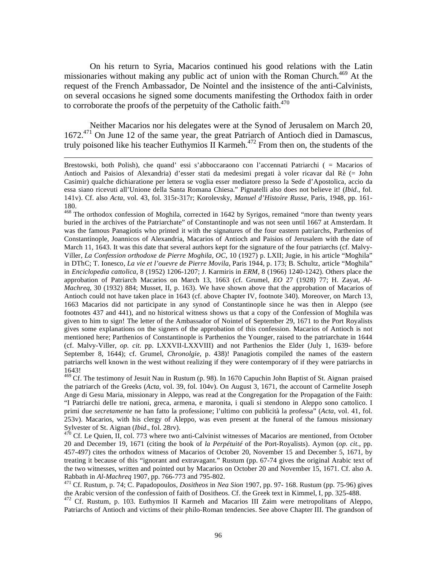On his return to Syria, Macarios continued his good relations with the Latin missionaries without making any public act of union with the Roman Church.<sup>469</sup> At the request of the French Ambassador, De Nointel and the insistence of the anti-Calvinists, on several occasions he signed some documents manifesting the Orthodox faith in order to corroborate the proofs of the perpetuity of the Catholic faith. $470$ 

 Neither Macarios nor his delegates were at the Synod of Jerusalem on March 20, 1672.471 On June 12 of the same year, the great Patriarch of Antioch died in Damascus, truly poisoned like his teacher Euthymios II Karmeh.<sup>472</sup> From then on, the students of the

Brestowski, both Polish), che quand' essi s'abboccaraono con l'accennati Patriarchi ( = Macarios of Antioch and Paisios of Alexandria) d'esser stati da medesimi pregati à voler ricavar dal Rè (= John Casimir) qualche dichiaratione per lettera se voglia esser mediatore presso la Sede d'Apostolica, accio da essa siano ricevuti all'Unione della Santa Romana Chiesa." Pignatelli also does not believe it! (*Ibid*., fol. 141v). Cf. also *Acta,* vol. 43, fol. 315r-317r; Korolevsky, *Manuel d'Histoire Russe*, Paris, 1948, pp. 161- 180.

<sup>&</sup>lt;sup>468</sup> The orthodox confession of Moghila, corrected in 1642 by Syrigos, remained "more than twenty years buried in the archives of the Patriarchate" of Constantinople and was not seen until 1667 at Amsterdam. It was the famous Panagiotis who printed it with the signatures of the four eastern patriarchs, Parthenios of Constantinople, Joannicos of Alexandria, Macarios of Antioch and Paisios of Jerusalem with the date of March 11, 1643. It was this date that several authors kept for the signature of the four patriarchs (cf. Malvy-Viller, *La Confession orthodoxe de Pierre Moghila*, *OC*, 10 (1927) p. LXII; Jugie, in his article "Moghila" in DThC; T. Ionesco*, La vie et l'ouevre de Pierre Movila*, Paris 1944, p. 173; B. Schultz, article "Moghila" in *Enciclopedia cattolica*, 8 (1952) 1206-1207; J. Karmiris in *ERM,* 8 (1966) 1240-1242). Others place the approbation of Patriarch Macarios on March 13, 1663 (cf. Grumel, *EO* 27 (1928) 77; H. Zayat, *Al-Machreq*, 30 (1932) 884; Musset, II, p. 163). We have shown above that the approbation of Macarios of Antioch could not have taken place in 1643 (cf. above Chapter IV, footnote 340). Moreover, on March 13, 1663 Macarios did not participate in any synod of Constantinople since he was then in Aleppo (see footnotes 437 and 441), and no historical witness shows us that a copy of the Confession of Moghila was given to him to sign! The letter of the Ambassador of Nointel of September 29, 1671 to the Port Royalists gives some explanations on the signers of the approbation of this confession. Macarios of Antioch is not mentioned here; Parthenios of Constantinople is Parthenios the Younger, raised to the patriarchate in 1644 (cf. Malvy-Viller, *op. cit*. pp. LXXVII-LXXVIII) and not Parthenios the Elder (July 1, 1639- before September 8, 1644); cf. Grumel, *Chronolgie*, p. 438)! Panagiotis compiled the names of the eastern patriarchs well known in the west without realizing if they were contemporary of if they were patriarchs in 1643!

<sup>469</sup> Cf. The testimony of Jesuit Nau in Rustum (p. 98). In 1670 Capuchin John Baptist of St. Aignan praised the patriarch of the Greeks (*Acta,* vol. 39, fol. 104v). On August 3, 1671, the account of Carmelite Joseph Ange di Gesu Maria, missionary in Aleppo, was read at the Congregation for the Propagation of the Faith: "I Patriarchi delle tre nationi, greca, armena, e maronita, i quali si stendono in Aleppo sono cattolico. I primi due *secretamente* ne han fatto la professione; l'ultimo con publicità la professa" (*Acta,* vol. 41, fol. 253v). Macarios, with his clergy of Aleppo, was even present at the funeral of the famous missionary Sylvester of St. Aignan (*Ibid.*, fol. 28rv).<br><sup>470</sup> Cf. Le Quien, II, col. 773 where two anti-Calvinist witnesses of Macarios are mentioned, from October

<sup>20</sup> and December 19, 1671 (citing the book of *la Perpétuité* of the Port-Royalists). Aymon (*op. cit*., pp. 457-497) cites the orthodox witness of Macarios of October 20, November 15 and December 5, 1671, by treating it because of this "ignorant and extravagant." Rustum (pp. 67-74 gives the original Arabic text of the two witnesses, written and pointed out by Macarios on October 20 and November 15, 1671. Cf. also A. Rabbath in *Al-Machreq* 1907, pp. 766-773 and 795-802. 471 Cf. Rustum, p. 74; C. Papadopoulos, *Dositheos* in *Nea Sion* 1907, pp. 97- 168. Rustum (pp. 75-96) gives

the Arabic version of the confession of faith of Dositheos. Cf. the Greek text in Kimmel, I, pp. 325-488.

<sup>&</sup>lt;sup>472</sup> Cf. Rustum, p. 103. Euthymios II Karmeh and Macarios III Zaim were metropolitans of Aleppo, Patriarchs of Antioch and victims of their philo-Roman tendencies. See above Chapter III. The grandson of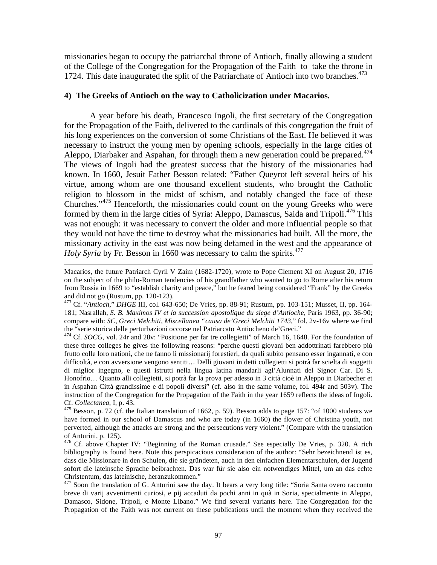missionaries began to occupy the patriarchal throne of Antioch, finally allowing a student of the College of the Congregation for the Propagation of the Faith to take the throne in 1724. This date inaugurated the split of the Patriarchate of Antioch into two branches.<sup>473</sup>

#### **4) The Greeks of Antioch on the way to Catholicization under Macarios.**

 A year before his death, Francesco Ingoli, the first secretary of the Congregation for the Propagation of the Faith, delivered to the cardinals of this congregation the fruit of his long experiences on the conversion of some Christians of the East. He believed it was necessary to instruct the young men by opening schools, especially in the large cities of Aleppo, Diarbaker and Aspahan, for through them a new generation could be prepared.<sup>474</sup> The views of Ingoli had the greatest success that the history of the missionaries had known. In 1660, Jesuit Father Besson related: "Father Queyrot left several heirs of his virtue, among whom are one thousand excellent students, who brought the Catholic religion to blossom in the midst of schism, and notably changed the face of these Churches."475 Henceforth, the missionaries could count on the young Greeks who were formed by them in the large cities of Syria: Aleppo, Damascus, Saida and Tripoli.<sup>476</sup> This was not enough: it was necessary to convert the older and more influential people so that they would not have the time to destroy what the missionaries had built. All the more, the missionary activity in the east was now being defamed in the west and the appearance of *Holy Syria* by Fr. Besson in 1660 was necessary to calm the spirits.<sup>477</sup>

Macarios, the future Patriarch Cyril V Zaim (1682-1720), wrote to Pope Clement XI on August 20, 1716 on the subject of the philo-Roman tendencies of his grandfather who wanted to go to Rome after his return from Russia in 1669 to "establish charity and peace," but he feared being considered "Frank" by the Greeks and did not go (Rustum, pp. 120-123).

<sup>473</sup> Cf. "*Antioch*," *DHGE* III, col. 643-650; De Vries, pp. 88-91; Rustum, pp. 103-151; Musset, II, pp. 164- 181; Nasrallah, *S. B. Maximos IV et la succession apostolique du siege d'Antioche*, Paris 1963, pp. 36-90; compare with: *SC*, *Greci Melchiti, Miscellanea "causa de'Greci Melchiti 1743*," fol. 2v-16v where we find the "serie storica delle perturbazioni occorse nel Patriarcato Antiocheno de'Greci."

<sup>&</sup>lt;sup>474</sup> Cf. *SOCG*, vol. 24r and 28v: "Positione per far tre collegietti" of March 16, 1648. For the foundation of these three colleges he gives the following reasons: "perche questi giovani ben addottrinati farebbero più frutto colle loro nationi, che ne fanno li missionarij forestieri, da quali subito pensano esser ingannati, e con difficoltà, e con avversione vengono sentiti… Delli giovani in detti collegietti si potrà far scielta di soggetti di miglior ingegno, e questi istrutti nella lingua latina mandarli agl'Alunnati del Signor Car. Di S. Honofrio… Quanto alli collegietti, si potrà far la prova per adesso in 3 città cioè in Aleppo in Diarbecher et in Aspahan Città grandissime e di popoli diversi" (cf. also in the same volume, fol. 494r and 503v). The instruction of the Congregation for the Propagation of the Faith in the year 1659 reflects the ideas of Ingoli.

Cf. *Collectanea*, I, p. 43. 475 Besson, p. 72 (cf. the Italian translation of 1662, p. 59). Besson adds to page 157: "of 1000 students we have formed in our school of Damascus and who are today (in 1660) the flower of Christina youth, not perverted, although the attacks are strong and the persecutions very violent." (Compare with the translation of Anturini, p. 125).

<sup>&</sup>lt;sup>476</sup> Cf. above Chapter IV: "Beginning of the Roman crusade." See especially De Vries, p. 320. A rich bibliography is found here. Note this perspicacious consideration of the author: "Sehr bezeichnend ist es, dass die Missionare in den Schulen, die sie gründeten, auch in den einfachen Elementarschulen, der Jugend sofort die lateinsche Sprache beibrachten. Das war für sie also ein notwendiges Mittel, um an das echte Christentum, das lateinische, heranzukommen."

<sup>&</sup>lt;sup>477</sup> Soon the translation of G. Anturini saw the day. It bears a very long title: "Soria Santa overo racconto breve di varij avvenimenti curiosi, e pij accaduti da pochi anni in quà in Soria, specialmente in Aleppo, Damasco, Sidone, Tripoli, e Monte Libano." We find several variants here. The Congregation for the Propagation of the Faith was not current on these publications until the moment when they received the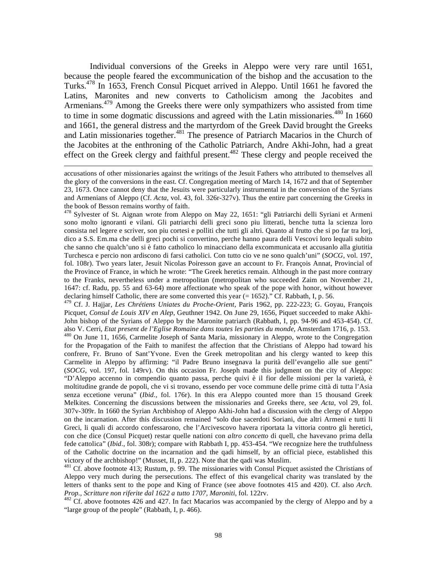Individual conversions of the Greeks in Aleppo were very rare until 1651, because the people feared the excommunication of the bishop and the accusation to the Turks.478 In 1653, French Consul Picquet arrived in Aleppo. Until 1661 he favored the Latins, Maronites and new converts to Catholicism among the Jacobites and Armenians.<sup>479</sup> Among the Greeks there were only sympathizers who assisted from time to time in some dogmatic discussions and agreed with the Latin missionaries.<sup>480</sup> In 1660 and 1661, the general distress and the martyrdom of the Greek David brought the Greeks and Latin missionaries together.<sup>481</sup> The presence of Patriarch Macarios in the Church of the Jacobites at the enthroning of the Catholic Patriarch, Andre Akhi-John, had a great effect on the Greek clergy and faithful present.<sup>482</sup> These clergy and people received the

 $\overline{a}$ 

<sup>478</sup> Sylvester of St. Aignan wrote from Aleppo on May 22, 1651: "gli Patriarchi delli Syriani et Armeni sono molto ignoranti e vilani. Gli patriarchi delli greci sono piu litterati, benche tutta la scienza loro consista nel legere e scriver, son piu cortesi e polliti che tutti gli altri. Quanto al frutto che si po far tra lorj, dico a S.S. Em.ma che delli greci pochi si convertino, perche hanno paura delli Vescovi loro lequali subito che sanno che qualch'uno si è fatto catholico lo minacciano della excommunicata et accusanlo alla giutitia Turchesca e percio non ardiscono di farsi catholici. Con tutto cio ve ne sono qualch'uni" (*SOCG*, vol. 197, fol. 108r). Two years later, Jesuit Nicolas Poiresson gave an account to Fr. François Annat, Provincial of the Province of France, in which he wrote: "The Greek heretics remain. Although in the past more contrary to the Franks, nevertheless under a metropolitan (metropolitan who succeeded Zaim on November 21, 1647: cf. Radu, pp. 55 and 63-64) more affectionate who speak of the pope with honor, without however declaring himself Catholic, there are some converted this year (= 1652)." Cf. Rabbath, I, p. 56.

479 Cf. J. Hajjar, *Les Chrétiens Uniates du Proche-Orient*, Paris 1962, pp. 222-223; G. Goyau, François Picquet, *Consul de Louis XIV en Alep*, Geuthner 1942. On June 29, 1656, Piquet succeeded to make Akhi-John bishop of the Syrians of Aleppo by the Maronite patriarch (Rabbath, I, pp. 94-96 and 453-454). Cf. also V. Cerri, *Etat present de l'Eglise Romaine dans toutes les parties du monde*, Amsterdam 1716, p. 153. 480 On June 11, 1656, Carmelite Joseph of Santa Maria, missionary in Aleppo, wrote to the Congregation for the Propagation of the Faith to manifest the affection that the Christians of Aleppo had toward his confrere, Fr. Bruno of Sant'Yvone. Even the Greek metropolitan and his clergy wanted to keep this Carmelite in Aleppo by affirming: "il Padre Bruno insegnava la purità dell'evangelio alle sue genti" (*SOCG*, vol. 197, fol. 149rv). On this occasion Fr. Joseph made this judgment on the city of Aleppo: "D'Aleppo accenno in compendio quanto passa, perche quivi è il fior delle missioni per la varietà, è moltitudine grande de popoli, che vi si trovano, essendo per voce commune delle prime città di tutta l'Asia senza eccetione veruna" (*Ibid.,* fol. 176r). In this era Aleppo counted more than 15 thousand Greek Melkites. Concerning the discussions between the missionaries and Greeks there, see *Acta*, vol 29, fol. 307v-309r. In 1660 the Syrian Archbishop of Aleppo Akhi-John had a discussion with the clergy of Aleppo on the incarnation. After this discussion remained "solo due sacerdoti Soriani, due altri Armeni e tutti li Greci, li quali di accordo confessarono, che l'Arcivescovo havera riportata la vittoria contro gli heretici, con che dice (Consul Picquet) restar quelle nationi con *altro concetto* di quell, che havevano prima della fede cattolica" (*Ibid.*, fol. 308r); compare with Rabbath I, pp. 453-454. "We recognize here the truthfulness of the Catholic doctrine on the incarnation and the qadi himself, by an official piece, established this victory of the archbishop!" (Musset, II, p. 222). Note that the qadi was Muslim.

<sup>481</sup> Cf. above footnote 413; Rustum, p. 99. The missionaries with Consul Picquet assisted the Christians of Aleppo very much during the persecutions. The effect of this evangelical charity was translated by the letters of thanks sent to the pope and King of France (see above footnotes 415 and 420). Cf. also *Arch. Prop., Scritture non riferite dal 1622 a tutto 1707, Maroniti, fol. 122rv.*<br><sup>482</sup> Cf. above footnotes 426 and 427. In fact Macarios was accompanied by the clergy of Aleppo and by a

"large group of the people" (Rabbath, I, p. 466).

accusations of other missionaries against the writings of the Jesuit Fathers who attributed to themselves all the glory of the conversions in the east. Cf. Congregation meeting of March 14, 1672 and that of September 23, 1673. Once cannot deny that the Jesuits were particularly instrumental in the conversion of the Syrians and Armenians of Aleppo (Cf. *Acta*, vol. 43, fol. 326r-327v). Thus the entire part concerning the Greeks in the book of Besson remains worthy of faith.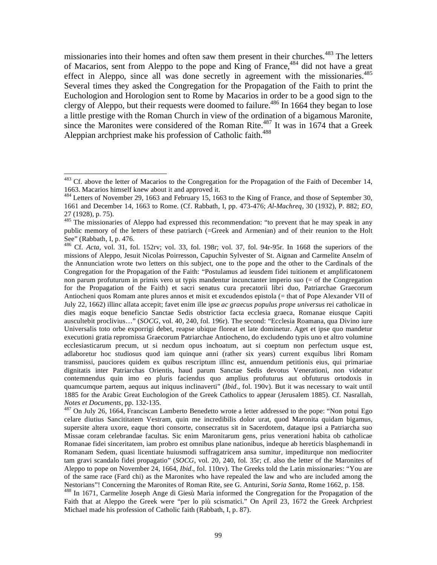missionaries into their homes and often saw them present in their churches.<sup>483</sup> The letters of Macarios, sent from Aleppo to the pope and King of France,<sup>484</sup> did not have a great effect in Aleppo, since all was done secretly in agreement with the missionaries.<sup>485</sup> Several times they asked the Congregation for the Propagation of the Faith to print the Euchologion and Horologion sent to Rome by Macarios in order to be a good sign to the clergy of Aleppo, but their requests were doomed to failure.<sup>486</sup> In 1664 they began to lose a little prestige with the Roman Church in view of the ordination of a bigamous Maronite, since the Maronites were considered of the Roman Rite.<sup>487</sup> It was in 1674 that a Greek Aleppian archpriest make his profession of Catholic faith.<sup>488</sup>

 $\overline{a}$ 

celare diutius Sancititatem Vestram, quin me incredibilis dolor urat, quod Maronita quidam bigamus, supersite altera uxore, eaque thori consorte, consecratus sit in Sacerdotem, dataque ipsi a Patriarcha suo Missae coram celebrandae facultas. Sic enim Maronitarum gens, prius venerationi habita ob catholicae Romanae fidei sinceritatem, iam probro est omnibus plane nationibus, indeque ab hereticis blasphemandi in Romanam Sedem, quasi licentiate huiusmodi suffragatricem ansa sumitur, impediturque non mediocriter tam gravi scandalo fidei propagatio" (*SOCG*, vol. 20, 240, fol. 35r; cf. also the letter of the Maronites of Aleppo to pope on November 24, 1664, *Ibid*., fol. 110rv). The Greeks told the Latin missionaries: "You are of the same race (Fard chi) as the Maronites who have repealed the law and who are included among the Nestorians"! Concerning the Maronites of Roman Rite, see G. Anturini, *Soria Santa*, Rome 1662, p. 158.

<sup>488</sup> In 1671, Carmelite Joseph Ange di Giesù Maria informed the Congregation for the Propagation of the Faith that at Aleppo the Greek were "per lo più scismatici." On April 23, 1672 the Greek Archpriest Michael made his profession of Catholic faith (Rabbath, I, p. 87).

 $483$  Cf. above the letter of Macarios to the Congregation for the Propagation of the Faith of December 14, 1663. Macarios himself knew about it and approved it.

<sup>&</sup>lt;sup>484</sup> Letters of November 29, 1663 and February 15, 1663 to the King of France, and those of September 30, 1661 and December 14, 1663 to Rome. (Cf. Rabbath, I, pp. 473-476; *Al-Machreq*, 30 (1932), P. 882; *EO*, 27 (1928), p. 75).

 $485$  The missionaries of Aleppo had expressed this recommendation: "to prevent that he may speak in any public memory of the letters of these patriarch (=Greek and Armenian) and of their reunion to the Holt See" (Rabbath, I, p. 476.

<sup>486</sup> Cf. *Acta,* vol. 31, fol. 152rv; vol. 33, fol. 198r; vol. 37, fol. 94r-95r. In 1668 the superiors of the missions of Aleppo, Jesuit Nicolas Poirresson, Capuchin Sylvester of St. Aignan and Carmelite Anselm of the Annunciation wrote two letters on this subject, one to the pope and the other to the Cardinals of the Congregation for the Propagation of the Faith: "Postulamus ad ieusdem fidei tuitionem et amplificatonem non parum profuturum in primis vero ut typis mandentur incunctanter imperio suo (= of the Congregation for the Propagation of the Faith) et sacri senatus cura precatorii libri duo, Patriarchae Graecorum Antiocheni quos Romam ante plures annos et misit et excudendos epistola (= that of Pope Alexander VII of July 22, 1662) illinc allata accepit; favet enim ille ipse *ac graecus populus prope universus* rei catholicae in dies magis eoque beneficio Sanctae Sedis obstrictior facta ecclesia graeca, Romanae eiusque Capiti auscultebit proclivius…" (*SOCG*, vol. 40, 240, fol. 196r). The second: "Ecclesia Roamana, qua Divino iure Universalis toto orbe exporrigi debet, reapse ubique floreat et late dominetur. Aget et ipse quo mandetur executioni gratia repromissa Graecorum Patriarchae Antiocheno, do excludendo typis uno et altro volumine ecclesiasticarum precum, ut si necdum opus inchoatum, aut si coeptum non perfectum usque est, adlaboretur hoc studiosus quod iam quinque anni (rather six years) current exquibus libri Romam transmissi, pauciores quidem ex quibus rescriptum illinc est, annuendum petitionis eius, qui primariae dignitatis inter Patriarchas Orientis, haud parum Sanctae Sedis devotus Venerationi, non videatur contemnendus quin imo eo pluris faciendus quo amplius profuturus aut obfuturus ortodoxis in quamcumque partem, aequus aut iniquus inclinaverti" (*Ibid*., fol. 190v). But it was necessary to wait until 1885 for the Arabic Great Euchologion of the Greek Catholics to appear (Jerusalem 1885). Cf. Nasrallah, *Notes et Documents*, pp. 132-135.<br><sup>487</sup> On July 26, 1664, Franciscan Lamberto Benedetto wrote a letter addressed to the pope: "Non potui Ego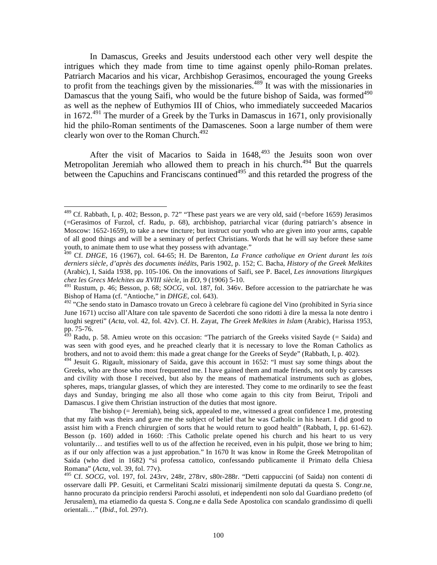In Damascus, Greeks and Jesuits understood each other very well despite the intrigues which they made from time to time against openly philo-Roman prelates. Patriarch Macarios and his vicar, Archbishop Gerasimos, encouraged the young Greeks to profit from the teachings given by the missionaries.<sup>489</sup> It was with the missionaries in Damascus that the young Saifi, who would be the future bishop of Saida, was formed  $490$ as well as the nephew of Euthymios III of Chios, who immediately succeeded Macarios in 1672.<sup>491</sup> The murder of a Greek by the Turks in Damascus in 1671, only provisionally hid the philo-Roman sentiments of the Damascenes. Soon a large number of them were clearly won over to the Roman Church.<sup>492</sup>

After the visit of Macarios to Saida in  $1648$ ,  $493$  the Jesuits soon won over Metropolitan Jeremiah who allowed them to preach in his church.<sup>494</sup> But the quarrels between the Capuchins and Franciscans continued<sup>495</sup> and this retarded the progress of the

1

 $^{489}$  Cf. Rabbath, I, p. 402; Besson, p. 72" "These past years we are very old, said (=before 1659) Jerasimos (=Gerasimos of Furzol, cf. Radu, p. 68), archbishop, patriarchal vicar (during patriarch's absence in Moscow: 1652-1659), to take a new tincture; but instruct our youth who are given into your arms, capable of all good things and will be a seminary of perfect Christians. Words that he will say before these same youth, to animate them to use what they possess with advantage."

<sup>490</sup> Cf. *DHGE*, 16 (1967), col. 64-65; H. De Barenton, *La France catholique en Orient durant les tois derniers siècle, d'après des documents inédits*, Paris 1902, p. 152; C. Bacha, *History of the Greek Melkites* (Arabic), I, Saida 1938, pp. 105-106. On the innovations of Saifi, see P. Bacel, *Les innovations liturgiques chez les Grecs Melchites au XVIII siècle*, in *EO*, 9 (1906) 5-10.

<sup>491</sup> Rustum, p. 46; Besson, p. 68; *SOCG*, vol. 187, fol. 346v. Before accession to the patriarchate he was Bishop of Hama (cf. "Antioche," in *DHGE*, col. 643).

<sup>&</sup>lt;sup>492</sup> "Che sendo stato in Damasco trovato un Greco à celebrare fù cagione del Vino (prohibited in Syria since June 1671) ucciso all'Altare con tale spavento de Sacerdoti che sono ridotti à dire la messa la note dentro i luoghi segreti" (*Acta*, vol. 42, fol. 42v). Cf. H. Zayat, *The Greek Melkites in Islam* (Arabic), Harissa 1953, pp. 75-76.

Radu, p. 58. Amieu wrote on this occasion: "The patriarch of the Greeks visited Sayde (= Saida) and was seen with good eyes, and he preached clearly that it is necessary to love the Roman Catholics as brothers, and not to avoid them: this made a great change for the Greeks of Seyde" (Rabbath, I, p. 402).

<sup>&</sup>lt;sup>494</sup> Jesuit G. Rigault, missionary of Saida, gave this account in 1652: "I must say some things about the Greeks, who are those who most frequented me. I have gained them and made friends, not only by caresses and civility with those I received, but also by the means of mathematical instruments such as globes, spheres, maps, triangular glasses, of which they are interested. They come to me ordinarily to see the feast days and Sunday, bringing me also all those who come again to this city from Beirut, Tripoli and Damascus. I give them Christian instruction of the duties that most ignore.

The bishop (= Jeremiah), being sick, appealed to me, witnessed a great confidence I me, protesting that my faith was theirs and gave me the subject of belief that he was Catholic in his heart. I did good to assist him with a French chirurgien of sorts that he would return to good health" (Rabbath, I, pp. 61-62). Besson (p. 160) added in 1660: :This Catholic prelate opened his church and his heart to us very voluntarily… and testifies well to us of the affection he received, even in his pulpit, those we bring to him; as if our only affection was a just approbation." In 1670 It was know in Rome the Greek Metropolitan of Saida (who died in 1682) "si professa cattolico, confessando publicamente il Primato della Chiesa Romana" (*Acta*, vol. 39, fol. 77v).

<sup>495</sup> Cf. *SOCG*, vol. 197, fol. 243rv, 248r, 278rv, s80r-288r. "Detti cappuccini (of Saida) non contenti di osservare dalli PP. Gesuiti, et Carmelitani Scalzi missionarij similmente deputati da questa S. Congr.ne, hanno procurato da principio rendersi Parochi assoluti, et independenti non solo dal Guardiano predetto (of Jerusalem), ma etiamedio da questa S. Cong.ne e dalla Sede Apostolica con scandalo grandissimo di quelli orientali…" (*Ibid*., fol. 297r).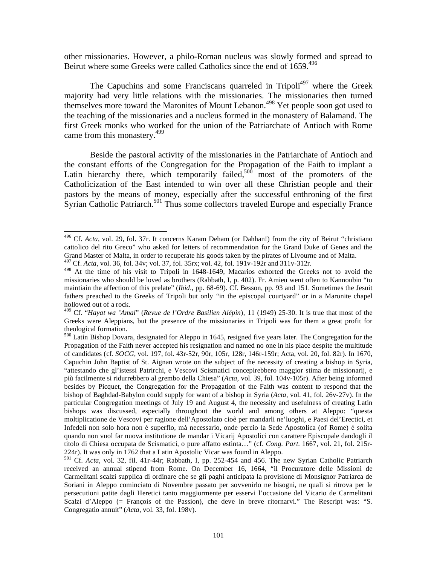other missionaries. However, a philo-Roman nucleus was slowly formed and spread to Beirut where some Greeks were called Catholics since the end of 1659.<sup>496</sup>

The Capuchins and some Franciscans quarreled in Tripoli<sup>497</sup> where the Greek majority had very little relations with the missionaries. The missionaries then turned themselves more toward the Maronites of Mount Lebanon.<sup>498</sup> Yet people soon got used to the teaching of the missionaries and a nucleus formed in the monastery of Balamand. The first Greek monks who worked for the union of the Patriarchate of Antioch with Rome came from this monastery.<sup>499</sup>

 Beside the pastoral activity of the missionaries in the Patriarchate of Antioch and the constant efforts of the Congregation for the Propagation of the Faith to implant a Latin hierarchy there, which temporarily failed,<sup>500</sup> most of the promoters of the Catholicization of the East intended to win over all these Christian people and their pastors by the means of money, especially after the successful enthroning of the first Syrian Catholic Patriarch.<sup>501</sup> Thus some collectors traveled Europe and especially France

<sup>496</sup> Cf. *Acta*, vol. 29, fol. 37r. It concerns Karam Deham (or Dahhan!) from the city of Beirut "christiano cattolico del rito Greco" who asked for letters of recommendation for the Grand Duke of Genes and the Grand Master of Malta, in order to recuperate his goods taken by the pirates of Livourne and of Malta.

<sup>497</sup> Cf. *Acta*, vol. 36, fol. 34v; vol. 37, fol. 35rx; vol. 42, fol. 191v-192r and 311v-312r.

<sup>498</sup> At the time of his visit to Tripoli in 1648-1649, Macarios exhorted the Greeks not to avoid the missionaries who should be loved as brothers (Rabbath, I, p. 402). Fr. Amieu went often to Kannoubin "to maintiain the affection of this prelate" (*Ibid*., pp. 68-69). Cf. Besson, pp. 93 and 151. Sometimes the Jesuit fathers preached to the Greeks of Tripoli but only "in the episcopal courtyard" or in a Maronite chapel hollowed out of a rock.

<sup>499</sup> Cf. "*Hayat wa 'Amal*" (*Revue de l'Ordre Basilien Alépin*), 11 (1949) 25-30. It is true that most of the Greeks were Aleppians, but the presence of the missionaries in Tripoli was for them a great profit for theological formation.

<sup>500</sup> Latin Bishop Dovara, designated for Aleppo in 1645, resigned five years later. The Congregation for the Propagation of the Faith never accepted his resignation and named no one in his place despite the multitude of candidates (cf. *SOCG*, vol. 197, fol. 43r-52r, 90r, 105r, 128r, 146r-159r; Acta, vol. 20, fol. 82r). In 1670, Capuchin John Baptist of St. Aignan wrote on the subject of the necessity of creating a bishop in Syria, "attestando che gl'istessi Patrirchi, e Vescovi Scismatici concepirebbero maggior stima de missionarij, e più facilmente si ridurrebbero al grembo della Chiesa" (*Acta*, vol. 39, fol. 104v-105r). After being informed besides by Picquet, the Congregation for the Propagation of the Faith was content to respond that the bishop of Baghdad-Babylon could supply for want of a bishop in Syria (*Acta*, vol. 41, fol. 26v-27v). In the particular Congregation meetings of July 19 and August 4, the necessity and usefulness of creating Latin bishops was discussed, especially throughout the world and among others at Aleppo: "questa moltiplicatione de Vescovi per ragione dell'Apostolato cioè per mandarli ne'luoghi, e Paesi del'Erectici, et Infedeli non solo hora non è superflo, mà necessario, onde percio la Sede Apostolica (of Rome) è solita quando non vuol far nuova institutione de mandar i Vicarij Apostolici con carattere Episcopale dandogli il titolo di Chiesa occupata de Scismatici, o pure affatto estinta…" (cf. *Cong. Part*. 1667, vol. 21, fol. 215r-224r). It was only in 1762 that a Latin Apostolic Vicar was found in Aleppo.

<sup>501</sup> Cf. *Acta*, vol. 32, fil. 41r-44r; Rabbath, I, pp. 252-454 and 456. The new Syrian Catholic Patriarch received an annual stipend from Rome. On December 16, 1664, "il Procuratore delle Missioni de Carmelitani scalzi supplica di ordinare che se gli paghi anticipata la provisione di Monsignor Patriarca de Soriani in Aleppo cominciato di Novembre passato per sovvenirlo ne bisogni, ne quali si ritrova per le persecutioni patite dagli Heretici tanto maggiormente per esservi l'occasione del Vicario de Carmelitani Scalzi d'Aleppo (= François of the Passion), che deve in breve ritornarvi." The Rescript was: "S. Congregatio annuit" (*Acta*, vol. 33, fol. 198v).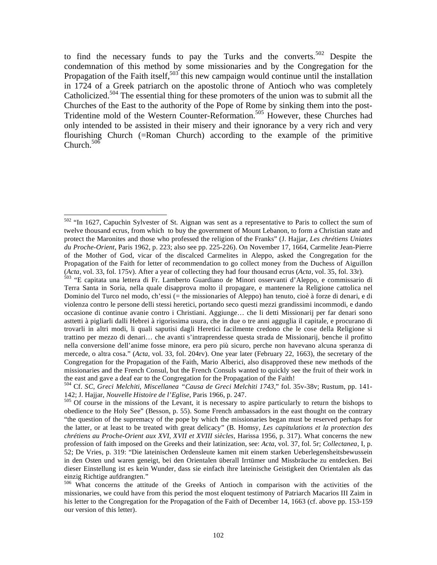to find the necessary funds to pay the Turks and the converts.<sup>502</sup> Despite the condemnation of this method by some missionaries and by the Congregation for the Propagation of the Faith itself, $503$  this new campaign would continue until the installation in 1724 of a Greek patriarch on the apostolic throne of Antioch who was completely Catholicized.<sup>504</sup> The essential thing for these promoters of the union was to submit all the Churches of the East to the authority of the Pope of Rome by sinking them into the post-Tridentine mold of the Western Counter-Reformation.505 However, these Churches had only intended to be assisted in their misery and their ignorance by a very rich and very flourishing Church (=Roman Church) according to the example of the primitive Church. $50\overline{6}$ 

 $502$  "In 1627, Capuchin Sylvester of St. Aignan was sent as a representative to Paris to collect the sum of twelve thousand ecrus, from which to buy the government of Mount Lebanon, to form a Christian state and protect the Maronites and those who professed the religion of the Franks" (J. Hajjar, *Les chrétiens Uniates du Proche-Orient*, Paris 1962, p. 223; also see pp. 225-226). On November 17, 1664, Carmelite Jean-Pierre of the Mother of God, vicar of the discalced Carmelites in Aleppo, asked the Congregation for the Propagation of the Faith for letter of recommendation to go collect money from the Duchess of Aiguillon (*Acta*, vol. 33, fol. 175v). After a year of collecting they had four thousand ecrus (*Acta*, vol. 35, fol. 33r).

<sup>&</sup>lt;sup>503</sup> "E capitata una lettera di Fr. Lamberto Guardiano de Minori osservanti d'Aleppo, e commissario di Terra Santa in Soria, nella quale disapprova molto il propagare, e mantenere la Religione cattolica nel Dominio del Turco nel modo, ch'essi (= the missionaries of Aleppo) han tenuto, cioè à forze di denari, e di violenza contro le persone delli stessi heretici, portando seco questi mezzi grandissimi incommodi, e dando occasione di continue avanie contro i Christiani. Aggiunge… che li detti Missionarij per far denari sono asttetti à pigliarli dalli Hebrei à rigorissima usura, che in due o tre anni agguglia il capitale, e procurano di trovarli in altri modi, li quali saputisi dagli Heretici facilmente credono che le cose della Religione si trattino per mezzo di denari… che avanti s'intraprendesse questa strada de Missionarij, benche il profitto nella conversione dell'anime fosse minore, era pero più sicuro, perche non havevano alcuna speranza di mercede, o altra cosa." (*Acta*, vol. 33, fol. 204rv). One year later (February 22, 1663), the secretary of the Congregation for the Propagation of the Faith, Mario Alberici, also disapproved these new methods of the missionaries and the French Consul, but the French Consuls wanted to quickly see the fruit of their work in the east and gave a deaf ear to the Congregation for the Propagation of the Faith!

<sup>504</sup> Cf. *SC*, *Greci Melchiti, Miscellanea "Causa de Greci Melchiti 1743*," fol. 35v-38v; Rustum, pp. 141-

<sup>&</sup>lt;sup>505</sup> Of course in the missions of the Levant, it is necessary to aspire particularly to return the bishops to obedience to the Holy See" (Besson, p. 55). Some French ambassadors in the east thought on the contrary "the question of the supremacy of the pope by which the missionaries began must be reserved perhaps for the latter, or at least to be treated with great delicacy" (B. Homsy*, Les capitulations et la protection des chrétiens au Proche-Orient aux XVI, XVII et XVIII siècles*, Harissa 1956, p. 317). What concerns the new profession of faith imposed on the Greeks and their latinization, see: *Acta*, vol. 37, fol. 5r; *Collectanea*, I, p. 52; De Vries, p. 319: "Die lateinischen Ordensleute kamen mit einem starken Ueberlegensheitsbewussein in den Osten und waren geneigt, bei den Orientalen überall Irrtümer und Missbräuche zu entdecken. Bei dieser Einstellung ist es kein Wunder, dass sie einfach ihre lateinische Geistigkeit den Orientalen als das einzig Richtige aufdrangten."

<sup>506</sup> What concerns the attitude of the Greeks of Antioch in comparison with the activities of the missionaries, we could have from this period the most eloquent testimony of Patriarch Macarios III Zaim in his letter to the Congregation for the Propagation of the Faith of December 14, 1663 (cf. above pp. 153-159 our version of this letter).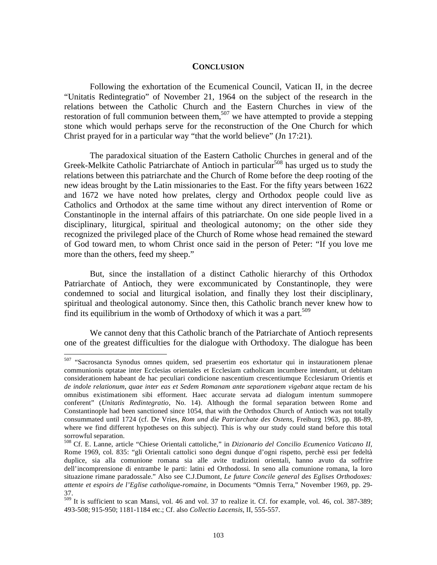## **CONCLUSION**

 Following the exhortation of the Ecumenical Council, Vatican II, in the decree "Unitatis Redintegratio" of November 21, 1964 on the subject of the research in the relations between the Catholic Church and the Eastern Churches in view of the restoration of full communion between them,<sup>507</sup> we have attempted to provide a stepping stone which would perhaps serve for the reconstruction of the One Church for which Christ prayed for in a particular way "that the world believe" (Jn 17:21).

 The paradoxical situation of the Eastern Catholic Churches in general and of the Greek-Melkite Catholic Patriarchate of Antioch in particular<sup>508</sup> has urged us to study the relations between this patriarchate and the Church of Rome before the deep rooting of the new ideas brought by the Latin missionaries to the East. For the fifty years between 1622 and 1672 we have noted how prelates, clergy and Orthodox people could live as Catholics and Orthodox at the same time without any direct intervention of Rome or Constantinople in the internal affairs of this patriarchate. On one side people lived in a disciplinary, liturgical, spiritual and theological autonomy; on the other side they recognized the privileged place of the Church of Rome whose head remained the steward of God toward men, to whom Christ once said in the person of Peter: "If you love me more than the others, feed my sheep."

 But, since the installation of a distinct Catholic hierarchy of this Orthodox Patriarchate of Antioch, they were excommunicated by Constantinople, they were condemned to social and liturgical isolation, and finally they lost their disciplinary, spiritual and theological autonomy. Since then, this Catholic branch never knew how to find its equilibrium in the womb of Orthodoxy of which it was a part.<sup>509</sup>

 We cannot deny that this Catholic branch of the Patriarchate of Antioch represents one of the greatest difficulties for the dialogue with Orthodoxy. The dialogue has been

<sup>&</sup>lt;sup>507</sup> "Sacrosancta Synodus omnes quidem, sed praesertim eos exhortatur qui in instaurationem plenae communionis optatae inter Ecclesias orientales et Ecclesiam catholicam incumbere intendunt, ut debitam considerationem habeant de hac peculiari condicione nascentium crescentiumque Ecclesiarum Orientis et *de indole relationum, quae inter eas et Sedem Romanam ante separationem vigebant* atque rectam de his omnibus existimationem sibi efforment. Haec accurate servata ad dialogum intentum summopere conferent" (*Unitatis Redintegratio*, No. 14). Although the formal separation between Rome and Constantinople had been sanctioned since 1054, that with the Orthodox Church of Antioch was not totally consummated until 1724 (cf. De Vries, *Rom und die Patriarchate des Ostens*, Freiburg 1963, pp. 88-89, where we find different hypotheses on this subject). This is why our study could stand before this total sorrowful separation.

<sup>508</sup> Cf. E. Lanne, article "Chiese Orientali cattoliche," in *Dizionario del Concilio Ecumenico Vaticano II*, Rome 1969, col. 835: "gli Orientali cattolici sono degni dunque d'ogni rispetto, perchè essi per fedeltà duplice, sia alla comunione romana sia alle avite tradizioni orientali, hanno avuto da soffrire dell'incomprensione di entrambe le parti: latini ed Orthodossi. In seno alla comunione romana, la loro situazione rimane paradossale." Also see C.J.Dumont, *Le future Concile general des Eglises Orthodoxes: attente et espoirs de l'Eglise catholique-romaine*, in Documents "Omnis Terra," November 1969, pp. 29- 37.

<sup>509</sup> It is sufficient to scan Mansi, vol. 46 and vol. 37 to realize it. Cf. for example, vol. 46, col. 387-389; 493-508; 915-950; 1181-1184 etc.; Cf. also *Collectio Lacensis*, II, 555-557.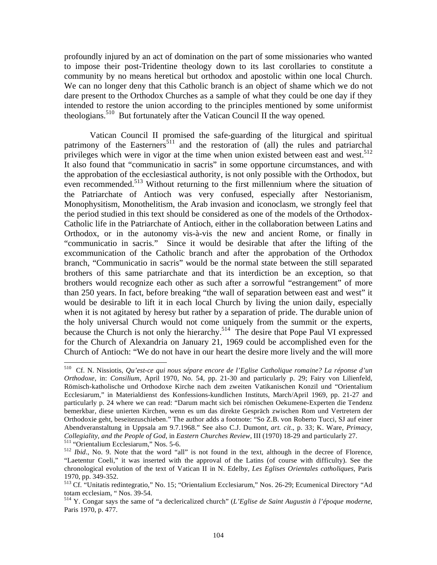profoundly injured by an act of domination on the part of some missionaries who wanted to impose their post-Tridentine theology down to its last corollaries to constitute a community by no means heretical but orthodox and apostolic within one local Church. We can no longer deny that this Catholic branch is an object of shame which we do not dare present to the Orthodox Churches as a sample of what they could be one day if they intended to restore the union according to the principles mentioned by some uniformist theologians.<sup>510</sup> But fortunately after the Vatican Council II the way opened.

 Vatican Council II promised the safe-guarding of the liturgical and spiritual patrimony of the Easterners<sup>511</sup> and the restoration of (all) the rules and patriarchal privileges which were in vigor at the time when union existed between east and west.<sup>512</sup> It also found that "communicatio in sacris" in some opportune circumstances, and with the approbation of the ecclesiastical authority, is not only possible with the Orthodox, but even recommended.<sup>513</sup> Without returning to the first millennium where the situation of the Patriarchate of Antioch was very confused, especially after Nestorianism, Monophysitism, Monothelitism, the Arab invasion and iconoclasm, we strongly feel that the period studied in this text should be considered as one of the models of the Orthodox-Catholic life in the Patriarchate of Antioch, either in the collaboration between Latins and Orthodox, or in the autonomy vis-à-vis the new and ancient Rome, or finally in "communicatio in sacris." Since it would be desirable that after the lifting of the excommunication of the Catholic branch and after the approbation of the Orthodox branch, "Communicatio in sacris" would be the normal state between the still separated brothers of this same patriarchate and that its interdiction be an exception, so that brothers would recognize each other as such after a sorrowful "estrangement" of more than 250 years. In fact, before breaking "the wall of separation between east and west" it would be desirable to lift it in each local Church by living the union daily, especially when it is not agitated by heresy but rather by a separation of pride. The durable union of the holy universal Church would not come uniquely from the summit or the experts, because the Church is not only the hierarchy.<sup>514</sup> The desire that Pope Paul VI expressed for the Church of Alexandria on January 21, 1969 could be accomplished even for the Church of Antioch: "We do not have in our heart the desire more lively and the will more

 $\overline{a}$ 510 Cf. N. Nissiotis, *Qu'est-ce qui nous sépare encore de l'Eglise Catholique romaine? La réponse d'un Orthodoxe*, in: *Consilium*, April 1970, No. 54, pp. 21-30 and particularly p. 29; Fairy von Lilienfeld, Römisch-katholische und Orthodoxe Kirche nach dem zweiten Vatikanischen Konzil und "Orientalium Ecclesiarum," in Materialdienst des Konfessions-kundlichen Instituts, March/April 1969, pp. 21-27 and particularly p. 24 where we can read: "Darum macht sich bei römischen Oekumene-Experten die Tendenz bemerkbar, diese unierten Kirchen, wenn es um das direkte Gespräch zwischen Rom und Vertretern der Orthodoxie geht, beseitezuschieben." The author adds a footnote: "So Z.B. von Roberto Tucci, SJ auf einer Abendveranstaltung in Uppsala am 9.7.1968." See also C.J. Dumont, *art. cit*., p. 33; K. Ware, *Primacy,*  Collegiality, and the People of God, in Eastern Churches Review, III (1970) 18-29 and particularly 27.<br><sup>511</sup> "Orientalium Ecclesiarum," Nos. 5-6.<br><sup>512</sup> Ibid., No. 9. Note that the word "all" is not found in the text, altho

<sup>&</sup>quot;Laetentur Coeli," it was inserted with the approval of the Latins (of course with difficulty). See the chronological evolution of the text of Vatican II in N. Edelby, *Les Eglises Orientales catholiques*, Paris 1970, pp. 349-352.

<sup>513</sup> Cf. "Unitatis redintegratio," No. 15; "Orientalium Ecclesiarum," Nos. 26-29; Ecumenical Directory "Ad totam ecclesiam, " Nos. 39-54.

<sup>514</sup> Y. Congar says the same of "a declericalized church" (*L'Eglise de Saint Augustin à l'époque moderne*, Paris 1970, p. 477.